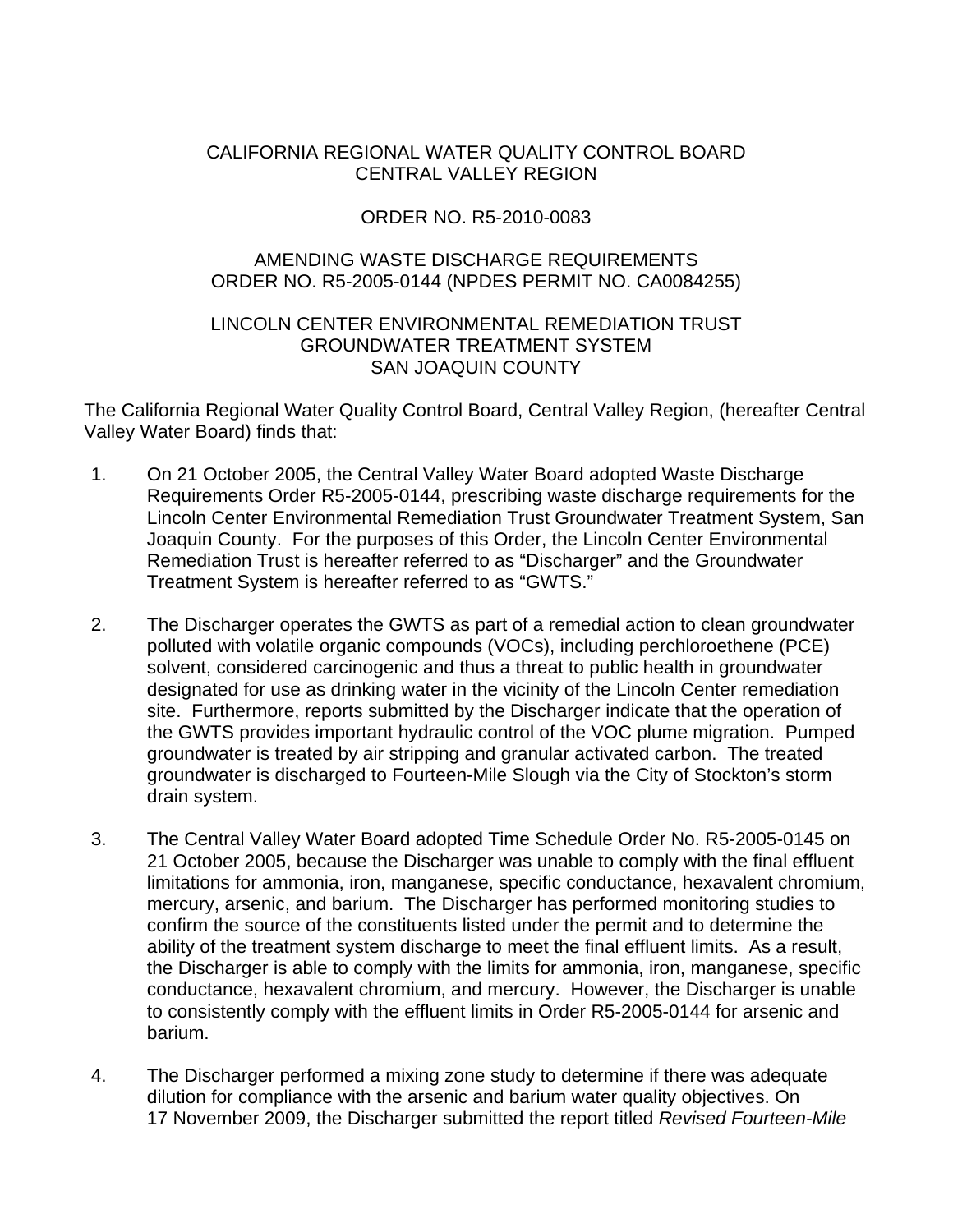# CALIFORNIA REGIONAL WATER QUALITY CONTROL BOARD CENTRAL VALLEY REGION

# ORDER NO. R5-2010-0083

# AMENDING WASTE DISCHARGE REQUIREMENTS ORDER NO. R5-2005-0144 (NPDES PERMIT NO. CA0084255)

## LINCOLN CENTER ENVIRONMENTAL REMEDIATION TRUST GROUNDWATER TREATMENT SYSTEM SAN JOAQUIN COUNTY

The California Regional Water Quality Control Board, Central Valley Region, (hereafter Central Valley Water Board) finds that:

- 1. On 21 October 2005, the Central Valley Water Board adopted Waste Discharge Requirements Order R5-2005-0144, prescribing waste discharge requirements for the Lincoln Center Environmental Remediation Trust Groundwater Treatment System, San Joaquin County. For the purposes of this Order, the Lincoln Center Environmental Remediation Trust is hereafter referred to as "Discharger" and the Groundwater Treatment System is hereafter referred to as "GWTS."
- 2. The Discharger operates the GWTS as part of a remedial action to clean groundwater polluted with volatile organic compounds (VOCs), including perchloroethene (PCE) solvent, considered carcinogenic and thus a threat to public health in groundwater designated for use as drinking water in the vicinity of the Lincoln Center remediation site. Furthermore, reports submitted by the Discharger indicate that the operation of the GWTS provides important hydraulic control of the VOC plume migration. Pumped groundwater is treated by air stripping and granular activated carbon. The treated groundwater is discharged to Fourteen-Mile Slough via the City of Stockton's storm drain system.
- 3. The Central Valley Water Board adopted Time Schedule Order No. R5-2005-0145 on 21 October 2005, because the Discharger was unable to comply with the final effluent limitations for ammonia, iron, manganese, specific conductance, hexavalent chromium, mercury, arsenic, and barium. The Discharger has performed monitoring studies to confirm the source of the constituents listed under the permit and to determine the ability of the treatment system discharge to meet the final effluent limits. As a result, the Discharger is able to comply with the limits for ammonia, iron, manganese, specific conductance, hexavalent chromium, and mercury. However, the Discharger is unable to consistently comply with the effluent limits in Order R5-2005-0144 for arsenic and barium.
- 4. The Discharger performed a mixing zone study to determine if there was adequate dilution for compliance with the arsenic and barium water quality objectives. On 17 November 2009, the Discharger submitted the report titled *Revised Fourteen-Mile*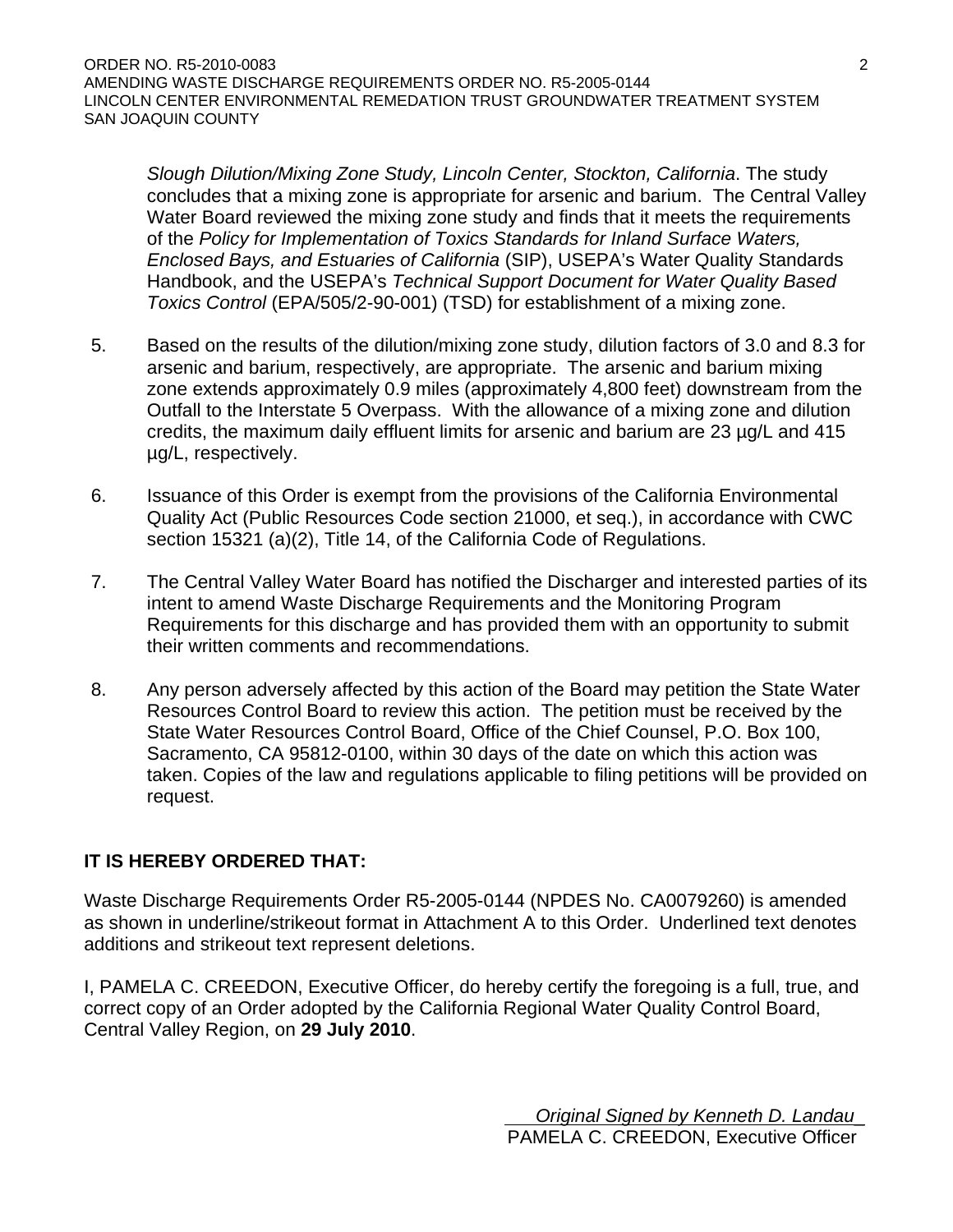*Slough Dilution/Mixing Zone Study, Lincoln Center, Stockton, California*. The study concludes that a mixing zone is appropriate for arsenic and barium. The Central Valley Water Board reviewed the mixing zone study and finds that it meets the requirements of the *Policy for Implementation of Toxics Standards for Inland Surface Waters, Enclosed Bays, and Estuaries of California* (SIP), USEPA's Water Quality Standards Handbook, and the USEPA's *Technical Support Document for Water Quality Based Toxics Control* (EPA/505/2-90-001) (TSD) for establishment of a mixing zone.

- 5. Based on the results of the dilution/mixing zone study, dilution factors of 3.0 and 8.3 for arsenic and barium, respectively, are appropriate. The arsenic and barium mixing zone extends approximately 0.9 miles (approximately 4,800 feet) downstream from the Outfall to the Interstate 5 Overpass. With the allowance of a mixing zone and dilution credits, the maximum daily effluent limits for arsenic and barium are 23 µg/L and 415 µg/L, respectively.
- 6. Issuance of this Order is exempt from the provisions of the California Environmental Quality Act (Public Resources Code section 21000, et seq.), in accordance with CWC section 15321 (a)(2), Title 14, of the California Code of Regulations.
- 7. The Central Valley Water Board has notified the Discharger and interested parties of its intent to amend Waste Discharge Requirements and the Monitoring Program Requirements for this discharge and has provided them with an opportunity to submit their written comments and recommendations.
- 8. Any person adversely affected by this action of the Board may petition the State Water Resources Control Board to review this action. The petition must be received by the State Water Resources Control Board, Office of the Chief Counsel, P.O. Box 100, Sacramento, CA 95812-0100, within 30 days of the date on which this action was taken. Copies of the law and regulations applicable to filing petitions will be provided on request.

# **IT IS HEREBY ORDERED THAT:**

Waste Discharge Requirements Order R5-2005-0144 (NPDES No. CA0079260) is amended as shown in underline/strikeout format in Attachment A to this Order. Underlined text denotes additions and strikeout text represent deletions.

I, PAMELA C. CREEDON, Executive Officer, do hereby certify the foregoing is a full, true, and correct copy of an Order adopted by the California Regional Water Quality Control Board, Central Valley Region, on **29 July 2010**.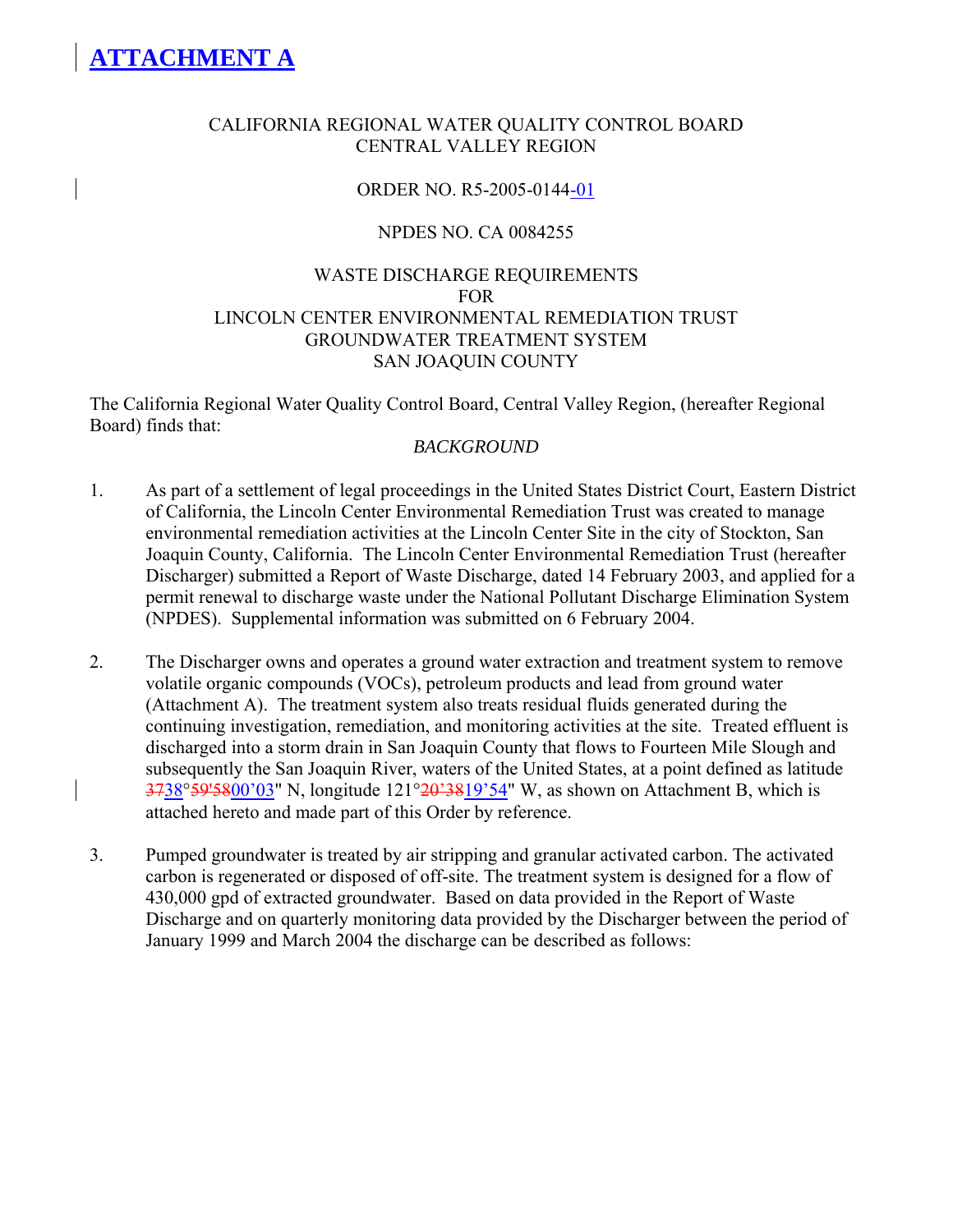## CALIFORNIA REGIONAL WATER QUALITY CONTROL BOARD CENTRAL VALLEY REGION

## ORDER NO. R5-2005-0144-01

## NPDES NO. CA 0084255

## WASTE DISCHARGE REQUIREMENTS FOR LINCOLN CENTER ENVIRONMENTAL REMEDIATION TRUST GROUNDWATER TREATMENT SYSTEM SAN JOAQUIN COUNTY

The California Regional Water Quality Control Board, Central Valley Region, (hereafter Regional Board) finds that:

### *BACKGROUND*

- 1. As part of a settlement of legal proceedings in the United States District Court, Eastern District of California, the Lincoln Center Environmental Remediation Trust was created to manage environmental remediation activities at the Lincoln Center Site in the city of Stockton, San Joaquin County, California. The Lincoln Center Environmental Remediation Trust (hereafter Discharger) submitted a Report of Waste Discharge, dated 14 February 2003, and applied for a permit renewal to discharge waste under the National Pollutant Discharge Elimination System (NPDES). Supplemental information was submitted on 6 February 2004.
- 2. The Discharger owns and operates a ground water extraction and treatment system to remove volatile organic compounds (VOCs), petroleum products and lead from ground water (Attachment A). The treatment system also treats residual fluids generated during the continuing investigation, remediation, and monitoring activities at the site. Treated effluent is discharged into a storm drain in San Joaquin County that flows to Fourteen Mile Slough and subsequently the San Joaquin River, waters of the United States, at a point defined as latitude 3738°59'5800'03" N, longitude 121°20'3819'54" W, as shown on Attachment B, which is attached hereto and made part of this Order by reference.
- 3. Pumped groundwater is treated by air stripping and granular activated carbon. The activated carbon is regenerated or disposed of off-site. The treatment system is designed for a flow of 430,000 gpd of extracted groundwater. Based on data provided in the Report of Waste Discharge and on quarterly monitoring data provided by the Discharger between the period of January 1999 and March 2004 the discharge can be described as follows: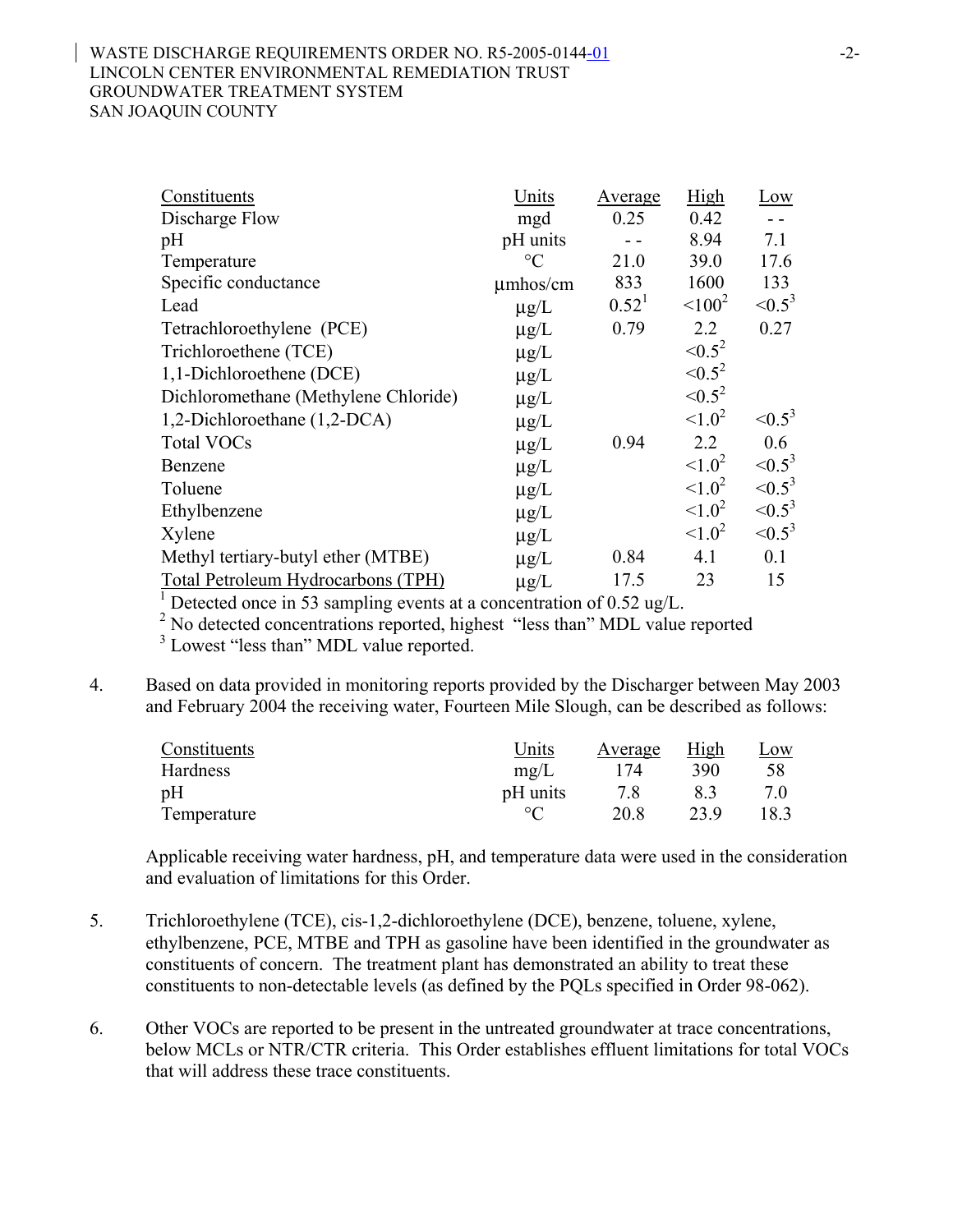### WASTE DISCHARGE REQUIREMENTS ORDER NO. R5-2005-0144-01 -2-LINCOLN CENTER ENVIRONMENTAL REMEDIATION TRUST GROUNDWATER TREATMENT SYSTEM SAN JOAQUIN COUNTY

| Constituents                         | Units           | <b>Average</b>    | High         | Low            |
|--------------------------------------|-----------------|-------------------|--------------|----------------|
| Discharge Flow                       | mgd             | 0.25              | 0.42         | $\overline{a}$ |
| pH                                   | pH units        |                   | 8.94         | 7.1            |
| Temperature                          | $\rm ^{\circ}C$ | 21.0              | 39.0         | 17.6           |
| Specific conductance                 | $\mu$ mhos/cm   | 833               | 1600         | 133            |
| Lead                                 | $\mu g/L$       | 0.52 <sup>1</sup> | $100^2$      | $\leq 0.5^3$   |
| Tetrachloroethylene (PCE)            | $\mu$ g/L       | 0.79              | 2.2          | 0.27           |
| Trichloroethene (TCE)                | $\mu$ g/L       |                   | $\le 0.5^2$  |                |
| 1,1-Dichloroethene (DCE)             | $\mu$ g/L       |                   | $\le 0.5^2$  |                |
| Dichloromethane (Methylene Chloride) | $\mu$ g/L       |                   | $\leq 0.5^2$ |                |
| 1,2-Dichloroethane (1,2-DCA)         | $\mu$ g/L       |                   | $1.0^2$      | $\leq 0.5^3$   |
| <b>Total VOCs</b>                    | $\mu$ g/L       | 0.94              | 2.2          | 0.6            |
| Benzene                              | $\mu$ g/L       |                   | $1.0^2$      | $\leq 0.5^3$   |
| Toluene                              | $\mu$ g/L       |                   | $1.0^2$      | $\le 0.5^3$    |
| Ethylbenzene                         | $\mu$ g/L       |                   | $1.0^2$      | $\leq 0.5^3$   |
| Xylene                               | $\mu$ g/L       |                   | $1.0^2$      | $\leq 0.5^3$   |
| Methyl tertiary-butyl ether (MTBE)   | $\mu$ g/L       | 0.84              | 4.1          | 0.1            |
| Total Petroleum Hydrocarbons (TPH)   | $\mu g/L$       | 17.5              | 23           | 15             |

1 Detected once in 53 sampling events at a concentration of 0.52 ug/L.

<sup>2</sup> No detected concentrations reported, highest "less than" MDL value reported

<sup>3</sup> Lowest "less than" MDL value reported.

4. Based on data provided in monitoring reports provided by the Discharger between May 2003 and February 2004 the receiving water, Fourteen Mile Slough, can be described as follows:

| Constituents | Units       | Average | High       | <u>Low</u> |
|--------------|-------------|---------|------------|------------|
| Hardness     | $m\Omega/L$ | 174     | <b>390</b> | 58         |
| pН           | pH units    |         |            |            |
| Temperature  |             | 20.8    | 239        | 18.3       |

Applicable receiving water hardness, pH, and temperature data were used in the consideration and evaluation of limitations for this Order.

- 5. Trichloroethylene (TCE), cis-1,2-dichloroethylene (DCE), benzene, toluene, xylene, ethylbenzene, PCE, MTBE and TPH as gasoline have been identified in the groundwater as constituents of concern. The treatment plant has demonstrated an ability to treat these constituents to non-detectable levels (as defined by the PQLs specified in Order 98-062).
- 6. Other VOCs are reported to be present in the untreated groundwater at trace concentrations, below MCLs or NTR/CTR criteria. This Order establishes effluent limitations for total VOCs that will address these trace constituents.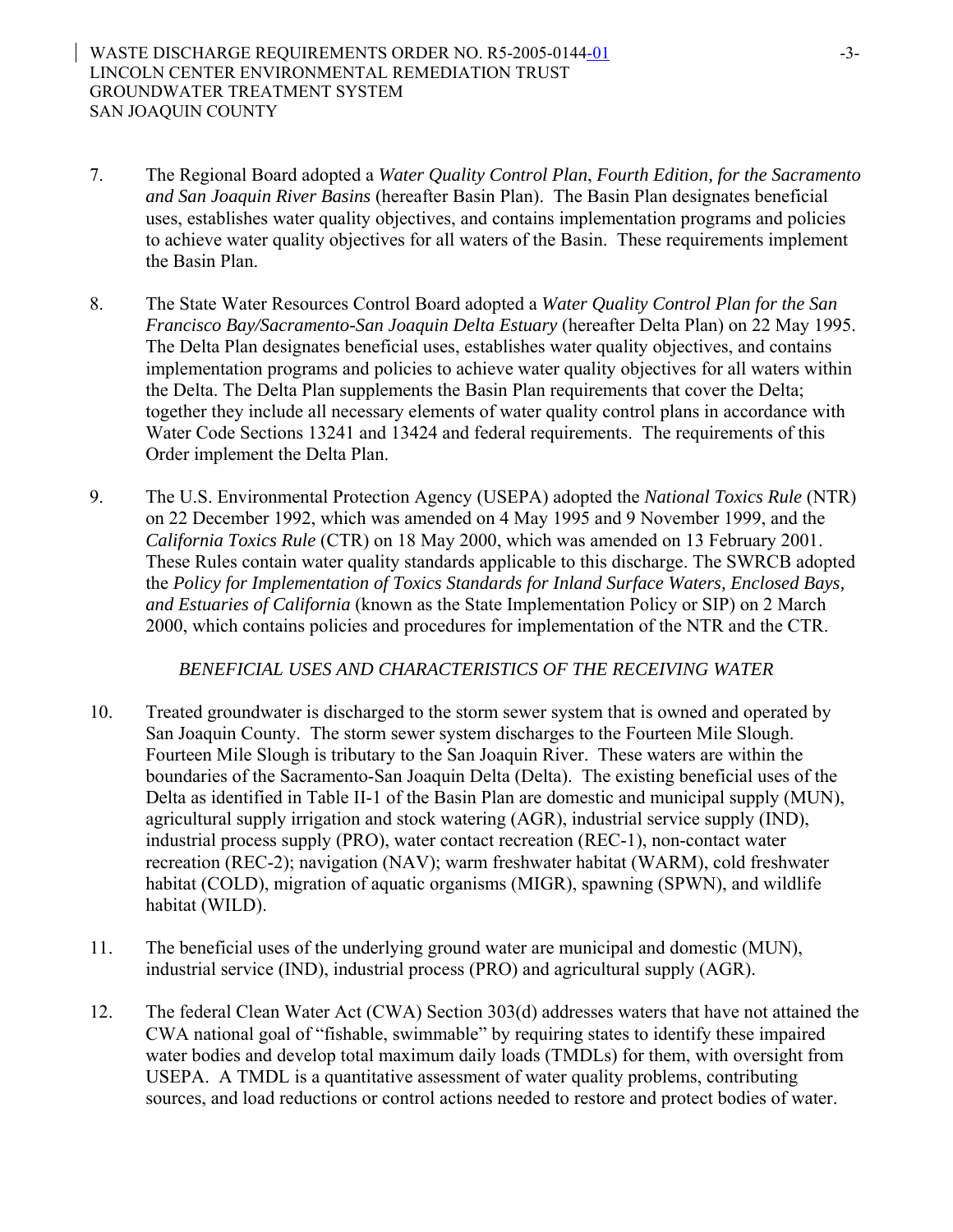- 7. The Regional Board adopted a *Water Quality Control Plan*, *Fourth Edition, for the Sacramento and San Joaquin River Basins* (hereafter Basin Plan). The Basin Plan designates beneficial uses, establishes water quality objectives, and contains implementation programs and policies to achieve water quality objectives for all waters of the Basin. These requirements implement the Basin Plan.
- 8. The State Water Resources Control Board adopted a *Water Quality Control Plan for the San Francisco Bay/Sacramento-San Joaquin Delta Estuary* (hereafter Delta Plan) on 22 May 1995. The Delta Plan designates beneficial uses, establishes water quality objectives, and contains implementation programs and policies to achieve water quality objectives for all waters within the Delta. The Delta Plan supplements the Basin Plan requirements that cover the Delta; together they include all necessary elements of water quality control plans in accordance with Water Code Sections 13241 and 13424 and federal requirements. The requirements of this Order implement the Delta Plan.
- 9. The U.S. Environmental Protection Agency (USEPA) adopted the *National Toxics Rule* (NTR) on 22 December 1992, which was amended on 4 May 1995 and 9 November 1999, and the *California Toxics Rule* (CTR) on 18 May 2000, which was amended on 13 February 2001. These Rules contain water quality standards applicable to this discharge. The SWRCB adopted the *Policy for Implementation of Toxics Standards for Inland Surface Waters, Enclosed Bays, and Estuaries of California* (known as the State Implementation Policy or SIP) on 2 March 2000, which contains policies and procedures for implementation of the NTR and the CTR.

### *BENEFICIAL USES AND CHARACTERISTICS OF THE RECEIVING WATER*

- 10. Treated groundwater is discharged to the storm sewer system that is owned and operated by San Joaquin County. The storm sewer system discharges to the Fourteen Mile Slough. Fourteen Mile Slough is tributary to the San Joaquin River. These waters are within the boundaries of the Sacramento-San Joaquin Delta (Delta). The existing beneficial uses of the Delta as identified in Table II-1 of the Basin Plan are domestic and municipal supply (MUN), agricultural supply irrigation and stock watering (AGR), industrial service supply (IND), industrial process supply (PRO), water contact recreation (REC-1), non-contact water recreation (REC-2); navigation (NAV); warm freshwater habitat (WARM), cold freshwater habitat (COLD), migration of aquatic organisms (MIGR), spawning (SPWN), and wildlife habitat (WILD).
- 11. The beneficial uses of the underlying ground water are municipal and domestic (MUN), industrial service (IND), industrial process (PRO) and agricultural supply (AGR).
- 12. The federal Clean Water Act (CWA) Section 303(d) addresses waters that have not attained the CWA national goal of "fishable, swimmable" by requiring states to identify these impaired water bodies and develop total maximum daily loads (TMDLs) for them, with oversight from USEPA. A TMDL is a quantitative assessment of water quality problems, contributing sources, and load reductions or control actions needed to restore and protect bodies of water.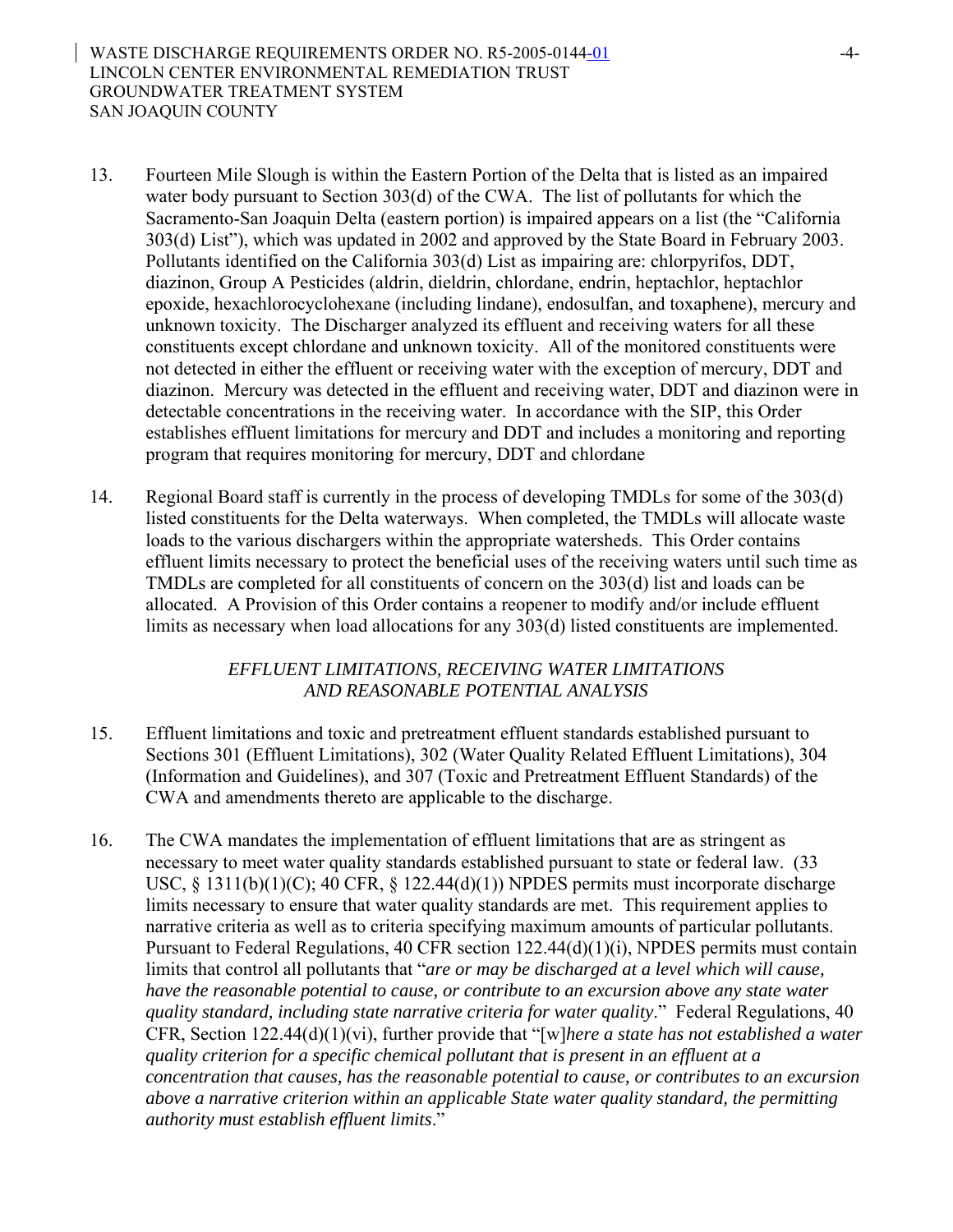- 13. Fourteen Mile Slough is within the Eastern Portion of the Delta that is listed as an impaired water body pursuant to Section 303(d) of the CWA. The list of pollutants for which the Sacramento-San Joaquin Delta (eastern portion) is impaired appears on a list (the "California 303(d) List"), which was updated in 2002 and approved by the State Board in February 2003. Pollutants identified on the California 303(d) List as impairing are: chlorpyrifos, DDT, diazinon, Group A Pesticides (aldrin, dieldrin, chlordane, endrin, heptachlor, heptachlor epoxide, hexachlorocyclohexane (including lindane), endosulfan, and toxaphene), mercury and unknown toxicity. The Discharger analyzed its effluent and receiving waters for all these constituents except chlordane and unknown toxicity. All of the monitored constituents were not detected in either the effluent or receiving water with the exception of mercury, DDT and diazinon. Mercury was detected in the effluent and receiving water, DDT and diazinon were in detectable concentrations in the receiving water. In accordance with the SIP, this Order establishes effluent limitations for mercury and DDT and includes a monitoring and reporting program that requires monitoring for mercury, DDT and chlordane
- 14. Regional Board staff is currently in the process of developing TMDLs for some of the 303(d) listed constituents for the Delta waterways. When completed, the TMDLs will allocate waste loads to the various dischargers within the appropriate watersheds. This Order contains effluent limits necessary to protect the beneficial uses of the receiving waters until such time as TMDLs are completed for all constituents of concern on the 303(d) list and loads can be allocated. A Provision of this Order contains a reopener to modify and/or include effluent limits as necessary when load allocations for any 303(d) listed constituents are implemented.

## *EFFLUENT LIMITATIONS, RECEIVING WATER LIMITATIONS AND REASONABLE POTENTIAL ANALYSIS*

- 15. Effluent limitations and toxic and pretreatment effluent standards established pursuant to Sections 301 (Effluent Limitations), 302 (Water Quality Related Effluent Limitations), 304 (Information and Guidelines), and 307 (Toxic and Pretreatment Effluent Standards) of the CWA and amendments thereto are applicable to the discharge.
- 16. The CWA mandates the implementation of effluent limitations that are as stringent as necessary to meet water quality standards established pursuant to state or federal law. (33 USC,  $\S$  1311(b)(1)(C); 40 CFR,  $\S$  122.44(d)(1)) NPDES permits must incorporate discharge limits necessary to ensure that water quality standards are met. This requirement applies to narrative criteria as well as to criteria specifying maximum amounts of particular pollutants. Pursuant to Federal Regulations, 40 CFR section 122.44(d)(1)(i), NPDES permits must contain limits that control all pollutants that "*are or may be discharged at a level which will cause, have the reasonable potential to cause, or contribute to an excursion above any state water quality standard, including state narrative criteria for water quality*." Federal Regulations, 40 CFR, Section 122.44(d)(1)(vi), further provide that "[w]*here a state has not established a water quality criterion for a specific chemical pollutant that is present in an effluent at a concentration that causes, has the reasonable potential to cause, or contributes to an excursion above a narrative criterion within an applicable State water quality standard, the permitting authority must establish effluent limits*."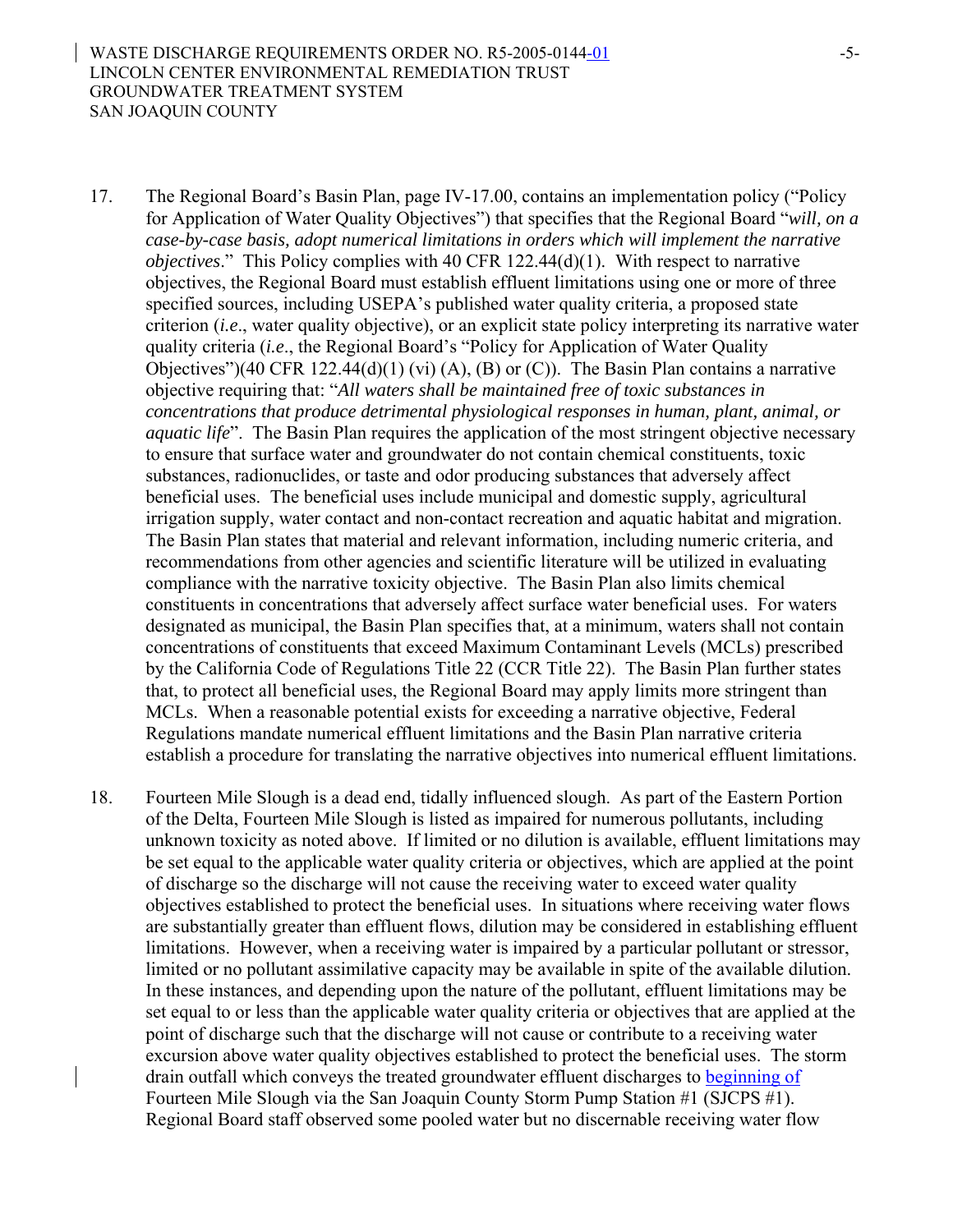- 17. The Regional Board's Basin Plan, page IV-17.00, contains an implementation policy ("Policy for Application of Water Quality Objectives") that specifies that the Regional Board "*will, on a case-by-case basis, adopt numerical limitations in orders which will implement the narrative objectives*." This Policy complies with 40 CFR 122.44(d)(1). With respect to narrative objectives, the Regional Board must establish effluent limitations using one or more of three specified sources, including USEPA's published water quality criteria, a proposed state criterion (*i.e*., water quality objective), or an explicit state policy interpreting its narrative water quality criteria (*i.e*., the Regional Board's "Policy for Application of Water Quality Objectives")(40 CFR 122.44(d)(1) (vi) (A), (B) or (C)). The Basin Plan contains a narrative objective requiring that: "*All waters shall be maintained free of toxic substances in concentrations that produce detrimental physiological responses in human, plant, animal, or aquatic life*". The Basin Plan requires the application of the most stringent objective necessary to ensure that surface water and groundwater do not contain chemical constituents, toxic substances, radionuclides, or taste and odor producing substances that adversely affect beneficial uses. The beneficial uses include municipal and domestic supply, agricultural irrigation supply, water contact and non-contact recreation and aquatic habitat and migration. The Basin Plan states that material and relevant information, including numeric criteria, and recommendations from other agencies and scientific literature will be utilized in evaluating compliance with the narrative toxicity objective. The Basin Plan also limits chemical constituents in concentrations that adversely affect surface water beneficial uses. For waters designated as municipal, the Basin Plan specifies that, at a minimum, waters shall not contain concentrations of constituents that exceed Maximum Contaminant Levels (MCLs) prescribed by the California Code of Regulations Title 22 (CCR Title 22). The Basin Plan further states that, to protect all beneficial uses, the Regional Board may apply limits more stringent than MCLs. When a reasonable potential exists for exceeding a narrative objective, Federal Regulations mandate numerical effluent limitations and the Basin Plan narrative criteria establish a procedure for translating the narrative objectives into numerical effluent limitations.
- 18. Fourteen Mile Slough is a dead end, tidally influenced slough. As part of the Eastern Portion of the Delta, Fourteen Mile Slough is listed as impaired for numerous pollutants, including unknown toxicity as noted above. If limited or no dilution is available, effluent limitations may be set equal to the applicable water quality criteria or objectives, which are applied at the point of discharge so the discharge will not cause the receiving water to exceed water quality objectives established to protect the beneficial uses. In situations where receiving water flows are substantially greater than effluent flows, dilution may be considered in establishing effluent limitations. However, when a receiving water is impaired by a particular pollutant or stressor, limited or no pollutant assimilative capacity may be available in spite of the available dilution. In these instances, and depending upon the nature of the pollutant, effluent limitations may be set equal to or less than the applicable water quality criteria or objectives that are applied at the point of discharge such that the discharge will not cause or contribute to a receiving water excursion above water quality objectives established to protect the beneficial uses. The storm drain outfall which conveys the treated groundwater effluent discharges to beginning of Fourteen Mile Slough via the San Joaquin County Storm Pump Station #1 (SJCPS #1). Regional Board staff observed some pooled water but no discernable receiving water flow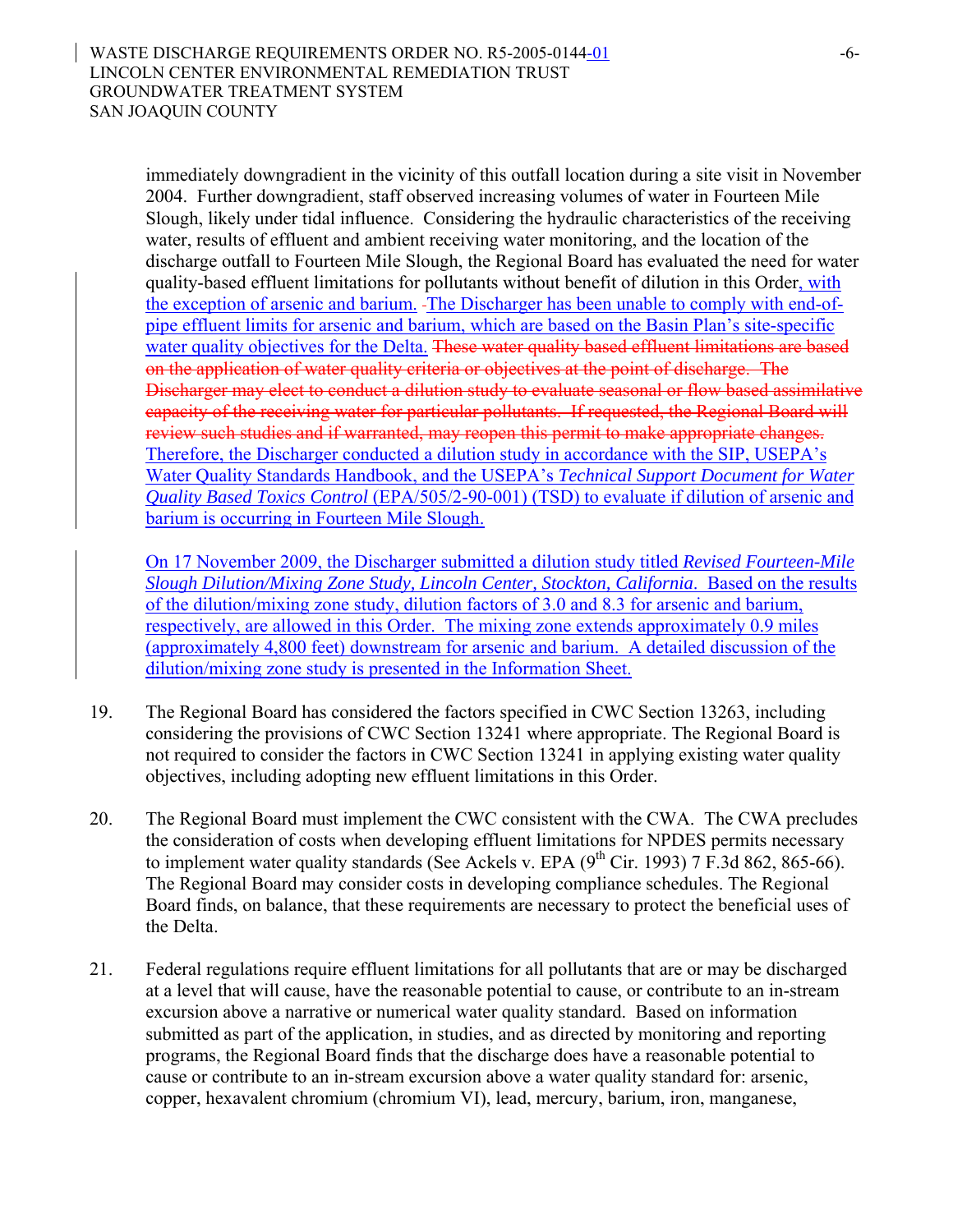immediately downgradient in the vicinity of this outfall location during a site visit in November 2004. Further downgradient, staff observed increasing volumes of water in Fourteen Mile Slough, likely under tidal influence. Considering the hydraulic characteristics of the receiving water, results of effluent and ambient receiving water monitoring, and the location of the discharge outfall to Fourteen Mile Slough, the Regional Board has evaluated the need for water quality-based effluent limitations for pollutants without benefit of dilution in this Order, with the exception of arsenic and barium. The Discharger has been unable to comply with end-ofpipe effluent limits for arsenic and barium, which are based on the Basin Plan's site-specific water quality objectives for the Delta. These water quality based effluent limitations are based on the application of water quality criteria or objectives at the point of discharge. The Discharger may elect to conduct a dilution study to evaluate seasonal or flow based assimilative capacity of the receiving water for particular pollutants. If requested, the Regional Board will review such studies and if warranted, may reopen this permit to make appropriate changes. Therefore, the Discharger conducted a dilution study in accordance with the SIP, USEPA's Water Quality Standards Handbook, and the USEPA's *Technical Support Document for Water Quality Based Toxics Control* (EPA/505/2-90-001) (TSD) to evaluate if dilution of arsenic and barium is occurring in Fourteen Mile Slough.

On 17 November 2009, the Discharger submitted a dilution study titled *Revised Fourteen-Mile Slough Dilution/Mixing Zone Study, Lincoln Center, Stockton, California*. Based on the results of the dilution/mixing zone study, dilution factors of 3.0 and 8.3 for arsenic and barium, respectively, are allowed in this Order. The mixing zone extends approximately 0.9 miles (approximately 4,800 feet) downstream for arsenic and barium. A detailed discussion of the dilution/mixing zone study is presented in the Information Sheet.

- 19. The Regional Board has considered the factors specified in CWC Section 13263, including considering the provisions of CWC Section 13241 where appropriate. The Regional Board is not required to consider the factors in CWC Section 13241 in applying existing water quality objectives, including adopting new effluent limitations in this Order.
- 20. The Regional Board must implement the CWC consistent with the CWA. The CWA precludes the consideration of costs when developing effluent limitations for NPDES permits necessary to implement water quality standards (See Ackels v. EPA  $(9<sup>th</sup> Cir. 1993)$  7 F.3d 862, 865-66). The Regional Board may consider costs in developing compliance schedules. The Regional Board finds, on balance, that these requirements are necessary to protect the beneficial uses of the Delta.
- 21. Federal regulations require effluent limitations for all pollutants that are or may be discharged at a level that will cause, have the reasonable potential to cause, or contribute to an in-stream excursion above a narrative or numerical water quality standard. Based on information submitted as part of the application, in studies, and as directed by monitoring and reporting programs, the Regional Board finds that the discharge does have a reasonable potential to cause or contribute to an in-stream excursion above a water quality standard for: arsenic, copper, hexavalent chromium (chromium VI), lead, mercury, barium, iron, manganese,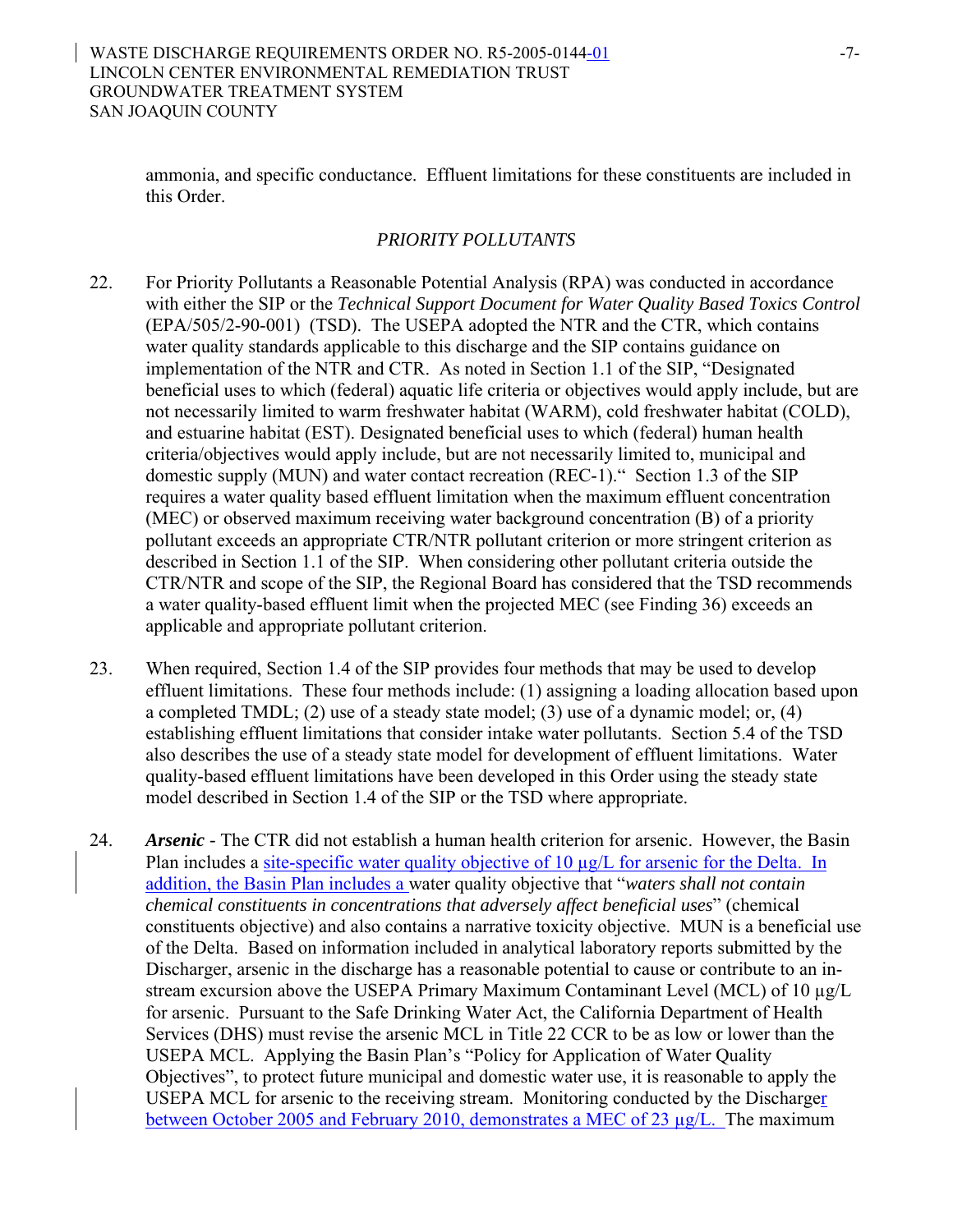ammonia, and specific conductance.Effluent limitations for these constituents are included in this Order.

## *PRIORITY POLLUTANTS*

- 22. For Priority Pollutants a Reasonable Potential Analysis (RPA) was conducted in accordance with either the SIP or the *Technical Support Document for Water Quality Based Toxics Control* (EPA/505/2-90-001) (TSD). The USEPA adopted the NTR and the CTR, which contains water quality standards applicable to this discharge and the SIP contains guidance on implementation of the NTR and CTR. As noted in Section 1.1 of the SIP, "Designated beneficial uses to which (federal) aquatic life criteria or objectives would apply include, but are not necessarily limited to warm freshwater habitat (WARM), cold freshwater habitat (COLD), and estuarine habitat (EST). Designated beneficial uses to which (federal) human health criteria/objectives would apply include, but are not necessarily limited to, municipal and domestic supply (MUN) and water contact recreation (REC-1)." Section 1.3 of the SIP requires a water quality based effluent limitation when the maximum effluent concentration (MEC) or observed maximum receiving water background concentration (B) of a priority pollutant exceeds an appropriate CTR/NTR pollutant criterion or more stringent criterion as described in Section 1.1 of the SIP. When considering other pollutant criteria outside the CTR/NTR and scope of the SIP, the Regional Board has considered that the TSD recommends a water quality-based effluent limit when the projected MEC (see Finding 36) exceeds an applicable and appropriate pollutant criterion.
- 23. When required, Section 1.4 of the SIP provides four methods that may be used to develop effluent limitations. These four methods include: (1) assigning a loading allocation based upon a completed TMDL; (2) use of a steady state model; (3) use of a dynamic model; or, (4) establishing effluent limitations that consider intake water pollutants. Section 5.4 of the TSD also describes the use of a steady state model for development of effluent limitations. Water quality-based effluent limitations have been developed in this Order using the steady state model described in Section 1.4 of the SIP or the TSD where appropriate.
- 24. *Arsenic* The CTR did not establish a human health criterion for arsenic. However, the Basin Plan includes a site-specific water quality objective of 10  $\mu$ g/L for arsenic for the Delta. In addition, the Basin Plan includes a water quality objective that "*waters shall not contain chemical constituents in concentrations that adversely affect beneficial uses*" (chemical constituents objective) and also contains a narrative toxicity objective. MUN is a beneficial use of the Delta. Based on information included in analytical laboratory reports submitted by the Discharger, arsenic in the discharge has a reasonable potential to cause or contribute to an instream excursion above the USEPA Primary Maximum Contaminant Level (MCL) of 10  $\mu$ g/L for arsenic. Pursuant to the Safe Drinking Water Act, the California Department of Health Services (DHS) must revise the arsenic MCL in Title 22 CCR to be as low or lower than the USEPA MCL. Applying the Basin Plan's "Policy for Application of Water Quality Objectives", to protect future municipal and domestic water use, it is reasonable to apply the USEPA MCL for arsenic to the receiving stream. Monitoring conducted by the Discharger between October 2005 and February 2010, demonstrates a MEC of 23  $\mu$ g/L. The maximum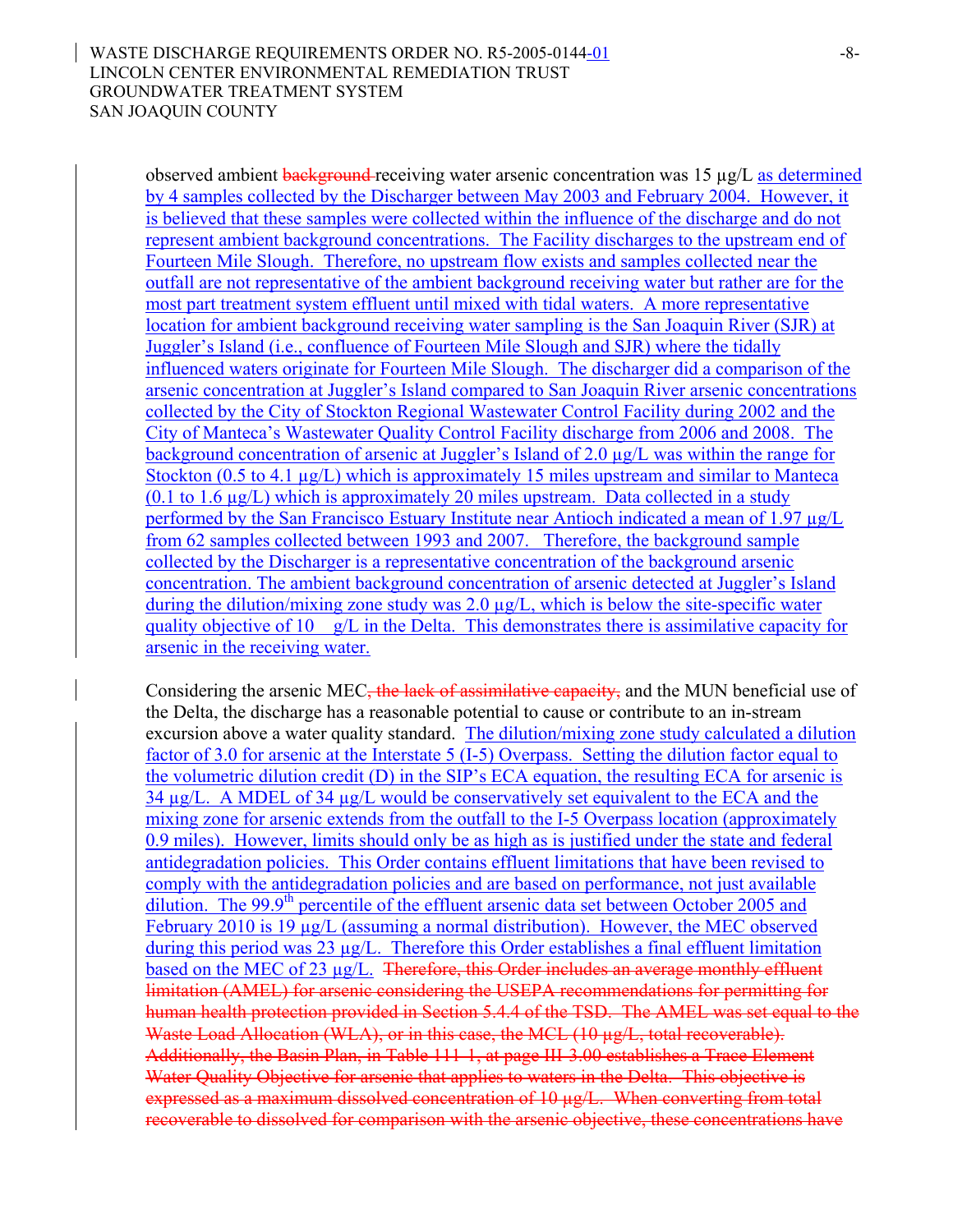observed ambient background receiving water arsenic concentration was  $15 \mu g/L$  as determined by 4 samples collected by the Discharger between May 2003 and February 2004. However, it is believed that these samples were collected within the influence of the discharge and do not represent ambient background concentrations. The Facility discharges to the upstream end of Fourteen Mile Slough. Therefore, no upstream flow exists and samples collected near the outfall are not representative of the ambient background receiving water but rather are for the most part treatment system effluent until mixed with tidal waters. A more representative location for ambient background receiving water sampling is the San Joaquin River (SJR) at Juggler's Island (i.e., confluence of Fourteen Mile Slough and SJR) where the tidally influenced waters originate for Fourteen Mile Slough. The discharger did a comparison of the arsenic concentration at Juggler's Island compared to San Joaquin River arsenic concentrations collected by the City of Stockton Regional Wastewater Control Facility during 2002 and the City of Manteca's Wastewater Quality Control Facility discharge from 2006 and 2008. The background concentration of arsenic at Juggler's Island of 2.0 µg/L was within the range for Stockton (0.5 to 4.1 µg/L) which is approximately 15 miles upstream and similar to Manteca (0.1 to 1.6 µg/L) which is approximately 20 miles upstream. Data collected in a study performed by the San Francisco Estuary Institute near Antioch indicated a mean of 1.97 µg/L from 62 samples collected between 1993 and 2007. Therefore, the background sample collected by the Discharger is a representative concentration of the background arsenic concentration. The ambient background concentration of arsenic detected at Juggler's Island during the dilution/mixing zone study was  $2.0 \mu g/L$ , which is below the site-specific water quality objective of 10  $g/L$  in the Delta. This demonstrates there is assimilative capacity for arsenic in the receiving water.

Considering the arsenic MEC<del>, the lack of assimilative capacity,</del> and the MUN beneficial use of the Delta, the discharge has a reasonable potential to cause or contribute to an in-stream excursion above a water quality standard. The dilution/mixing zone study calculated a dilution factor of 3.0 for arsenic at the Interstate 5 (I-5) Overpass. Setting the dilution factor equal to the volumetric dilution credit (D) in the SIP's ECA equation, the resulting ECA for arsenic is 34 µg/L. A MDEL of 34 µg/L would be conservatively set equivalent to the ECA and the mixing zone for arsenic extends from the outfall to the I-5 Overpass location (approximately 0.9 miles). However, limits should only be as high as is justified under the state and federal antidegradation policies. This Order contains effluent limitations that have been revised to comply with the antidegradation policies and are based on performance, not just available dilution. The 99.9<sup>th</sup> percentile of the effluent arsenic data set between October 2005 and February 2010 is 19 µg/L (assuming a normal distribution). However, the MEC observed during this period was 23 µg/L. Therefore this Order establishes a final effluent limitation based on the MEC of 23 µg/L. Therefore, this Order includes an average monthly effluent limitation (AMEL) for arsenic considering the USEPA recommendations for permitting for human health protection provided in Section 5.4.4 of the TSD. The AMEL was set equal to the Waste Load Allocation (WLA), or in this case, the MCL (10 µg/L, total recoverable). Additionally, the Basin Plan, in Table 111-1, at page III-3.00 establishes a Trace Element Water Quality Objective for arsenic that applies to waters in the Delta. This objective is expressed as a maximum dissolved concentration of 10 µg/L. When converting from total recoverable to dissolved for comparison with the arsenic objective, these concentrations have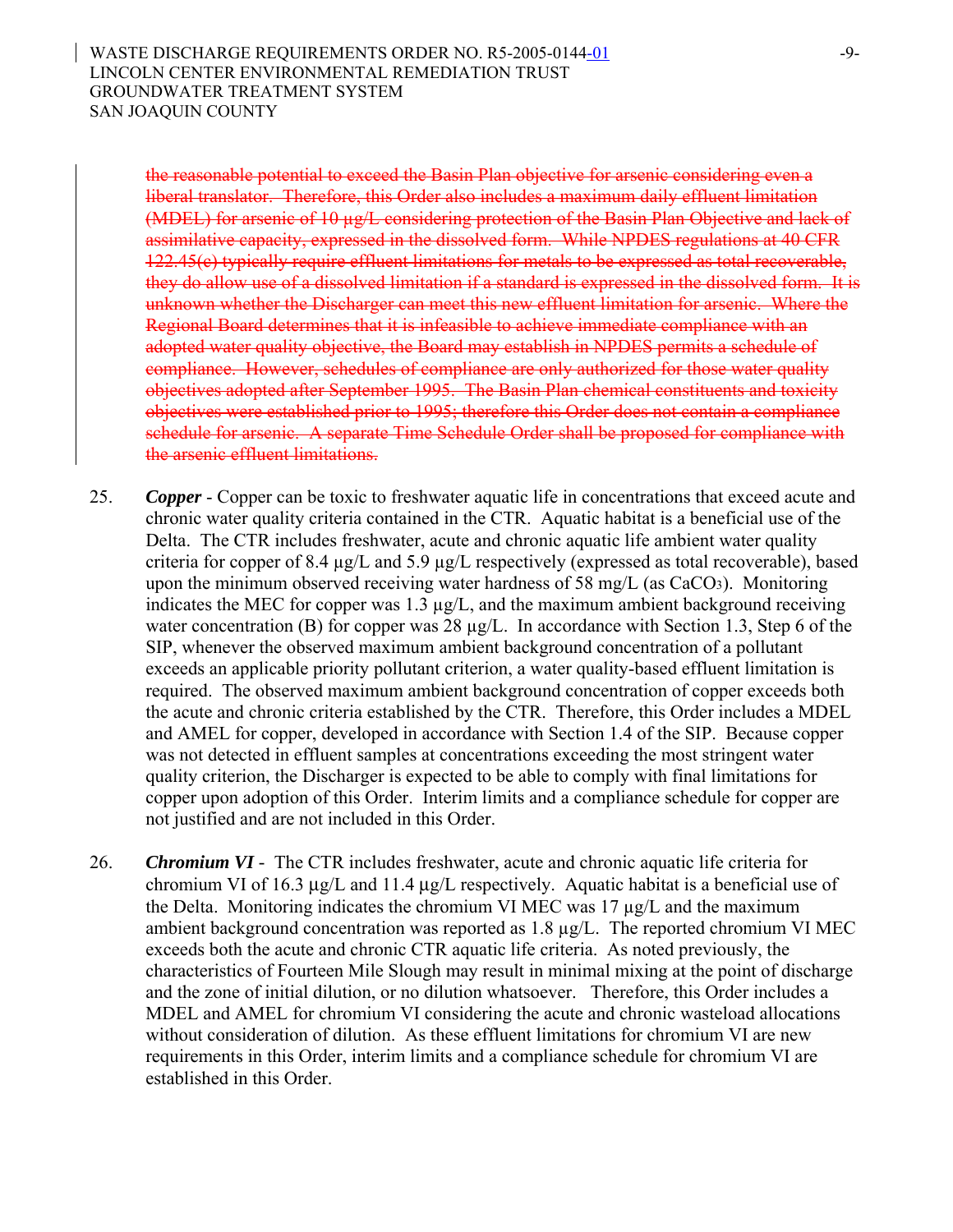the reasonable potential to exceed the Basin Plan objective for arsenic considering even a liberal translator. Therefore, this Order also includes a maximum daily effluent limitation (MDEL) for arsenic of 10 µg/L considering protection of the Basin Plan Objective and lack of assimilative capacity, expressed in the dissolved form. While NPDES regulations at 40 CFR 122.45(c) typically require effluent limitations for metals to be expressed as total recoverable, they do allow use of a dissolved limitation if a standard is expressed in the dissolved form. It is unknown whether the Discharger can meet this new effluent limitation for arsenic. Where the Regional Board determines that it is infeasible to achieve immediate compliance with an adopted water quality objective, the Board may establish in NPDES permits a schedule of compliance. However, schedules of compliance are only authorized for those water quality objectives adopted after September 1995. The Basin Plan chemical constituents and toxicity objectives were established prior to 1995; therefore this Order does not contain a compliance schedule for arsenic. A separate Time Schedule Order shall be proposed for compliance with the arsenic effluent limitations.

- 25. *Copper* Copper can be toxic to freshwater aquatic life in concentrations that exceed acute and chronic water quality criteria contained in the CTR. Aquatic habitat is a beneficial use of the Delta. The CTR includes freshwater, acute and chronic aquatic life ambient water quality criteria for copper of 8.4 µg/L and 5.9 µg/L respectively (expressed as total recoverable), based upon the minimum observed receiving water hardness of 58 mg/L (as CaCO3). Monitoring indicates the MEC for copper was 1.3 µg/L, and the maximum ambient background receiving water concentration (B) for copper was 28  $\mu$ g/L. In accordance with Section 1.3, Step 6 of the SIP, whenever the observed maximum ambient background concentration of a pollutant exceeds an applicable priority pollutant criterion, a water quality-based effluent limitation is required. The observed maximum ambient background concentration of copper exceeds both the acute and chronic criteria established by the CTR. Therefore, this Order includes a MDEL and AMEL for copper, developed in accordance with Section 1.4 of the SIP. Because copper was not detected in effluent samples at concentrations exceeding the most stringent water quality criterion, the Discharger is expected to be able to comply with final limitations for copper upon adoption of this Order. Interim limits and a compliance schedule for copper are not justified and are not included in this Order.
- 26. *Chromium VI -* The CTR includes freshwater, acute and chronic aquatic life criteria for chromium VI of 16.3 μg/L and 11.4 μg/L respectively. Aquatic habitat is a beneficial use of the Delta. Monitoring indicates the chromium VI MEC was 17 µg/L and the maximum ambient background concentration was reported as 1.8 µg/L. The reported chromium VI MEC exceeds both the acute and chronic CTR aquatic life criteria. As noted previously, the characteristics of Fourteen Mile Slough may result in minimal mixing at the point of discharge and the zone of initial dilution, or no dilution whatsoever. Therefore, this Order includes a MDEL and AMEL for chromium VI considering the acute and chronic wasteload allocations without consideration of dilution. As these effluent limitations for chromium VI are new requirements in this Order, interim limits and a compliance schedule for chromium VI are established in this Order.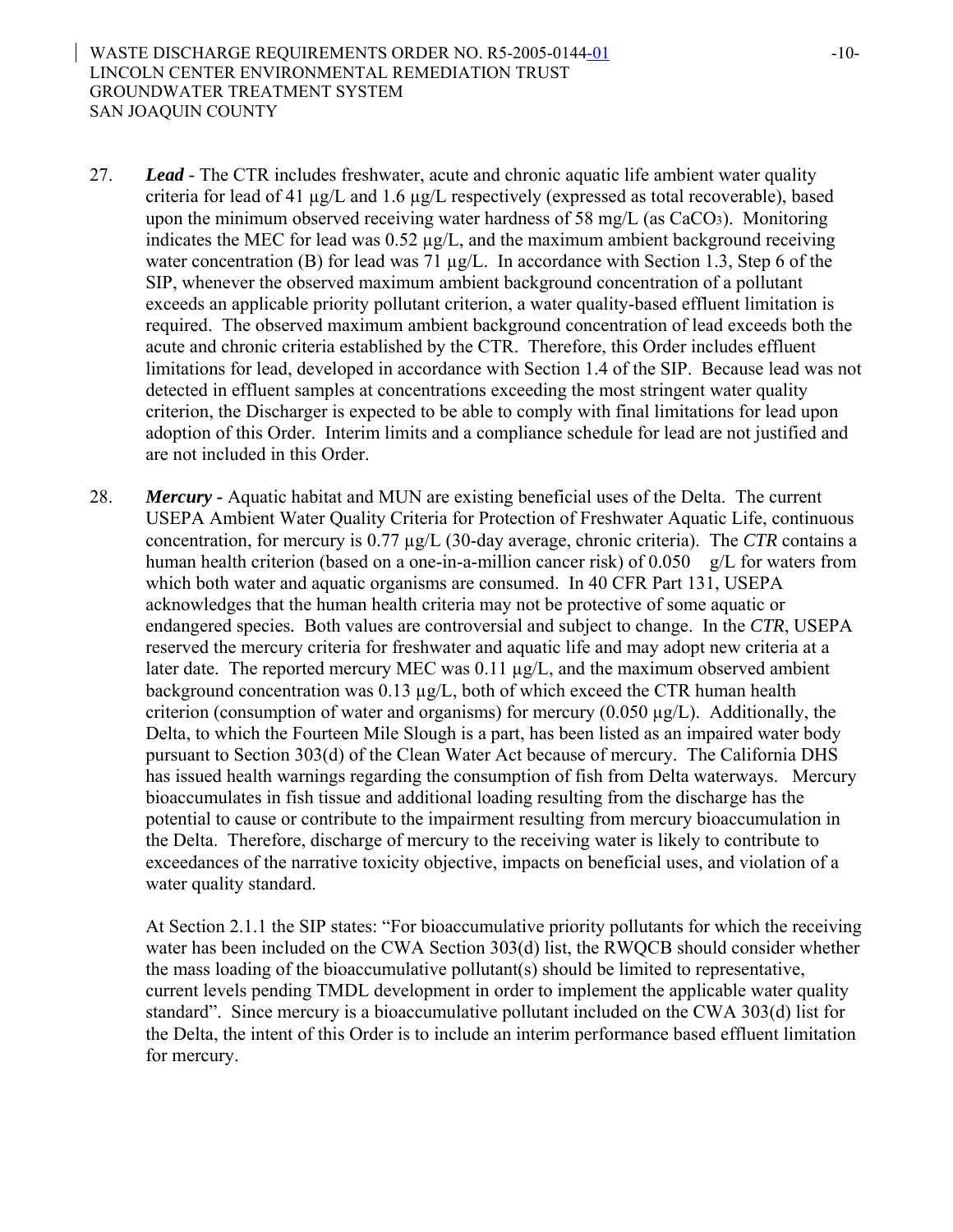- 27. *Lead -* The CTR includes freshwater, acute and chronic aquatic life ambient water quality criteria for lead of 41 µg/L and 1.6 µg/L respectively (expressed as total recoverable), based upon the minimum observed receiving water hardness of 58 mg/L (as CaCO3). Monitoring indicates the MEC for lead was  $0.52 \mu g/L$ , and the maximum ambient background receiving water concentration (B) for lead was 71  $\mu$ g/L. In accordance with Section 1.3, Step 6 of the SIP, whenever the observed maximum ambient background concentration of a pollutant exceeds an applicable priority pollutant criterion, a water quality-based effluent limitation is required. The observed maximum ambient background concentration of lead exceeds both the acute and chronic criteria established by the CTR. Therefore, this Order includes effluent limitations for lead, developed in accordance with Section 1.4 of the SIP. Because lead was not detected in effluent samples at concentrations exceeding the most stringent water quality criterion, the Discharger is expected to be able to comply with final limitations for lead upon adoption of this Order. Interim limits and a compliance schedule for lead are not justified and are not included in this Order.
- 28. *Mercury -* Aquatic habitat and MUN are existing beneficial uses of the Delta. The current USEPA Ambient Water Quality Criteria for Protection of Freshwater Aquatic Life, continuous concentration, for mercury is 0.77 µg/L (30-day average, chronic criteria). The *CTR* contains a human health criterion (based on a one-in-a-million cancer risk) of  $0.050$  g/L for waters from which both water and aquatic organisms are consumed. In 40 CFR Part 131, USEPA acknowledges that the human health criteria may not be protective of some aquatic or endangered species*.* Both values are controversial and subject to change. In the *CTR*, USEPA reserved the mercury criteria for freshwater and aquatic life and may adopt new criteria at a later date. The reported mercury MEC was 0.11 µg/L, and the maximum observed ambient background concentration was 0.13 µg/L, both of which exceed the CTR human health criterion (consumption of water and organisms) for mercury  $(0.050 \mu g/L)$ . Additionally, the Delta, to which the Fourteen Mile Slough is a part, has been listed as an impaired water body pursuant to Section 303(d) of the Clean Water Act because of mercury. The California DHS has issued health warnings regarding the consumption of fish from Delta waterways. Mercury bioaccumulates in fish tissue and additional loading resulting from the discharge has the potential to cause or contribute to the impairment resulting from mercury bioaccumulation in the Delta. Therefore, discharge of mercury to the receiving water is likely to contribute to exceedances of the narrative toxicity objective, impacts on beneficial uses, and violation of a water quality standard.

At Section 2.1.1 the SIP states: "For bioaccumulative priority pollutants for which the receiving water has been included on the CWA Section 303(d) list, the RWQCB should consider whether the mass loading of the bioaccumulative pollutant(s) should be limited to representative, current levels pending TMDL development in order to implement the applicable water quality standard". Since mercury is a bioaccumulative pollutant included on the CWA 303(d) list for the Delta, the intent of this Order is to include an interim performance based effluent limitation for mercury.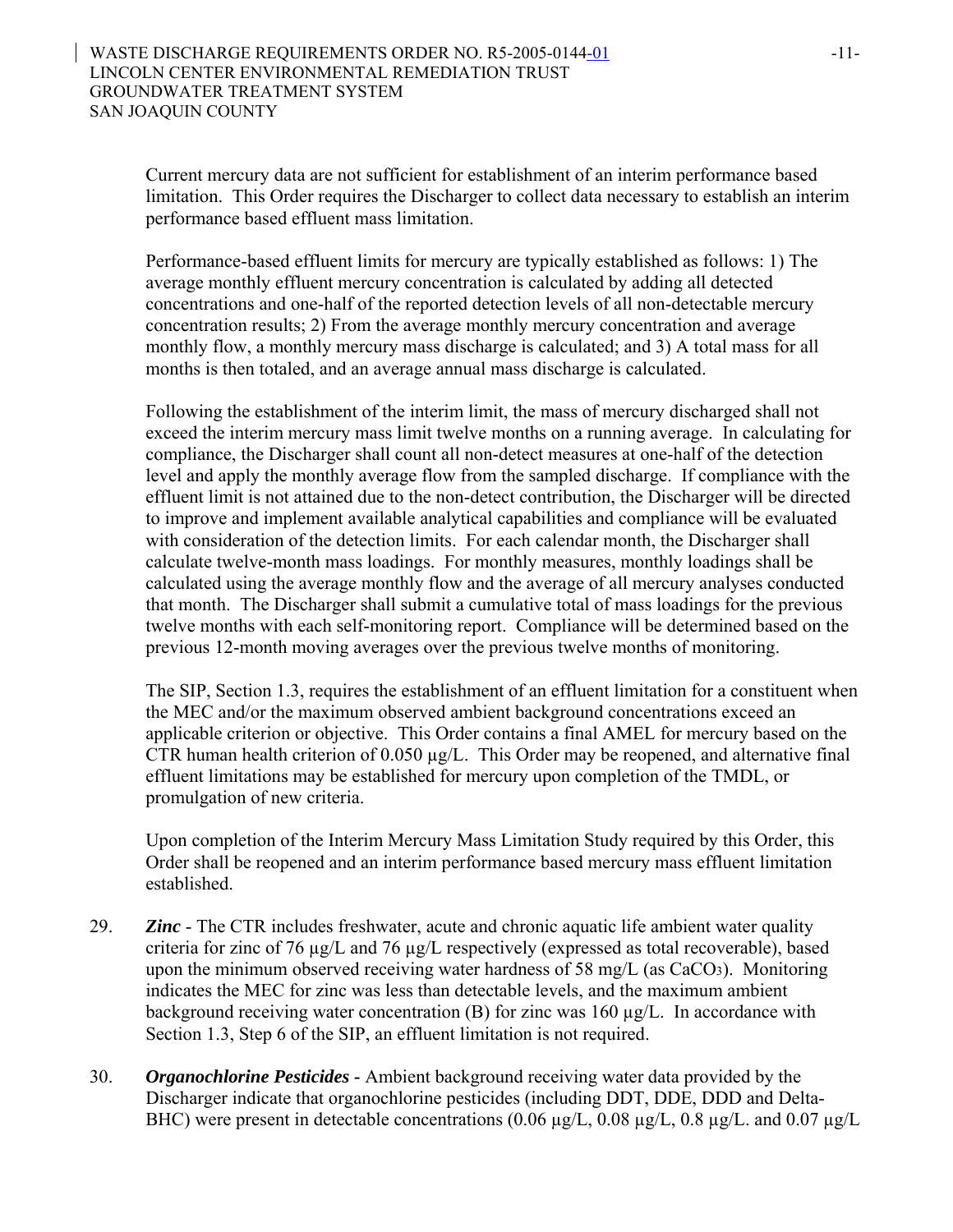Current mercury data are not sufficient for establishment of an interim performance based limitation. This Order requires the Discharger to collect data necessary to establish an interim performance based effluent mass limitation.

Performance-based effluent limits for mercury are typically established as follows: 1) The average monthly effluent mercury concentration is calculated by adding all detected concentrations and one-half of the reported detection levels of all non-detectable mercury concentration results; 2) From the average monthly mercury concentration and average monthly flow, a monthly mercury mass discharge is calculated; and 3) A total mass for all months is then totaled, and an average annual mass discharge is calculated.

Following the establishment of the interim limit, the mass of mercury discharged shall not exceed the interim mercury mass limit twelve months on a running average. In calculating for compliance, the Discharger shall count all non-detect measures at one-half of the detection level and apply the monthly average flow from the sampled discharge. If compliance with the effluent limit is not attained due to the non-detect contribution, the Discharger will be directed to improve and implement available analytical capabilities and compliance will be evaluated with consideration of the detection limits. For each calendar month, the Discharger shall calculate twelve-month mass loadings. For monthly measures, monthly loadings shall be calculated using the average monthly flow and the average of all mercury analyses conducted that month. The Discharger shall submit a cumulative total of mass loadings for the previous twelve months with each self-monitoring report. Compliance will be determined based on the previous 12-month moving averages over the previous twelve months of monitoring.

The SIP, Section 1.3, requires the establishment of an effluent limitation for a constituent when the MEC and/or the maximum observed ambient background concentrations exceed an applicable criterion or objective. This Order contains a final AMEL for mercury based on the CTR human health criterion of  $0.050 \mu g/L$ . This Order may be reopened, and alternative final effluent limitations may be established for mercury upon completion of the TMDL, or promulgation of new criteria.

Upon completion of the Interim Mercury Mass Limitation Study required by this Order, this Order shall be reopened and an interim performance based mercury mass effluent limitation established.

- 29. *Zinc* The CTR includes freshwater, acute and chronic aquatic life ambient water quality criteria for zinc of 76 µg/L and 76 µg/L respectively (expressed as total recoverable), based upon the minimum observed receiving water hardness of 58 mg/L (as CaCO3). Monitoring indicates the MEC for zinc was less than detectable levels, and the maximum ambient background receiving water concentration  $(B)$  for zinc was 160  $\mu$ g/L. In accordance with Section 1.3, Step 6 of the SIP, an effluent limitation is not required.
- 30. *Organochlorine Pesticides* Ambient background receiving water data provided by the Discharger indicate that organochlorine pesticides (including DDT, DDE, DDD and Delta-BHC) were present in detectable concentrations  $(0.06 \text{ µg/L}, 0.08 \text{ µg/L}, 0.8 \text{ µg/L}, \text{and } 0.07 \text{ µg/L}$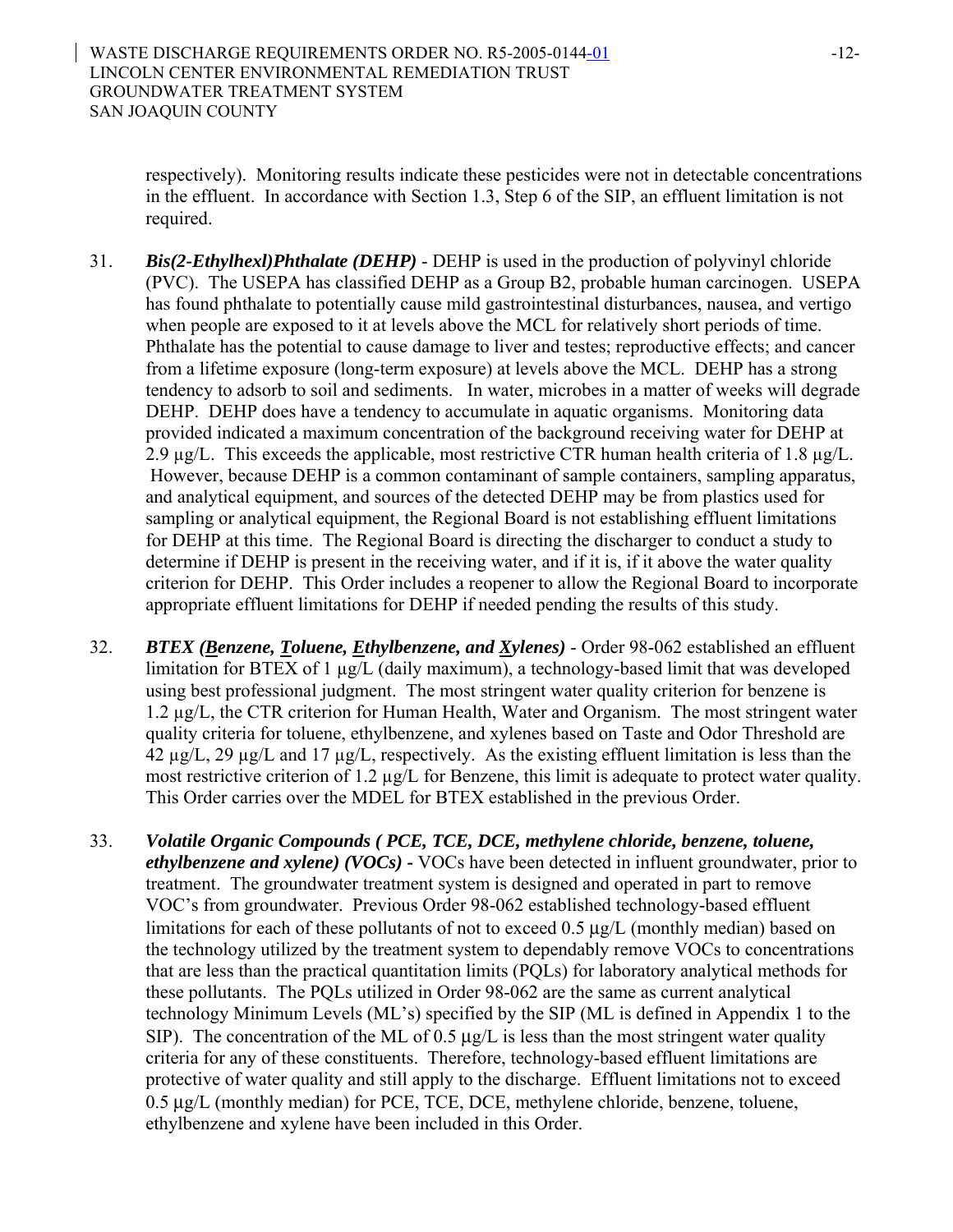respectively). Monitoring results indicate these pesticides were not in detectable concentrations in the effluent. In accordance with Section 1.3, Step 6 of the SIP, an effluent limitation is not required.

- 31. *Bis(2-Ethylhexl)Phthalate (DEHP)* DEHP is used in the production of polyvinyl chloride (PVC). The USEPA has classified DEHP as a Group B2, probable human carcinogen. USEPA has found phthalate to potentially cause mild gastrointestinal disturbances, nausea, and vertigo when people are exposed to it at levels above the MCL for relatively short periods of time. Phthalate has the potential to cause damage to liver and testes; reproductive effects; and cancer from a lifetime exposure (long-term exposure) at levels above the MCL. DEHP has a strong tendency to adsorb to soil and sediments. In water, microbes in a matter of weeks will degrade DEHP. DEHP does have a tendency to accumulate in aquatic organisms. Monitoring data provided indicated a maximum concentration of the background receiving water for DEHP at 2.9  $\mu$ g/L. This exceeds the applicable, most restrictive CTR human health criteria of 1.8  $\mu$ g/L. However, because DEHP is a common contaminant of sample containers, sampling apparatus, and analytical equipment, and sources of the detected DEHP may be from plastics used for sampling or analytical equipment, the Regional Board is not establishing effluent limitations for DEHP at this time. The Regional Board is directing the discharger to conduct a study to determine if DEHP is present in the receiving water, and if it is, if it above the water quality criterion for DEHP. This Order includes a reopener to allow the Regional Board to incorporate appropriate effluent limitations for DEHP if needed pending the results of this study.
- 32. *BTEX (Benzene, Toluene, Ethylbenzene, and Xylenes)* Order 98-062 established an effluent limitation for BTEX of 1 µg/L (daily maximum), a technology-based limit that was developed using best professional judgment. The most stringent water quality criterion for benzene is 1.2 µg/L, the CTR criterion for Human Health, Water and Organism. The most stringent water quality criteria for toluene, ethylbenzene, and xylenes based on Taste and Odor Threshold are 42 µg/L, 29 µg/L and 17 µg/L, respectively. As the existing effluent limitation is less than the most restrictive criterion of 1.2 µg/L for Benzene, this limit is adequate to protect water quality. This Order carries over the MDEL for BTEX established in the previous Order.
- 33. *Volatile Organic Compounds ( PCE, TCE, DCE, methylene chloride, benzene, toluene, ethylbenzene and xylene) (VOCs) -* VOCs have been detected in influent groundwater, prior to treatment. The groundwater treatment system is designed and operated in part to remove VOC's from groundwater. Previous Order 98-062 established technology-based effluent limitations for each of these pollutants of not to exceed 0.5 μg/L (monthly median) based on the technology utilized by the treatment system to dependably remove VOCs to concentrations that are less than the practical quantitation limits (PQLs) for laboratory analytical methods for these pollutants. The PQLs utilized in Order 98-062 are the same as current analytical technology Minimum Levels (ML's) specified by the SIP (ML is defined in Appendix 1 to the SIP). The concentration of the ML of 0.5  $\mu$ g/L is less than the most stringent water quality criteria for any of these constituents. Therefore, technology-based effluent limitations are protective of water quality and still apply to the discharge. Effluent limitations not to exceed 0.5 μg/L (monthly median) for PCE, TCE, DCE, methylene chloride, benzene, toluene, ethylbenzene and xylene have been included in this Order.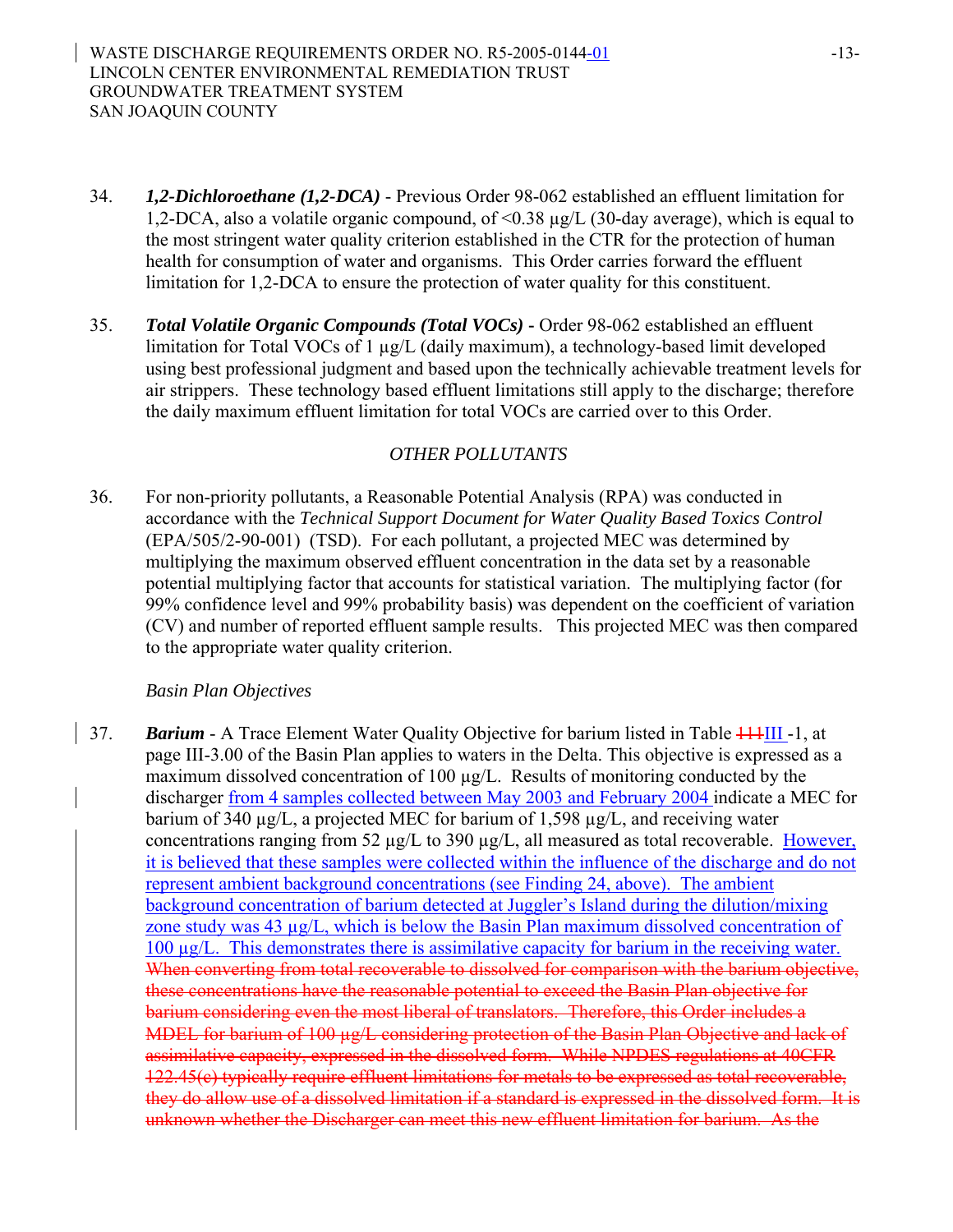- 34. *1,2-Dichloroethane (1,2-DCA)* Previous Order 98-062 established an effluent limitation for 1,2-DCA, also a volatile organic compound, of <0.38 µg/L (30-day average), which is equal to the most stringent water quality criterion established in the CTR for the protection of human health for consumption of water and organisms. This Order carries forward the effluent limitation for 1,2-DCA to ensure the protection of water quality for this constituent.
- 35. *Total Volatile Organic Compounds (Total VOCs)*Order 98-062 established an effluent limitation for Total VOCs of 1 µg/L (daily maximum), a technology-based limit developed using best professional judgment and based upon the technically achievable treatment levels for air strippers. These technology based effluent limitations still apply to the discharge; therefore the daily maximum effluent limitation for total VOCs are carried over to this Order.

## *OTHER POLLUTANTS*

36. For non-priority pollutants, a Reasonable Potential Analysis (RPA) was conducted in accordance with the *Technical Support Document for Water Quality Based Toxics Control* (EPA/505/2-90-001) (TSD). For each pollutant, a projected MEC was determined by multiplying the maximum observed effluent concentration in the data set by a reasonable potential multiplying factor that accounts for statistical variation. The multiplying factor (for 99% confidence level and 99% probability basis) was dependent on the coefficient of variation (CV) and number of reported effluent sample results. This projected MEC was then compared to the appropriate water quality criterion.

### *Basin Plan Objectives*

37. **Barium** - A Trace Element Water Quality Objective for barium listed in Table 444III -1, at page III-3.00 of the Basin Plan applies to waters in the Delta. This objective is expressed as a maximum dissolved concentration of 100 µg/L. Results of monitoring conducted by the discharger from 4 samples collected between May 2003 and February 2004 indicate a MEC for barium of 340 µg/L, a projected MEC for barium of 1,598 µg/L, and receiving water concentrations ranging from 52  $\mu$ g/L to 390  $\mu$ g/L, all measured as total recoverable. However, it is believed that these samples were collected within the influence of the discharge and do not represent ambient background concentrations (see Finding 24, above). The ambient background concentration of barium detected at Juggler's Island during the dilution/mixing zone study was 43 µg/L, which is below the Basin Plan maximum dissolved concentration of 100 µg/L. This demonstrates there is assimilative capacity for barium in the receiving water. When converting from total recoverable to dissolved for comparison with the barium objective. these concentrations have the reasonable potential to exceed the Basin Plan objective for barium considering even the most liberal of translators. Therefore, this Order includes a MDEL for barium of 100  $\mu$ g/L considering protection of the Basin Plan Objective and lack of assimilative capacity, expressed in the dissolved form. While NPDES regulations at 40CFR 122.45(c) typically require effluent limitations for metals to be expressed as total recoverable, they do allow use of a dissolved limitation if a standard is expressed in the dissolved form. It is unknown whether the Discharger can meet this new effluent limitation for barium. As the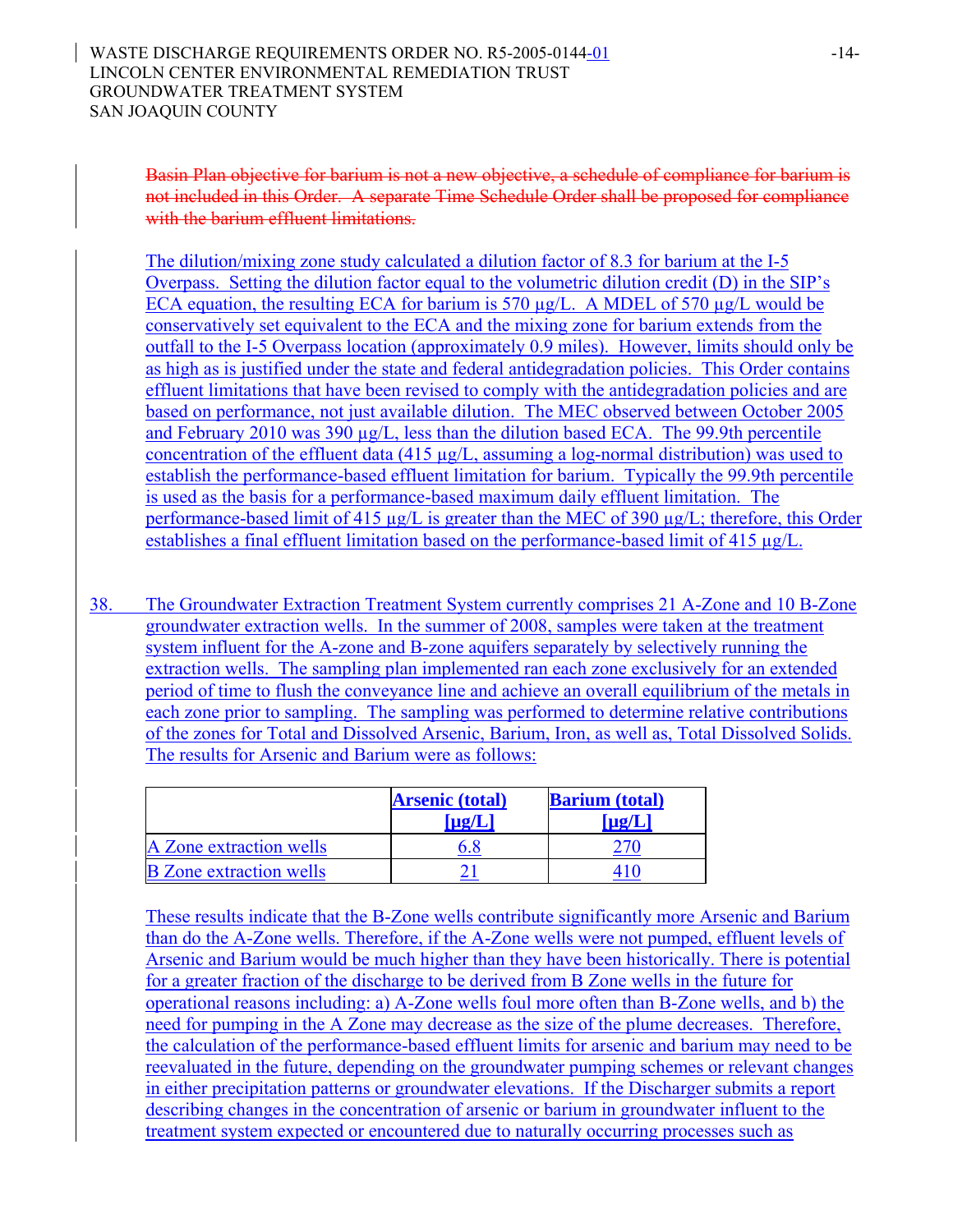Basin Plan objective for barium is not a new objective, a schedule of compliance for barium is not included in this Order. A separate Time Schedule Order shall be proposed for compliance with the barium effluent limitations.

The dilution/mixing zone study calculated a dilution factor of 8.3 for barium at the I-5 Overpass. Setting the dilution factor equal to the volumetric dilution credit (D) in the SIP's ECA equation, the resulting ECA for barium is 570  $\mu$ g/L. A MDEL of 570  $\mu$ g/L would be conservatively set equivalent to the ECA and the mixing zone for barium extends from the outfall to the I-5 Overpass location (approximately 0.9 miles). However, limits should only be as high as is justified under the state and federal antidegradation policies. This Order contains effluent limitations that have been revised to comply with the antidegradation policies and are based on performance, not just available dilution. The MEC observed between October 2005 and February 2010 was 390 µg/L, less than the dilution based ECA. The 99.9th percentile concentration of the effluent data (415 µg/L, assuming a log-normal distribution) was used to establish the performance-based effluent limitation for barium. Typically the 99.9th percentile is used as the basis for a performance-based maximum daily effluent limitation. The performance-based limit of 415 µg/L is greater than the MEC of 390 µg/L; therefore, this Order establishes a final effluent limitation based on the performance-based limit of 415 µg/L.

38. The Groundwater Extraction Treatment System currently comprises 21 A-Zone and 10 B-Zone groundwater extraction wells. In the summer of 2008, samples were taken at the treatment system influent for the A-zone and B-zone aquifers separately by selectively running the extraction wells. The sampling plan implemented ran each zone exclusively for an extended period of time to flush the conveyance line and achieve an overall equilibrium of the metals in each zone prior to sampling. The sampling was performed to determine relative contributions of the zones for Total and Dissolved Arsenic, Barium, Iron, as well as, Total Dissolved Solids. The results for Arsenic and Barium were as follows:

|                                | <b>Arsenic (total)</b><br>$\lceil \mu \mathcal{L} \rceil$ | <b>Barium</b> (total)<br>$\lceil \mathbf{u}\mathbf{g}/\mathbf{L} \rceil$ |
|--------------------------------|-----------------------------------------------------------|--------------------------------------------------------------------------|
| A Zone extraction wells        |                                                           |                                                                          |
| <b>B</b> Zone extraction wells |                                                           |                                                                          |

These results indicate that the B-Zone wells contribute significantly more Arsenic and Barium than do the A-Zone wells. Therefore, if the A-Zone wells were not pumped, effluent levels of Arsenic and Barium would be much higher than they have been historically. There is potential for a greater fraction of the discharge to be derived from B Zone wells in the future for operational reasons including: a) A-Zone wells foul more often than B-Zone wells, and b) the need for pumping in the A Zone may decrease as the size of the plume decreases. Therefore, the calculation of the performance-based effluent limits for arsenic and barium may need to be reevaluated in the future, depending on the groundwater pumping schemes or relevant changes in either precipitation patterns or groundwater elevations. If the Discharger submits a report describing changes in the concentration of arsenic or barium in groundwater influent to the treatment system expected or encountered due to naturally occurring processes such as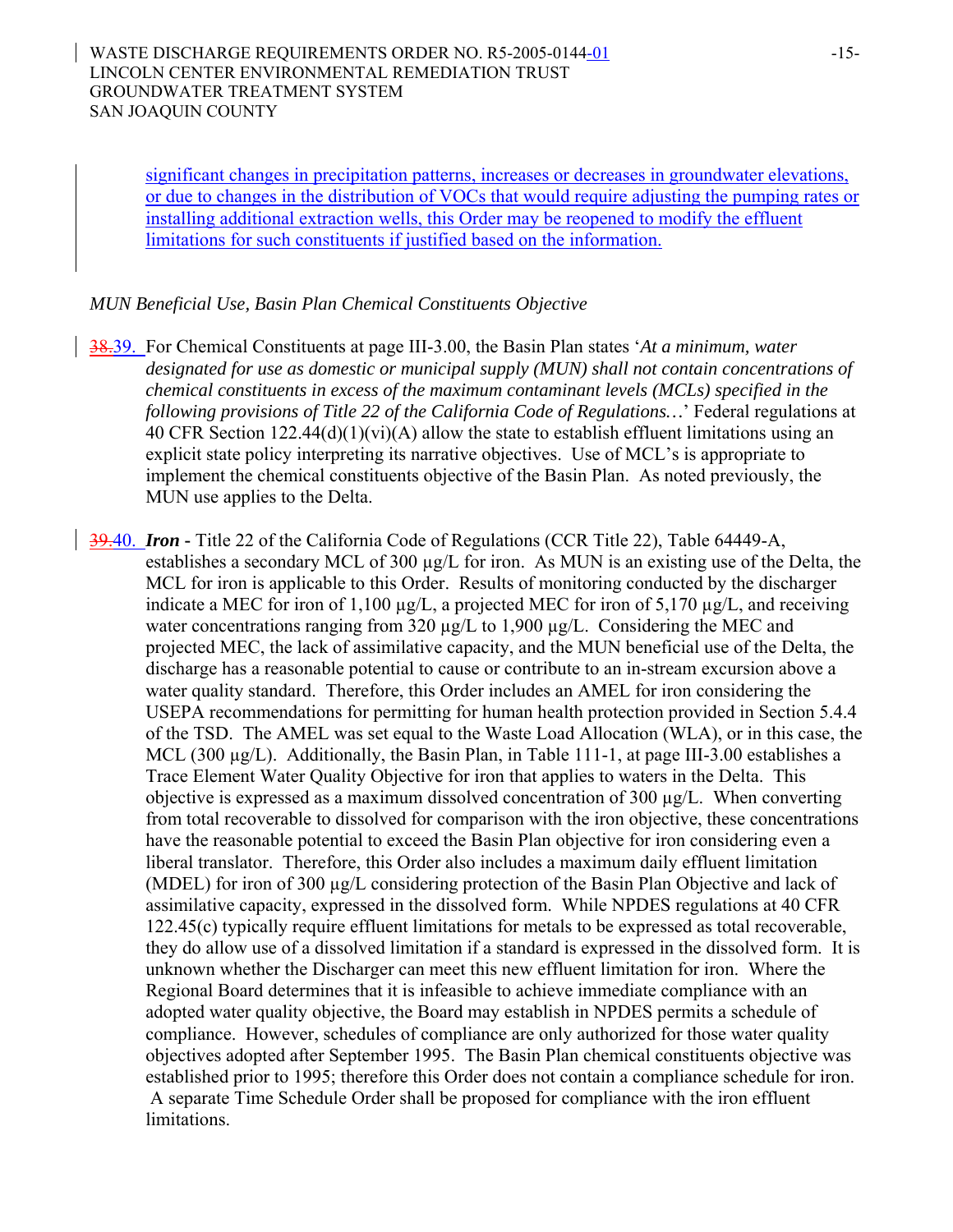significant changes in precipitation patterns, increases or decreases in groundwater elevations, or due to changes in the distribution of VOCs that would require adjusting the pumping rates or installing additional extraction wells, this Order may be reopened to modify the effluent limitations for such constituents if justified based on the information.

### *MUN Beneficial Use, Basin Plan Chemical Constituents Objective*

38.39. For Chemical Constituents at page III-3.00, the Basin Plan states '*At a minimum, water designated for use as domestic or municipal supply (MUN) shall not contain concentrations of chemical constituents in excess of the maximum contaminant levels (MCLs) specified in the following provisions of Title 22 of the California Code of Regulations…*' Federal regulations at 40 CFR Section 122.44(d)(1)(vi)(A) allow the state to establish effluent limitations using an explicit state policy interpreting its narrative objectives. Use of MCL's is appropriate to implement the chemical constituents objective of the Basin Plan. As noted previously, the MUN use applies to the Delta.

39.40. *Iron* **-** Title 22 of the California Code of Regulations (CCR Title 22), Table 64449-A, establishes a secondary MCL of 300 µg/L for iron. As MUN is an existing use of the Delta, the MCL for iron is applicable to this Order. Results of monitoring conducted by the discharger indicate a MEC for iron of 1,100 µg/L, a projected MEC for iron of 5,170 µg/L, and receiving water concentrations ranging from 320  $\mu$ g/L to 1,900  $\mu$ g/L. Considering the MEC and projected MEC, the lack of assimilative capacity, and the MUN beneficial use of the Delta, the discharge has a reasonable potential to cause or contribute to an in-stream excursion above a water quality standard. Therefore, this Order includes an AMEL for iron considering the USEPA recommendations for permitting for human health protection provided in Section 5.4.4 of the TSD. The AMEL was set equal to the Waste Load Allocation (WLA), or in this case, the MCL (300  $\mu$ g/L). Additionally, the Basin Plan, in Table 111-1, at page III-3.00 establishes a Trace Element Water Quality Objective for iron that applies to waters in the Delta. This objective is expressed as a maximum dissolved concentration of 300  $\mu$ g/L. When converting from total recoverable to dissolved for comparison with the iron objective, these concentrations have the reasonable potential to exceed the Basin Plan objective for iron considering even a liberal translator. Therefore, this Order also includes a maximum daily effluent limitation (MDEL) for iron of 300 µg/L considering protection of the Basin Plan Objective and lack of assimilative capacity, expressed in the dissolved form. While NPDES regulations at 40 CFR 122.45(c) typically require effluent limitations for metals to be expressed as total recoverable, they do allow use of a dissolved limitation if a standard is expressed in the dissolved form. It is unknown whether the Discharger can meet this new effluent limitation for iron. Where the Regional Board determines that it is infeasible to achieve immediate compliance with an adopted water quality objective, the Board may establish in NPDES permits a schedule of compliance. However, schedules of compliance are only authorized for those water quality objectives adopted after September 1995. The Basin Plan chemical constituents objective was established prior to 1995; therefore this Order does not contain a compliance schedule for iron. A separate Time Schedule Order shall be proposed for compliance with the iron effluent limitations.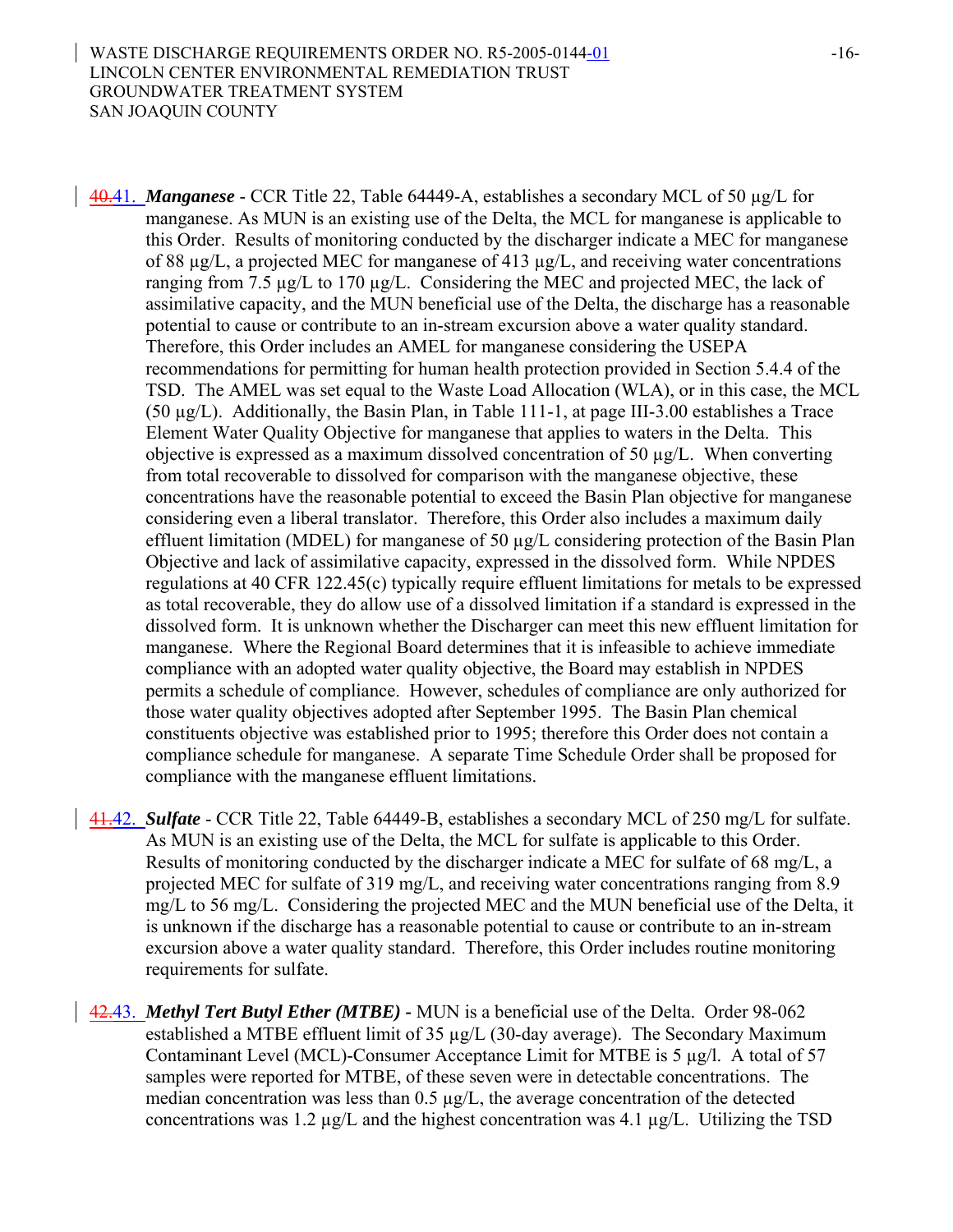40.41. *Manganese* - CCR Title 22, Table 64449-A, establishes a secondary MCL of 50 µg/L for manganese. As MUN is an existing use of the Delta, the MCL for manganese is applicable to this Order. Results of monitoring conducted by the discharger indicate a MEC for manganese of 88 µg/L, a projected MEC for manganese of 413 µg/L, and receiving water concentrations ranging from 7.5 µg/L to 170 µg/L. Considering the MEC and projected MEC, the lack of assimilative capacity, and the MUN beneficial use of the Delta, the discharge has a reasonable potential to cause or contribute to an in-stream excursion above a water quality standard. Therefore, this Order includes an AMEL for manganese considering the USEPA recommendations for permitting for human health protection provided in Section 5.4.4 of the TSD. The AMEL was set equal to the Waste Load Allocation (WLA), or in this case, the MCL (50 µg/L). Additionally, the Basin Plan, in Table 111-1, at page III-3.00 establishes a Trace Element Water Quality Objective for manganese that applies to waters in the Delta. This objective is expressed as a maximum dissolved concentration of 50  $\mu$ g/L. When converting from total recoverable to dissolved for comparison with the manganese objective, these concentrations have the reasonable potential to exceed the Basin Plan objective for manganese considering even a liberal translator. Therefore, this Order also includes a maximum daily effluent limitation (MDEL) for manganese of 50 µg/L considering protection of the Basin Plan Objective and lack of assimilative capacity, expressed in the dissolved form. While NPDES regulations at 40 CFR 122.45(c) typically require effluent limitations for metals to be expressed as total recoverable, they do allow use of a dissolved limitation if a standard is expressed in the dissolved form. It is unknown whether the Discharger can meet this new effluent limitation for manganese. Where the Regional Board determines that it is infeasible to achieve immediate compliance with an adopted water quality objective, the Board may establish in NPDES permits a schedule of compliance. However, schedules of compliance are only authorized for those water quality objectives adopted after September 1995. The Basin Plan chemical constituents objective was established prior to 1995; therefore this Order does not contain a compliance schedule for manganese. A separate Time Schedule Order shall be proposed for compliance with the manganese effluent limitations.

- 41.42. *Sulfate*  CCR Title 22, Table 64449-B, establishes a secondary MCL of 250 mg/L for sulfate. As MUN is an existing use of the Delta, the MCL for sulfate is applicable to this Order. Results of monitoring conducted by the discharger indicate a MEC for sulfate of 68 mg/L, a projected MEC for sulfate of 319 mg/L, and receiving water concentrations ranging from 8.9 mg/L to 56 mg/L. Considering the projected MEC and the MUN beneficial use of the Delta, it is unknown if the discharge has a reasonable potential to cause or contribute to an in-stream excursion above a water quality standard. Therefore, this Order includes routine monitoring requirements for sulfate.
- 42.43. *Methyl Tert Butyl Ether (MTBE)* MUN is a beneficial use of the Delta. Order 98-062 established a MTBE effluent limit of 35 µg/L (30-day average). The Secondary Maximum Contaminant Level (MCL)-Consumer Acceptance Limit for MTBE is 5 µg/l. A total of 57 samples were reported for MTBE, of these seven were in detectable concentrations. The median concentration was less than  $0.5 \mu g/L$ , the average concentration of the detected concentrations was 1.2  $\mu$ g/L and the highest concentration was 4.1  $\mu$ g/L. Utilizing the TSD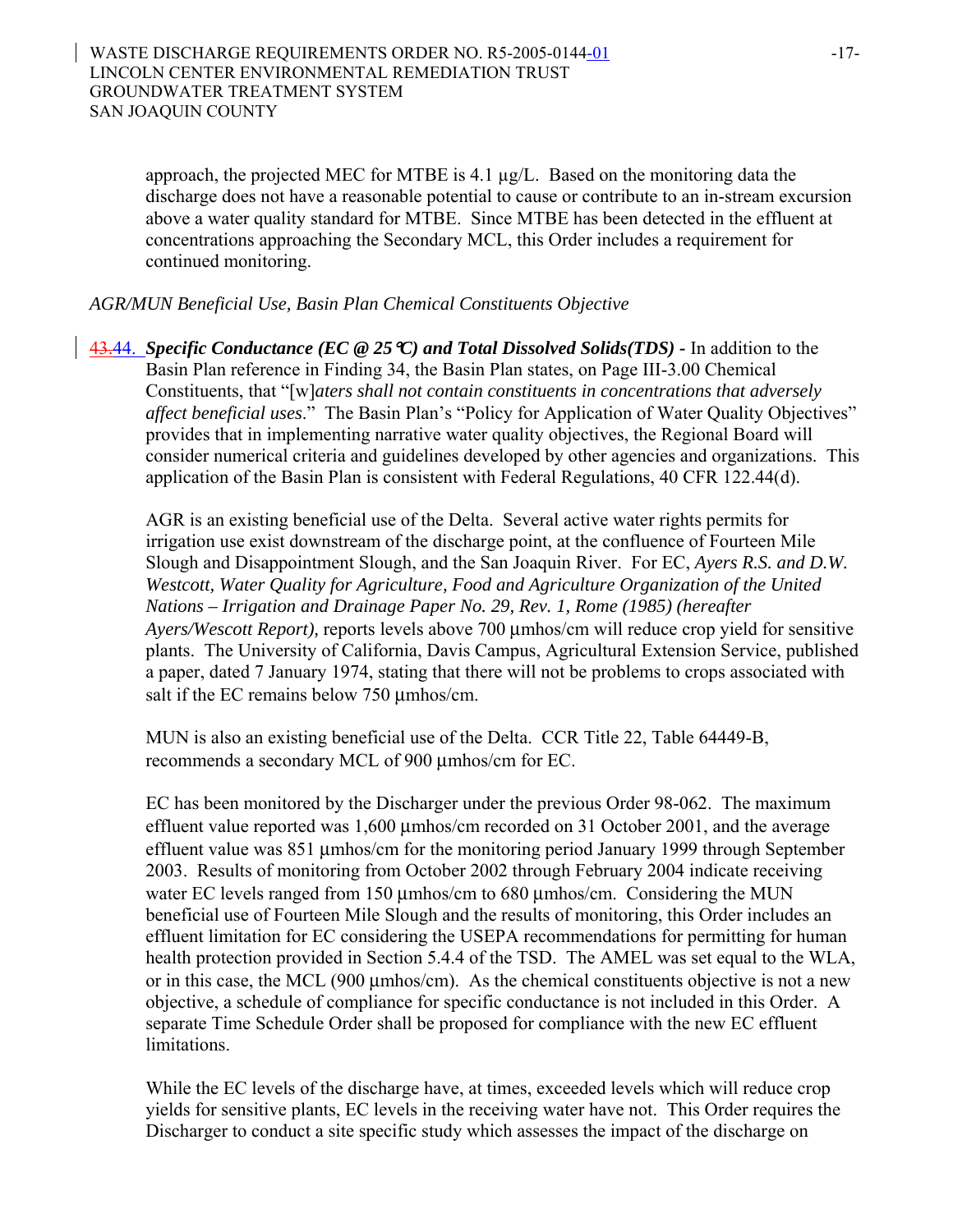approach, the projected MEC for MTBE is 4.1 µg/L. Based on the monitoring data the discharge does not have a reasonable potential to cause or contribute to an in-stream excursion above a water quality standard for MTBE. Since MTBE has been detected in the effluent at concentrations approaching the Secondary MCL, this Order includes a requirement for continued monitoring.

*AGR/MUN Beneficial Use, Basin Plan Chemical Constituents Objective*

43.44. *Specific Conductance (EC @ 25*°*C) and Total Dissolved Solids(TDS) -* In addition to the Basin Plan reference in Finding 34, the Basin Plan states, on Page III-3.00 Chemical Constituents, that "[w]*aters shall not contain constituents in concentrations that adversely affect beneficial uses*." The Basin Plan's "Policy for Application of Water Quality Objectives" provides that in implementing narrative water quality objectives, the Regional Board will consider numerical criteria and guidelines developed by other agencies and organizations. This application of the Basin Plan is consistent with Federal Regulations, 40 CFR 122.44(d).

AGR is an existing beneficial use of the Delta. Several active water rights permits for irrigation use exist downstream of the discharge point, at the confluence of Fourteen Mile Slough and Disappointment Slough, and the San Joaquin River. For EC, *Ayers R.S. and D.W. Westcott, Water Quality for Agriculture, Food and Agriculture Organization of the United Nations – Irrigation and Drainage Paper No. 29, Rev. 1, Rome (1985) (hereafter Ayers/Wescott Report),* reports levels above 700 μmhos/cm will reduce crop yield for sensitive plants. The University of California, Davis Campus, Agricultural Extension Service, published a paper, dated 7 January 1974, stating that there will not be problems to crops associated with salt if the EC remains below 750 μmhos/cm.

MUN is also an existing beneficial use of the Delta. CCR Title 22, Table 64449-B, recommends a secondary MCL of 900 μmhos/cm for EC.

EC has been monitored by the Discharger under the previous Order 98-062. The maximum effluent value reported was 1,600 μmhos/cm recorded on 31 October 2001, and the average effluent value was 851 μmhos/cm for the monitoring period January 1999 through September 2003. Results of monitoring from October 2002 through February 2004 indicate receiving water EC levels ranged from 150 μmhos/cm to 680 μmhos/cm. Considering the MUN beneficial use of Fourteen Mile Slough and the results of monitoring, this Order includes an effluent limitation for EC considering the USEPA recommendations for permitting for human health protection provided in Section 5.4.4 of the TSD. The AMEL was set equal to the WLA, or in this case, the MCL (900 μmhos/cm). As the chemical constituents objective is not a new objective, a schedule of compliance for specific conductance is not included in this Order. A separate Time Schedule Order shall be proposed for compliance with the new EC effluent limitations.

While the EC levels of the discharge have, at times, exceeded levels which will reduce crop yields for sensitive plants, EC levels in the receiving water have not. This Order requires the Discharger to conduct a site specific study which assesses the impact of the discharge on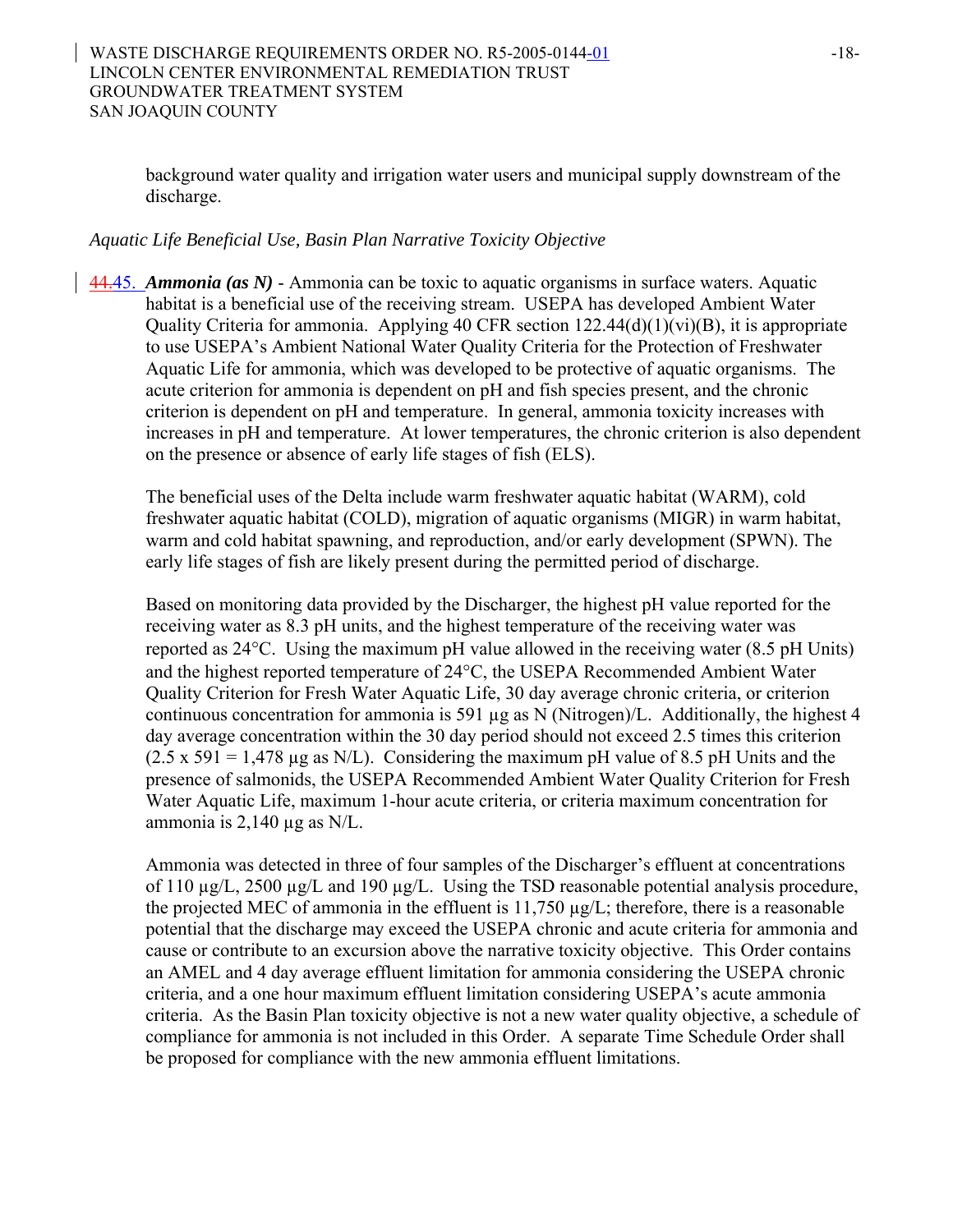background water quality and irrigation water users and municipal supply downstream of the discharge.

### *Aquatic Life Beneficial Use, Basin Plan Narrative Toxicity Objective*

44.45. *Ammonia (as N)* - Ammonia can be toxic to aquatic organisms in surface waters. Aquatic habitat is a beneficial use of the receiving stream. USEPA has developed Ambient Water Quality Criteria for ammonia. Applying 40 CFR section 122.44(d)(1)(vi)(B), it is appropriate to use USEPA's Ambient National Water Quality Criteria for the Protection of Freshwater Aquatic Life for ammonia, which was developed to be protective of aquatic organisms. The acute criterion for ammonia is dependent on pH and fish species present, and the chronic criterion is dependent on pH and temperature. In general, ammonia toxicity increases with increases in pH and temperature. At lower temperatures, the chronic criterion is also dependent on the presence or absence of early life stages of fish (ELS).

The beneficial uses of the Delta include warm freshwater aquatic habitat (WARM), cold freshwater aquatic habitat (COLD), migration of aquatic organisms (MIGR) in warm habitat, warm and cold habitat spawning, and reproduction, and/or early development (SPWN). The early life stages of fish are likely present during the permitted period of discharge.

Based on monitoring data provided by the Discharger, the highest pH value reported for the receiving water as 8.3 pH units, and the highest temperature of the receiving water was reported as 24°C. Using the maximum pH value allowed in the receiving water (8.5 pH Units) and the highest reported temperature of 24°C, the USEPA Recommended Ambient Water Quality Criterion for Fresh Water Aquatic Life, 30 day average chronic criteria, or criterion continuous concentration for ammonia is 591 µg as N (Nitrogen)/L. Additionally, the highest 4 day average concentration within the 30 day period should not exceed 2.5 times this criterion  $(2.5 \times 591 = 1,478 \text{ µg as N/L})$ . Considering the maximum pH value of 8.5 pH Units and the presence of salmonids, the USEPA Recommended Ambient Water Quality Criterion for Fresh Water Aquatic Life, maximum 1-hour acute criteria, or criteria maximum concentration for ammonia is  $2,140 \mu$ g as N/L.

Ammonia was detected in three of four samples of the Discharger's effluent at concentrations of 110 µg/L, 2500 µg/L and 190 µg/L. Using the TSD reasonable potential analysis procedure, the projected MEC of ammonia in the effluent is  $11,750 \mu g/L$ ; therefore, there is a reasonable potential that the discharge may exceed the USEPA chronic and acute criteria for ammonia and cause or contribute to an excursion above the narrative toxicity objective. This Order contains an AMEL and 4 day average effluent limitation for ammonia considering the USEPA chronic criteria, and a one hour maximum effluent limitation considering USEPA's acute ammonia criteria. As the Basin Plan toxicity objective is not a new water quality objective, a schedule of compliance for ammonia is not included in this Order. A separate Time Schedule Order shall be proposed for compliance with the new ammonia effluent limitations.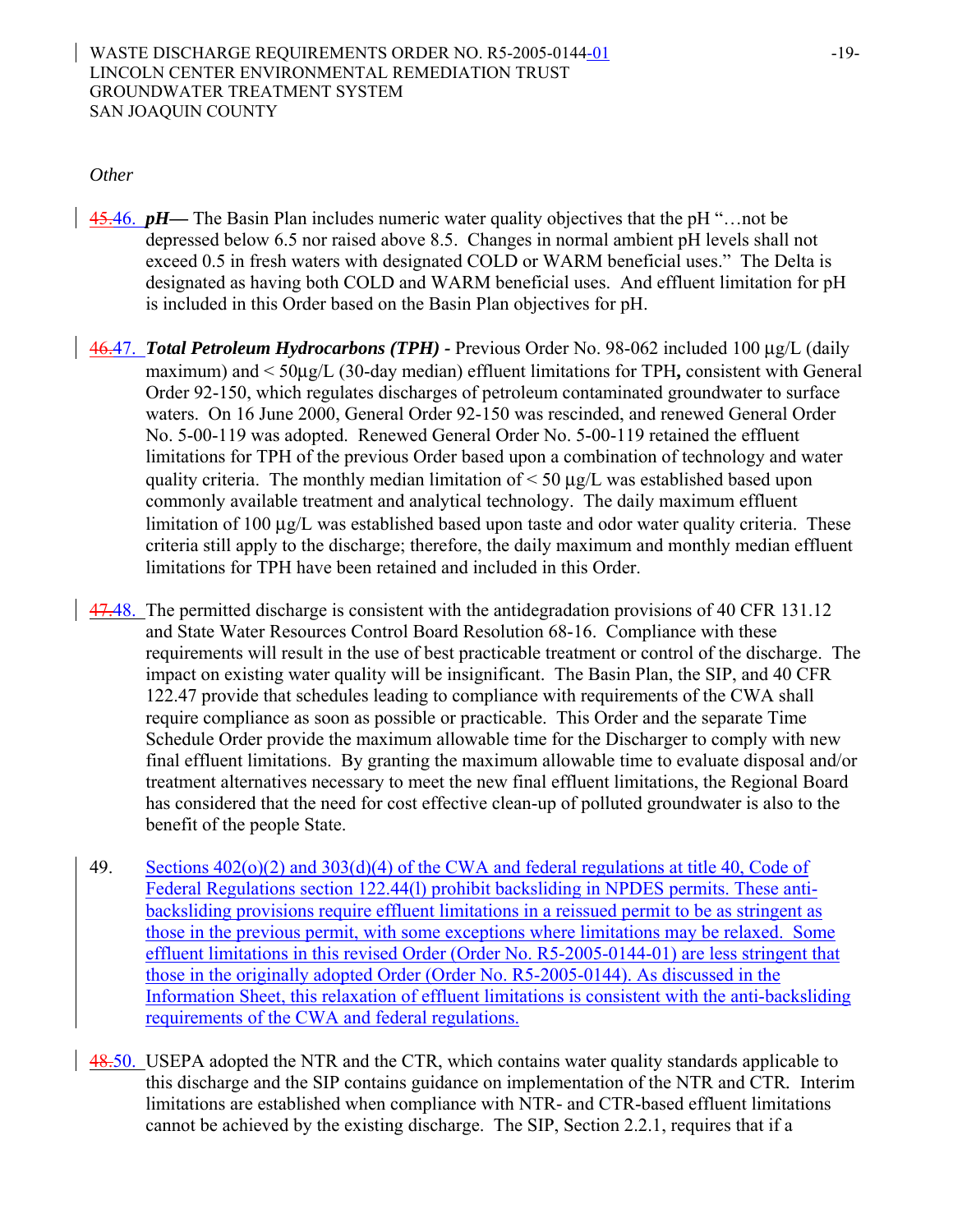#### WASTE DISCHARGE REQUIREMENTS ORDER NO. R5-2005-0144-01 -19-LINCOLN CENTER ENVIRONMENTAL REMEDIATION TRUST GROUNDWATER TREATMENT SYSTEM SAN JOAQUIN COUNTY

#### *Other*

- 45.46. *pH***—** The Basin Plan includes numeric water quality objectives that the pH "... not be depressed below 6.5 nor raised above 8.5. Changes in normal ambient pH levels shall not exceed 0.5 in fresh waters with designated COLD or WARM beneficial uses." The Delta is designated as having both COLD and WARM beneficial uses. And effluent limitation for pH is included in this Order based on the Basin Plan objectives for pH.
- 46.47. *Total Petroleum Hydrocarbons (TPH)* Previous Order No. 98-062 included 100 μg/L (daily maximum) and < 50μg/L (30-day median) effluent limitations for TPH**,** consistent with General Order 92-150, which regulates discharges of petroleum contaminated groundwater to surface waters. On 16 June 2000, General Order 92-150 was rescinded, and renewed General Order No. 5-00-119 was adopted. Renewed General Order No. 5-00-119 retained the effluent limitations for TPH of the previous Order based upon a combination of technology and water quality criteria. The monthly median limitation of  $\leq 50 \mu g/L$  was established based upon commonly available treatment and analytical technology. The daily maximum effluent limitation of 100 μg/L was established based upon taste and odor water quality criteria. These criteria still apply to the discharge; therefore, the daily maximum and monthly median effluent limitations for TPH have been retained and included in this Order.
- 47.48. The permitted discharge is consistent with the antidegradation provisions of 40 CFR 131.12 and State Water Resources Control Board Resolution 68-16. Compliance with these requirements will result in the use of best practicable treatment or control of the discharge. The impact on existing water quality will be insignificant. The Basin Plan, the SIP, and 40 CFR 122.47 provide that schedules leading to compliance with requirements of the CWA shall require compliance as soon as possible or practicable. This Order and the separate Time Schedule Order provide the maximum allowable time for the Discharger to comply with new final effluent limitations. By granting the maximum allowable time to evaluate disposal and/or treatment alternatives necessary to meet the new final effluent limitations, the Regional Board has considered that the need for cost effective clean-up of polluted groundwater is also to the benefit of the people State.
- 49. Sections  $402(0)(2)$  and  $303(d)(4)$  of the CWA and federal regulations at title 40, Code of Federal Regulations section 122.44(l) prohibit backsliding in NPDES permits. These antibacksliding provisions require effluent limitations in a reissued permit to be as stringent as those in the previous permit, with some exceptions where limitations may be relaxed. Some effluent limitations in this revised Order (Order No. R5-2005-0144-01) are less stringent that those in the originally adopted Order (Order No. R5-2005-0144). As discussed in the Information Sheet, this relaxation of effluent limitations is consistent with the anti-backsliding requirements of the CWA and federal regulations.
- 48.50. USEPA adopted the NTR and the CTR, which contains water quality standards applicable to this discharge and the SIP contains guidance on implementation of the NTR and CTR*.* Interim limitations are established when compliance with NTR*-* and CTR-based effluent limitations cannot be achieved by the existing discharge. The SIP, Section 2.2.1, requires that if a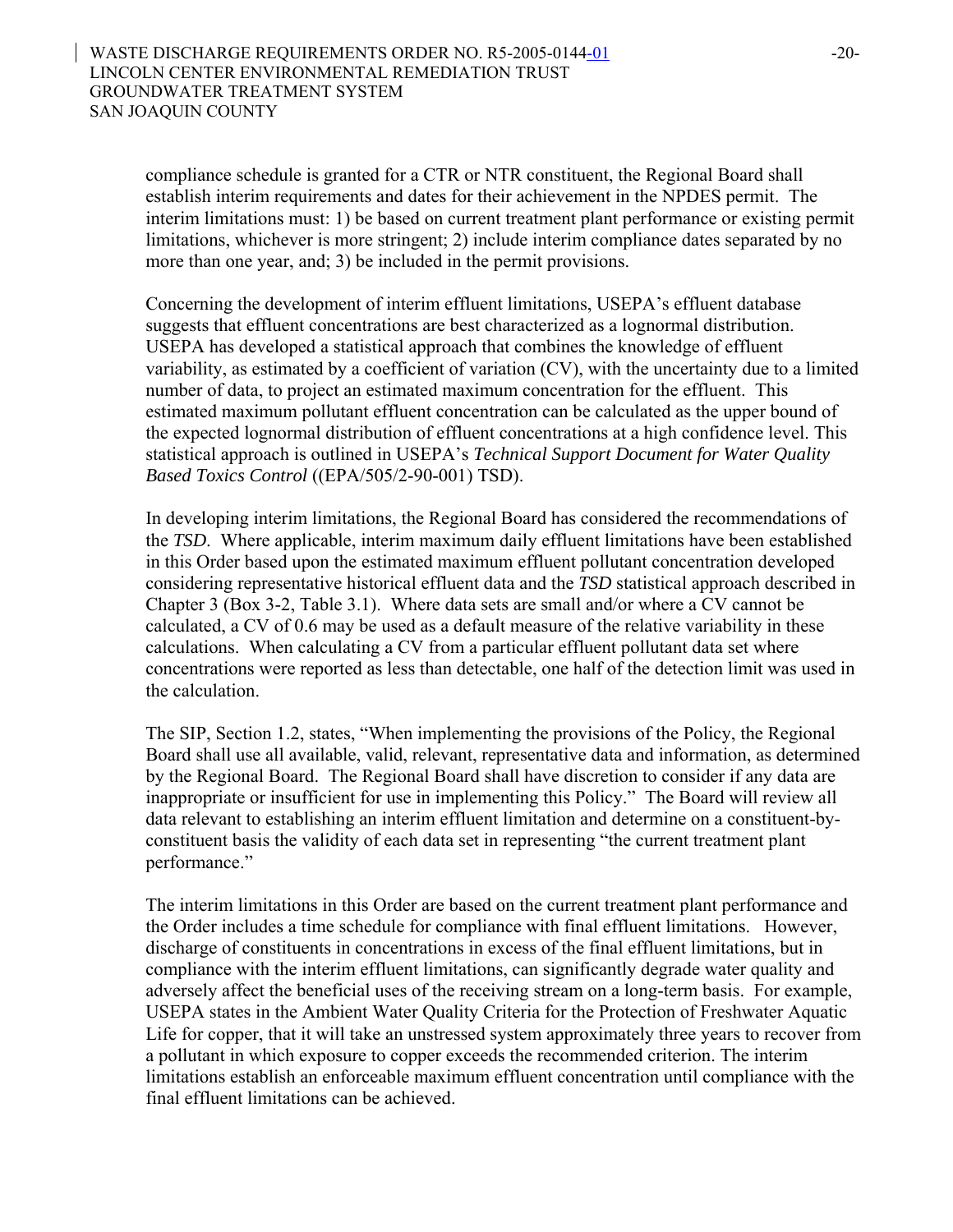compliance schedule is granted for a CTR or NTR constituent, the Regional Board shall establish interim requirements and dates for their achievement in the NPDES permit. The interim limitations must: 1) be based on current treatment plant performance or existing permit limitations, whichever is more stringent; 2) include interim compliance dates separated by no more than one year, and; 3) be included in the permit provisions.

Concerning the development of interim effluent limitations, USEPA's effluent database suggests that effluent concentrations are best characterized as a lognormal distribution. USEPA has developed a statistical approach that combines the knowledge of effluent variability, as estimated by a coefficient of variation (CV), with the uncertainty due to a limited number of data, to project an estimated maximum concentration for the effluent. This estimated maximum pollutant effluent concentration can be calculated as the upper bound of the expected lognormal distribution of effluent concentrations at a high confidence level. This statistical approach is outlined in USEPA's *Technical Support Document for Water Quality Based Toxics Control* ((EPA/505/2-90-001) TSD).

In developing interim limitations, the Regional Board has considered the recommendations of the *TSD*. Where applicable, interim maximum daily effluent limitations have been established in this Order based upon the estimated maximum effluent pollutant concentration developed considering representative historical effluent data and the *TSD* statistical approach described in Chapter 3 (Box 3-2, Table 3.1). Where data sets are small and/or where a CV cannot be calculated, a CV of 0.6 may be used as a default measure of the relative variability in these calculations. When calculating a CV from a particular effluent pollutant data set where concentrations were reported as less than detectable, one half of the detection limit was used in the calculation.

The SIP, Section 1.2, states, "When implementing the provisions of the Policy, the Regional Board shall use all available, valid, relevant, representative data and information, as determined by the Regional Board. The Regional Board shall have discretion to consider if any data are inappropriate or insufficient for use in implementing this Policy." The Board will review all data relevant to establishing an interim effluent limitation and determine on a constituent-byconstituent basis the validity of each data set in representing "the current treatment plant performance."

The interim limitations in this Order are based on the current treatment plant performance and the Order includes a time schedule for compliance with final effluent limitations. However, discharge of constituents in concentrations in excess of the final effluent limitations, but in compliance with the interim effluent limitations, can significantly degrade water quality and adversely affect the beneficial uses of the receiving stream on a long-term basis. For example, USEPA states in the Ambient Water Quality Criteria for the Protection of Freshwater Aquatic Life for copper, that it will take an unstressed system approximately three years to recover from a pollutant in which exposure to copper exceeds the recommended criterion. The interim limitations establish an enforceable maximum effluent concentration until compliance with the final effluent limitations can be achieved.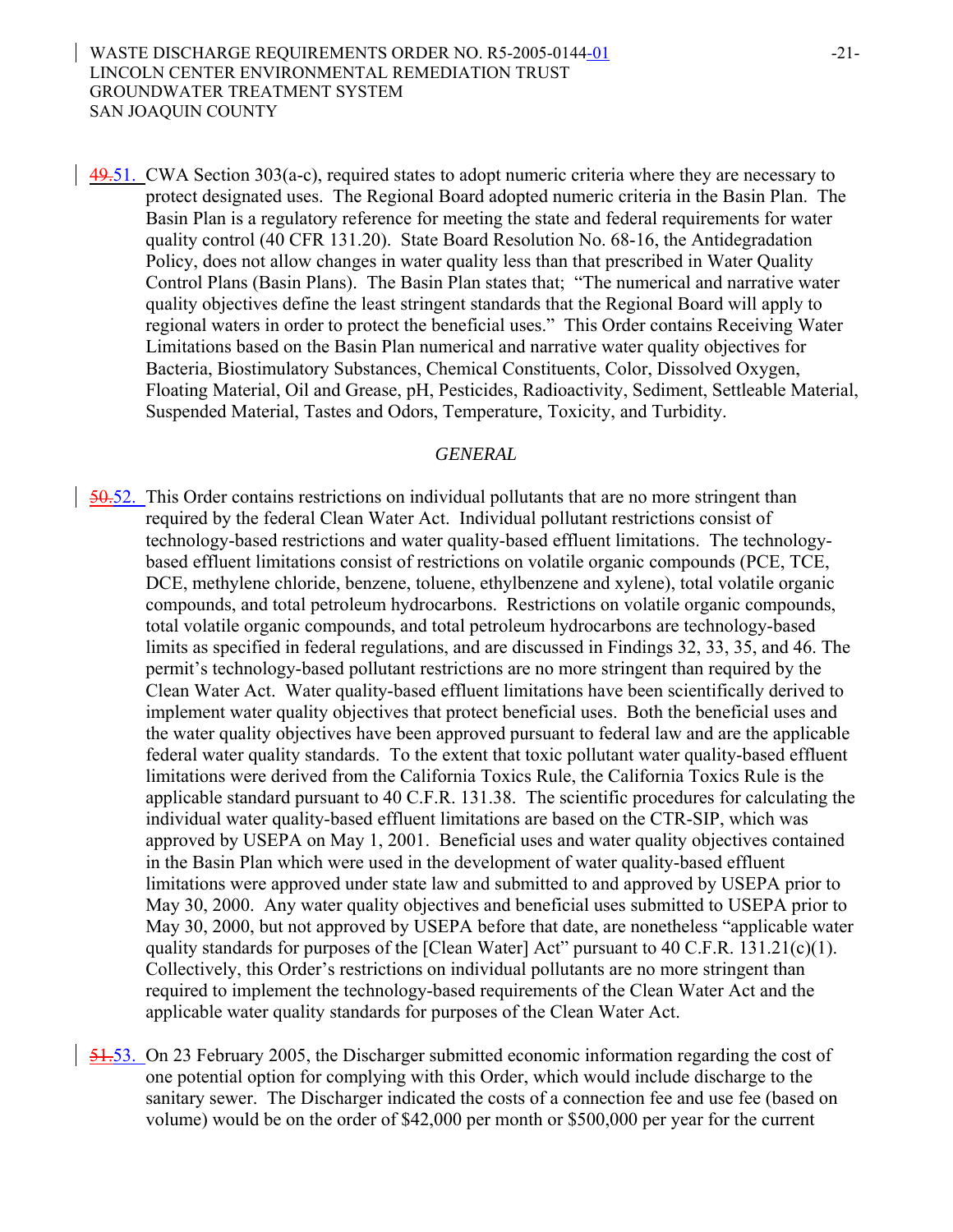49.51. CWA Section 303(a-c), required states to adopt numeric criteria where they are necessary to protect designated uses. The Regional Board adopted numeric criteria in the Basin Plan. The Basin Plan is a regulatory reference for meeting the state and federal requirements for water quality control (40 CFR 131.20). State Board Resolution No. 68-16, the Antidegradation Policy, does not allow changes in water quality less than that prescribed in Water Quality Control Plans (Basin Plans). The Basin Plan states that; "The numerical and narrative water quality objectives define the least stringent standards that the Regional Board will apply to regional waters in order to protect the beneficial uses." This Order contains Receiving Water Limitations based on the Basin Plan numerical and narrative water quality objectives for Bacteria, Biostimulatory Substances, Chemical Constituents, Color, Dissolved Oxygen, Floating Material, Oil and Grease, pH, Pesticides, Radioactivity, Sediment, Settleable Material, Suspended Material, Tastes and Odors, Temperature, Toxicity, and Turbidity.

#### *GENERAL*

- 50.52. This Order contains restrictions on individual pollutants that are no more stringent than required by the federal Clean Water Act. Individual pollutant restrictions consist of technology-based restrictions and water quality-based effluent limitations. The technologybased effluent limitations consist of restrictions on volatile organic compounds (PCE, TCE, DCE, methylene chloride, benzene, toluene, ethylbenzene and xylene), total volatile organic compounds, and total petroleum hydrocarbons. Restrictions on volatile organic compounds, total volatile organic compounds, and total petroleum hydrocarbons are technology-based limits as specified in federal regulations, and are discussed in Findings 32, 33, 35, and 46. The permit's technology-based pollutant restrictions are no more stringent than required by the Clean Water Act. Water quality-based effluent limitations have been scientifically derived to implement water quality objectives that protect beneficial uses. Both the beneficial uses and the water quality objectives have been approved pursuant to federal law and are the applicable federal water quality standards. To the extent that toxic pollutant water quality-based effluent limitations were derived from the California Toxics Rule, the California Toxics Rule is the applicable standard pursuant to 40 C.F.R. 131.38. The scientific procedures for calculating the individual water quality-based effluent limitations are based on the CTR-SIP, which was approved by USEPA on May 1, 2001. Beneficial uses and water quality objectives contained in the Basin Plan which were used in the development of water quality-based effluent limitations were approved under state law and submitted to and approved by USEPA prior to May 30, 2000. Any water quality objectives and beneficial uses submitted to USEPA prior to May 30, 2000, but not approved by USEPA before that date, are nonetheless "applicable water quality standards for purposes of the [Clean Water] Act" pursuant to 40 C.F.R. 131.21(c)(1). Collectively, this Order's restrictions on individual pollutants are no more stringent than required to implement the technology-based requirements of the Clean Water Act and the applicable water quality standards for purposes of the Clean Water Act.
- 51.53. On 23 February 2005, the Discharger submitted economic information regarding the cost of one potential option for complying with this Order, which would include discharge to the sanitary sewer. The Discharger indicated the costs of a connection fee and use fee (based on volume) would be on the order of \$42,000 per month or \$500,000 per year for the current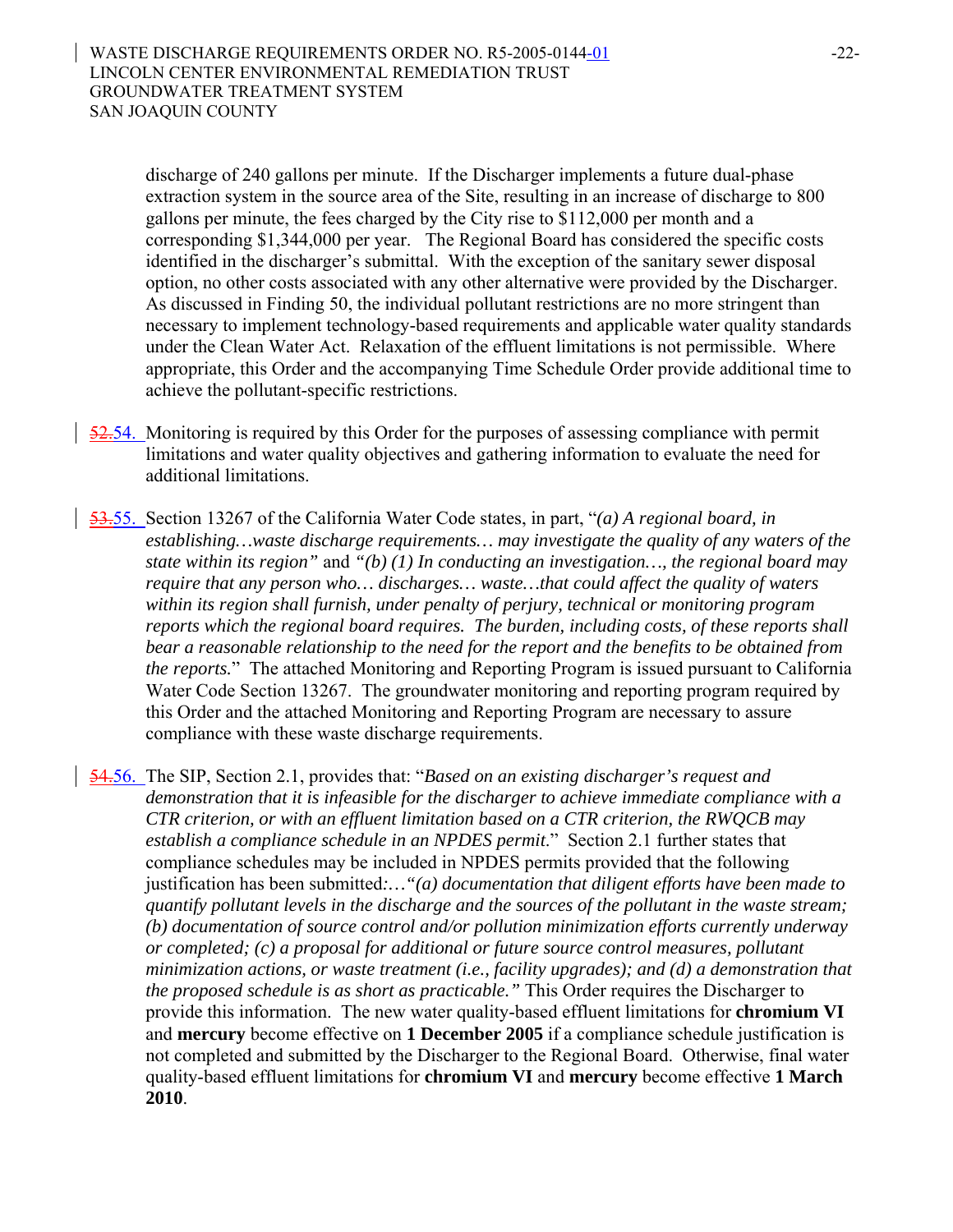discharge of 240 gallons per minute. If the Discharger implements a future dual-phase extraction system in the source area of the Site, resulting in an increase of discharge to 800 gallons per minute, the fees charged by the City rise to \$112,000 per month and a corresponding \$1,344,000 per year. The Regional Board has considered the specific costs identified in the discharger's submittal. With the exception of the sanitary sewer disposal option, no other costs associated with any other alternative were provided by the Discharger. As discussed in Finding 50, the individual pollutant restrictions are no more stringent than necessary to implement technology-based requirements and applicable water quality standards under the Clean Water Act. Relaxation of the effluent limitations is not permissible. Where appropriate, this Order and the accompanying Time Schedule Order provide additional time to achieve the pollutant-specific restrictions.

- 52.54. Monitoring is required by this Order for the purposes of assessing compliance with permit limitations and water quality objectives and gathering information to evaluate the need for additional limitations.
- 53.55. Section 13267 of the California Water Code states, in part, "*(a) A regional board, in establishing…waste discharge requirements… may investigate the quality of any waters of the state within its region"* and *"(b) (1) In conducting an investigation…, the regional board may require that any person who… discharges… waste…that could affect the quality of waters within its region shall furnish, under penalty of perjury, technical or monitoring program reports which the regional board requires. The burden, including costs, of these reports shall bear a reasonable relationship to the need for the report and the benefits to be obtained from the reports.*"The attached Monitoring and Reporting Program is issued pursuant to California Water Code Section 13267. The groundwater monitoring and reporting program required by this Order and the attached Monitoring and Reporting Program are necessary to assure compliance with these waste discharge requirements.

54.56. The SIP, Section 2.1, provides that: "*Based on an existing discharger's request and demonstration that it is infeasible for the discharger to achieve immediate compliance with a CTR criterion, or with an effluent limitation based on a CTR criterion, the RWQCB may establish a compliance schedule in an NPDES permit*." Section 2.1 further states that compliance schedules may be included in NPDES permits provided that the following justification has been submitted*:…"(a) documentation that diligent efforts have been made to quantify pollutant levels in the discharge and the sources of the pollutant in the waste stream; (b) documentation of source control and/or pollution minimization efforts currently underway or completed; (c) a proposal for additional or future source control measures, pollutant minimization actions, or waste treatment (i.e., facility upgrades); and (d) a demonstration that the proposed schedule is as short as practicable."* This Order requires the Discharger to provide this information. The new water quality-based effluent limitations for **chromium VI**  and **mercury** become effective on **1 December 2005** if a compliance schedule justification is not completed and submitted by the Discharger to the Regional Board. Otherwise, final water quality-based effluent limitations for **chromium VI** and **mercury** become effective **1 March 2010**.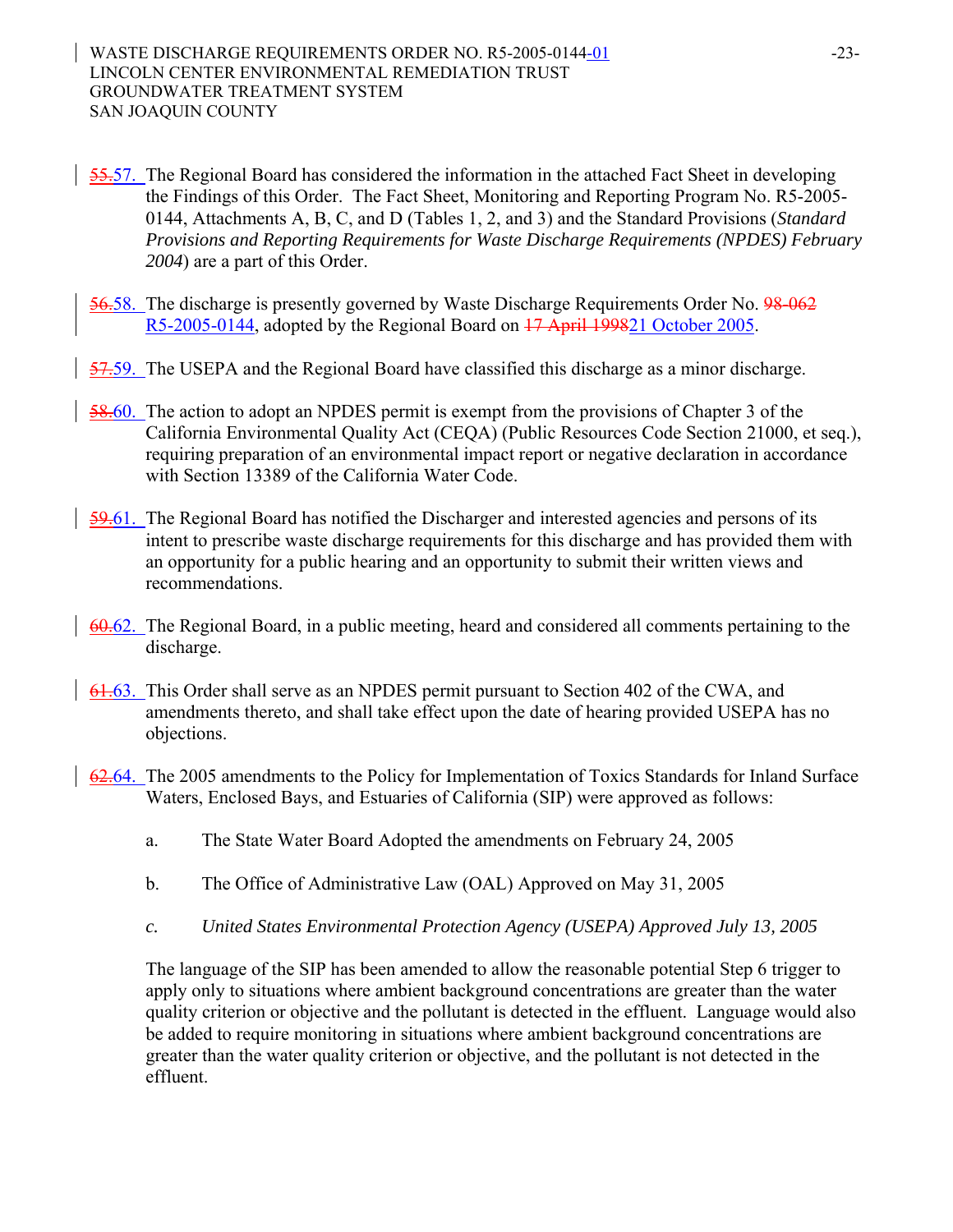- 55.57. The Regional Board has considered the information in the attached Fact Sheet in developing the Findings of this Order. The Fact Sheet, Monitoring and Reporting Program No. R5-2005- 0144, Attachments A, B, C, and D (Tables 1, 2, and 3) and the Standard Provisions (*Standard Provisions and Reporting Requirements for Waste Discharge Requirements (NPDES) February 2004*) are a part of this Order.
- 56.58. The discharge is presently governed by Waste Discharge Requirements Order No. 98-062 R5-2005-0144, adopted by the Regional Board on 17 April 199821 October 2005.
- 57.59. The USEPA and the Regional Board have classified this discharge as a minor discharge.
- 58.60. The action to adopt an NPDES permit is exempt from the provisions of Chapter 3 of the California Environmental Quality Act (CEQA) (Public Resources Code Section 21000, et seq.), requiring preparation of an environmental impact report or negative declaration in accordance with Section 13389 of the California Water Code.
- 59.61. The Regional Board has notified the Discharger and interested agencies and persons of its intent to prescribe waste discharge requirements for this discharge and has provided them with an opportunity for a public hearing and an opportunity to submit their written views and recommendations.
- 60.62. The Regional Board, in a public meeting, heard and considered all comments pertaining to the discharge.
- 61.63. This Order shall serve as an NPDES permit pursuant to Section 402 of the CWA, and amendments thereto, and shall take effect upon the date of hearing provided USEPA has no objections.
- 62.64. The 2005 amendments to the Policy for Implementation of Toxics Standards for Inland Surface Waters, Enclosed Bays, and Estuaries of California (SIP) were approved as follows:
	- a. The State Water Board Adopted the amendments on February 24, 2005
	- b. The Office of Administrative Law (OAL) Approved on May 31, 2005
	- *c. United States Environmental Protection Agency (USEPA) Approved July 13, 2005*

The language of the SIP has been amended to allow the reasonable potential Step 6 trigger to apply only to situations where ambient background concentrations are greater than the water quality criterion or objective and the pollutant is detected in the effluent. Language would also be added to require monitoring in situations where ambient background concentrations are greater than the water quality criterion or objective, and the pollutant is not detected in the effluent.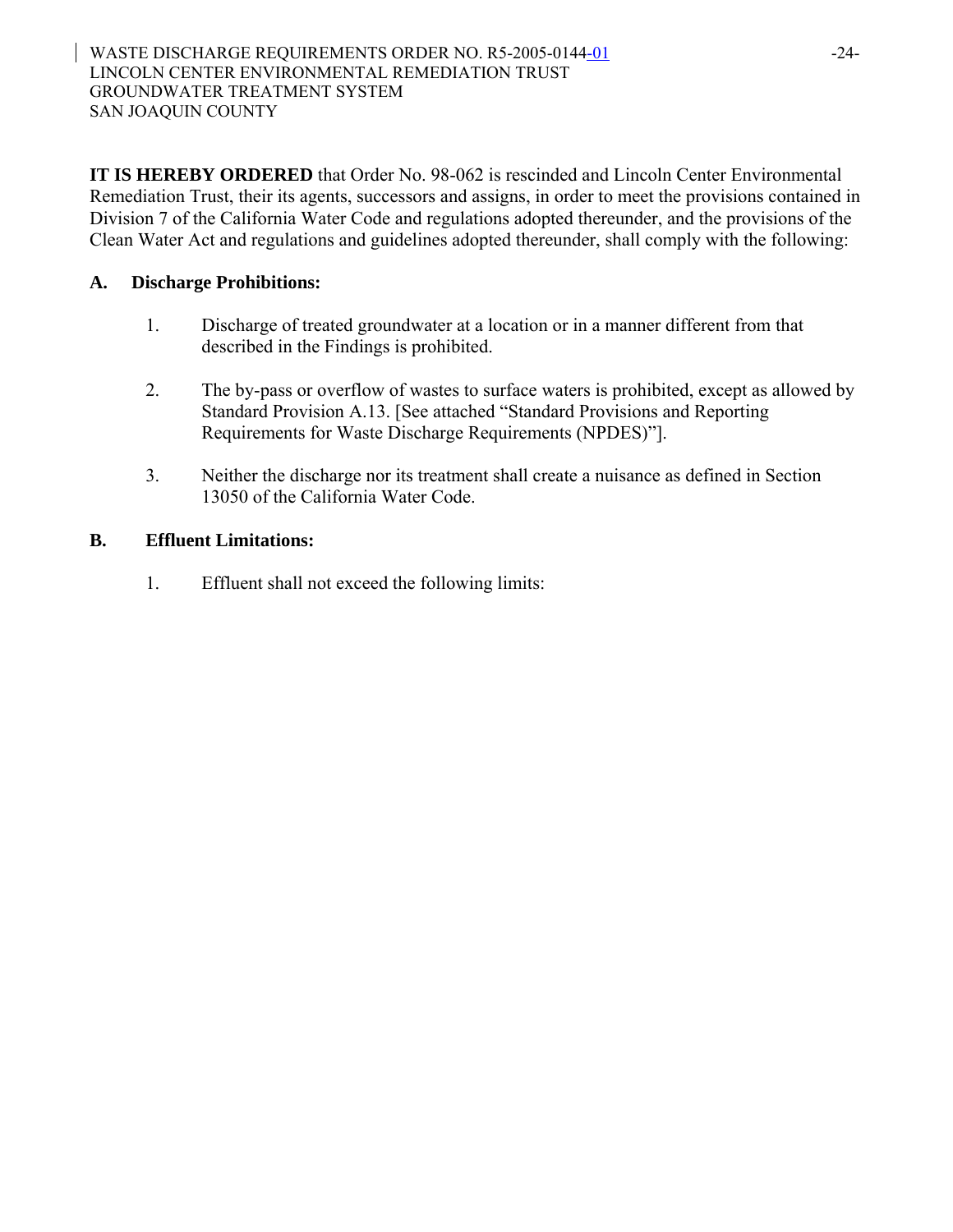**IT IS HEREBY ORDERED** that Order No. 98-062 is rescinded and Lincoln Center Environmental Remediation Trust, their its agents, successors and assigns, in order to meet the provisions contained in Division 7 of the California Water Code and regulations adopted thereunder, and the provisions of the Clean Water Act and regulations and guidelines adopted thereunder, shall comply with the following:

## **A. Discharge Prohibitions:**

- 1. Discharge of treated groundwater at a location or in a manner different from that described in the Findings is prohibited.
- 2. The by-pass or overflow of wastes to surface waters is prohibited, except as allowed by Standard Provision A.13. [See attached "Standard Provisions and Reporting Requirements for Waste Discharge Requirements (NPDES)"].
- 3. Neither the discharge nor its treatment shall create a nuisance as defined in Section 13050 of the California Water Code.

## **B. Effluent Limitations:**

1. Effluent shall not exceed the following limits: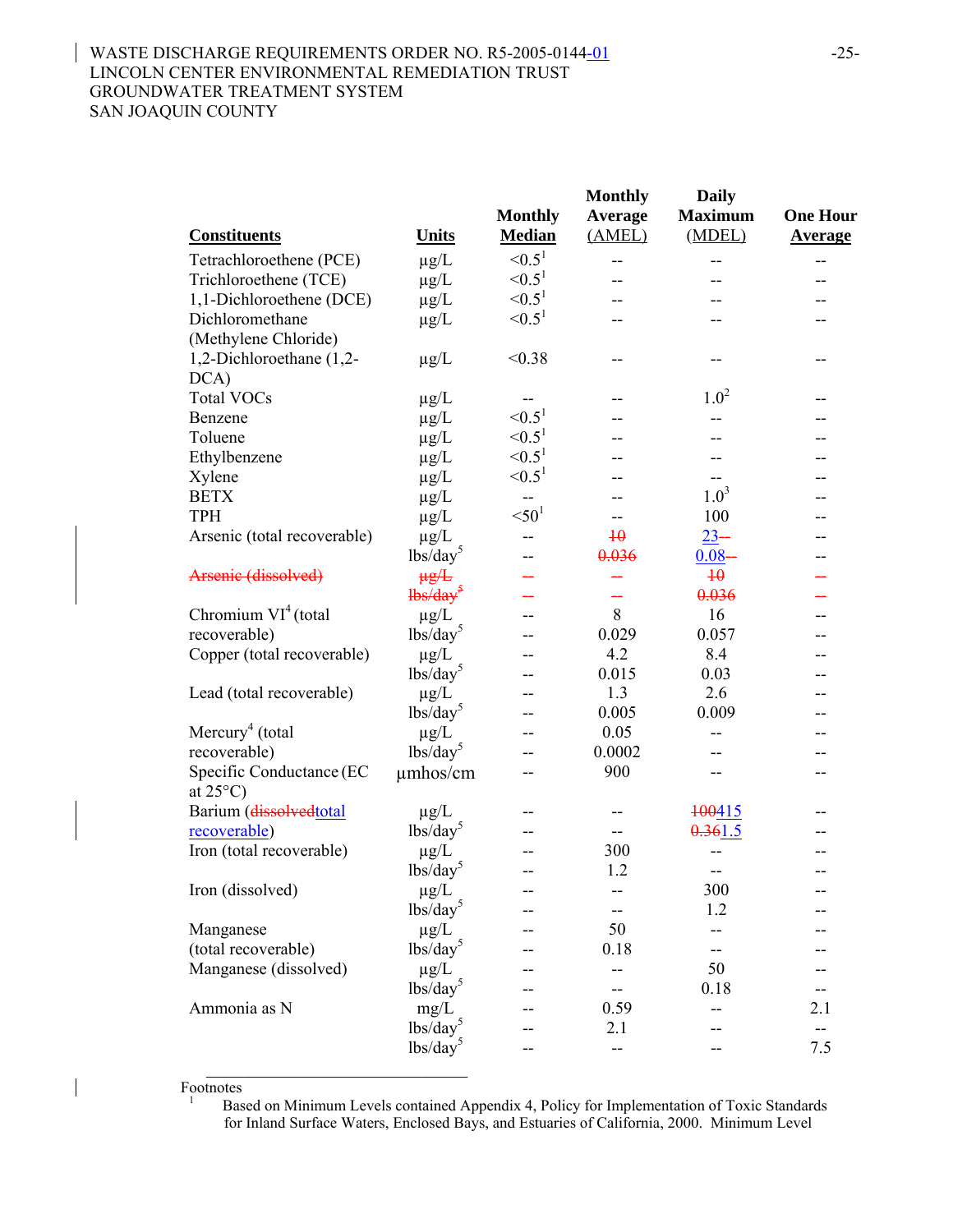### WASTE DISCHARGE REQUIREMENTS ORDER NO. R5-2005-0144-01 -25-LINCOLN CENTER ENVIRONMENTAL REMEDIATION TRUST GROUNDWATER TREATMENT SYSTEM SAN JOAQUIN COUNTY

|                             |                                                                                                                                                                                                                                                                                                                     |                    | <b>Monthly</b>  | <b>Daily</b>    |                 |
|-----------------------------|---------------------------------------------------------------------------------------------------------------------------------------------------------------------------------------------------------------------------------------------------------------------------------------------------------------------|--------------------|-----------------|-----------------|-----------------|
|                             |                                                                                                                                                                                                                                                                                                                     | <b>Monthly</b>     | Average         | <b>Maximum</b>  | <b>One Hour</b> |
| <b>Constituents</b>         | <b>Units</b>                                                                                                                                                                                                                                                                                                        | <b>Median</b>      | (AMEL)          | (MDEL)          | <b>Average</b>  |
| Tetrachloroethene (PCE)     | $\mu g/L$                                                                                                                                                                                                                                                                                                           | $\le 0.5^1$        | --              | --              | --              |
| Trichloroethene (TCE)       | $\mu$ g/L                                                                                                                                                                                                                                                                                                           | $\le 0.5^1$        |                 |                 | --              |
| 1,1-Dichloroethene (DCE)    | $\mu$ g/L                                                                                                                                                                                                                                                                                                           | $\leq 0.5^1$       |                 |                 |                 |
| Dichloromethane             | $\mu$ g/L                                                                                                                                                                                                                                                                                                           | ${<}0.51$          |                 |                 |                 |
| (Methylene Chloride)        |                                                                                                                                                                                                                                                                                                                     |                    |                 |                 |                 |
| 1,2-Dichloroethane (1,2-    | $\mu$ g/L                                                                                                                                                                                                                                                                                                           | < 0.38             |                 |                 |                 |
| DCA)                        |                                                                                                                                                                                                                                                                                                                     |                    |                 |                 |                 |
| <b>Total VOCs</b>           | $\mu$ g/L                                                                                                                                                                                                                                                                                                           | --                 |                 | $1.0^2$         |                 |
| Benzene                     | $\mu$ g/L                                                                                                                                                                                                                                                                                                           | < 0.5 <sup>1</sup> |                 |                 |                 |
| Toluene                     | $\mu$ g/L                                                                                                                                                                                                                                                                                                           | $< 0.5^1$          |                 |                 |                 |
| Ethylbenzene                | $\mu g/L$                                                                                                                                                                                                                                                                                                           | < 0.5 <sup>1</sup> |                 |                 |                 |
| Xylene                      | $\mu g/L$                                                                                                                                                                                                                                                                                                           | $< 0.5^1$          |                 |                 |                 |
| <b>BETX</b>                 | $\mu$ g/L                                                                                                                                                                                                                                                                                                           | $-$                |                 | $1.0^3$         |                 |
| <b>TPH</b>                  | $\mu$ g/L                                                                                                                                                                                                                                                                                                           | $<$ 50 $^1$        |                 | 100             |                 |
| Arsenic (total recoverable) | $\mu$ g/L                                                                                                                                                                                                                                                                                                           |                    | $\overline{10}$ | $23 -$          |                 |
|                             | $\frac{1}{\text{bs}}\cdot\text{day}^5$                                                                                                                                                                                                                                                                              |                    | 0.036           | $0.08 -$        |                 |
| Arsenic (dissolved)         | $\mu g/L$                                                                                                                                                                                                                                                                                                           |                    |                 | $\overline{40}$ |                 |
|                             | $\frac{1}{1}$ $\frac{1}{1}$ $\frac{1}{1}$ $\frac{1}{1}$ $\frac{1}{1}$ $\frac{1}{1}$ $\frac{1}{1}$ $\frac{1}{1}$ $\frac{1}{1}$ $\frac{1}{1}$ $\frac{1}{1}$ $\frac{1}{1}$ $\frac{1}{1}$ $\frac{1}{1}$ $\frac{1}{1}$ $\frac{1}{1}$ $\frac{1}{1}$ $\frac{1}{1}$ $\frac{1}{1}$ $\frac{1}{1}$ $\frac{1}{1}$ $\frac{1}{1}$ |                    |                 | 0.036           |                 |
| Chromium $VI^4$ (total      | $\mu$ g/L                                                                                                                                                                                                                                                                                                           |                    | 8               | 16              |                 |
| recoverable)                | $lbs/day^5$                                                                                                                                                                                                                                                                                                         |                    | 0.029           | 0.057           |                 |
| Copper (total recoverable)  | $\mu$ g/L                                                                                                                                                                                                                                                                                                           |                    | 4.2             | 8.4             |                 |
|                             | $\frac{1}{\text{bs}}\cdot\text{day}^5$                                                                                                                                                                                                                                                                              |                    | 0.015           | 0.03            | --              |
| Lead (total recoverable)    | $\mu$ g/L                                                                                                                                                                                                                                                                                                           |                    | 1.3             | 2.6             |                 |
|                             | $\frac{1}{\text{bs}}\cdot\text{day}^5$                                                                                                                                                                                                                                                                              |                    | 0.005           | 0.009           |                 |
| Mercury <sup>4</sup> (total | $\mu$ g/L                                                                                                                                                                                                                                                                                                           |                    | 0.05            |                 |                 |
| recoverable)                | $\frac{1}{\text{bs}}\cdot\text{day}^5$                                                                                                                                                                                                                                                                              |                    | 0.0002          |                 |                 |
| Specific Conductance (EC    | $\mu$ mhos/cm                                                                                                                                                                                                                                                                                                       | --                 | 900             | --              |                 |
| at $25^{\circ}$ C)          |                                                                                                                                                                                                                                                                                                                     |                    |                 |                 |                 |
| Barium (dissolvedtotal      | $\mu$ g/L                                                                                                                                                                                                                                                                                                           |                    |                 | 100415          |                 |
| recoverable)                | $\frac{1}{\text{bs}}\cdot\text{day}^5$                                                                                                                                                                                                                                                                              |                    |                 | 0.361.5         |                 |
| Iron (total recoverable)    | $\mu$ g/L                                                                                                                                                                                                                                                                                                           |                    | 300             |                 |                 |
|                             | $\frac{1}{\text{bs}}\cdot\text{day}^3$                                                                                                                                                                                                                                                                              |                    | 1.2             | --              |                 |
| Iron (dissolved)            | $\mu g/L$                                                                                                                                                                                                                                                                                                           |                    |                 | 300             |                 |
|                             | lbs/day <sup>5</sup>                                                                                                                                                                                                                                                                                                |                    |                 | 1.2             |                 |
| Manganese                   | $\mu$ g/L                                                                                                                                                                                                                                                                                                           |                    | 50              |                 |                 |
| (total recoverable)         | $\frac{1}{\text{bs}}\text{day}^5$                                                                                                                                                                                                                                                                                   |                    | 0.18            |                 |                 |
| Manganese (dissolved)       | $\mu g/L$                                                                                                                                                                                                                                                                                                           |                    |                 | 50              |                 |
|                             | $\frac{1}{\text{bs}}\cdot\text{day}^5$                                                                                                                                                                                                                                                                              |                    |                 | 0.18            |                 |
| Ammonia as N                | mg/L                                                                                                                                                                                                                                                                                                                |                    | 0.59            |                 | 2.1             |
|                             | $\frac{1}{\text{bs}}\cdot\text{day}^5$                                                                                                                                                                                                                                                                              |                    | 2.1             |                 |                 |
|                             | $\frac{1}{\text{bs}}\cdot \text{day}^5$                                                                                                                                                                                                                                                                             |                    |                 |                 | 7.5             |

Footnotes

 $\overline{\phantom{a}}$ 

1 Based on Minimum Levels contained Appendix 4, Policy for Implementation of Toxic Standards for Inland Surface Waters, Enclosed Bays, and Estuaries of California, 2000. Minimum Level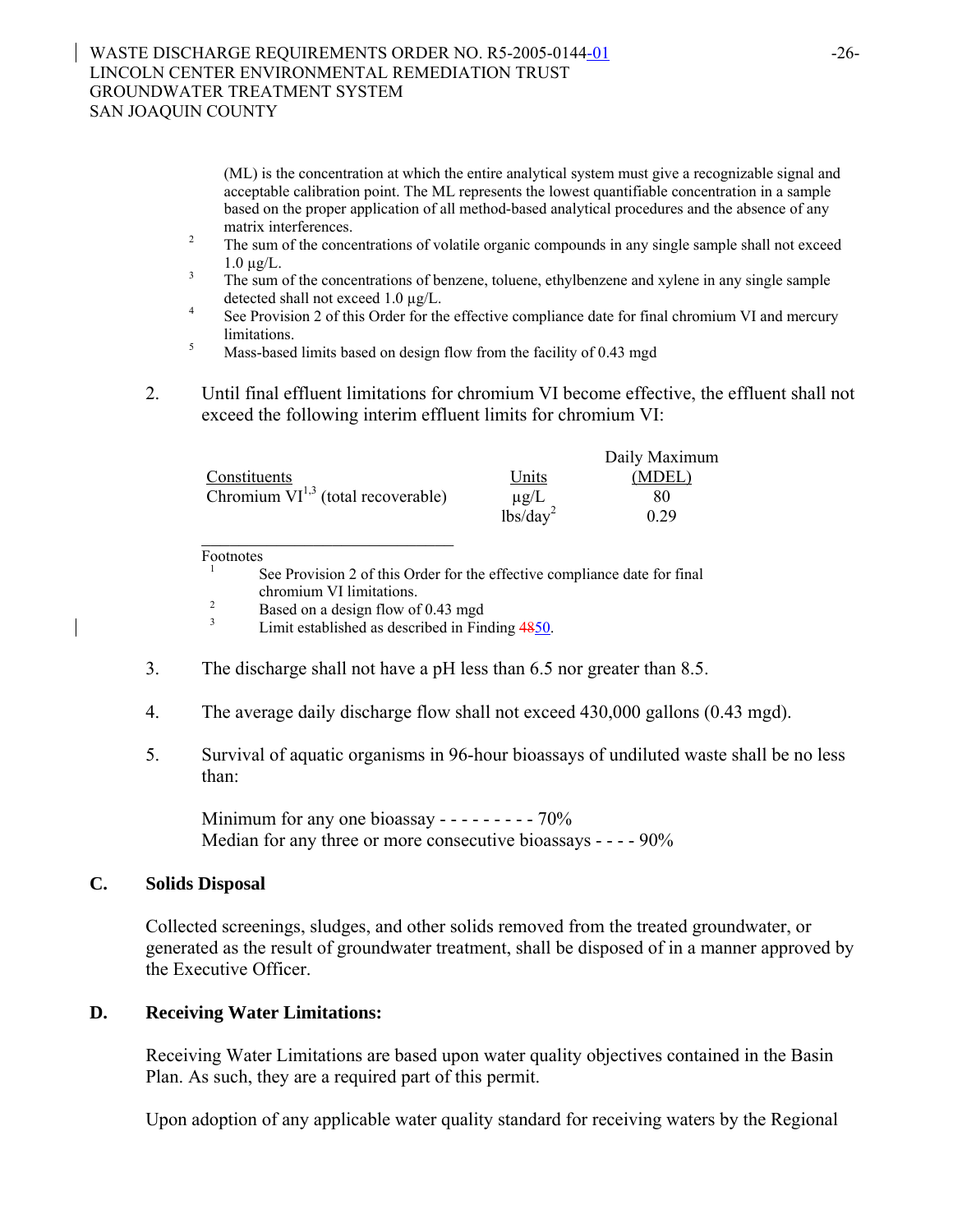### WASTE DISCHARGE REQUIREMENTS ORDER NO. R5-2005-0144-01 -26-LINCOLN CENTER ENVIRONMENTAL REMEDIATION TRUST GROUNDWATER TREATMENT SYSTEM SAN JOAQUIN COUNTY

(ML) is the concentration at which the entire analytical system must give a recognizable signal and acceptable calibration point. The ML represents the lowest quantifiable concentration in a sample based on the proper application of all method-based analytical procedures and the absence of any

- matrix interferences.<br><sup>2</sup> The sum of the concentrations of volatile organic compounds in any single sample shall not exceed
- 1.0  $\mu$ g/L.<br><sup>3</sup> The sum of the concentrations of benzene, toluene, ethylbenzene and xylene in any single sample
- detected shall not exceed 1.0  $\mu$ g/L.<br><sup>4</sup> See Provision 2 of this Order for the effective compliance date for final chromium VI and mercury <sup>5</sup> Ilmitations.<br><sup>5</sup> Mass-based limits based on design flow from the facility of 0.43 mgd
- 
- 2. Until final effluent limitations for chromium VI become effective, the effluent shall not exceed the following interim effluent limits for chromium VI:

|                                         |                      | Daily Maximum |
|-----------------------------------------|----------------------|---------------|
| Constituents                            | Units                | (MDEL)        |
| Chromium $VI^{1,3}$ (total recoverable) | $\mu$ g/L            | 80            |
|                                         | lbs/day <sup>2</sup> | 0.29          |

 $\overline{\text{ Footnotes}}$ 

See Provision 2 of this Order for the effective compliance date for final chromium VI limitations.<br><sup>2</sup> Based on a design flow of 0.43 mgd<br><sup>3</sup> Limit established as described in Finding 4850.

- 3. The discharge shall not have a pH less than 6.5 nor greater than 8.5.
- 4. The average daily discharge flow shall not exceed 430,000 gallons (0.43 mgd).
- 5. Survival of aquatic organisms in 96-hour bioassays of undiluted waste shall be no less than:

Minimum for any one bioassay - - - - - - - - - 70% Median for any three or more consecutive bioassays - - - - 90%

## **C. Solids Disposal**

Collected screenings, sludges, and other solids removed from the treated groundwater, or generated as the result of groundwater treatment, shall be disposed of in a manner approved by the Executive Officer.

## **D. Receiving Water Limitations:**

Receiving Water Limitations are based upon water quality objectives contained in the Basin Plan. As such, they are a required part of this permit.

Upon adoption of any applicable water quality standard for receiving waters by the Regional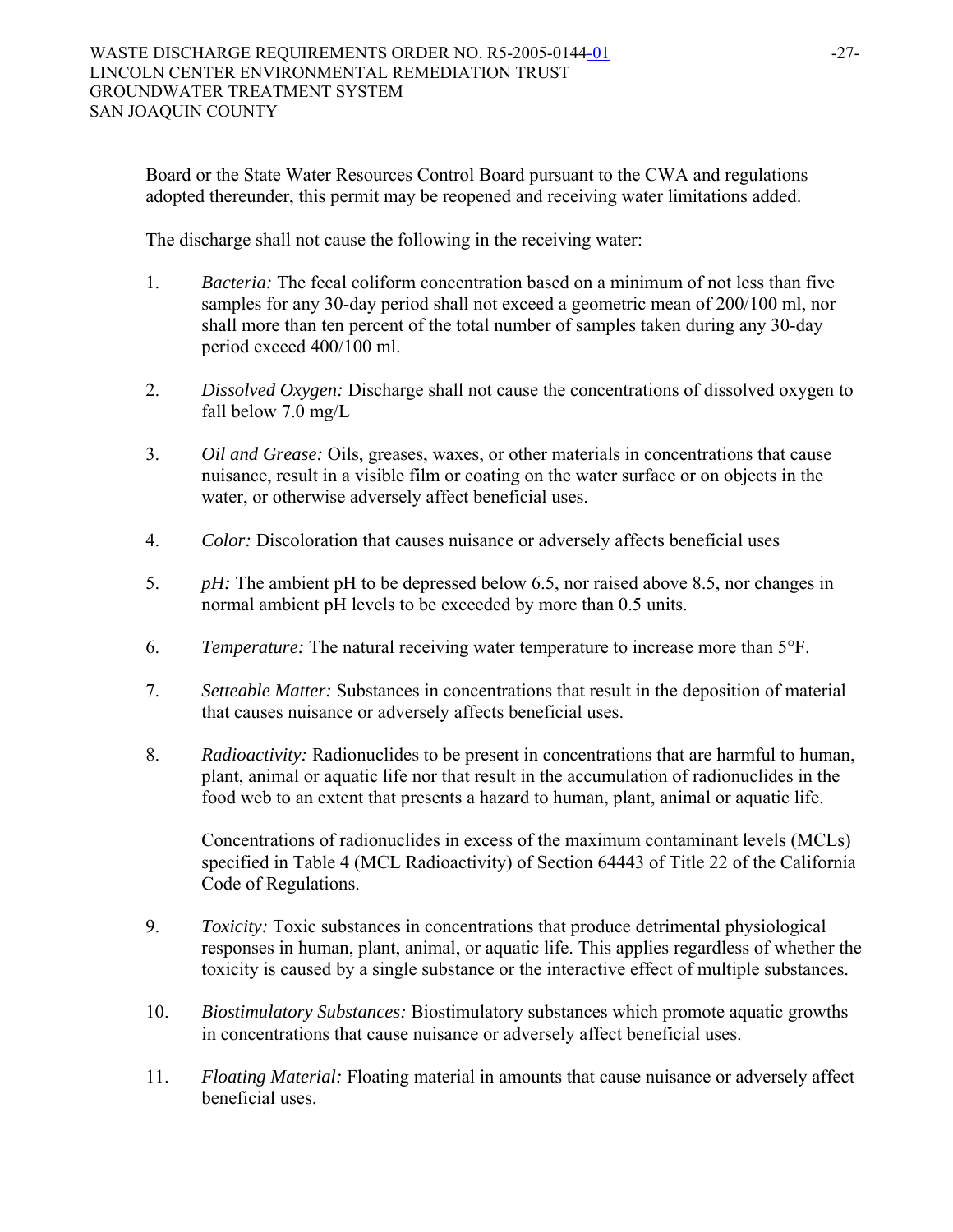Board or the State Water Resources Control Board pursuant to the CWA and regulations adopted thereunder, this permit may be reopened and receiving water limitations added.

The discharge shall not cause the following in the receiving water:

- 1. *Bacteria:* The fecal coliform concentration based on a minimum of not less than five samples for any 30-day period shall not exceed a geometric mean of 200/100 ml, nor shall more than ten percent of the total number of samples taken during any 30-day period exceed 400/100 ml.
- 2. *Dissolved Oxygen:* Discharge shall not cause the concentrations of dissolved oxygen to fall below 7.0 mg/L
- 3. *Oil and Grease:* Oils, greases, waxes, or other materials in concentrations that cause nuisance, result in a visible film or coating on the water surface or on objects in the water, or otherwise adversely affect beneficial uses.
- 4. *Color:* Discoloration that causes nuisance or adversely affects beneficial uses
- 5. *pH:* The ambient pH to be depressed below 6.5, nor raised above 8.5, nor changes in normal ambient pH levels to be exceeded by more than 0.5 units.
- 6. *Temperature:* The natural receiving water temperature to increase more than 5°F.
- 7. *Setteable Matter:* Substances in concentrations that result in the deposition of material that causes nuisance or adversely affects beneficial uses.
- 8. *Radioactivity:* Radionuclides to be present in concentrations that are harmful to human, plant, animal or aquatic life nor that result in the accumulation of radionuclides in the food web to an extent that presents a hazard to human, plant, animal or aquatic life.

Concentrations of radionuclides in excess of the maximum contaminant levels (MCLs) specified in Table 4 (MCL Radioactivity) of Section 64443 of Title 22 of the California Code of Regulations.

- 9. *Toxicity:* Toxic substances in concentrations that produce detrimental physiological responses in human, plant, animal, or aquatic life. This applies regardless of whether the toxicity is caused by a single substance or the interactive effect of multiple substances.
- 10. *Biostimulatory Substances:* Biostimulatory substances which promote aquatic growths in concentrations that cause nuisance or adversely affect beneficial uses.
- 11. *Floating Material:* Floating material in amounts that cause nuisance or adversely affect beneficial uses.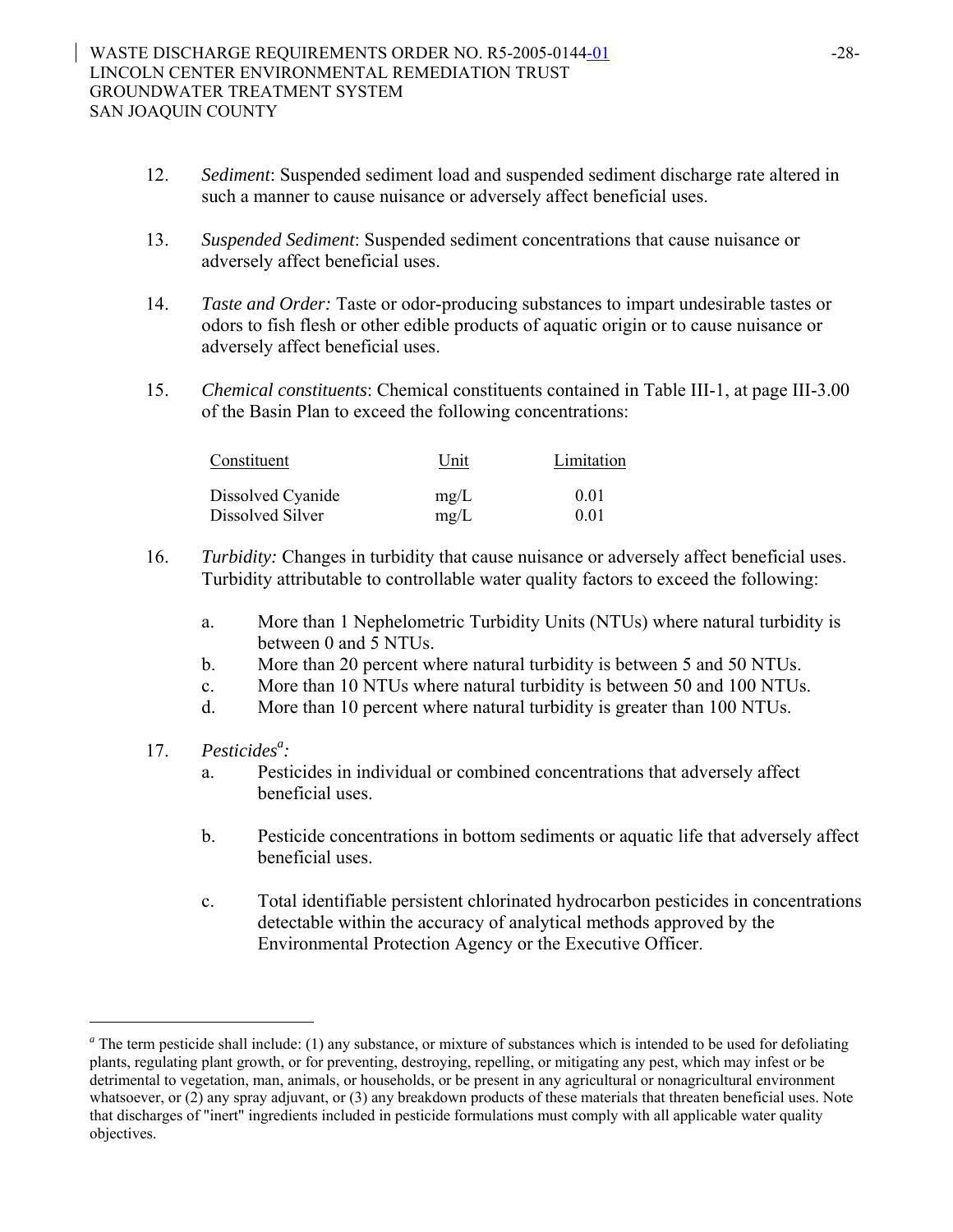- 12. *Sediment*: Suspended sediment load and suspended sediment discharge rate altered in such a manner to cause nuisance or adversely affect beneficial uses.
- 13. *Suspended Sediment*: Suspended sediment concentrations that cause nuisance or adversely affect beneficial uses.
- 14. *Taste and Order:* Taste or odor-producing substances to impart undesirable tastes or odors to fish flesh or other edible products of aquatic origin or to cause nuisance or adversely affect beneficial uses.
- 15. *Chemical constituents*: Chemical constituents contained in Table III-1, at page III-3.00 of the Basin Plan to exceed the following concentrations:

| Constituent       | Unit | Limitation |  |
|-------------------|------|------------|--|
| Dissolved Cyanide | mg/L | 0.01       |  |
| Dissolved Silver  | mg/L | 0.01       |  |

- 16. *Turbidity:* Changes in turbidity that cause nuisance or adversely affect beneficial uses. Turbidity attributable to controllable water quality factors to exceed the following:
	- a. More than 1 Nephelometric Turbidity Units (NTUs) where natural turbidity is between 0 and 5 NTUs.
	- b. More than 20 percent where natural turbidity is between 5 and 50 NTUs.
	- c. More than 10 NTUs where natural turbidity is between 50 and 100 NTUs.
	- d. More than 10 percent where natural turbidity is greater than 100 NTUs.

# 17. *Pesticides<sup>a</sup>*:

l

- a. Pesticides in individual or combined concentrations that adversely affect beneficial uses.
- b. Pesticide concentrations in bottom sediments or aquatic life that adversely affect beneficial uses.
- c. Total identifiable persistent chlorinated hydrocarbon pesticides in concentrations detectable within the accuracy of analytical methods approved by the Environmental Protection Agency or the Executive Officer.

<sup>&</sup>lt;sup>a</sup> The term pesticide shall include: (1) any substance, or mixture of substances which is intended to be used for defoliating plants, regulating plant growth, or for preventing, destroying, repelling, or mitigating any pest, which may infest or be detrimental to vegetation, man, animals, or households, or be present in any agricultural or nonagricultural environment whatsoever, or (2) any spray adjuvant, or (3) any breakdown products of these materials that threaten beneficial uses. Note that discharges of "inert" ingredients included in pesticide formulations must comply with all applicable water quality objectives.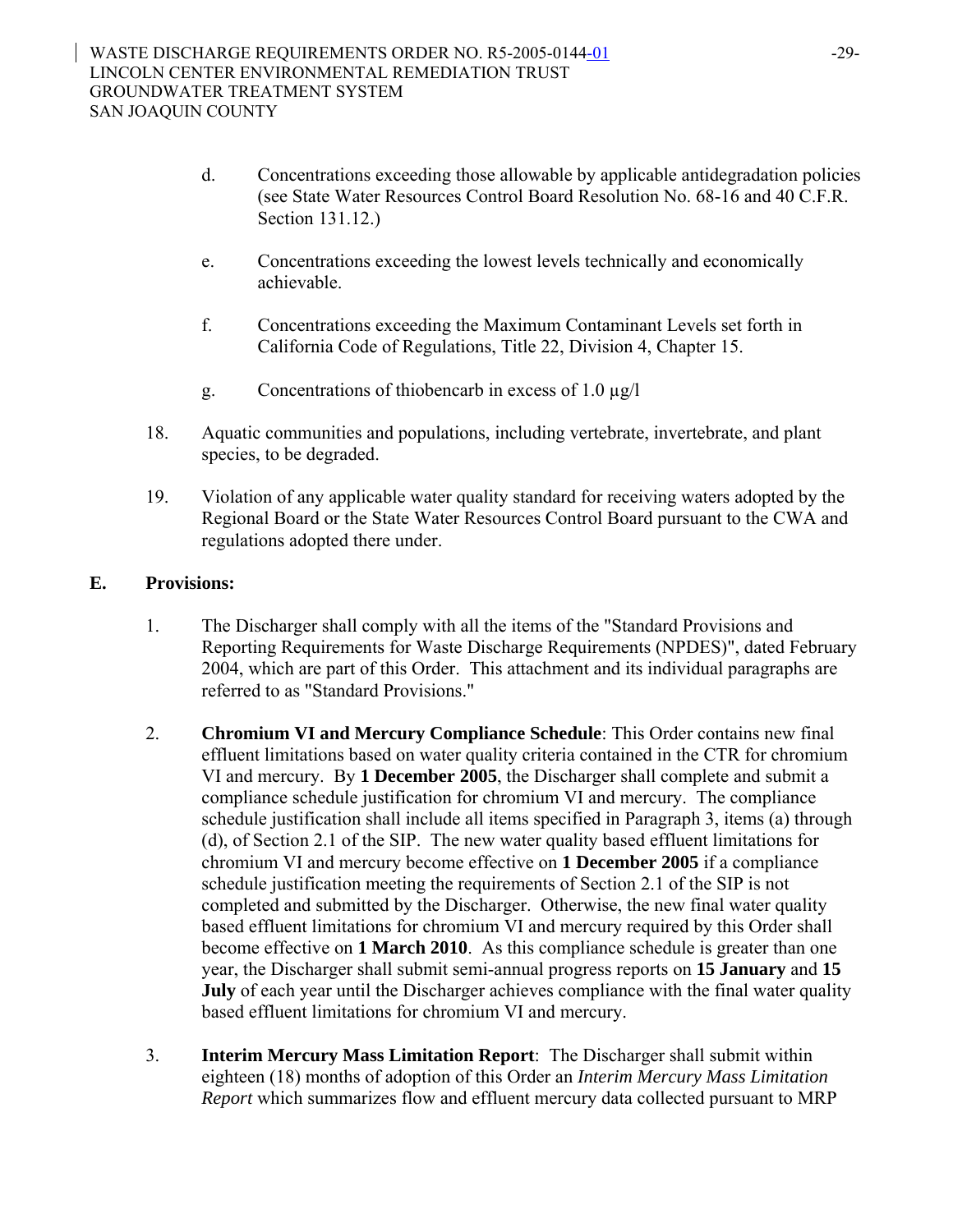- d. Concentrations exceeding those allowable by applicable antidegradation policies (see State Water Resources Control Board Resolution No. 68-16 and 40 C.F.R. Section 131.12.)
- e. Concentrations exceeding the lowest levels technically and economically achievable.
- f. Concentrations exceeding the Maximum Contaminant Levels set forth in California Code of Regulations, Title 22, Division 4, Chapter 15.
- g. Concentrations of thiobencarb in excess of 1.0 µg/l
- 18. Aquatic communities and populations, including vertebrate, invertebrate, and plant species, to be degraded.
- 19. Violation of any applicable water quality standard for receiving waters adopted by the Regional Board or the State Water Resources Control Board pursuant to the CWA and regulations adopted there under.

## **E. Provisions:**

- 1. The Discharger shall comply with all the items of the "Standard Provisions and Reporting Requirements for Waste Discharge Requirements (NPDES)", dated February 2004, which are part of this Order. This attachment and its individual paragraphs are referred to as "Standard Provisions."
- 2. **Chromium VI and Mercury Compliance Schedule**: This Order contains new final effluent limitations based on water quality criteria contained in the CTR for chromium VI and mercury. By **1 December 2005**, the Discharger shall complete and submit a compliance schedule justification for chromium VI and mercury. The compliance schedule justification shall include all items specified in Paragraph 3, items (a) through (d), of Section 2.1 of the SIP. The new water quality based effluent limitations for chromium VI and mercury become effective on **1 December 2005** if a compliance schedule justification meeting the requirements of Section 2.1 of the SIP is not completed and submitted by the Discharger. Otherwise, the new final water quality based effluent limitations for chromium VI and mercury required by this Order shall become effective on **1 March 2010**. As this compliance schedule is greater than one year, the Discharger shall submit semi-annual progress reports on **15 January** and **15 July** of each year until the Discharger achieves compliance with the final water quality based effluent limitations for chromium VI and mercury.
- 3. **Interim Mercury Mass Limitation Report**: The Discharger shall submit within eighteen (18) months of adoption of this Order an *Interim Mercury Mass Limitation Report* which summarizes flow and effluent mercury data collected pursuant to MRP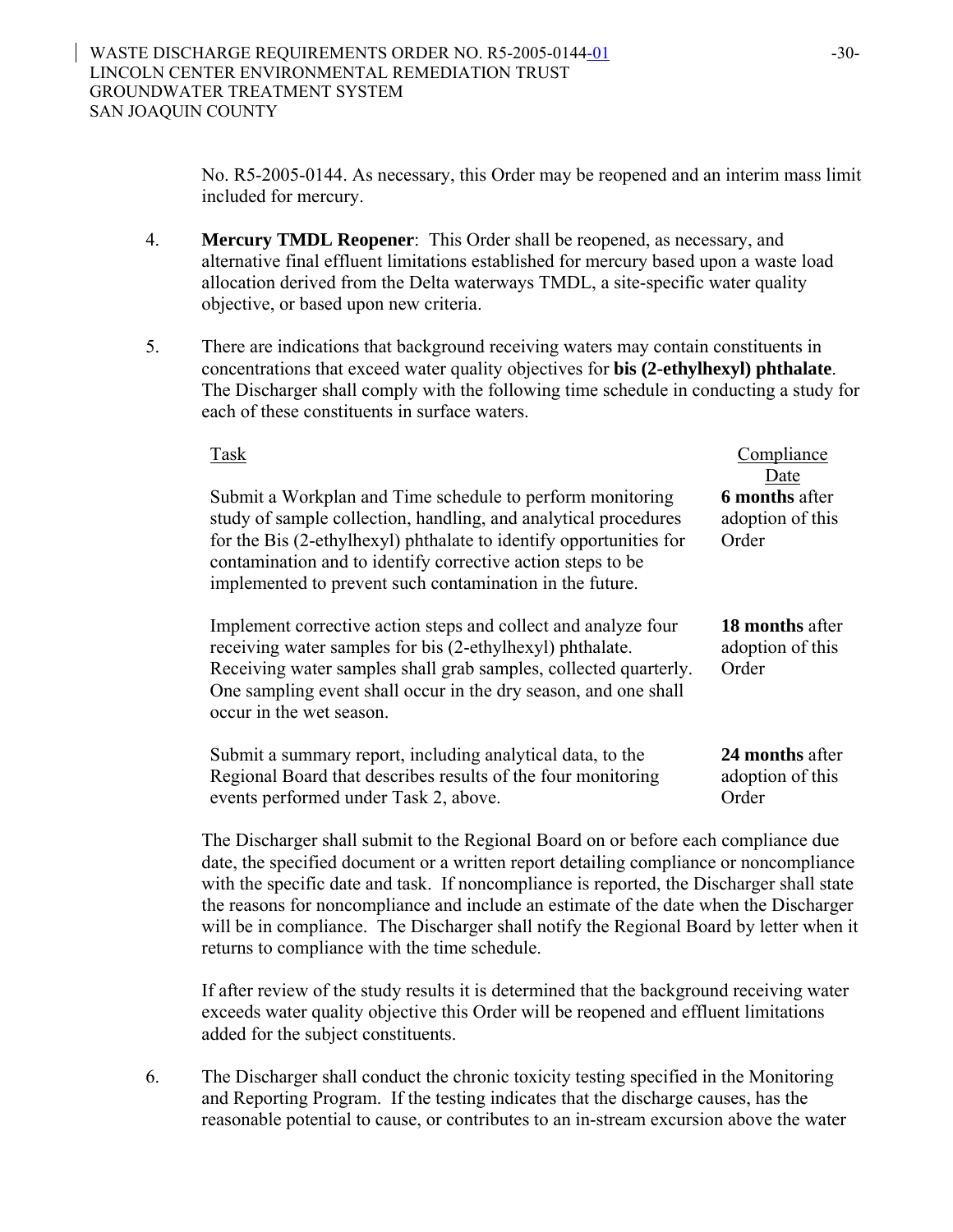No. R5-2005-0144. As necessary, this Order may be reopened and an interim mass limit included for mercury.

- 4. **Mercury TMDL Reopener**: This Order shall be reopened, as necessary, and alternative final effluent limitations established for mercury based upon a waste load allocation derived from the Delta waterways TMDL, a site-specific water quality objective, or based upon new criteria.
- 5. There are indications that background receiving waters may contain constituents in concentrations that exceed water quality objectives for **bis (2-ethylhexyl) phthalate**. The Discharger shall comply with the following time schedule in conducting a study for each of these constituents in surface waters.

| Task                                                                                                                                                                                                                                                                                                                          | Compliance<br>Date                                  |
|-------------------------------------------------------------------------------------------------------------------------------------------------------------------------------------------------------------------------------------------------------------------------------------------------------------------------------|-----------------------------------------------------|
| Submit a Workplan and Time schedule to perform monitoring<br>study of sample collection, handling, and analytical procedures<br>for the Bis (2-ethylhexyl) phthalate to identify opportunities for<br>contamination and to identify corrective action steps to be<br>implemented to prevent such contamination in the future. | <b>6 months after</b><br>adoption of this<br>Order  |
| Implement corrective action steps and collect and analyze four<br>receiving water samples for bis (2-ethylhexyl) phthalate.<br>Receiving water samples shall grab samples, collected quarterly.<br>One sampling event shall occur in the dry season, and one shall<br>occur in the wet season.                                | <b>18 months after</b><br>adoption of this<br>Order |
| Submit a summary report, including analytical data, to the<br>Regional Board that describes results of the four monitoring<br>events performed under Task 2, above.                                                                                                                                                           | 24 months after<br>adoption of this<br>Order        |

The Discharger shall submit to the Regional Board on or before each compliance due date, the specified document or a written report detailing compliance or noncompliance with the specific date and task. If noncompliance is reported, the Discharger shall state the reasons for noncompliance and include an estimate of the date when the Discharger will be in compliance. The Discharger shall notify the Regional Board by letter when it returns to compliance with the time schedule.

If after review of the study results it is determined that the background receiving water exceeds water quality objective this Order will be reopened and effluent limitations added for the subject constituents.

6. The Discharger shall conduct the chronic toxicity testing specified in the Monitoring and Reporting Program. If the testing indicates that the discharge causes, has the reasonable potential to cause, or contributes to an in-stream excursion above the water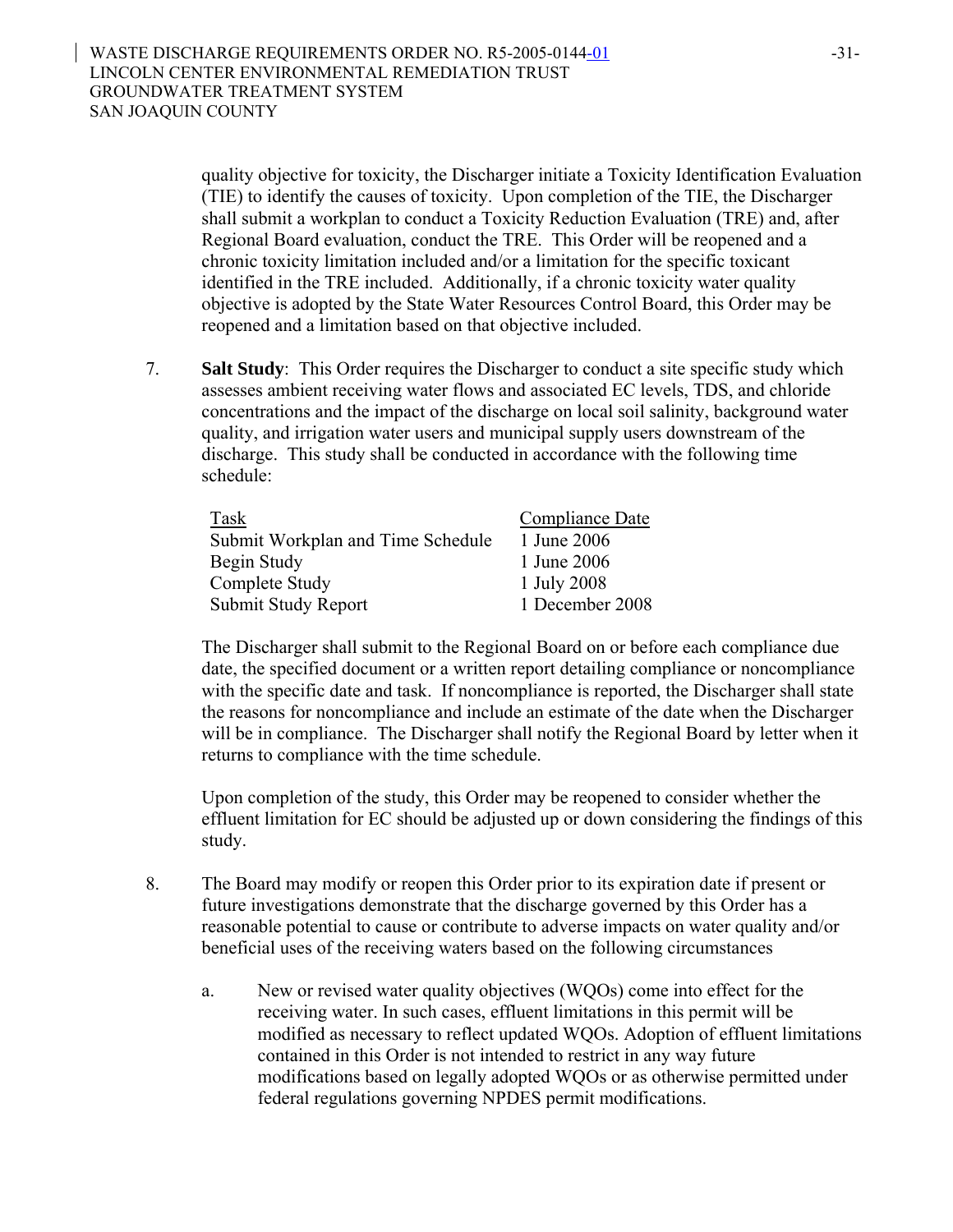quality objective for toxicity, the Discharger initiate a Toxicity Identification Evaluation (TIE) to identify the causes of toxicity. Upon completion of the TIE, the Discharger shall submit a workplan to conduct a Toxicity Reduction Evaluation (TRE) and, after Regional Board evaluation, conduct the TRE. This Order will be reopened and a chronic toxicity limitation included and/or a limitation for the specific toxicant identified in the TRE included. Additionally, if a chronic toxicity water quality objective is adopted by the State Water Resources Control Board, this Order may be reopened and a limitation based on that objective included.

7. **Salt Study**: This Order requires the Discharger to conduct a site specific study which assesses ambient receiving water flows and associated EC levels, TDS, and chloride concentrations and the impact of the discharge on local soil salinity, background water quality, and irrigation water users and municipal supply users downstream of the discharge. This study shall be conducted in accordance with the following time schedule:

| Task                              | Compliance Date |
|-----------------------------------|-----------------|
| Submit Workplan and Time Schedule | 1 June 2006     |
| Begin Study                       | 1 June 2006     |
| Complete Study                    | 1 July 2008     |
| Submit Study Report               | 1 December 2008 |

The Discharger shall submit to the Regional Board on or before each compliance due date, the specified document or a written report detailing compliance or noncompliance with the specific date and task. If noncompliance is reported, the Discharger shall state the reasons for noncompliance and include an estimate of the date when the Discharger will be in compliance. The Discharger shall notify the Regional Board by letter when it returns to compliance with the time schedule.

Upon completion of the study, this Order may be reopened to consider whether the effluent limitation for EC should be adjusted up or down considering the findings of this study.

- 8. The Board may modify or reopen this Order prior to its expiration date if present or future investigations demonstrate that the discharge governed by this Order has a reasonable potential to cause or contribute to adverse impacts on water quality and/or beneficial uses of the receiving waters based on the following circumstances
	- a. New or revised water quality objectives (WQOs) come into effect for the receiving water. In such cases, effluent limitations in this permit will be modified as necessary to reflect updated WQOs. Adoption of effluent limitations contained in this Order is not intended to restrict in any way future modifications based on legally adopted WQOs or as otherwise permitted under federal regulations governing NPDES permit modifications.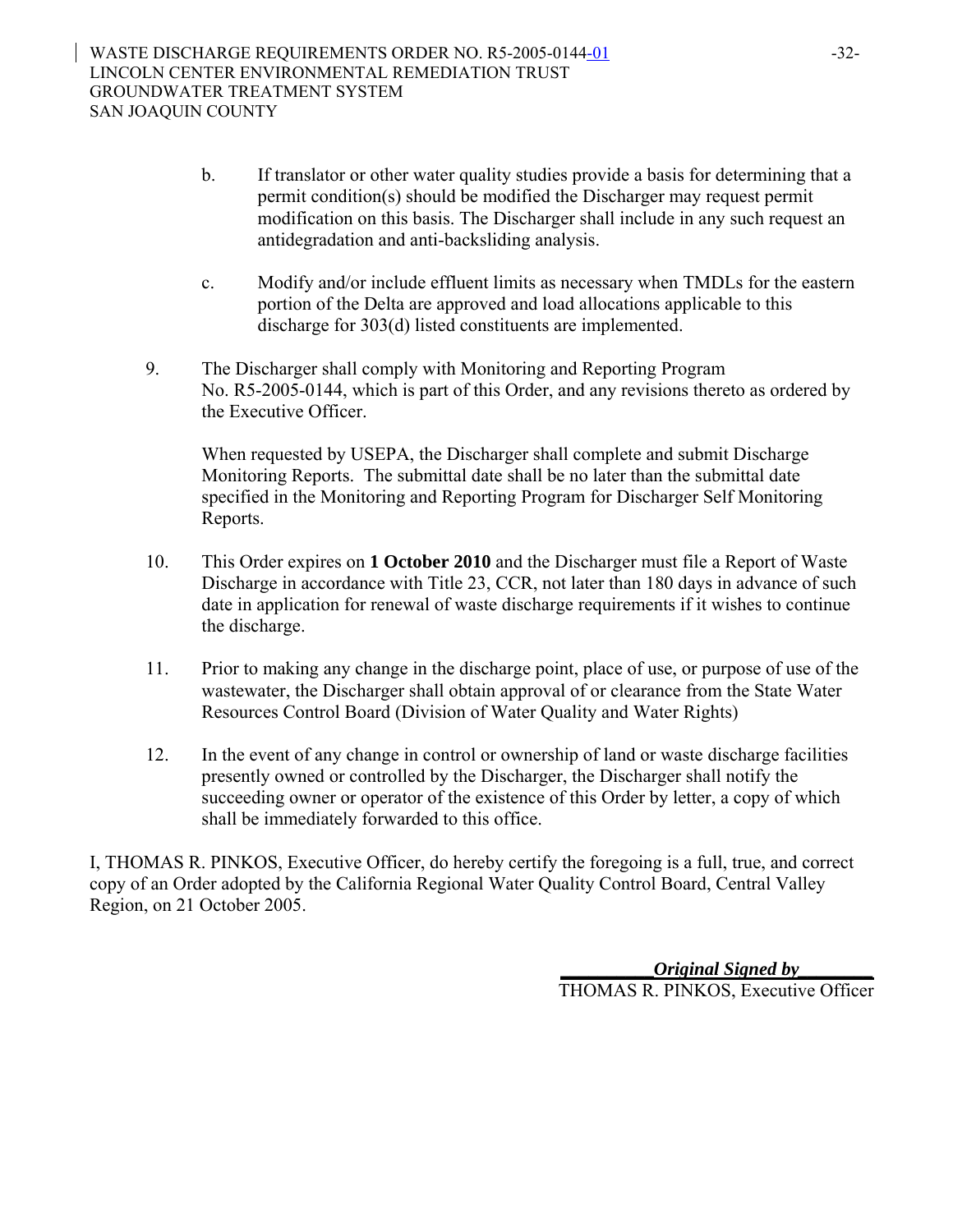- b. If translator or other water quality studies provide a basis for determining that a permit condition(s) should be modified the Discharger may request permit modification on this basis. The Discharger shall include in any such request an antidegradation and anti-backsliding analysis.
- c. Modify and/or include effluent limits as necessary when TMDLs for the eastern portion of the Delta are approved and load allocations applicable to this discharge for 303(d) listed constituents are implemented.
- 9. The Discharger shall comply with Monitoring and Reporting Program No. R5-2005-0144, which is part of this Order, and any revisions thereto as ordered by the Executive Officer.

When requested by USEPA, the Discharger shall complete and submit Discharge Monitoring Reports. The submittal date shall be no later than the submittal date specified in the Monitoring and Reporting Program for Discharger Self Monitoring Reports.

- 10. This Order expires on **1 October 2010** and the Discharger must file a Report of Waste Discharge in accordance with Title 23, CCR, not later than 180 days in advance of such date in application for renewal of waste discharge requirements if it wishes to continue the discharge.
- 11. Prior to making any change in the discharge point, place of use, or purpose of use of the wastewater, the Discharger shall obtain approval of or clearance from the State Water Resources Control Board (Division of Water Quality and Water Rights)
- 12. In the event of any change in control or ownership of land or waste discharge facilities presently owned or controlled by the Discharger, the Discharger shall notify the succeeding owner or operator of the existence of this Order by letter, a copy of which shall be immediately forwarded to this office.

I, THOMAS R. PINKOS, Executive Officer, do hereby certify the foregoing is a full, true, and correct copy of an Order adopted by the California Regional Water Quality Control Board, Central Valley Region, on 21 October 2005.

> **\_\_\_\_\_\_\_\_\_\_***Original Signed by\_\_\_\_\_\_\_\_* THOMAS R. PINKOS, Executive Officer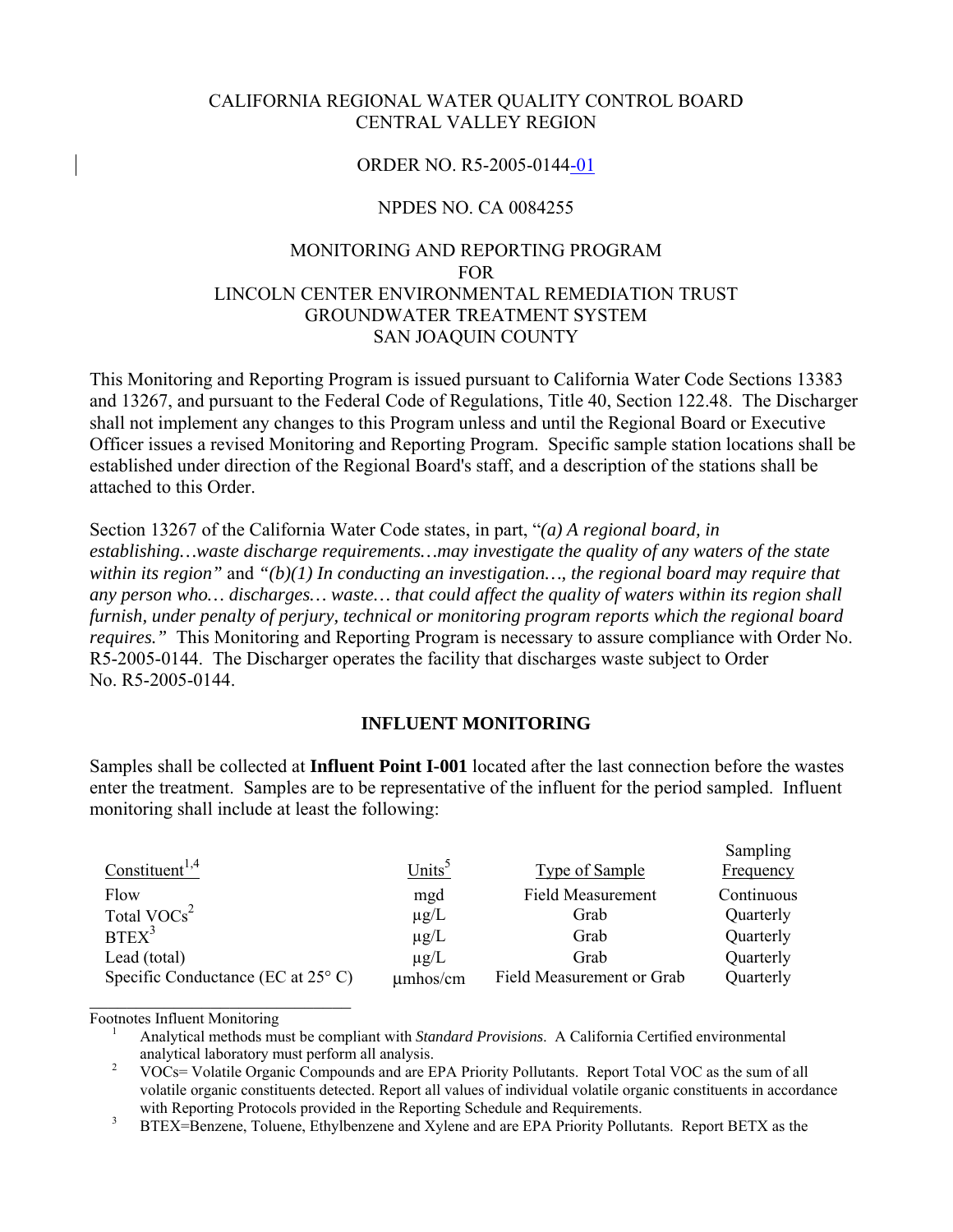### CALIFORNIA REGIONAL WATER QUALITY CONTROL BOARD CENTRAL VALLEY REGION

### ORDER NO. R5-2005-0144-01

### NPDES NO. CA 0084255

## MONITORING AND REPORTING PROGRAM FOR LINCOLN CENTER ENVIRONMENTAL REMEDIATION TRUST GROUNDWATER TREATMENT SYSTEM SAN JOAQUIN COUNTY

This Monitoring and Reporting Program is issued pursuant to California Water Code Sections 13383 and 13267, and pursuant to the Federal Code of Regulations, Title 40, Section 122.48. The Discharger shall not implement any changes to this Program unless and until the Regional Board or Executive Officer issues a revised Monitoring and Reporting Program. Specific sample station locations shall be established under direction of the Regional Board's staff, and a description of the stations shall be attached to this Order.

Section 13267 of the California Water Code states, in part, "*(a) A regional board, in establishing…waste discharge requirements…may investigate the quality of any waters of the state within its region"* and *"(b)(1) In conducting an investigation…, the regional board may require that any person who… discharges… waste… that could affect the quality of waters within its region shall furnish, under penalty of perjury, technical or monitoring program reports which the regional board requires."* This Monitoring and Reporting Program is necessary to assure compliance with Order No. R5-2005-0144. The Discharger operates the facility that discharges waste subject to Order No. R5-2005-0144.

#### **INFLUENT MONITORING**

Samples shall be collected at **Influent Point I-001** located after the last connection before the wastes enter the treatment. Samples are to be representative of the influent for the period sampled. Influent monitoring shall include at least the following:

|                                             |                    |                           | Sampling         |
|---------------------------------------------|--------------------|---------------------------|------------------|
| Constituent <sup>1,4</sup>                  | Units <sup>5</sup> | <b>Type of Sample</b>     | <b>Frequency</b> |
| Flow                                        | mgd                | <b>Field Measurement</b>  | Continuous       |
| Total $VOCs2$                               | $\mu$ g/L          | Grab                      | Quarterly        |
| BTEX <sup>3</sup>                           | $\mu$ g/L          | Grab                      | Quarterly        |
| Lead (total)                                | $\mu$ g/L          | Grab                      | Quarterly        |
| Specific Conductance (EC at $25^{\circ}$ C) | $\mu$ mhos/cm      | Field Measurement or Grab | Quarterly        |
|                                             |                    |                           |                  |

Footnotes Influent Monitoring 1 Analytical methods must be compliant with *Standard Provisions*. A California Certified environmental analytical laboratory must perform all analysis. 2 VOCs= Volatile Organic Compounds and are EPA Priority Pollutants. Report Total VOC as the sum of all

volatile organic constituents detected. Report all values of individual volatile organic constituents in accordance

<sup>3</sup> BTEX=Benzene, Toluene, Ethylbenzene and Xylene and are EPA Priority Pollutants. Report BETX as the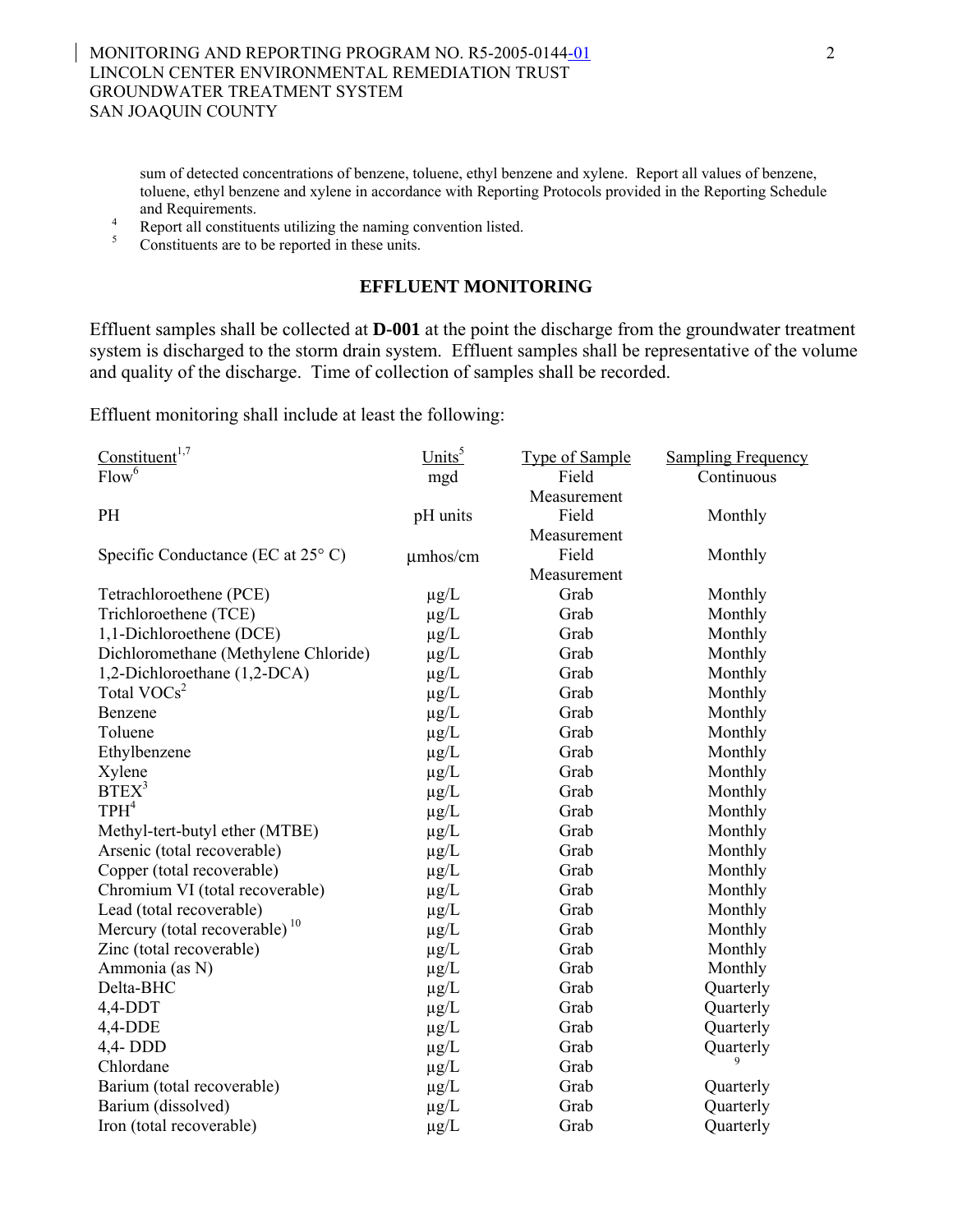sum of detected concentrations of benzene, toluene, ethyl benzene and xylene. Report all values of benzene, toluene, ethyl benzene and xylene in accordance with Reporting Protocols provided in the Reporting Schedule

and Requirements.<br>
<sup>4</sup> Report all constituents utilizing the naming convention listed.<br>
<sup>5</sup> Constituents are to be reported in these units.

## **EFFLUENT MONITORING**

Effluent samples shall be collected at **D-001** at the point the discharge from the groundwater treatment system is discharged to the storm drain system. Effluent samples shall be representative of the volume and quality of the discharge. Time of collection of samples shall be recorded.

Effluent monitoring shall include at least the following:

| Constituent <sup>1,7</sup>                  | $Units^5$     | <b>Type of Sample</b> | <b>Sampling Frequency</b> |
|---------------------------------------------|---------------|-----------------------|---------------------------|
| Flow <sup>6</sup>                           | mgd           | Field                 | Continuous                |
|                                             |               | Measurement           |                           |
| PH                                          | pH units      | Field                 | Monthly                   |
|                                             |               | Measurement           |                           |
| Specific Conductance (EC at $25^{\circ}$ C) | $\mu$ mhos/cm | Field                 | Monthly                   |
|                                             |               | Measurement           |                           |
| Tetrachloroethene (PCE)                     | $\mu$ g/L     | Grab                  | Monthly                   |
| Trichloroethene (TCE)                       | $\mu$ g/L     | Grab                  | Monthly                   |
| 1,1-Dichloroethene (DCE)                    | $\mu$ g/L     | Grab                  | Monthly                   |
| Dichloromethane (Methylene Chloride)        | $\mu$ g/L     | Grab                  | Monthly                   |
| 1,2-Dichloroethane (1,2-DCA)                | $\mu$ g/L     | Grab                  | Monthly                   |
| Total VOCs <sup>2</sup>                     | $\mu$ g/L     | Grab                  | Monthly                   |
| Benzene                                     | $\mu$ g/L     | Grab                  | Monthly                   |
| Toluene                                     | $\mu$ g/L     | Grab                  | Monthly                   |
| Ethylbenzene                                | $\mu$ g/L     | Grab                  | Monthly                   |
| Xylene                                      | $\mu$ g/L     | Grab                  | Monthly                   |
| BTEX <sup>3</sup>                           | $\mu$ g/L     | Grab                  | Monthly                   |
| TPH <sup>4</sup>                            | $\mu$ g/L     | Grab                  | Monthly                   |
| Methyl-tert-butyl ether (MTBE)              | $\mu$ g/L     | Grab                  | Monthly                   |
| Arsenic (total recoverable)                 | $\mu g/L$     | Grab                  | Monthly                   |
| Copper (total recoverable)                  | $\mu$ g/L     | Grab                  | Monthly                   |
| Chromium VI (total recoverable)             | $\mu$ g/L     | Grab                  | Monthly                   |
| Lead (total recoverable)                    | $\mu$ g/L     | Grab                  | Monthly                   |
| Mercury (total recoverable) <sup>10</sup>   | $\mu$ g/L     | Grab                  | Monthly                   |
| Zinc (total recoverable)                    | $\mu$ g/L     | Grab                  | Monthly                   |
| Ammonia (as N)                              | $\mu$ g/L     | Grab                  | Monthly                   |
| Delta-BHC                                   | $\mu$ g/L     | Grab                  | Quarterly                 |
| $4,4$ -DDT                                  | $\mu$ g/L     | Grab                  | Quarterly                 |
| $4,4$ -DDE                                  | $\mu$ g/L     | Grab                  | Quarterly                 |
| 4,4-DDD                                     | $\mu$ g/L     | Grab                  | Quarterly                 |
| Chlordane                                   | $\mu g/L$     | Grab                  |                           |
| Barium (total recoverable)                  | $\mu$ g/L     | Grab                  | Quarterly                 |
| Barium (dissolved)                          | $\mu$ g/L     | Grab                  | Quarterly                 |
| Iron (total recoverable)                    | $\mu$ g/L     | Grab                  | Quarterly                 |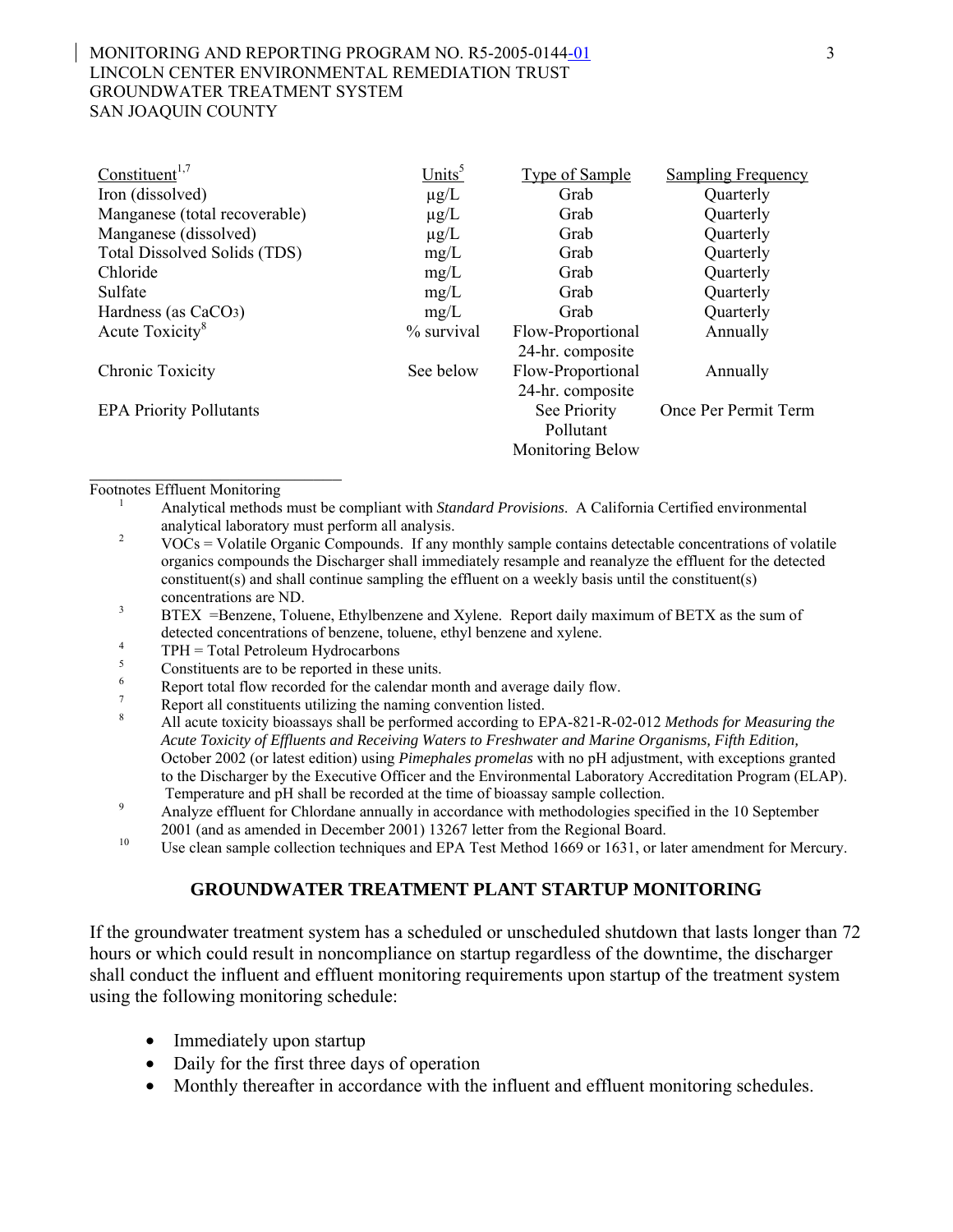#### MONITORING AND REPORTING PROGRAM NO. R5-2005-0144-01 3 LINCOLN CENTER ENVIRONMENTAL REMEDIATION TRUST GROUNDWATER TREATMENT SYSTEM SAN JOAQUIN COUNTY

| Constituent <sup>1,7</sup>          | Units <sup>5</sup> | <b>Type of Sample</b>   | <b>Sampling Frequency</b> |
|-------------------------------------|--------------------|-------------------------|---------------------------|
| Iron (dissolved)                    | $\mu$ g/L          | Grab                    | Quarterly                 |
| Manganese (total recoverable)       | $\mu$ g/L          | Grab                    | Quarterly                 |
| Manganese (dissolved)               | $\mu$ g/L          | Grab                    | Quarterly                 |
| <b>Total Dissolved Solids (TDS)</b> | mg/L               | Grab                    | Quarterly                 |
| Chloride                            | mg/L               | Grab                    | Quarterly                 |
| Sulfate                             | mg/L               | Grab                    | Quarterly                 |
| Hardness (as CaCO <sub>3</sub> )    | mg/L               | Grab                    | Quarterly                 |
| Acute Toxicity <sup>8</sup>         | % survival         | Flow-Proportional       | Annually                  |
|                                     |                    | 24-hr. composite        |                           |
| Chronic Toxicity                    | See below          | Flow-Proportional       | Annually                  |
|                                     |                    | 24-hr. composite        |                           |
| <b>EPA Priority Pollutants</b>      |                    | See Priority            | Once Per Permit Term      |
|                                     |                    | Pollutant               |                           |
|                                     |                    | <b>Monitoring Below</b> |                           |
|                                     |                    |                         |                           |

- Footnotes Effluent Monitoring 1 Analytical methods must be compliant with *Standard Provisions*. A California Certified environmental
	- analytical laboratory must perform all analysis.<br><sup>2</sup> VOCs = Volatile Organic Compounds. If any monthly sample contains detectable concentrations of volatile organics compounds the Discharger shall immediately resample and reanalyze the effluent for the detected constituent(s) and shall continue sampling the effluent on a weekly basis until the constituent(s) concentrations are ND.<br><sup>3</sup> BTEX =Benzene, Toluene, Ethylbenzene and Xylene. Report daily maximum of BETX as the sum of
	-
	-
	-
	-
	-
	- detected concentrations of benzene, toluene, ethyl benzene and xylene.<br>
	TPH = Total Petroleum Hydrocarbons<br>
	Constituents are to be reported in these units.<br>
	Report total flow recorded for the calendar month and average dai *Acute Toxicity of Effluents and Receiving Waters to Freshwater and Marine Organisms, Fifth Edition,* October 2002 (or latest edition) using *Pimephales promelas* with no pH adjustment, with exceptions granted to the Discharger by the Executive Officer and the Environmental Laboratory Accreditation Program (ELAP).
	- Temperature and pH shall be recorded at the time of bioassay sample collection.<br>Analyze effluent for Chlordane annually in accordance with methodologies specified in the 10 September
	- <sup>10</sup> 2001 (and as amended in December 2001) 13267 letter from the Regional Board.<br><sup>10</sup> Use clean sample collection techniques and EPA Test Method 1669 or 1631, or later amendment for Mercury.

#### **GROUNDWATER TREATMENT PLANT STARTUP MONITORING**

If the groundwater treatment system has a scheduled or unscheduled shutdown that lasts longer than 72 hours or which could result in noncompliance on startup regardless of the downtime, the discharger shall conduct the influent and effluent monitoring requirements upon startup of the treatment system using the following monitoring schedule:

- Immediately upon startup
- Daily for the first three days of operation
- Monthly thereafter in accordance with the influent and effluent monitoring schedules.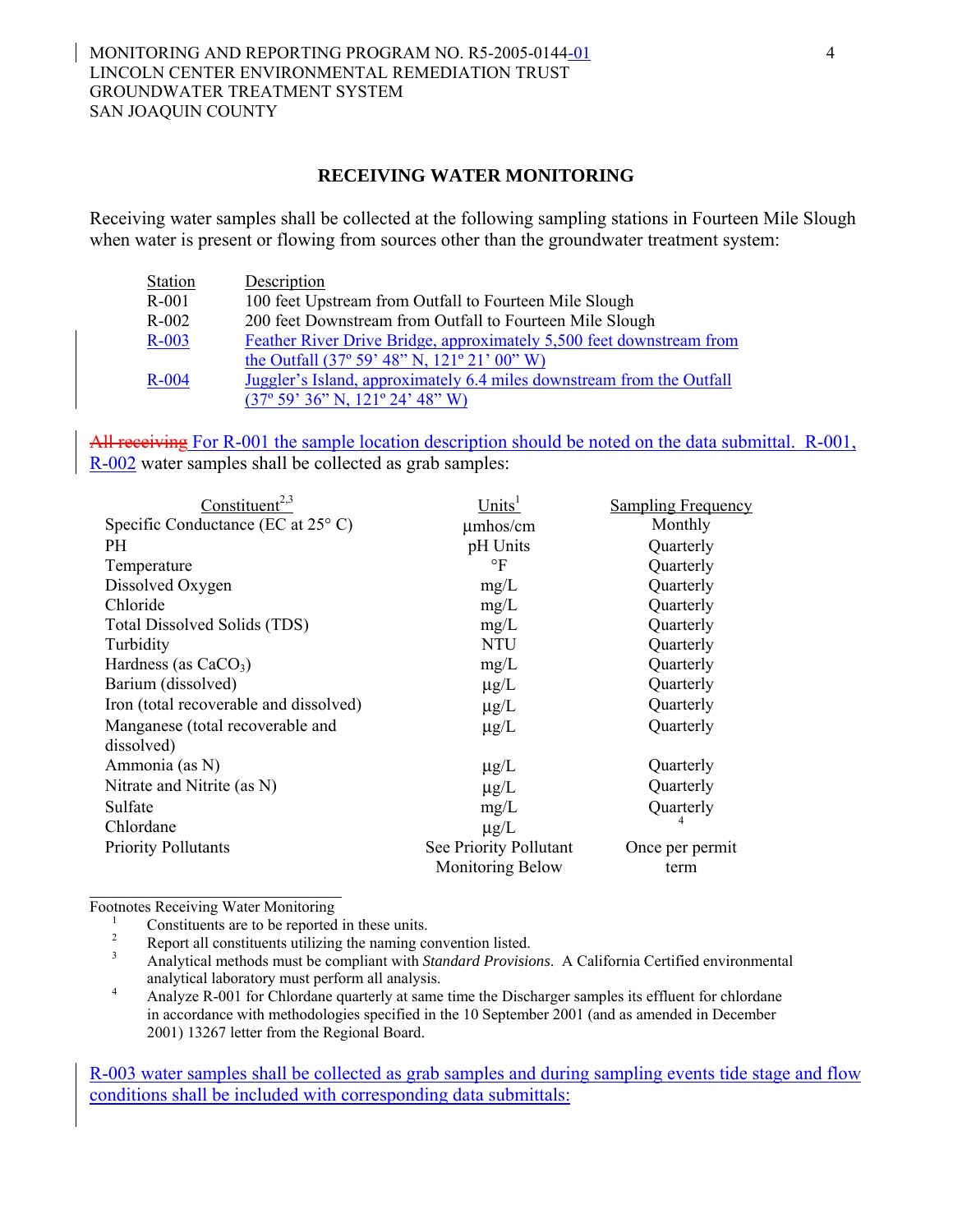#### MONITORING AND REPORTING PROGRAM NO. R5-2005-0144-01 4 LINCOLN CENTER ENVIRONMENTAL REMEDIATION TRUST GROUNDWATER TREATMENT SYSTEM SAN JOAQUIN COUNTY

#### **RECEIVING WATER MONITORING**

Receiving water samples shall be collected at the following sampling stations in Fourteen Mile Slough when water is present or flowing from sources other than the groundwater treatment system:

| Station | Description                                                           |
|---------|-----------------------------------------------------------------------|
| $R-001$ | 100 feet Upstream from Outfall to Fourteen Mile Slough                |
| $R-002$ | 200 feet Downstream from Outfall to Fourteen Mile Slough              |
| $R-003$ | Feather River Drive Bridge, approximately 5,500 feet downstream from  |
|         | the Outfall $(37^{\circ} 59' 48'' N, 121^{\circ} 21' 00'' W)$         |
| $R-004$ | Juggler's Island, approximately 6.4 miles downstream from the Outfall |
|         | $(37^{\circ} 59' 36'' N, 121^{\circ} 24' 48'' W)$                     |

All receiving For R-001 the sample location description should be noted on the data submittal. R-001, R-002 water samples shall be collected as grab samples:

| Constituent <sup>2,3</sup>                  | Units <sup>1</sup>      | Sampling Frequency |
|---------------------------------------------|-------------------------|--------------------|
| Specific Conductance (EC at $25^{\circ}$ C) | umhos/cm                | Monthly            |
| <b>PH</b>                                   | pH Units                | Quarterly          |
| Temperature                                 | $\circ$ F               | Quarterly          |
| Dissolved Oxygen                            | mg/L                    | Quarterly          |
| Chloride                                    | mg/L                    | Quarterly          |
| Total Dissolved Solids (TDS)                | mg/L                    | Quarterly          |
| Turbidity                                   | <b>NTU</b>              | Quarterly          |
| Hardness (as $CaCO3$ )                      | mg/L                    | Quarterly          |
| Barium (dissolved)                          | $\mu$ g/L               | Quarterly          |
| Iron (total recoverable and dissolved)      | $\mu$ g/L               | Quarterly          |
| Manganese (total recoverable and            | $\mu$ g/L               | Quarterly          |
| dissolved)                                  |                         |                    |
| Ammonia (as N)                              | $\mu$ g/L               | Quarterly          |
| Nitrate and Nitrite (as N)                  | $\mu$ g/L               | Quarterly          |
| Sulfate                                     | mg/L                    | Quarterly          |
| Chlordane                                   | $\mu$ g/L               |                    |
| <b>Priority Pollutants</b>                  | See Priority Pollutant  | Once per permit    |
|                                             | <b>Monitoring Below</b> | term               |

\_\_\_\_\_\_\_\_\_\_\_\_\_\_\_\_\_\_\_\_\_\_\_\_\_\_\_

Footnotes Receiving Water Monitoring<br>
<sup>1</sup> Constituents are to be reported in these units.<br>
<sup>2</sup> Report all constituents utilizing the naming convention listed.<br>
<sup>3</sup> Analytical methods must be compliant with *Standard Provis* analytical laboratory must perform all analysis. 4 Analyze R-001 for Chlordane quarterly at same time the Discharger samples its effluent for chlordane

in accordance with methodologies specified in the 10 September 2001 (and as amended in December 2001) 13267 letter from the Regional Board.

R-003 water samples shall be collected as grab samples and during sampling events tide stage and flow conditions shall be included with corresponding data submittals: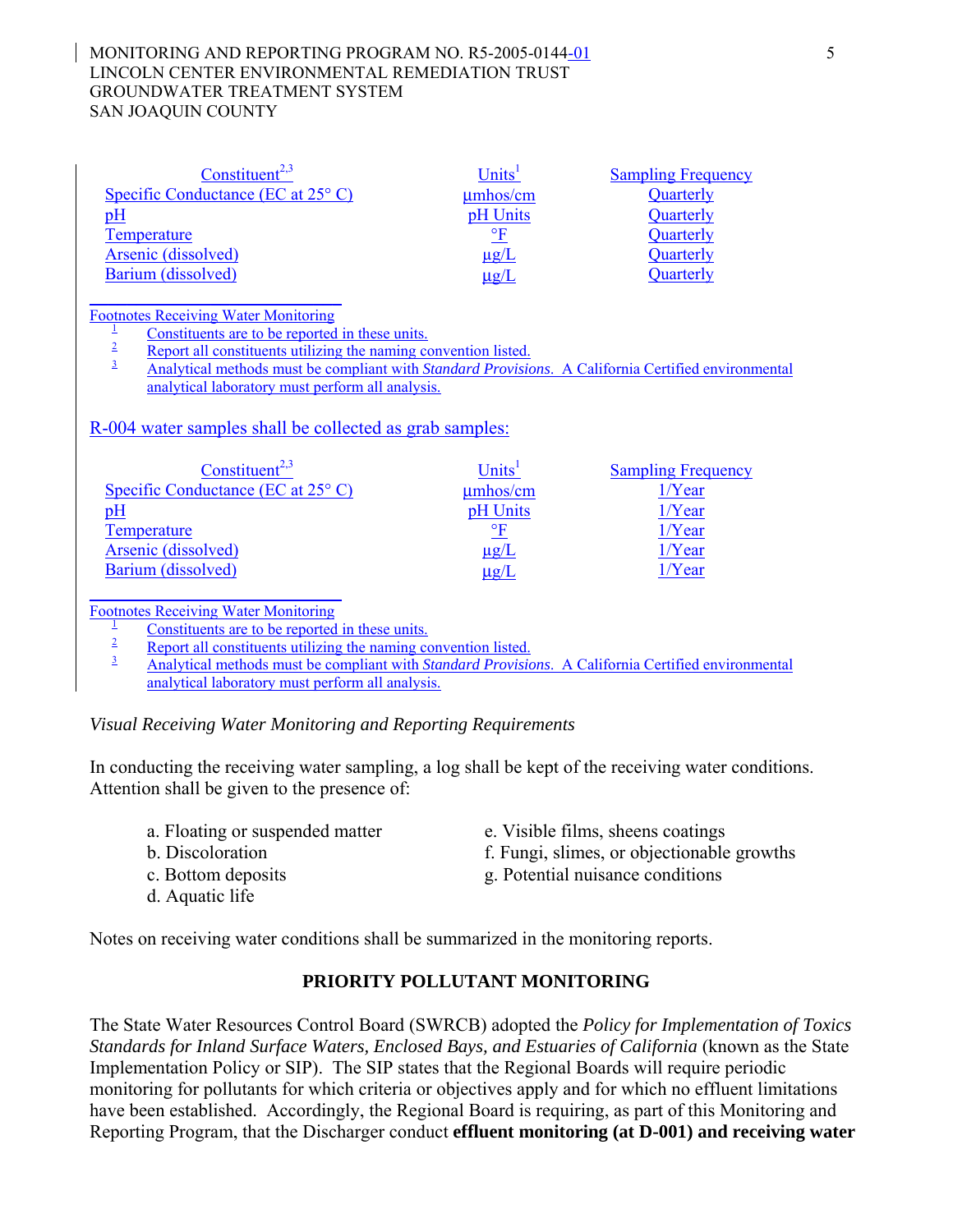#### MONITORING AND REPORTING PROGRAM NO. R5-2005-0144-01 5 LINCOLN CENTER ENVIRONMENTAL REMEDIATION TRUST GROUNDWATER TREATMENT SYSTEM SAN JOAQUIN COUNTY

| Constituent <sup>2,3</sup>                  | Units <sup>1</sup>     | <b>Sampling Frequency</b> |
|---------------------------------------------|------------------------|---------------------------|
| Specific Conductance (EC at $25^{\circ}$ C) | $\mu$ mhos/cm          | Quarterly                 |
| $\underline{pH}$                            | pH Units               | Quarterly                 |
| Temperature                                 | $\mathsf{P}\mathbf{F}$ | Quarterly                 |
| Arsenic (dissolved)                         | $\mu$ g/L              | Quarterly                 |
| Barium (dissolved)                          | $\mu$ g/L              | Quarterly                 |
|                                             |                        |                           |

Footnotes Receiving Water Monitoring<br>  $\frac{1}{2}$  Constituents are to be reported in these units.<br>
<u>Export all constituents utilizing the naming convention listed.</u><br>
Analytical methods must be compliant with *Standard Provi* analytical laboratory must perform all analysis.

R-004 water samples shall be collected as grab samples:

| $Constituent^{2,3}$                         | Units <sup>1</sup>     | <b>Sampling Frequency</b> |
|---------------------------------------------|------------------------|---------------------------|
| Specific Conductance (EC at $25^{\circ}$ C) | $\mu$ mhos/cm          | $1/Y$ ear                 |
| pH                                          | pH Units               | $1/Y$ ear                 |
| Temperature                                 | $\mathsf{P}\mathbf{F}$ | $1/Y$ ear                 |
| Arsenic (dissolved)                         | $\mu$ g/L              | $1/Y$ ear                 |
| Barium (dissolved)                          | $\mu$ g/L              | $1/Y$ ear                 |
|                                             |                        |                           |

Footnotes Receiving Water Monitoring<br>  $\frac{1}{2}$  Constituents are to be reported in these units.<br>
<u>Export all constituents utilizing the naming convention listed.</u><br>
Analytical methods must be compliant with *Standard Provi* analytical laboratory must perform all analysis.

*Visual Receiving Water Monitoring and Reporting Requirements* 

In conducting the receiving water sampling, a log shall be kept of the receiving water conditions. Attention shall be given to the presence of:

- 
- 
- 
- d. Aquatic life
- a. Floating or suspended matter e. Visible films, sheens coatings
- b. Discoloration f. Fungi, slimes, or objectionable growths
- c. Bottom deposits g. Potential nuisance conditions

Notes on receiving water conditions shall be summarized in the monitoring reports.

# **PRIORITY POLLUTANT MONITORING**

The State Water Resources Control Board (SWRCB) adopted the *Policy for Implementation of Toxics Standards for Inland Surface Waters, Enclosed Bays, and Estuaries of California* (known as the State Implementation Policy or SIP). The SIP states that the Regional Boards will require periodic monitoring for pollutants for which criteria or objectives apply and for which no effluent limitations have been established. Accordingly, the Regional Board is requiring, as part of this Monitoring and Reporting Program, that the Discharger conduct **effluent monitoring (at D-001) and receiving water**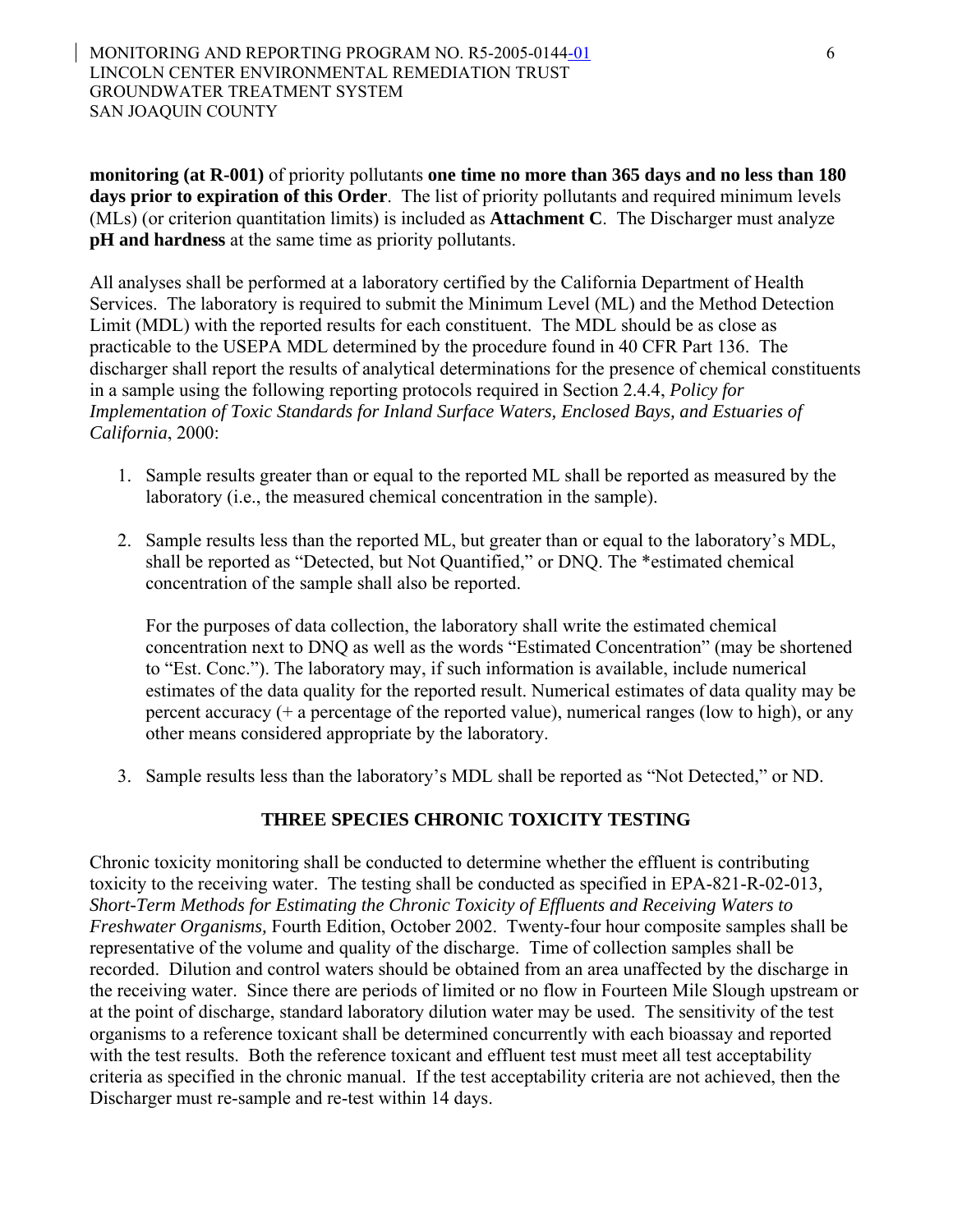**monitoring (at R-001)** of priority pollutants **one time no more than 365 days and no less than 180 days prior to expiration of this Order**. The list of priority pollutants and required minimum levels (MLs) (or criterion quantitation limits) is included as **Attachment C**. The Discharger must analyze **pH and hardness** at the same time as priority pollutants.

All analyses shall be performed at a laboratory certified by the California Department of Health Services. The laboratory is required to submit the Minimum Level (ML) and the Method Detection Limit (MDL) with the reported results for each constituent. The MDL should be as close as practicable to the USEPA MDL determined by the procedure found in 40 CFR Part 136. The discharger shall report the results of analytical determinations for the presence of chemical constituents in a sample using the following reporting protocols required in Section 2.4.4, *Policy for Implementation of Toxic Standards for Inland Surface Waters, Enclosed Bays, and Estuaries of California*, 2000:

- 1. Sample results greater than or equal to the reported ML shall be reported as measured by the laboratory (i.e., the measured chemical concentration in the sample).
- 2. Sample results less than the reported ML, but greater than or equal to the laboratory's MDL, shall be reported as "Detected, but Not Quantified," or DNQ. The \*estimated chemical concentration of the sample shall also be reported.

For the purposes of data collection, the laboratory shall write the estimated chemical concentration next to DNQ as well as the words "Estimated Concentration" (may be shortened to "Est. Conc."). The laboratory may, if such information is available, include numerical estimates of the data quality for the reported result. Numerical estimates of data quality may be percent accuracy (+ a percentage of the reported value), numerical ranges (low to high), or any other means considered appropriate by the laboratory.

3. Sample results less than the laboratory's MDL shall be reported as "Not Detected," or ND.

# **THREE SPECIES CHRONIC TOXICITY TESTING**

Chronic toxicity monitoring shall be conducted to determine whether the effluent is contributing toxicity to the receiving water. The testing shall be conducted as specified in EPA-821-R-02-013*, Short-Term Methods for Estimating the Chronic Toxicity of Effluents and Receiving Waters to Freshwater Organisms,* Fourth Edition, October 2002. Twenty-four hour composite samples shall be representative of the volume and quality of the discharge. Time of collection samples shall be recorded. Dilution and control waters should be obtained from an area unaffected by the discharge in the receiving water. Since there are periods of limited or no flow in Fourteen Mile Slough upstream or at the point of discharge, standard laboratory dilution water may be used. The sensitivity of the test organisms to a reference toxicant shall be determined concurrently with each bioassay and reported with the test results. Both the reference toxicant and effluent test must meet all test acceptability criteria as specified in the chronic manual. If the test acceptability criteria are not achieved, then the Discharger must re-sample and re-test within 14 days.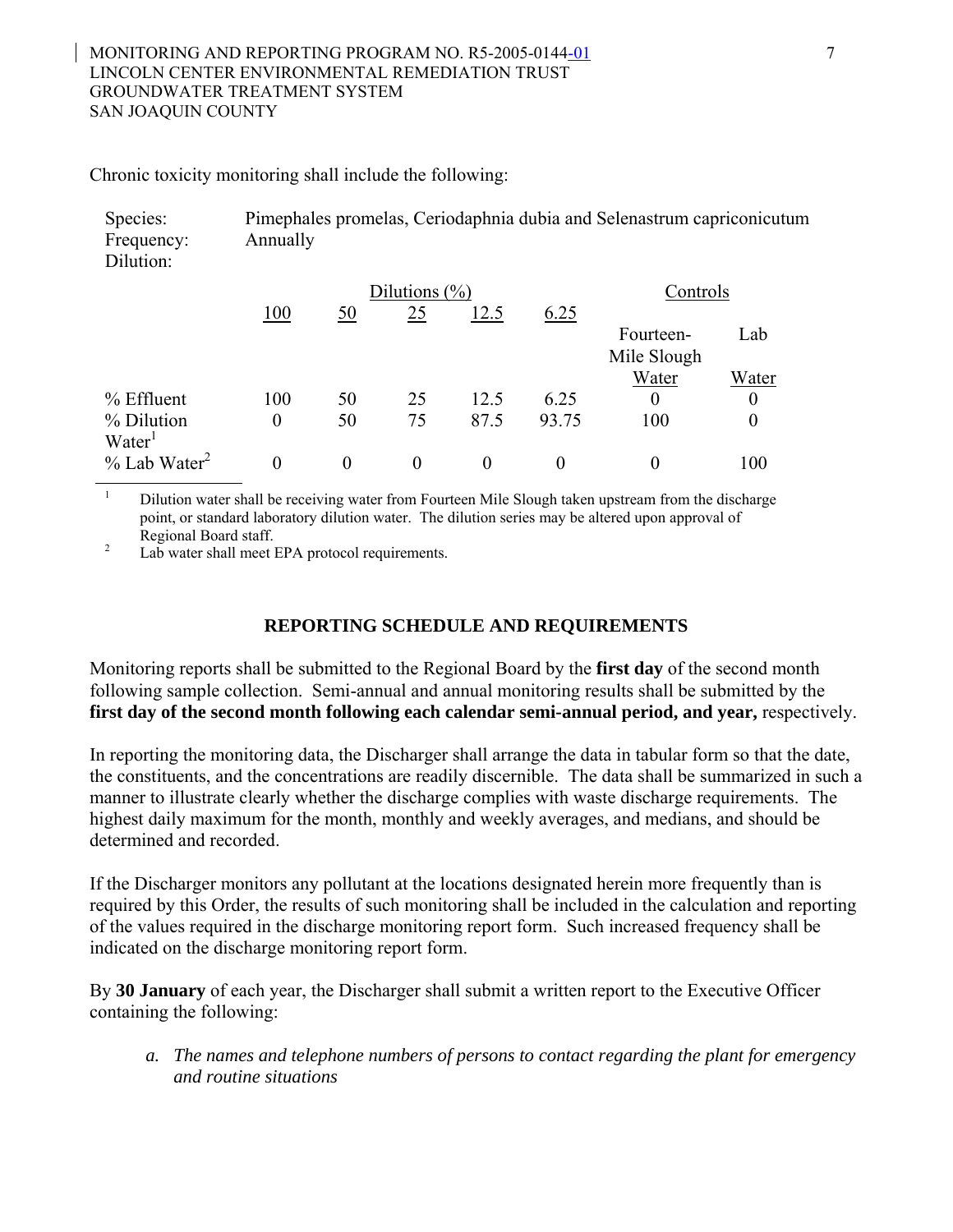#### MONITORING AND REPORTING PROGRAM NO. R5-2005-0144-01 7 LINCOLN CENTER ENVIRONMENTAL REMEDIATION TRUST GROUNDWATER TREATMENT SYSTEM SAN JOAQUIN COUNTY

Chronic toxicity monitoring shall include the following:

| Species:<br>Frequency:<br>Dilution: | Annually |           |                   |      |       | Pimephales promelas, Ceriodaphnia dubia and Selenastrum capriconicutum |                |
|-------------------------------------|----------|-----------|-------------------|------|-------|------------------------------------------------------------------------|----------------|
|                                     |          |           | Dilutions $(\% )$ |      |       | Controls                                                               |                |
|                                     | 100      | <u>50</u> | 25                | 12.5 | 6.25  |                                                                        |                |
|                                     |          |           |                   |      |       | Fourteen-                                                              | Lab            |
|                                     |          |           |                   |      |       | Mile Slough                                                            |                |
|                                     |          |           |                   |      |       | Water                                                                  | Water          |
| $%$ Effluent                        | 100      | 50        | 25                | 12.5 | 6.25  | $\theta$                                                               | $\overline{0}$ |
| % Dilution                          | $\theta$ | 50        | 75                | 87.5 | 93.75 | 100                                                                    | $\overline{0}$ |
| Water <sup>1</sup>                  |          |           |                   |      |       |                                                                        |                |
| $\%$ Lab Water <sup>2</sup>         | $\theta$ | 0         | $\theta$          | 0    |       | 0                                                                      | 100            |

<sup>1</sup> Dilution water shall be receiving water from Fourteen Mile Slough taken upstream from the discharge point, or standard laboratory dilution water. The dilution series may be altered upon approval of

Regional Board staff.<br><sup>2</sup> Lab water shall meet EPA protocol requirements.

## **REPORTING SCHEDULE AND REQUIREMENTS**

Monitoring reports shall be submitted to the Regional Board by the **first day** of the second month following sample collection.Semi-annual and annual monitoring results shall be submitted by the first day of the second month following each calendar semi-annual period, and year, respectively.

In reporting the monitoring data, the Discharger shall arrange the data in tabular form so that the date, the constituents, and the concentrations are readily discernible. The data shall be summarized in such a manner to illustrate clearly whether the discharge complies with waste discharge requirements. The highest daily maximum for the month, monthly and weekly averages, and medians, and should be determined and recorded.

If the Discharger monitors any pollutant at the locations designated herein more frequently than is required by this Order, the results of such monitoring shall be included in the calculation and reporting of the values required in the discharge monitoring report form. Such increased frequency shall be indicated on the discharge monitoring report form.

By **30 January** of each year, the Discharger shall submit a written report to the Executive Officer containing the following:

*a. The names and telephone numbers of persons to contact regarding the plant for emergency and routine situations*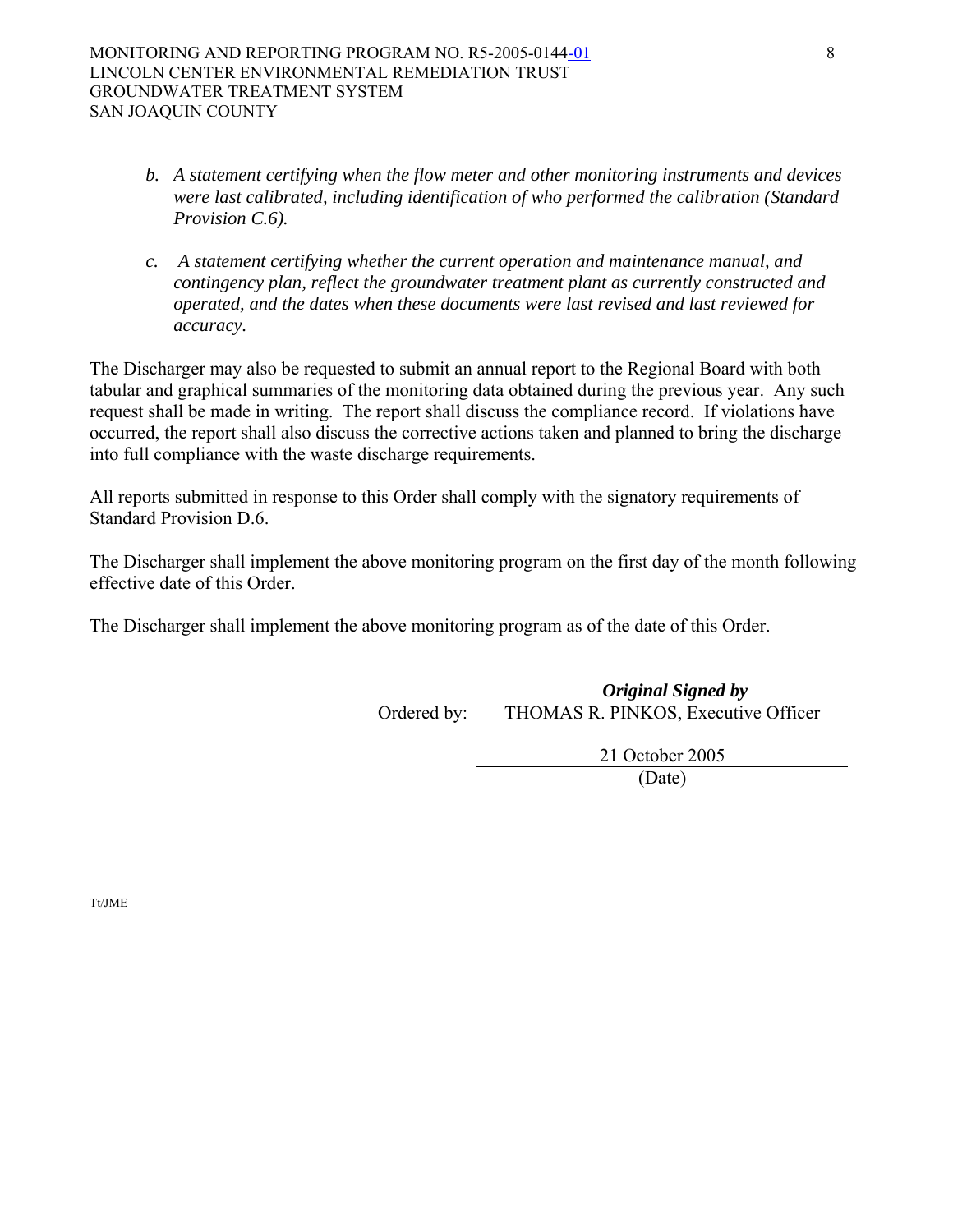- *b. A statement certifying when the flow meter and other monitoring instruments and devices were last calibrated, including identification of who performed the calibration (Standard Provision C.6).*
- *c. A statement certifying whether the current operation and maintenance manual, and contingency plan, reflect the groundwater treatment plant as currently constructed and operated, and the dates when these documents were last revised and last reviewed for accuracy.*

The Discharger may also be requested to submit an annual report to the Regional Board with both tabular and graphical summaries of the monitoring data obtained during the previous year. Any such request shall be made in writing. The report shall discuss the compliance record. If violations have occurred, the report shall also discuss the corrective actions taken and planned to bring the discharge into full compliance with the waste discharge requirements.

All reports submitted in response to this Order shall comply with the signatory requirements of Standard Provision D.6.

The Discharger shall implement the above monitoring program on the first day of the month following effective date of this Order.

The Discharger shall implement the above monitoring program as of the date of this Order.

*Original Signed by*  Ordered by: THOMAS R. PINKOS, Executive Officer

21 October 2005

(Date)

Tt/JME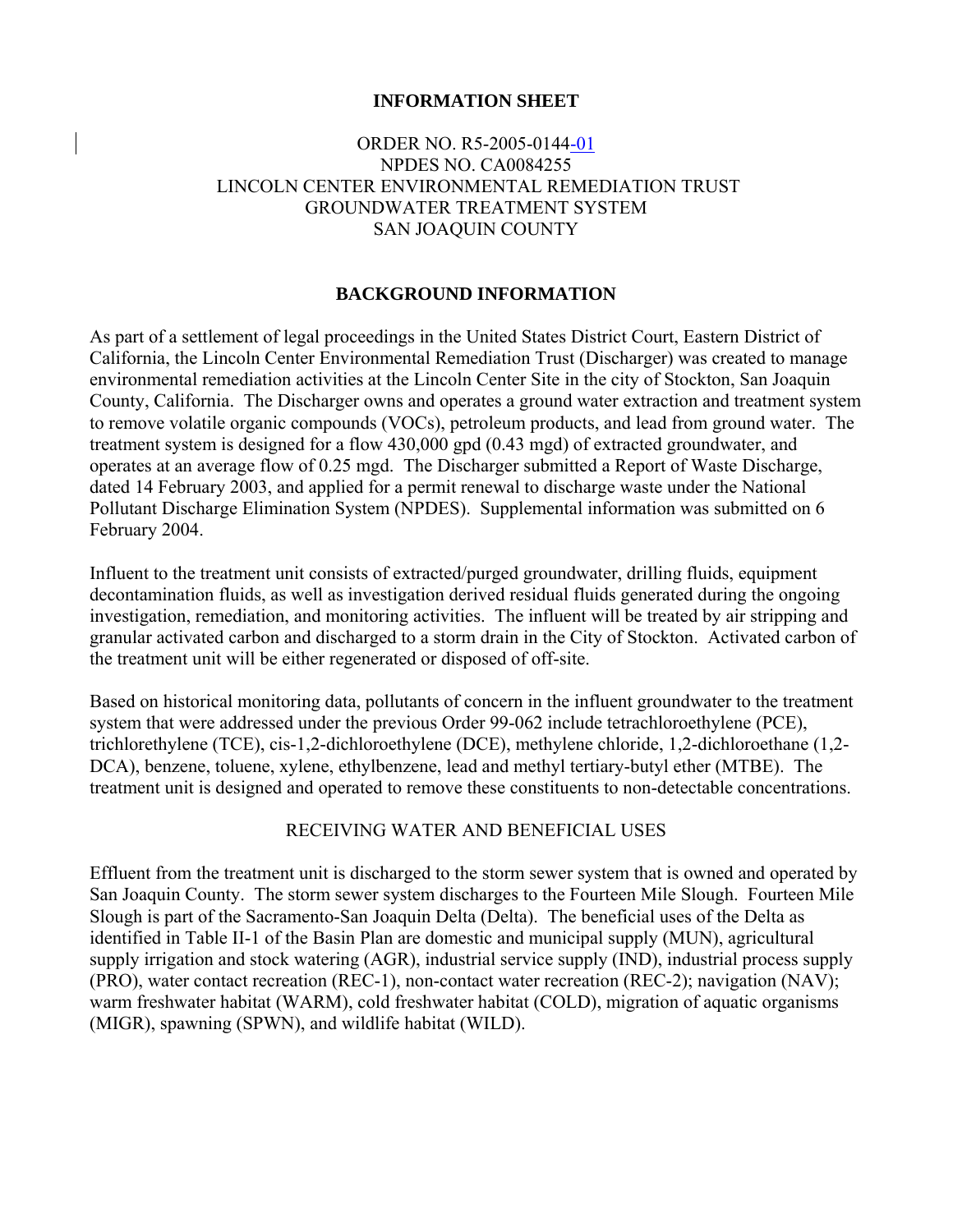#### **INFORMATION SHEET**

# ORDER NO. R5-2005-0144-01 NPDES NO. CA0084255 LINCOLN CENTER ENVIRONMENTAL REMEDIATION TRUST GROUNDWATER TREATMENT SYSTEM SAN JOAQUIN COUNTY

#### **BACKGROUND INFORMATION**

As part of a settlement of legal proceedings in the United States District Court, Eastern District of California, the Lincoln Center Environmental Remediation Trust (Discharger) was created to manage environmental remediation activities at the Lincoln Center Site in the city of Stockton, San Joaquin County, California. The Discharger owns and operates a ground water extraction and treatment system to remove volatile organic compounds (VOCs), petroleum products, and lead from ground water. The treatment system is designed for a flow 430,000 gpd (0.43 mgd) of extracted groundwater, and operates at an average flow of 0.25 mgd. The Discharger submitted a Report of Waste Discharge, dated 14 February 2003, and applied for a permit renewal to discharge waste under the National Pollutant Discharge Elimination System (NPDES). Supplemental information was submitted on 6 February 2004.

Influent to the treatment unit consists of extracted/purged groundwater, drilling fluids, equipment decontamination fluids, as well as investigation derived residual fluids generated during the ongoing investigation, remediation, and monitoring activities. The influent will be treated by air stripping and granular activated carbon and discharged to a storm drain in the City of Stockton. Activated carbon of the treatment unit will be either regenerated or disposed of off-site.

Based on historical monitoring data, pollutants of concern in the influent groundwater to the treatment system that were addressed under the previous Order 99-062 include tetrachloroethylene (PCE), trichlorethylene (TCE), cis-1,2-dichloroethylene (DCE), methylene chloride, 1,2-dichloroethane (1,2- DCA), benzene, toluene, xylene, ethylbenzene, lead and methyl tertiary-butyl ether (MTBE). The treatment unit is designed and operated to remove these constituents to non-detectable concentrations.

#### RECEIVING WATER AND BENEFICIAL USES

Effluent from the treatment unit is discharged to the storm sewer system that is owned and operated by San Joaquin County. The storm sewer system discharges to the Fourteen Mile Slough. Fourteen Mile Slough is part of the Sacramento-San Joaquin Delta (Delta). The beneficial uses of the Delta as identified in Table II-1 of the Basin Plan are domestic and municipal supply (MUN), agricultural supply irrigation and stock watering (AGR), industrial service supply (IND), industrial process supply (PRO), water contact recreation (REC-1), non-contact water recreation (REC-2); navigation (NAV); warm freshwater habitat (WARM), cold freshwater habitat (COLD), migration of aquatic organisms (MIGR), spawning (SPWN), and wildlife habitat (WILD).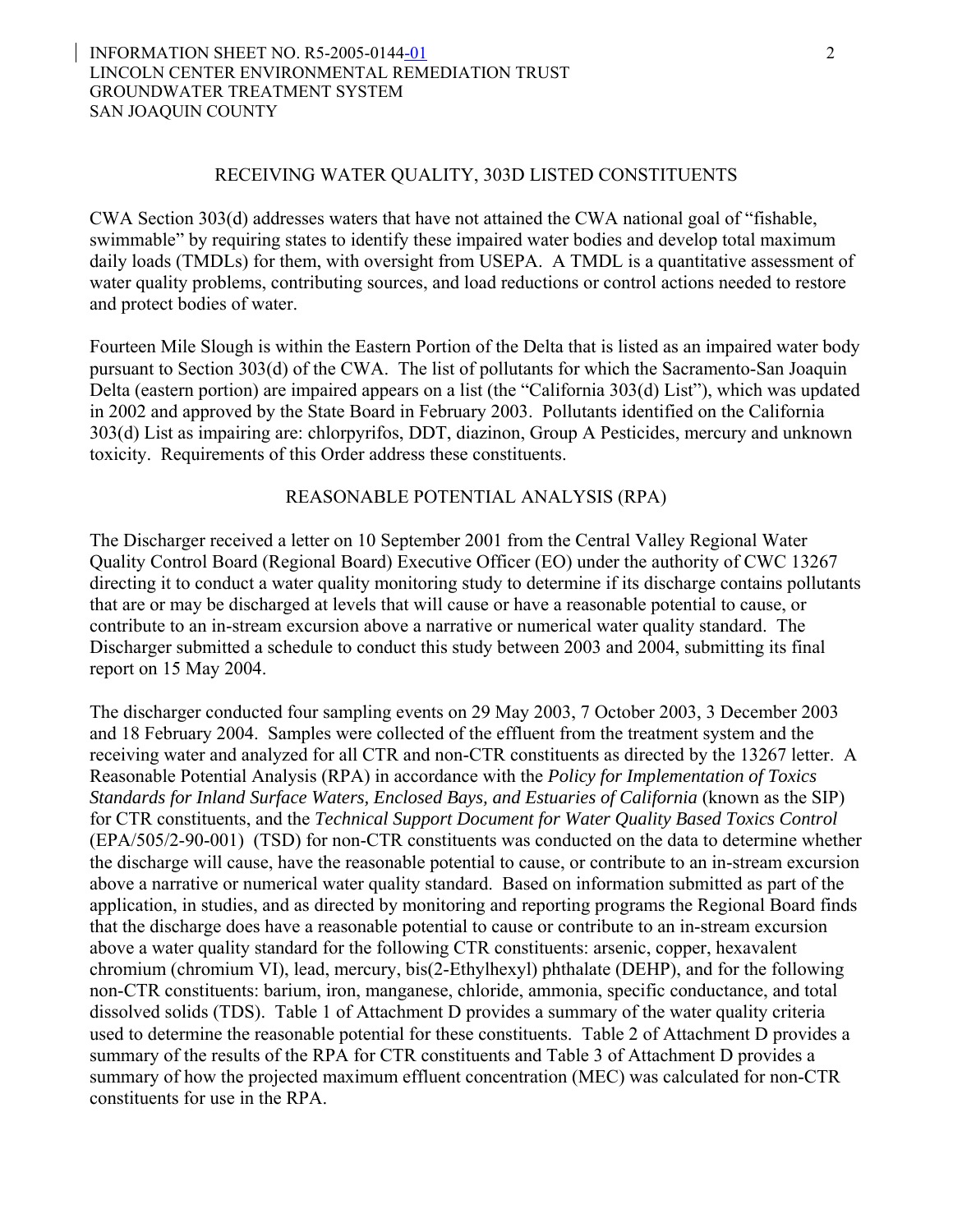#### INFORMATION SHEET NO. R5-2005-0144-01 2 LINCOLN CENTER ENVIRONMENTAL REMEDIATION TRUST GROUNDWATER TREATMENT SYSTEM SAN JOAQUIN COUNTY

#### RECEIVING WATER QUALITY, 303D LISTED CONSTITUENTS

CWA Section 303(d) addresses waters that have not attained the CWA national goal of "fishable, swimmable" by requiring states to identify these impaired water bodies and develop total maximum daily loads (TMDLs) for them, with oversight from USEPA. A TMDL is a quantitative assessment of water quality problems, contributing sources, and load reductions or control actions needed to restore and protect bodies of water.

Fourteen Mile Slough is within the Eastern Portion of the Delta that is listed as an impaired water body pursuant to Section 303(d) of the CWA. The list of pollutants for which the Sacramento-San Joaquin Delta (eastern portion) are impaired appears on a list (the "California 303(d) List"), which was updated in 2002 and approved by the State Board in February 2003. Pollutants identified on the California 303(d) List as impairing are: chlorpyrifos, DDT, diazinon, Group A Pesticides, mercury and unknown toxicity. Requirements of this Order address these constituents.

#### REASONABLE POTENTIAL ANALYSIS (RPA)

The Discharger received a letter on 10 September 2001 from the Central Valley Regional Water Quality Control Board (Regional Board) Executive Officer (EO) under the authority of CWC 13267 directing it to conduct a water quality monitoring study to determine if its discharge contains pollutants that are or may be discharged at levels that will cause or have a reasonable potential to cause, or contribute to an in-stream excursion above a narrative or numerical water quality standard. The Discharger submitted a schedule to conduct this study between 2003 and 2004, submitting its final report on 15 May 2004.

The discharger conducted four sampling events on 29 May 2003, 7 October 2003, 3 December 2003 and 18 February 2004. Samples were collected of the effluent from the treatment system and the receiving water and analyzed for all CTR and non-CTR constituents as directed by the 13267 letter. A Reasonable Potential Analysis (RPA) in accordance with the *Policy for Implementation of Toxics Standards for Inland Surface Waters, Enclosed Bays, and Estuaries of California* (known as the SIP) for CTR constituents, and the *Technical Support Document for Water Quality Based Toxics Control* (EPA/505/2-90-001) (TSD) for non-CTR constituents was conducted on the data to determine whether the discharge will cause, have the reasonable potential to cause, or contribute to an in-stream excursion above a narrative or numerical water quality standard. Based on information submitted as part of the application, in studies, and as directed by monitoring and reporting programs the Regional Board finds that the discharge does have a reasonable potential to cause or contribute to an in-stream excursion above a water quality standard for the following CTR constituents: arsenic, copper, hexavalent chromium (chromium VI), lead, mercury, bis(2-Ethylhexyl) phthalate (DEHP), and for the following non-CTR constituents: barium, iron, manganese, chloride, ammonia, specific conductance, and total dissolved solids (TDS). Table 1 of Attachment D provides a summary of the water quality criteria used to determine the reasonable potential for these constituents. Table 2 of Attachment D provides a summary of the results of the RPA for CTR constituents and Table 3 of Attachment D provides a summary of how the projected maximum effluent concentration (MEC) was calculated for non-CTR constituents for use in the RPA.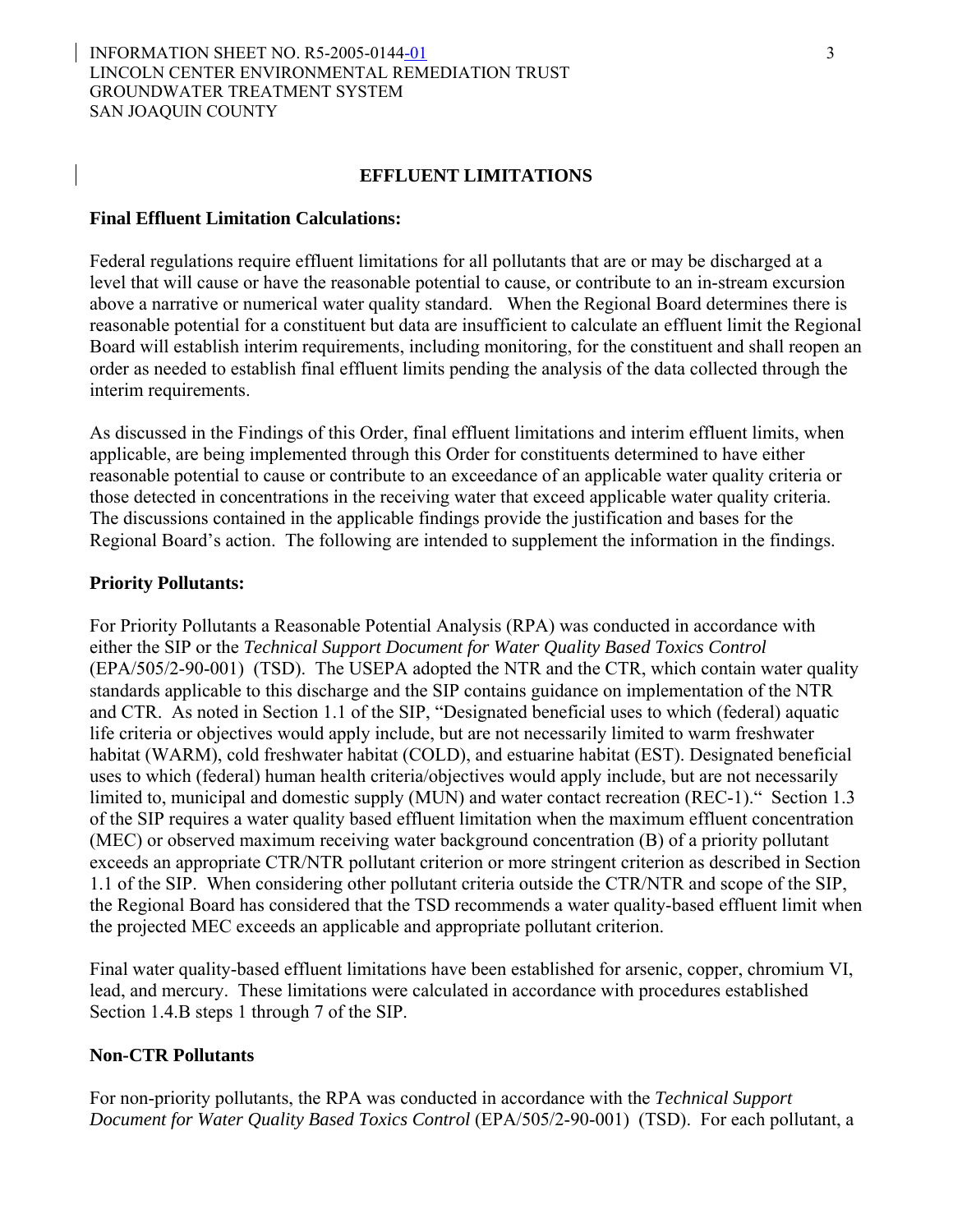#### INFORMATION SHEET NO. R5-2005-0144-01 3 LINCOLN CENTER ENVIRONMENTAL REMEDIATION TRUST GROUNDWATER TREATMENT SYSTEM SAN JOAQUIN COUNTY

#### **EFFLUENT LIMITATIONS**

#### **Final Effluent Limitation Calculations:**

Federal regulations require effluent limitations for all pollutants that are or may be discharged at a level that will cause or have the reasonable potential to cause, or contribute to an in-stream excursion above a narrative or numerical water quality standard. When the Regional Board determines there is reasonable potential for a constituent but data are insufficient to calculate an effluent limit the Regional Board will establish interim requirements, including monitoring, for the constituent and shall reopen an order as needed to establish final effluent limits pending the analysis of the data collected through the interim requirements.

As discussed in the Findings of this Order, final effluent limitations and interim effluent limits, when applicable, are being implemented through this Order for constituents determined to have either reasonable potential to cause or contribute to an exceedance of an applicable water quality criteria or those detected in concentrations in the receiving water that exceed applicable water quality criteria. The discussions contained in the applicable findings provide the justification and bases for the Regional Board's action. The following are intended to supplement the information in the findings.

#### **Priority Pollutants:**

For Priority Pollutants a Reasonable Potential Analysis (RPA) was conducted in accordance with either the SIP or the *Technical Support Document for Water Quality Based Toxics Control* (EPA/505/2-90-001) (TSD). The USEPA adopted the NTR and the CTR, which contain water quality standards applicable to this discharge and the SIP contains guidance on implementation of the NTR and CTR. As noted in Section 1.1 of the SIP, "Designated beneficial uses to which (federal) aquatic life criteria or objectives would apply include, but are not necessarily limited to warm freshwater habitat (WARM), cold freshwater habitat (COLD), and estuarine habitat (EST). Designated beneficial uses to which (federal) human health criteria/objectives would apply include, but are not necessarily limited to, municipal and domestic supply (MUN) and water contact recreation (REC-1)." Section 1.3 of the SIP requires a water quality based effluent limitation when the maximum effluent concentration (MEC) or observed maximum receiving water background concentration (B) of a priority pollutant exceeds an appropriate CTR/NTR pollutant criterion or more stringent criterion as described in Section 1.1 of the SIP. When considering other pollutant criteria outside the CTR/NTR and scope of the SIP, the Regional Board has considered that the TSD recommends a water quality-based effluent limit when the projected MEC exceeds an applicable and appropriate pollutant criterion.

Final water quality-based effluent limitations have been established for arsenic, copper, chromium VI, lead, and mercury. These limitations were calculated in accordance with procedures established Section 1.4.B steps 1 through 7 of the SIP.

#### **Non-CTR Pollutants**

For non-priority pollutants, the RPA was conducted in accordance with the *Technical Support Document for Water Quality Based Toxics Control* (EPA/505/2-90-001) (TSD). For each pollutant, a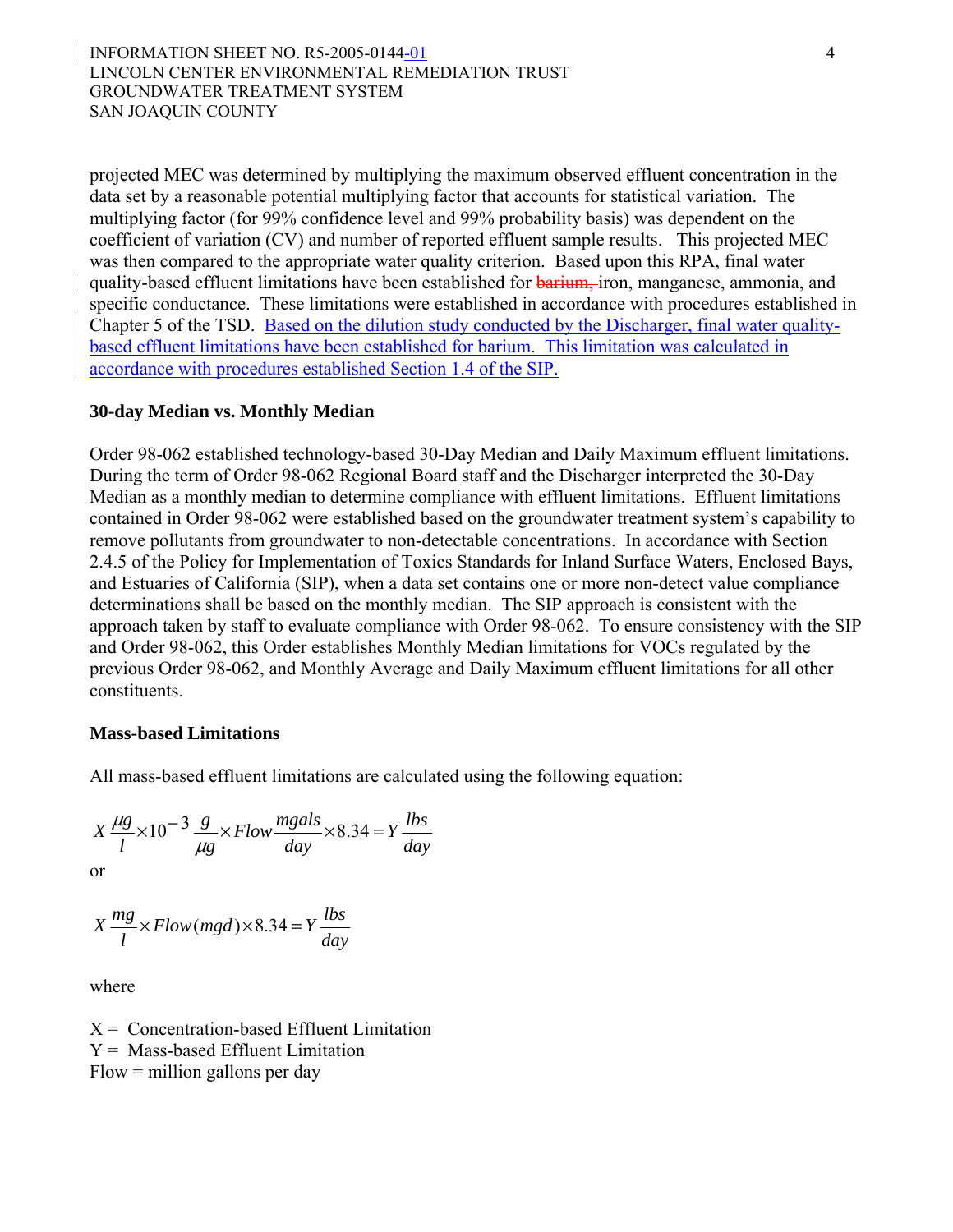#### INFORMATION SHEET NO. R5-2005-0144-01 4 LINCOLN CENTER ENVIRONMENTAL REMEDIATION TRUST GROUNDWATER TREATMENT SYSTEM SAN JOAQUIN COUNTY

projected MEC was determined by multiplying the maximum observed effluent concentration in the data set by a reasonable potential multiplying factor that accounts for statistical variation. The multiplying factor (for 99% confidence level and 99% probability basis) was dependent on the coefficient of variation (CV) and number of reported effluent sample results. This projected MEC was then compared to the appropriate water quality criterion. Based upon this RPA, final water quality-based effluent limitations have been established for barium, iron, manganese, ammonia, and specific conductance. These limitations were established in accordance with procedures established in Chapter 5 of the TSD. Based on the dilution study conducted by the Discharger, final water qualitybased effluent limitations have been established for barium. This limitation was calculated in accordance with procedures established Section 1.4 of the SIP.

#### **30-day Median vs. Monthly Median**

Order 98-062 established technology-based 30-Day Median and Daily Maximum effluent limitations. During the term of Order 98-062 Regional Board staff and the Discharger interpreted the 30-Day Median as a monthly median to determine compliance with effluent limitations. Effluent limitations contained in Order 98-062 were established based on the groundwater treatment system's capability to remove pollutants from groundwater to non-detectable concentrations. In accordance with Section 2.4.5 of the Policy for Implementation of Toxics Standards for Inland Surface Waters, Enclosed Bays, and Estuaries of California (SIP), when a data set contains one or more non-detect value compliance determinations shall be based on the monthly median. The SIP approach is consistent with the approach taken by staff to evaluate compliance with Order 98-062. To ensure consistency with the SIP and Order 98-062, this Order establishes Monthly Median limitations for VOCs regulated by the previous Order 98-062, and Monthly Average and Daily Maximum effluent limitations for all other constituents.

#### **Mass-based Limitations**

All mass-based effluent limitations are calculated using the following equation:

$$
X\frac{\mu g}{l} \times 10^{-3} \frac{g}{\mu g} \times Flow\frac{mgals}{day} \times 8.34 = Y\frac{lbs}{day}
$$

$$
\overline{\text{or}}
$$

$$
X \frac{mg}{l} \times Flow(mgd) \times 8.34 = Y \frac{lbs}{day}
$$

where

 $X =$  Concentration-based Effluent Limitation  $Y =$  Mass-based Effluent Limitation  $Flow = million$  gallons per day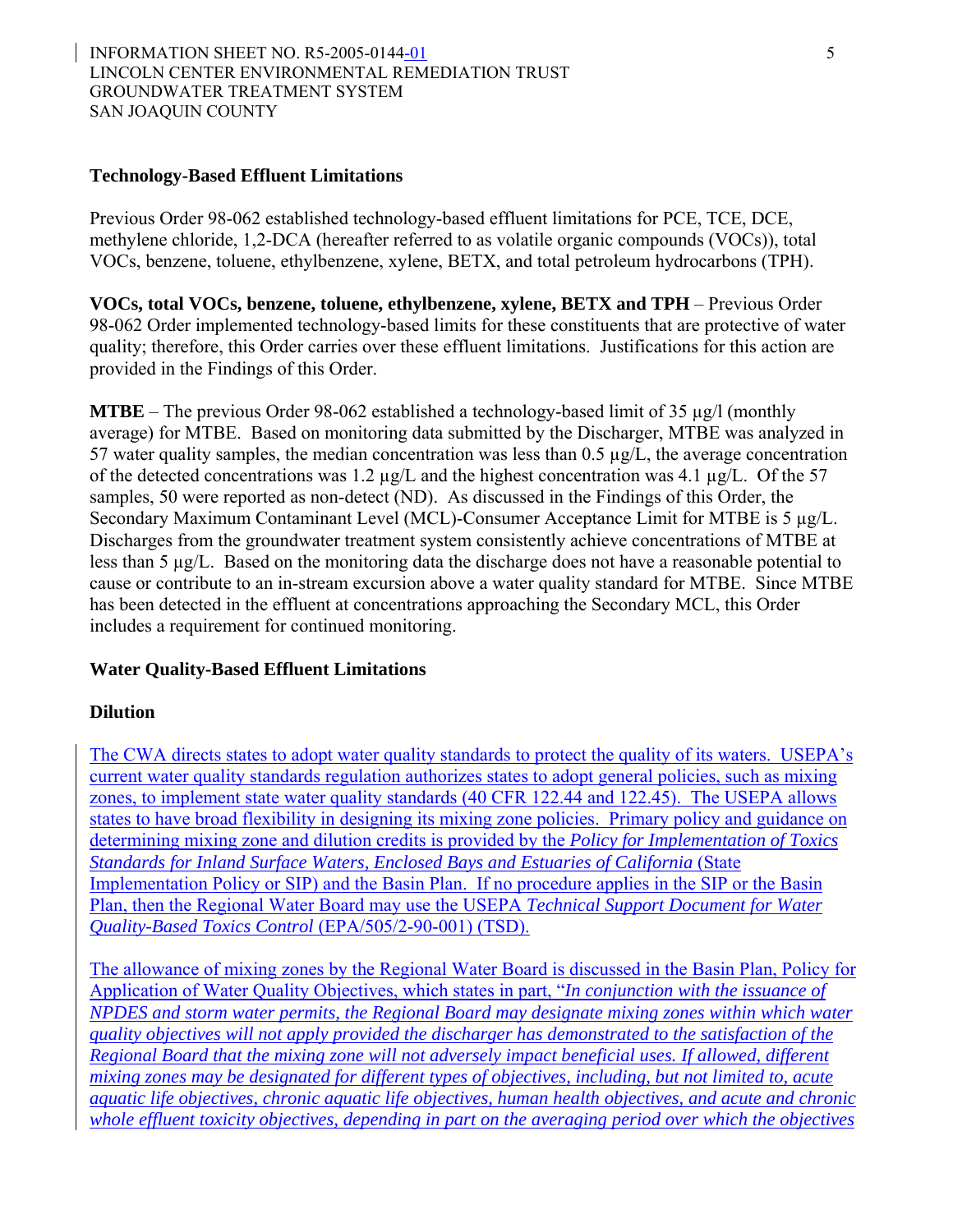#### INFORMATION SHEET NO. R5-2005-0144-01 5 LINCOLN CENTER ENVIRONMENTAL REMEDIATION TRUST GROUNDWATER TREATMENT SYSTEM SAN JOAQUIN COUNTY

#### **Technology-Based Effluent Limitations**

Previous Order 98-062 established technology-based effluent limitations for PCE, TCE, DCE, methylene chloride, 1,2-DCA (hereafter referred to as volatile organic compounds (VOCs)), total VOCs, benzene, toluene, ethylbenzene, xylene, BETX, and total petroleum hydrocarbons (TPH).

**VOCs, total VOCs, benzene, toluene, ethylbenzene, xylene, BETX and TPH** – Previous Order 98-062 Order implemented technology-based limits for these constituents that are protective of water quality; therefore, this Order carries over these effluent limitations. Justifications for this action are provided in the Findings of this Order.

**MTBE** – The previous Order 98-062 established a technology-based limit of 35 µg/l (monthly average) for MTBE. Based on monitoring data submitted by the Discharger, MTBE was analyzed in 57 water quality samples, the median concentration was less than  $0.5 \mu g/L$ , the average concentration of the detected concentrations was 1.2 µg/L and the highest concentration was 4.1 µg/L. Of the 57 samples, 50 were reported as non-detect (ND). As discussed in the Findings of this Order, the Secondary Maximum Contaminant Level (MCL)-Consumer Acceptance Limit for MTBE is 5 µg/L. Discharges from the groundwater treatment system consistently achieve concentrations of MTBE at less than 5 µg/L. Based on the monitoring data the discharge does not have a reasonable potential to cause or contribute to an in-stream excursion above a water quality standard for MTBE. Since MTBE has been detected in the effluent at concentrations approaching the Secondary MCL, this Order includes a requirement for continued monitoring.

#### **Water Quality-Based Effluent Limitations**

#### **Dilution**

The CWA directs states to adopt water quality standards to protect the quality of its waters. USEPA's current water quality standards regulation authorizes states to adopt general policies, such as mixing zones, to implement state water quality standards (40 CFR 122.44 and 122.45). The USEPA allows states to have broad flexibility in designing its mixing zone policies. Primary policy and guidance on determining mixing zone and dilution credits is provided by the *Policy for Implementation of Toxics Standards for Inland Surface Waters, Enclosed Bays and Estuaries of California* (State Implementation Policy or SIP) and the Basin Plan. If no procedure applies in the SIP or the Basin Plan, then the Regional Water Board may use the USEPA *Technical Support Document for Water Quality-Based Toxics Control* (EPA/505/2-90-001) (TSD).

The allowance of mixing zones by the Regional Water Board is discussed in the Basin Plan, Policy for Application of Water Quality Objectives, which states in part, "*In conjunction with the issuance of NPDES and storm water permits, the Regional Board may designate mixing zones within which water quality objectives will not apply provided the discharger has demonstrated to the satisfaction of the Regional Board that the mixing zone will not adversely impact beneficial uses. If allowed, different mixing zones may be designated for different types of objectives, including, but not limited to, acute aquatic life objectives, chronic aquatic life objectives, human health objectives, and acute and chronic whole effluent toxicity objectives, depending in part on the averaging period over which the objectives*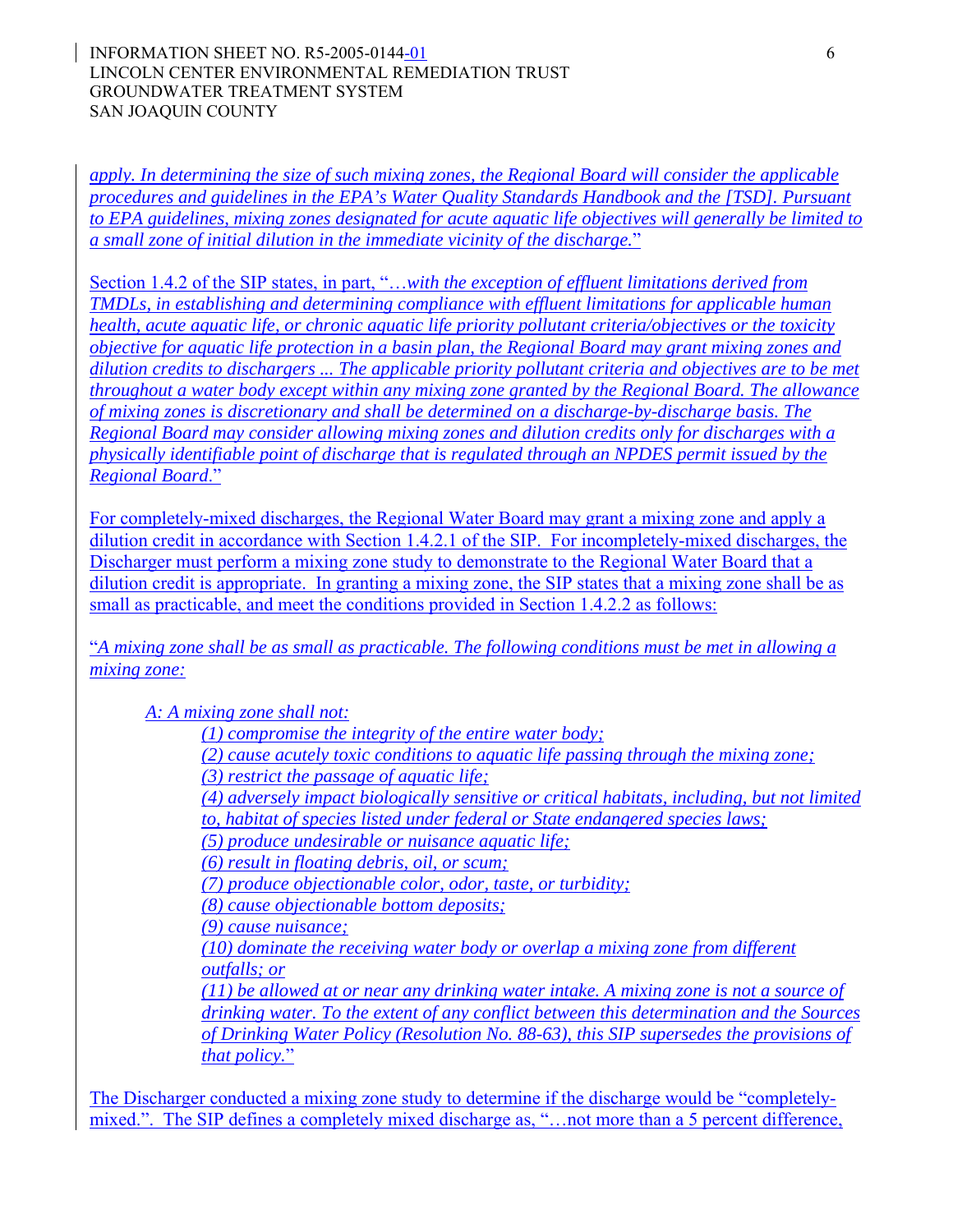*apply. In determining the size of such mixing zones, the Regional Board will consider the applicable procedures and guidelines in the EPA's Water Quality Standards Handbook and the [TSD]. Pursuant to EPA guidelines, mixing zones designated for acute aquatic life objectives will generally be limited to a small zone of initial dilution in the immediate vicinity of the discharge.*"

Section 1.4.2 of the SIP states, in part, "…*with the exception of effluent limitations derived from TMDLs, in establishing and determining compliance with effluent limitations for applicable human health, acute aquatic life, or chronic aquatic life priority pollutant criteria/objectives or the toxicity objective for aquatic life protection in a basin plan, the Regional Board may grant mixing zones and dilution credits to dischargers ... The applicable priority pollutant criteria and objectives are to be met throughout a water body except within any mixing zone granted by the Regional Board. The allowance of mixing zones is discretionary and shall be determined on a discharge-by-discharge basis. The Regional Board may consider allowing mixing zones and dilution credits only for discharges with a physically identifiable point of discharge that is regulated through an NPDES permit issued by the Regional Board*."

For completely-mixed discharges, the Regional Water Board may grant a mixing zone and apply a dilution credit in accordance with Section 1.4.2.1 of the SIP. For incompletely-mixed discharges, the Discharger must perform a mixing zone study to demonstrate to the Regional Water Board that a dilution credit is appropriate. In granting a mixing zone, the SIP states that a mixing zone shall be as small as practicable, and meet the conditions provided in Section 1.4.2.2 as follows:

"*A mixing zone shall be as small as practicable. The following conditions must be met in allowing a mixing zone:* 

*A: A mixing zone shall not:* 

*(1) compromise the integrity of the entire water body;* 

*(2) cause acutely toxic conditions to aquatic life passing through the mixing zone;* 

*(3) restrict the passage of aquatic life;* 

*(4) adversely impact biologically sensitive or critical habitats, including, but not limited* 

*to, habitat of species listed under federal or State endangered species laws;* 

*(5) produce undesirable or nuisance aquatic life;* 

*(6) result in floating debris, oil, or scum;* 

*(7) produce objectionable color, odor, taste, or turbidity;* 

*(8) cause objectionable bottom deposits;* 

*(9) cause nuisance;* 

*(10) dominate the receiving water body or overlap a mixing zone from different outfalls; or* 

*(11) be allowed at or near any drinking water intake. A mixing zone is not a source of drinking water. To the extent of any conflict between this determination and the Sources of Drinking Water Policy (Resolution No. 88-63), this SIP supersedes the provisions of that policy.*"

The Discharger conducted a mixing zone study to determine if the discharge would be "completelymixed.". The SIP defines a completely mixed discharge as, "…not more than a 5 percent difference,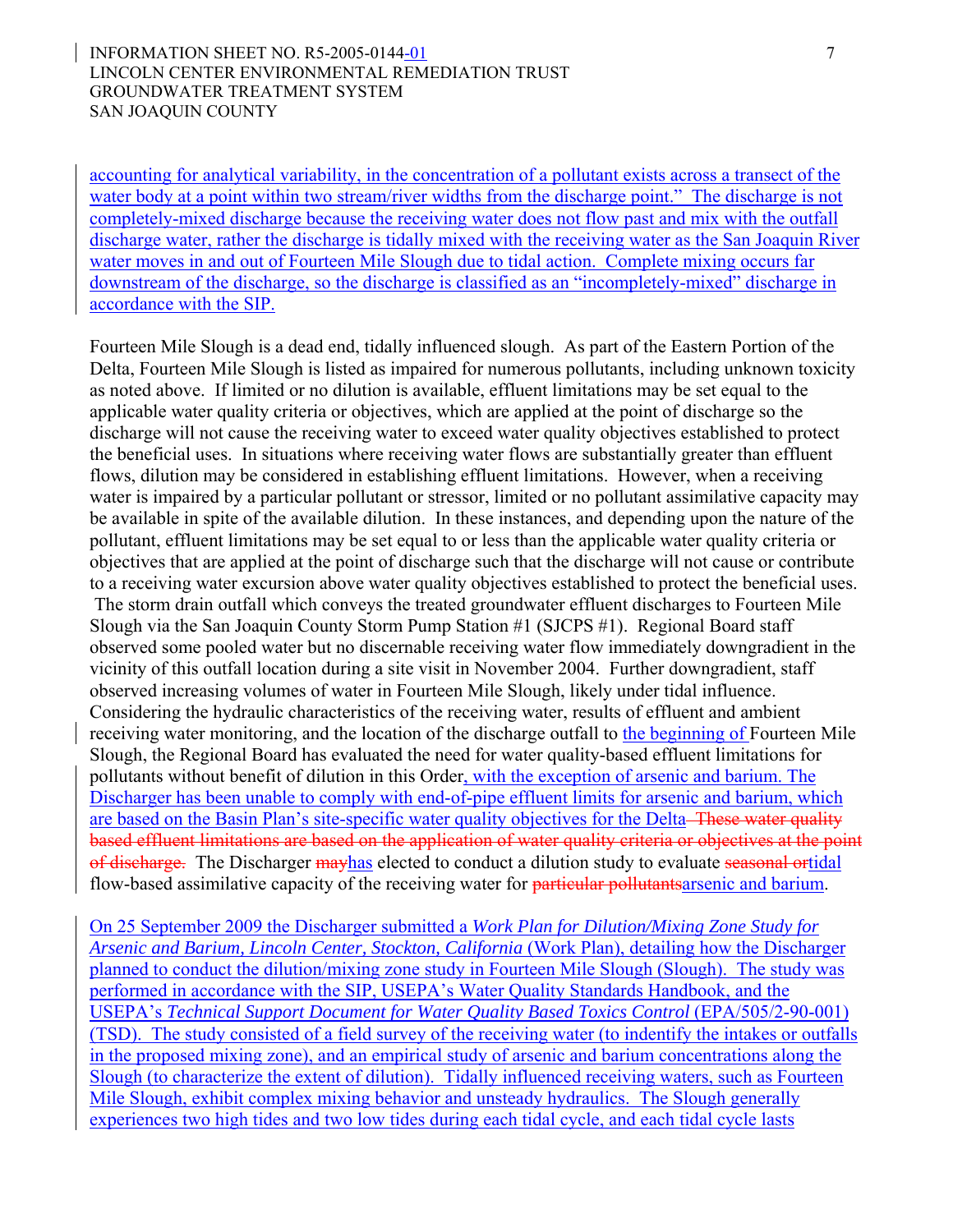#### INFORMATION SHEET NO. R5-2005-0144-01 7 LINCOLN CENTER ENVIRONMENTAL REMEDIATION TRUST GROUNDWATER TREATMENT SYSTEM SAN JOAQUIN COUNTY

accounting for analytical variability, in the concentration of a pollutant exists across a transect of the water body at a point within two stream/river widths from the discharge point." The discharge is not completely-mixed discharge because the receiving water does not flow past and mix with the outfall discharge water, rather the discharge is tidally mixed with the receiving water as the San Joaquin River water moves in and out of Fourteen Mile Slough due to tidal action. Complete mixing occurs far downstream of the discharge, so the discharge is classified as an "incompletely-mixed" discharge in accordance with the SIP.

Fourteen Mile Slough is a dead end, tidally influenced slough. As part of the Eastern Portion of the Delta, Fourteen Mile Slough is listed as impaired for numerous pollutants, including unknown toxicity as noted above. If limited or no dilution is available, effluent limitations may be set equal to the applicable water quality criteria or objectives, which are applied at the point of discharge so the discharge will not cause the receiving water to exceed water quality objectives established to protect the beneficial uses. In situations where receiving water flows are substantially greater than effluent flows, dilution may be considered in establishing effluent limitations. However, when a receiving water is impaired by a particular pollutant or stressor, limited or no pollutant assimilative capacity may be available in spite of the available dilution. In these instances, and depending upon the nature of the pollutant, effluent limitations may be set equal to or less than the applicable water quality criteria or objectives that are applied at the point of discharge such that the discharge will not cause or contribute to a receiving water excursion above water quality objectives established to protect the beneficial uses. The storm drain outfall which conveys the treated groundwater effluent discharges to Fourteen Mile Slough via the San Joaquin County Storm Pump Station #1 (SJCPS #1). Regional Board staff observed some pooled water but no discernable receiving water flow immediately downgradient in the vicinity of this outfall location during a site visit in November 2004. Further downgradient, staff observed increasing volumes of water in Fourteen Mile Slough, likely under tidal influence. Considering the hydraulic characteristics of the receiving water, results of effluent and ambient receiving water monitoring, and the location of the discharge outfall to the beginning of Fourteen Mile Slough, the Regional Board has evaluated the need for water quality-based effluent limitations for pollutants without benefit of dilution in this Order, with the exception of arsenic and barium. The Discharger has been unable to comply with end-of-pipe effluent limits for arsenic and barium, which are based on the Basin Plan's site-specific water quality objectives for the Delta–These water quality based effluent limitations are based on the application of water quality criteria or objectives at the point of discharge. The Discharger may has elected to conduct a dilution study to evaluate seasonal ortidal flow-based assimilative capacity of the receiving water for particular pollutants arsenic and barium.

On 25 September 2009 the Discharger submitted a *Work Plan for Dilution/Mixing Zone Study for Arsenic and Barium, Lincoln Center, Stockton, California* (Work Plan), detailing how the Discharger planned to conduct the dilution/mixing zone study in Fourteen Mile Slough (Slough). The study was performed in accordance with the SIP, USEPA's Water Quality Standards Handbook, and the USEPA's *Technical Support Document for Water Quality Based Toxics Control* (EPA/505/2-90-001) (TSD). The study consisted of a field survey of the receiving water (to indentify the intakes or outfalls in the proposed mixing zone), and an empirical study of arsenic and barium concentrations along the Slough (to characterize the extent of dilution). Tidally influenced receiving waters, such as Fourteen Mile Slough, exhibit complex mixing behavior and unsteady hydraulics. The Slough generally experiences two high tides and two low tides during each tidal cycle, and each tidal cycle lasts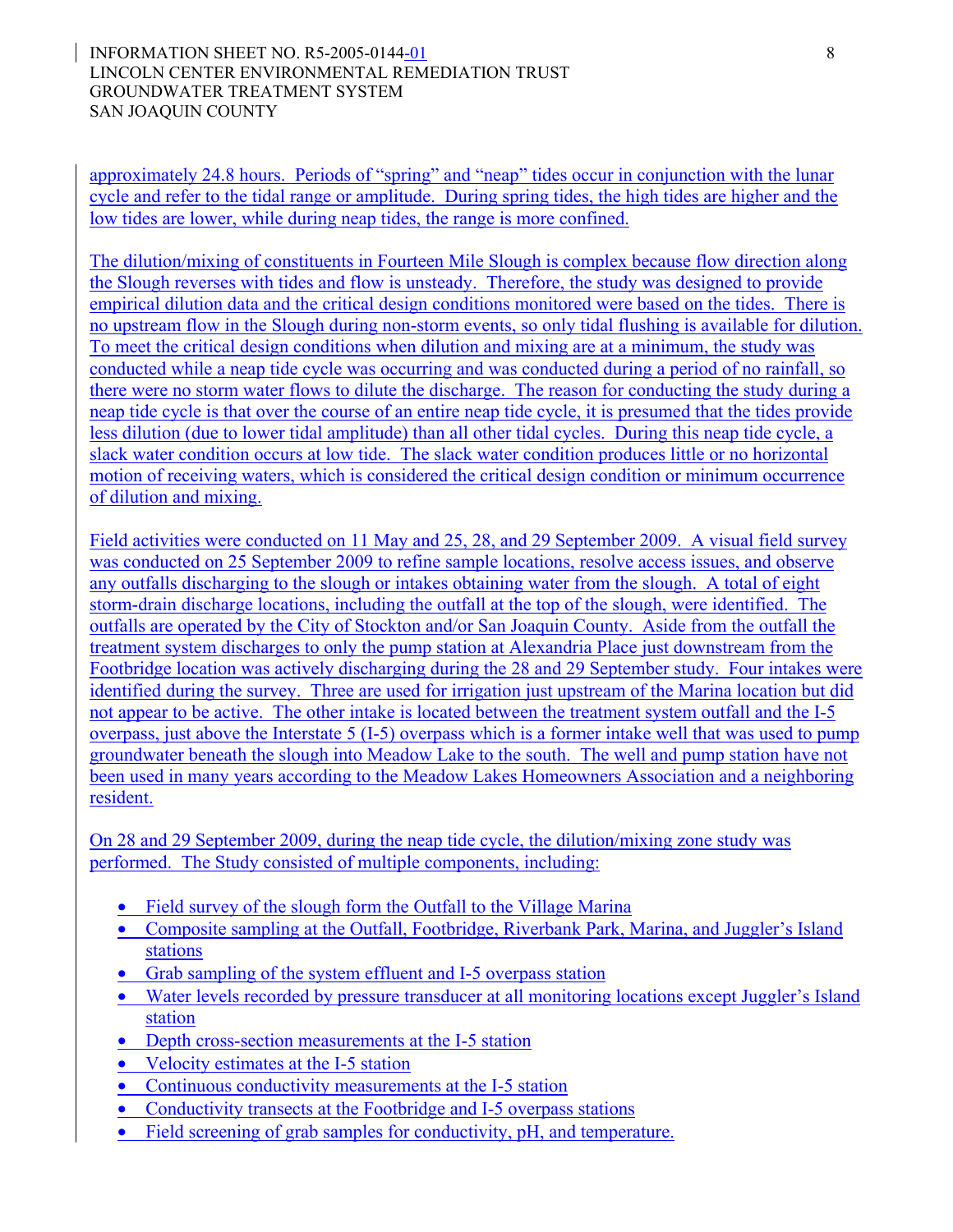#### INFORMATION SHEET NO. R5-2005-0144-01 8 LINCOLN CENTER ENVIRONMENTAL REMEDIATION TRUST GROUNDWATER TREATMENT SYSTEM SAN JOAQUIN COUNTY

approximately 24.8 hours. Periods of "spring" and "neap" tides occur in conjunction with the lunar cycle and refer to the tidal range or amplitude. During spring tides, the high tides are higher and the low tides are lower, while during neap tides, the range is more confined.

The dilution/mixing of constituents in Fourteen Mile Slough is complex because flow direction along the Slough reverses with tides and flow is unsteady. Therefore, the study was designed to provide empirical dilution data and the critical design conditions monitored were based on the tides. There is no upstream flow in the Slough during non-storm events, so only tidal flushing is available for dilution. To meet the critical design conditions when dilution and mixing are at a minimum, the study was conducted while a neap tide cycle was occurring and was conducted during a period of no rainfall, so there were no storm water flows to dilute the discharge. The reason for conducting the study during a neap tide cycle is that over the course of an entire neap tide cycle, it is presumed that the tides provide less dilution (due to lower tidal amplitude) than all other tidal cycles. During this neap tide cycle, a slack water condition occurs at low tide. The slack water condition produces little or no horizontal motion of receiving waters, which is considered the critical design condition or minimum occurrence of dilution and mixing.

Field activities were conducted on 11 May and 25, 28, and 29 September 2009. A visual field survey was conducted on 25 September 2009 to refine sample locations, resolve access issues, and observe any outfalls discharging to the slough or intakes obtaining water from the slough. A total of eight storm-drain discharge locations, including the outfall at the top of the slough, were identified. The outfalls are operated by the City of Stockton and/or San Joaquin County. Aside from the outfall the treatment system discharges to only the pump station at Alexandria Place just downstream from the Footbridge location was actively discharging during the 28 and 29 September study. Four intakes were identified during the survey. Three are used for irrigation just upstream of the Marina location but did not appear to be active. The other intake is located between the treatment system outfall and the I-5 overpass, just above the Interstate 5 (I-5) overpass which is a former intake well that was used to pump groundwater beneath the slough into Meadow Lake to the south. The well and pump station have not been used in many years according to the Meadow Lakes Homeowners Association and a neighboring resident.

On 28 and 29 September 2009, during the neap tide cycle, the dilution/mixing zone study was performed. The Study consisted of multiple components, including:

- Field survey of the slough form the Outfall to the Village Marina
- Composite sampling at the Outfall, Footbridge, Riverbank Park, Marina, and Juggler's Island stations
- Grab sampling of the system effluent and I-5 overpass station
- Water levels recorded by pressure transducer at all monitoring locations except Juggler's Island station
- Depth cross-section measurements at the I-5 station
- Velocity estimates at the I-5 station
- Continuous conductivity measurements at the I-5 station
- Conductivity transects at the Footbridge and I-5 overpass stations
- Field screening of grab samples for conductivity, pH, and temperature.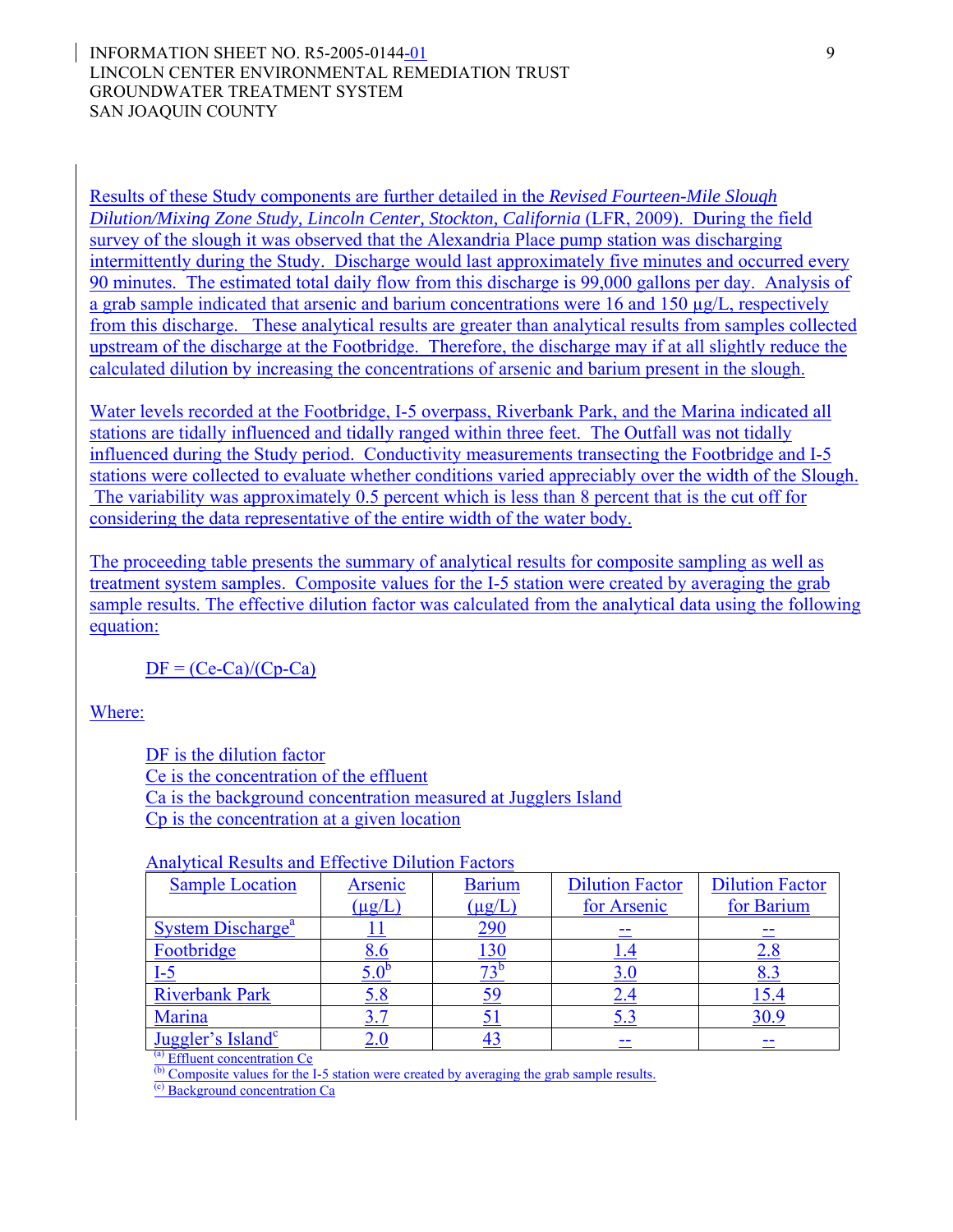#### INFORMATION SHEET NO. R5-2005-0144-01 9 LINCOLN CENTER ENVIRONMENTAL REMEDIATION TRUST GROUNDWATER TREATMENT SYSTEM SAN JOAQUIN COUNTY

Results of these Study components are further detailed in the *Revised Fourteen-Mile Slough Dilution/Mixing Zone Study, Lincoln Center, Stockton, California* (LFR, 2009). During the field survey of the slough it was observed that the Alexandria Place pump station was discharging intermittently during the Study. Discharge would last approximately five minutes and occurred every 90 minutes. The estimated total daily flow from this discharge is 99,000 gallons per day. Analysis of a grab sample indicated that arsenic and barium concentrations were 16 and 150 µg/L, respectively from this discharge. These analytical results are greater than analytical results from samples collected upstream of the discharge at the Footbridge. Therefore, the discharge may if at all slightly reduce the calculated dilution by increasing the concentrations of arsenic and barium present in the slough.

Water levels recorded at the Footbridge, I-5 overpass, Riverbank Park, and the Marina indicated all stations are tidally influenced and tidally ranged within three feet. The Outfall was not tidally influenced during the Study period. Conductivity measurements transecting the Footbridge and I-5 stations were collected to evaluate whether conditions varied appreciably over the width of the Slough. The variability was approximately 0.5 percent which is less than 8 percent that is the cut off for considering the data representative of the entire width of the water body.

The proceeding table presents the summary of analytical results for composite sampling as well as treatment system samples. Composite values for the I-5 station were created by averaging the grab sample results. The effective dilution factor was calculated from the analytical data using the following equation:

 $DF = (Ce-Ca)/(Cp-Ca)$ 

Where:

DF is the dilution factor

Ce is the concentration of the effluent

Ca is the background concentration measured at Jugglers Island

Cp is the concentration at a given location

### Analytical Results and Effective Dilution Factors

| <b>Sample Location</b>              | Arsenic     | <b>Barium</b> | <b>Dilution Factor</b> | <b>Dilution Factor</b> |
|-------------------------------------|-------------|---------------|------------------------|------------------------|
|                                     | $(\mu g/L)$ | $(\mu g/L)$   | for Arsenic            | for Barium             |
| <b>System Discharge<sup>a</sup></b> |             | <u>290</u>    |                        |                        |
| Footbridge                          | υ.υ         | 130           | 1.4                    | ۵.۵                    |
| $I-5$                               |             |               | 3.0                    | 8.3                    |
| <b>Riverbank Park</b>               | 5.8         |               | 2.4                    | 15.4                   |
| Marina                              |             |               | 5.3                    |                        |
| Juggler's Island <sup>c</sup>       |             |               |                        |                        |

(a) Effluent concentration Ce

 $\overline{b}$  Composite values for the I-5 station were created by averaging the grab sample results.

(c) Background concentration Ca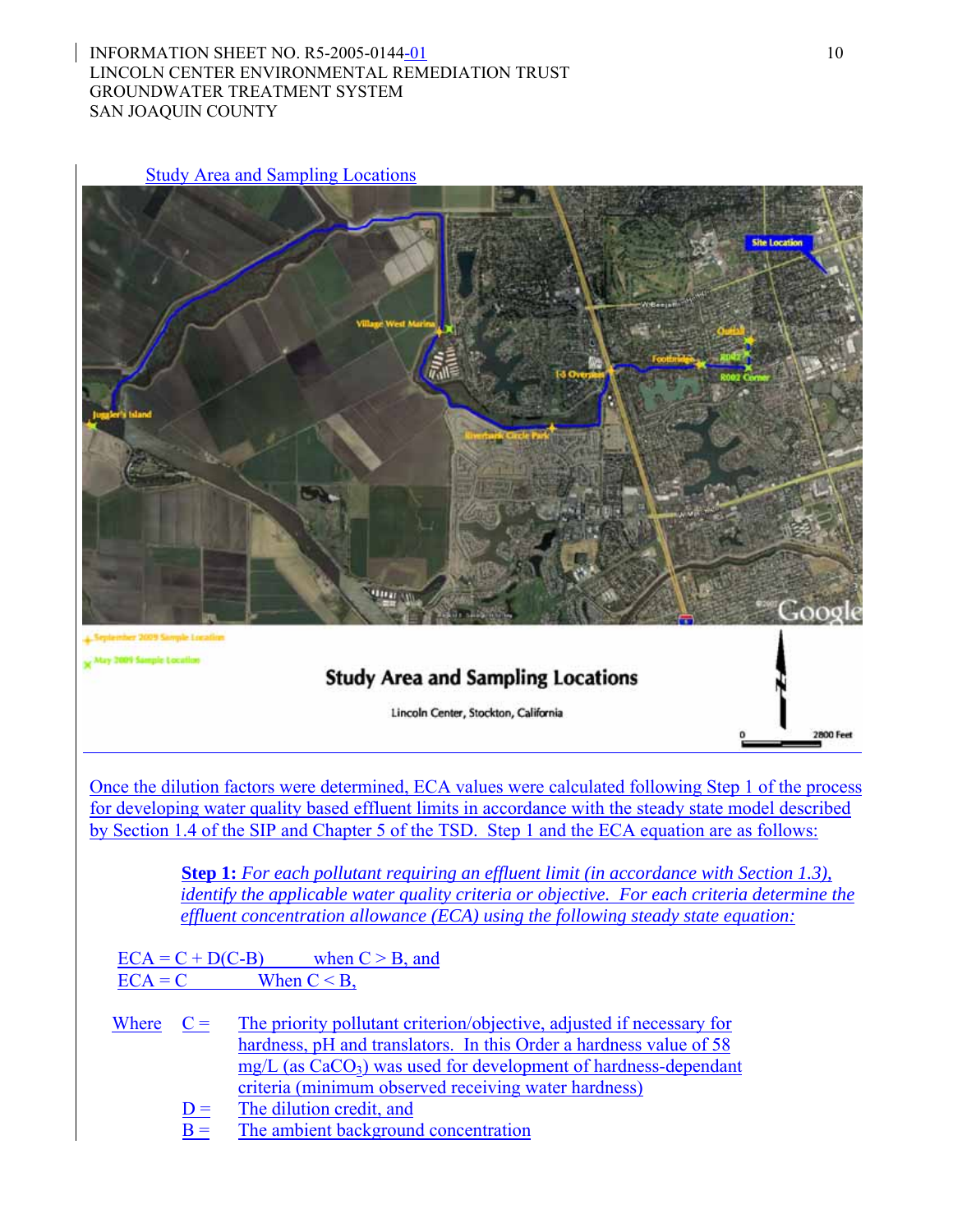### INFORMATION SHEET NO. R5-2005-0144-01 10 LINCOLN CENTER ENVIRONMENTAL REMEDIATION TRUST GROUNDWATER TREATMENT SYSTEM SAN JOAQUIN COUNTY

Study Area and Sampling Locations



Once the dilution factors were determined, ECA values were calculated following Step 1 of the process for developing water quality based effluent limits in accordance with the steady state model described by Section 1.4 of the SIP and Chapter 5 of the TSD. Step 1 and the ECA equation are as follows:

> **Step 1:** *For each pollutant requiring an effluent limit (in accordance with Section 1.3), identify the applicable water quality criteria or objective. For each criteria determine the effluent concentration allowance (ECA) using the following steady state equation:*

 $ECA = C + D(C-B)$  when  $C > B$ , and  $\text{ECA} = \text{C}$  When  $\text{C} < \text{B}$ ,

- Where  $C =$  The priority pollutant criterion/objective, adjusted if necessary for hardness, pH and translators. In this Order a hardness value of 58  $mg/L$  (as  $CaCO<sub>3</sub>$ ) was used for development of hardness-dependant criteria (minimum observed receiving water hardness)
	- $D =$  The dilution credit, and
	- $B =$  The ambient background concentration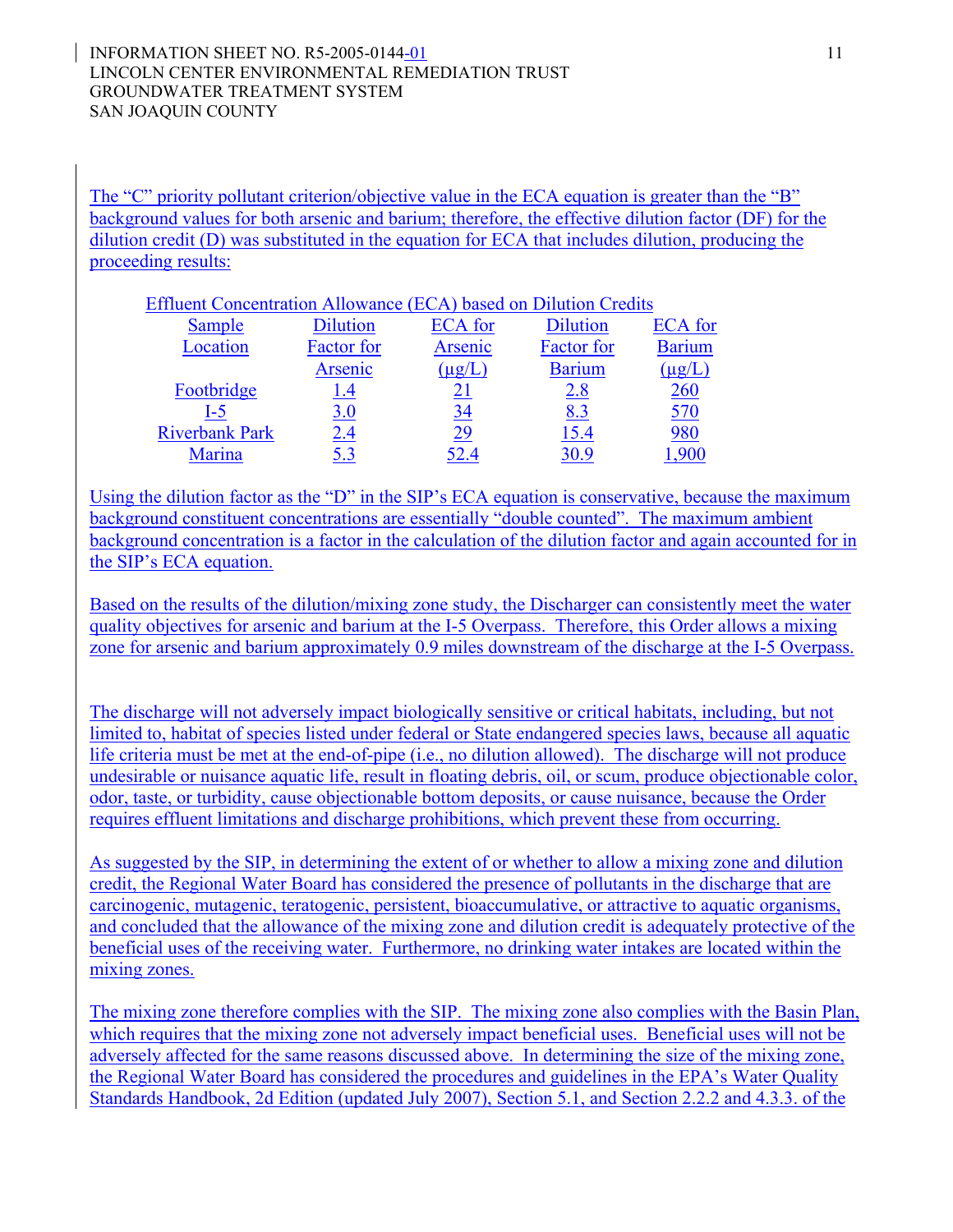The "C" priority pollutant criterion/objective value in the ECA equation is greater than the "B" background values for both arsenic and barium; therefore, the effective dilution factor (DF) for the dilution credit (D) was substituted in the equation for ECA that includes dilution, producing the proceeding results:

| Effluent Concentration Allowance (ECA) based on Dilution Credits |  |
|------------------------------------------------------------------|--|
|                                                                  |  |

| Sample                | <b>Dilution</b>   | <b>ECA</b> for | <b>Dilution</b>   | <b>ECA</b> for |
|-----------------------|-------------------|----------------|-------------------|----------------|
| Location              | <b>Factor</b> for | Arsenic        | <b>Factor</b> for | <b>Barium</b>  |
|                       | Arsenic           | $(\mu g/L)$    | <b>Barium</b>     | $(\mu$ g/L     |
| Footbridge            | 1.4               |                | 2.8               | 260            |
| I-5                   | 3.0               | 34             | 8.3               | 570            |
| <b>Riverbank Park</b> | 2.4               | 29             | 15.4              | 980            |
| Marina                | 5.3               | 52.4           | 30.9              | .900           |

Using the dilution factor as the "D" in the SIP's ECA equation is conservative, because the maximum background constituent concentrations are essentially "double counted". The maximum ambient background concentration is a factor in the calculation of the dilution factor and again accounted for in the SIP's ECA equation.

Based on the results of the dilution/mixing zone study, the Discharger can consistently meet the water quality objectives for arsenic and barium at the I-5 Overpass. Therefore, this Order allows a mixing zone for arsenic and barium approximately 0.9 miles downstream of the discharge at the I-5 Overpass.

The discharge will not adversely impact biologically sensitive or critical habitats, including, but not limited to, habitat of species listed under federal or State endangered species laws, because all aquatic life criteria must be met at the end-of-pipe (i.e., no dilution allowed). The discharge will not produce undesirable or nuisance aquatic life, result in floating debris, oil, or scum, produce objectionable color, odor, taste, or turbidity, cause objectionable bottom deposits, or cause nuisance, because the Order requires effluent limitations and discharge prohibitions, which prevent these from occurring.

As suggested by the SIP, in determining the extent of or whether to allow a mixing zone and dilution credit, the Regional Water Board has considered the presence of pollutants in the discharge that are carcinogenic, mutagenic, teratogenic, persistent, bioaccumulative, or attractive to aquatic organisms, and concluded that the allowance of the mixing zone and dilution credit is adequately protective of the beneficial uses of the receiving water. Furthermore, no drinking water intakes are located within the mixing zones.

The mixing zone therefore complies with the SIP. The mixing zone also complies with the Basin Plan, which requires that the mixing zone not adversely impact beneficial uses. Beneficial uses will not be adversely affected for the same reasons discussed above. In determining the size of the mixing zone, the Regional Water Board has considered the procedures and guidelines in the EPA's Water Quality Standards Handbook, 2d Edition (updated July 2007), Section 5.1, and Section 2.2.2 and 4.3.3. of the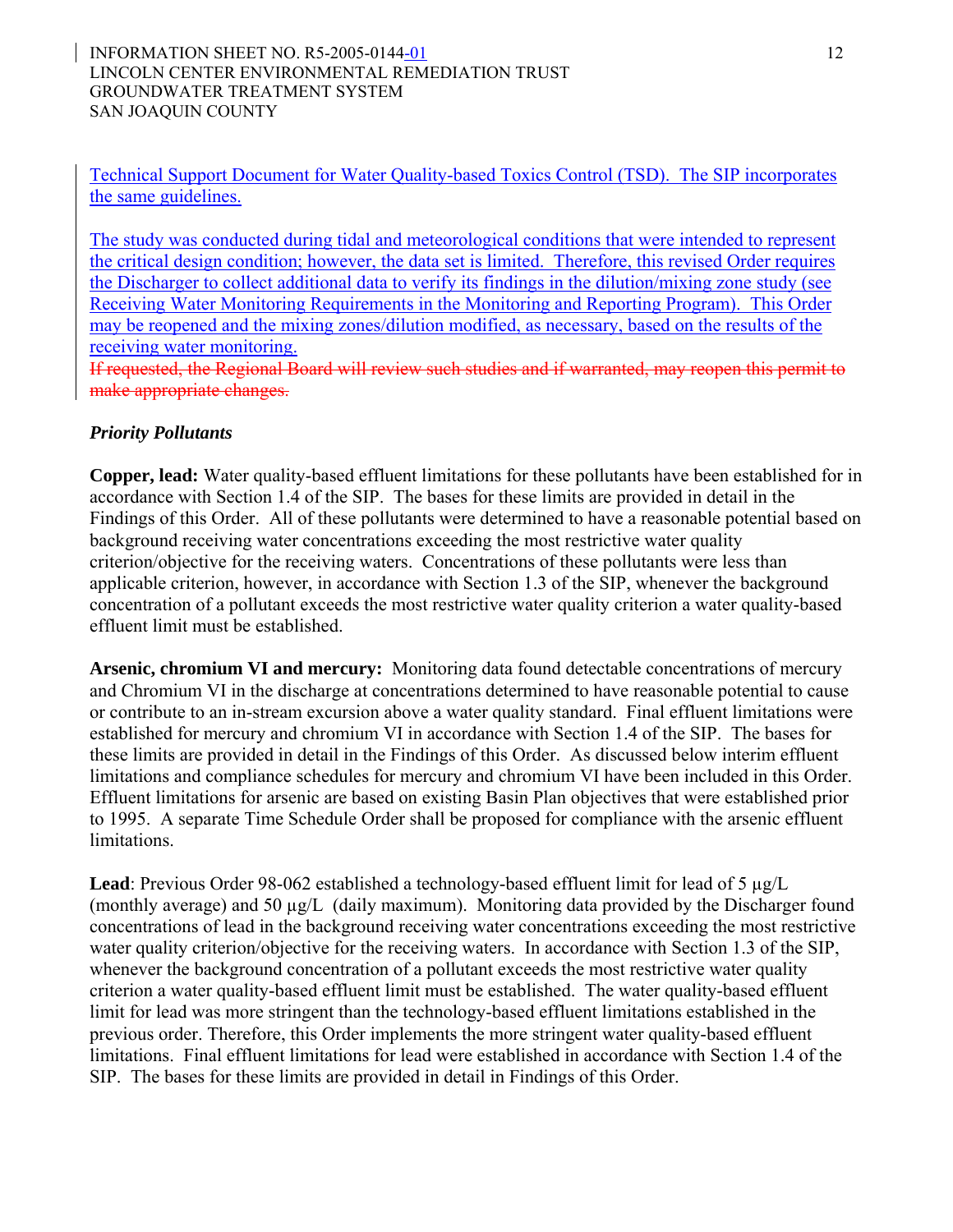#### INFORMATION SHEET NO. R5-2005-0144-01 12 LINCOLN CENTER ENVIRONMENTAL REMEDIATION TRUST GROUNDWATER TREATMENT SYSTEM SAN JOAQUIN COUNTY

Technical Support Document for Water Quality-based Toxics Control (TSD). The SIP incorporates the same guidelines.

The study was conducted during tidal and meteorological conditions that were intended to represent the critical design condition; however, the data set is limited. Therefore, this revised Order requires the Discharger to collect additional data to verify its findings in the dilution/mixing zone study (see Receiving Water Monitoring Requirements in the Monitoring and Reporting Program). This Order may be reopened and the mixing zones/dilution modified, as necessary, based on the results of the receiving water monitoring.

If requested, the Regional Board will review such studies and if warranted, may reopen this permit to make appropriate changes.

## *Priority Pollutants*

**Copper, lead:** Water quality-based effluent limitations for these pollutants have been established for in accordance with Section 1.4 of the SIP. The bases for these limits are provided in detail in the Findings of this Order. All of these pollutants were determined to have a reasonable potential based on background receiving water concentrations exceeding the most restrictive water quality criterion/objective for the receiving waters. Concentrations of these pollutants were less than applicable criterion, however, in accordance with Section 1.3 of the SIP, whenever the background concentration of a pollutant exceeds the most restrictive water quality criterion a water quality-based effluent limit must be established.

**Arsenic, chromium VI and mercury:** Monitoring data found detectable concentrations of mercury and Chromium VI in the discharge at concentrations determined to have reasonable potential to cause or contribute to an in-stream excursion above a water quality standard. Final effluent limitations were established for mercury and chromium VI in accordance with Section 1.4 of the SIP. The bases for these limits are provided in detail in the Findings of this Order. As discussed below interim effluent limitations and compliance schedules for mercury and chromium VI have been included in this Order. Effluent limitations for arsenic are based on existing Basin Plan objectives that were established prior to 1995. A separate Time Schedule Order shall be proposed for compliance with the arsenic effluent limitations.

**Lead**: Previous Order 98-062 established a technology-based effluent limit for lead of 5 µg/L (monthly average) and 50 µg/L (daily maximum). Monitoring data provided by the Discharger found concentrations of lead in the background receiving water concentrations exceeding the most restrictive water quality criterion/objective for the receiving waters. In accordance with Section 1.3 of the SIP, whenever the background concentration of a pollutant exceeds the most restrictive water quality criterion a water quality-based effluent limit must be established. The water quality-based effluent limit for lead was more stringent than the technology-based effluent limitations established in the previous order. Therefore, this Order implements the more stringent water quality-based effluent limitations. Final effluent limitations for lead were established in accordance with Section 1.4 of the SIP. The bases for these limits are provided in detail in Findings of this Order.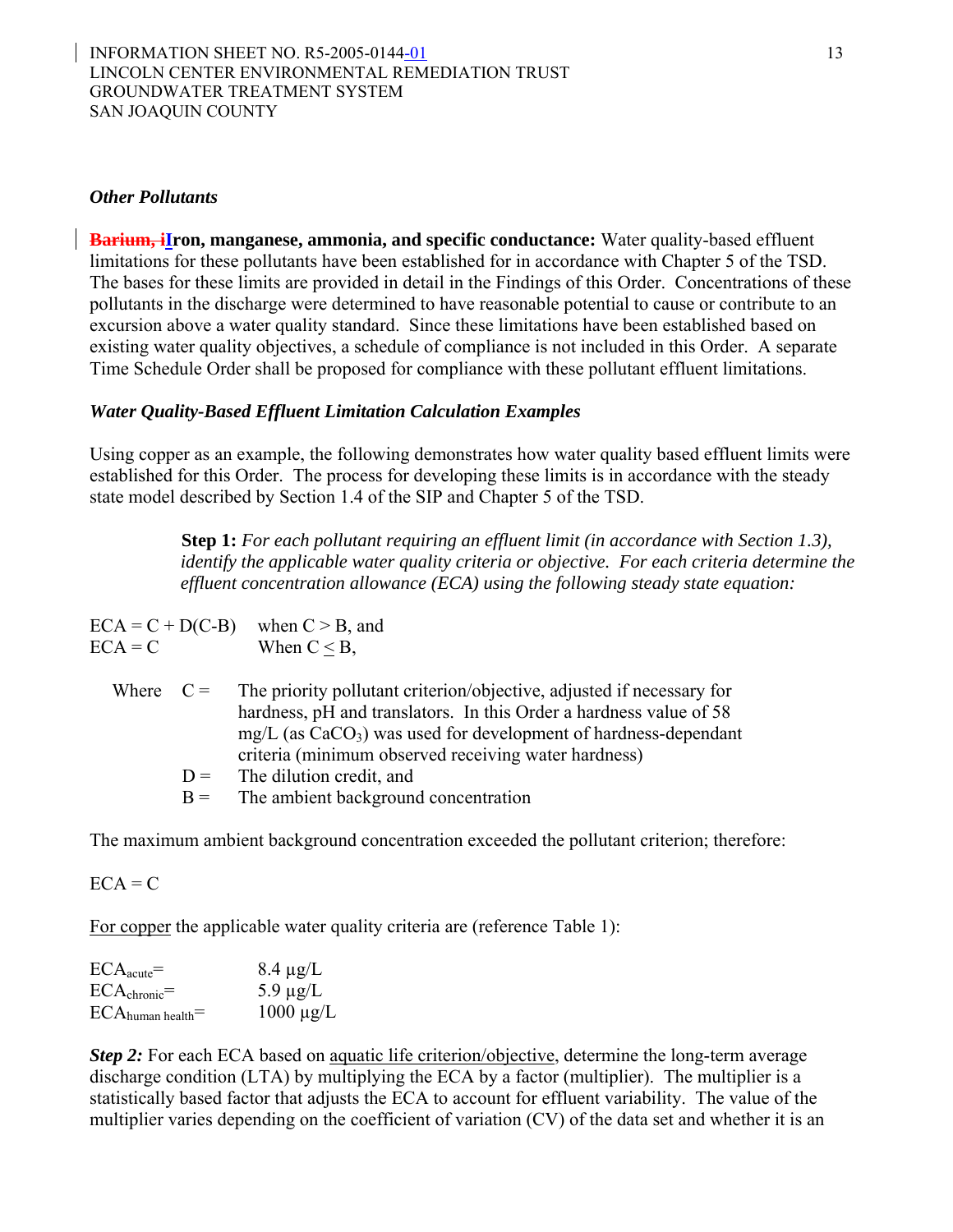#### *Other Pollutants*

**Barium, iIron, manganese, ammonia, and specific conductance:** Water quality-based effluent limitations for these pollutants have been established for in accordance with Chapter 5 of the TSD. The bases for these limits are provided in detail in the Findings of this Order. Concentrations of these pollutants in the discharge were determined to have reasonable potential to cause or contribute to an excursion above a water quality standard. Since these limitations have been established based on existing water quality objectives, a schedule of compliance is not included in this Order. A separate Time Schedule Order shall be proposed for compliance with these pollutant effluent limitations.

#### *Water Quality-Based Effluent Limitation Calculation Examples*

Using copper as an example, the following demonstrates how water quality based effluent limits were established for this Order. The process for developing these limits is in accordance with the steady state model described by Section 1.4 of the SIP and Chapter 5 of the TSD.

> **Step 1:** *For each pollutant requiring an effluent limit (in accordance with Section 1.3), identify the applicable water quality criteria or objective. For each criteria determine the effluent concentration allowance (ECA) using the following steady state equation:*

 $ECA = C + D(C-B)$  when  $C > B$ , and  $\text{ECA} = \text{C}$  When  $\text{C} < \text{B}$ ,

| Where $C =$ |       | The priority pollutant criterion/objective, adjusted if necessary for |
|-------------|-------|-----------------------------------------------------------------------|
|             |       | hardness, pH and translators. In this Order a hardness value of 58    |
|             |       | $mg/L$ (as $CaCO3$ ) was used for development of hardness-dependant   |
|             |       | criteria (minimum observed receiving water hardness)                  |
|             |       | $D =$ The dilution credit, and                                        |
|             | $B =$ | The ambient background concentration                                  |

The maximum ambient background concentration exceeded the pollutant criterion; therefore:

 $ECA = C$ 

For copper the applicable water quality criteria are (reference Table 1):

| $ECA_{acute}$ =                     | $8.4 \mu g/L$  |
|-------------------------------------|----------------|
| $\text{ECA}_{\text{chronic}}=$      | 5.9 $\mu$ g/L  |
| $\text{ECA}_{\text{human health}}=$ | $1000 \mu g/L$ |

*Step 2:* For each ECA based on <u>aquatic life criterion/objective</u>, determine the long-term average discharge condition (LTA) by multiplying the ECA by a factor (multiplier). The multiplier is a statistically based factor that adjusts the ECA to account for effluent variability. The value of the multiplier varies depending on the coefficient of variation (CV) of the data set and whether it is an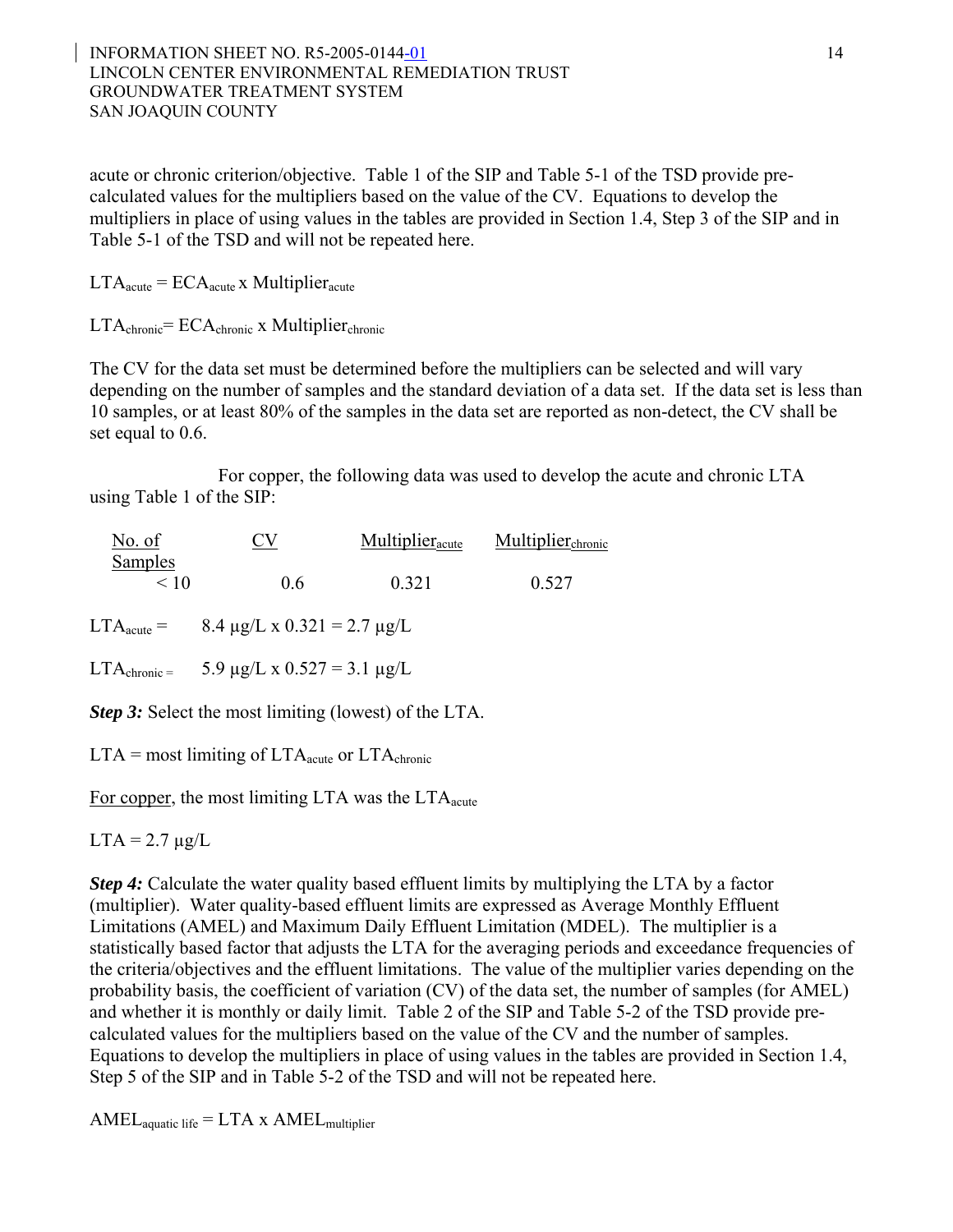#### INFORMATION SHEET NO. R5-2005-0144-01 14 LINCOLN CENTER ENVIRONMENTAL REMEDIATION TRUST GROUNDWATER TREATMENT SYSTEM SAN JOAQUIN COUNTY

acute or chronic criterion/objective. Table 1 of the SIP and Table 5-1 of the TSD provide precalculated values for the multipliers based on the value of the CV. Equations to develop the multipliers in place of using values in the tables are provided in Section 1.4, Step 3 of the SIP and in Table 5-1 of the TSD and will not be repeated here.

 $LTA<sub>acute</sub> = ECA<sub>acute</sub>$  x Multiplier<sub>acute</sub>

 $LTA_{chronic} = ECA_{chronic}$  x Multiplier<sub>chronic</sub>

The CV for the data set must be determined before the multipliers can be selected and will vary depending on the number of samples and the standard deviation of a data set. If the data set is less than 10 samples, or at least 80% of the samples in the data set are reported as non-detect, the CV shall be set equal to 0.6.

For copper, the following data was used to develop the acute and chronic LTA using Table 1 of the SIP:

| Multiplier <sub>chronic</sub> |
|-------------------------------|
| 0.527                         |
|                               |

LTA<sub>acute</sub> = 8.4  $\mu$ g/L x 0.321 = 2.7  $\mu$ g/L

LTA<sub>chronic</sub> = 5.9  $\mu$ g/L x 0.527 = 3.1  $\mu$ g/L

*Step 3:* Select the most limiting (lowest) of the LTA.

 $LTA =$  most limiting of  $LTA$ <sub>acute</sub> or  $LTA$ <sub>chronic</sub>

For copper, the most limiting LTA was the  $LTA<sub>acute</sub>$ 

 $LTA = 2.7 \mu g/L$ 

*Step 4:* Calculate the water quality based effluent limits by multiplying the LTA by a factor (multiplier). Water quality-based effluent limits are expressed as Average Monthly Effluent Limitations (AMEL) and Maximum Daily Effluent Limitation (MDEL). The multiplier is a statistically based factor that adjusts the LTA for the averaging periods and exceedance frequencies of the criteria/objectives and the effluent limitations. The value of the multiplier varies depending on the probability basis, the coefficient of variation (CV) of the data set, the number of samples (for AMEL) and whether it is monthly or daily limit. Table 2 of the SIP and Table 5-2 of the TSD provide precalculated values for the multipliers based on the value of the CV and the number of samples. Equations to develop the multipliers in place of using values in the tables are provided in Section 1.4, Step 5 of the SIP and in Table 5-2 of the TSD and will not be repeated here.

 $AMEL$ <sub>aquatic</sub> life = LTA x  $AMEL$ <sub>multiplier</sub>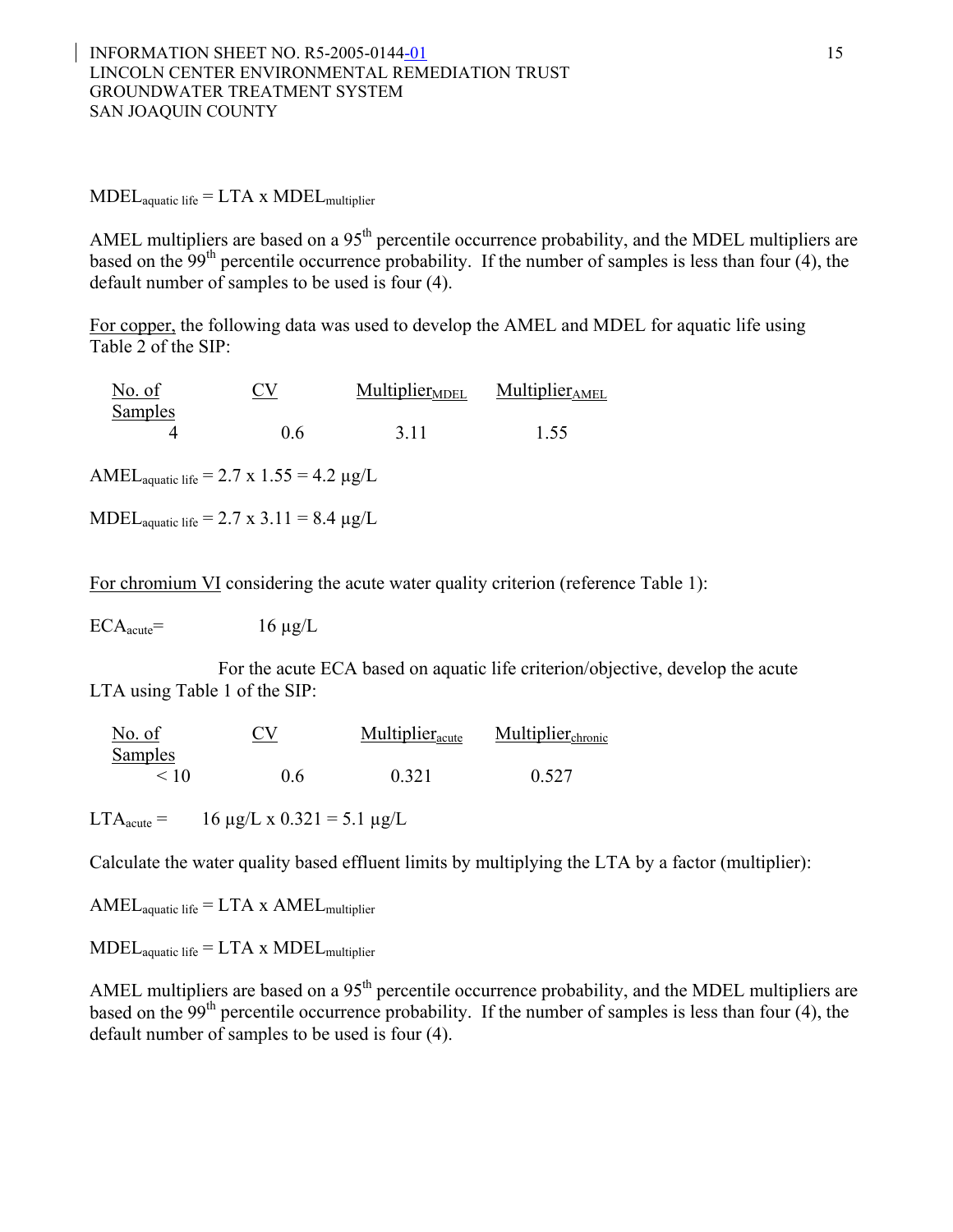$MDEL$ <sub>aquatic life</sub> =  $LTA$  x  $MDEL$ <sub>multiplier</sub>

AMEL multipliers are based on a 95<sup>th</sup> percentile occurrence probability, and the MDEL multipliers are based on the  $99<sup>th</sup>$  percentile occurrence probability. If the number of samples is less than four (4), the default number of samples to be used is four (4).

For copper, the following data was used to develop the AMEL and MDEL for aquatic life using Table 2 of the SIP:

| No. of         | <u>CV</u> | <b>Multiplier MDEL</b> | <b>Multiplier</b> <sub>AMEL</sub> |
|----------------|-----------|------------------------|-----------------------------------|
| <b>Samples</b> |           |                        |                                   |
|                | 06        | 3.11                   | 1.55                              |

AMEL<sub>aquatic</sub> life =  $2.7 \times 1.55 = 4.2 \mu g/L$ 

MDEL<sub>aquatic</sub> life =  $2.7 \times 3.11 = 8.4 \text{ µg/L}$ 

For chromium VI considering the acute water quality criterion (reference Table 1):

 $ECA<sub>acute</sub>=$  16  $\mu$ g/L

For the acute ECA based on aquatic life criterion/objective, develop the acute LTA using Table 1 of the SIP:

| No. of         | <u>CV</u> | <b>Multiplier</b> <sub>acute</sub> | Multiplier <sub>chronic</sub> |
|----------------|-----------|------------------------------------|-------------------------------|
| <b>Samples</b> |           |                                    |                               |
| < 10           | 06        | 0.321                              | 0.527                         |

LTA<sub>acute</sub> = 16  $\mu$ g/L x 0.321 = 5.1  $\mu$ g/L

Calculate the water quality based effluent limits by multiplying the LTA by a factor (multiplier):

 $AMEL_{aquatic life} = LTA \times AMEL_{multiplier}$ 

 $\text{MDEL}_{\text{aquatic life}} = \text{LTA} \times \text{MDEL}_{\text{multiplier}}$ 

AMEL multipliers are based on a 95<sup>th</sup> percentile occurrence probability, and the MDEL multipliers are based on the  $99<sup>th</sup>$  percentile occurrence probability. If the number of samples is less than four (4), the default number of samples to be used is four (4).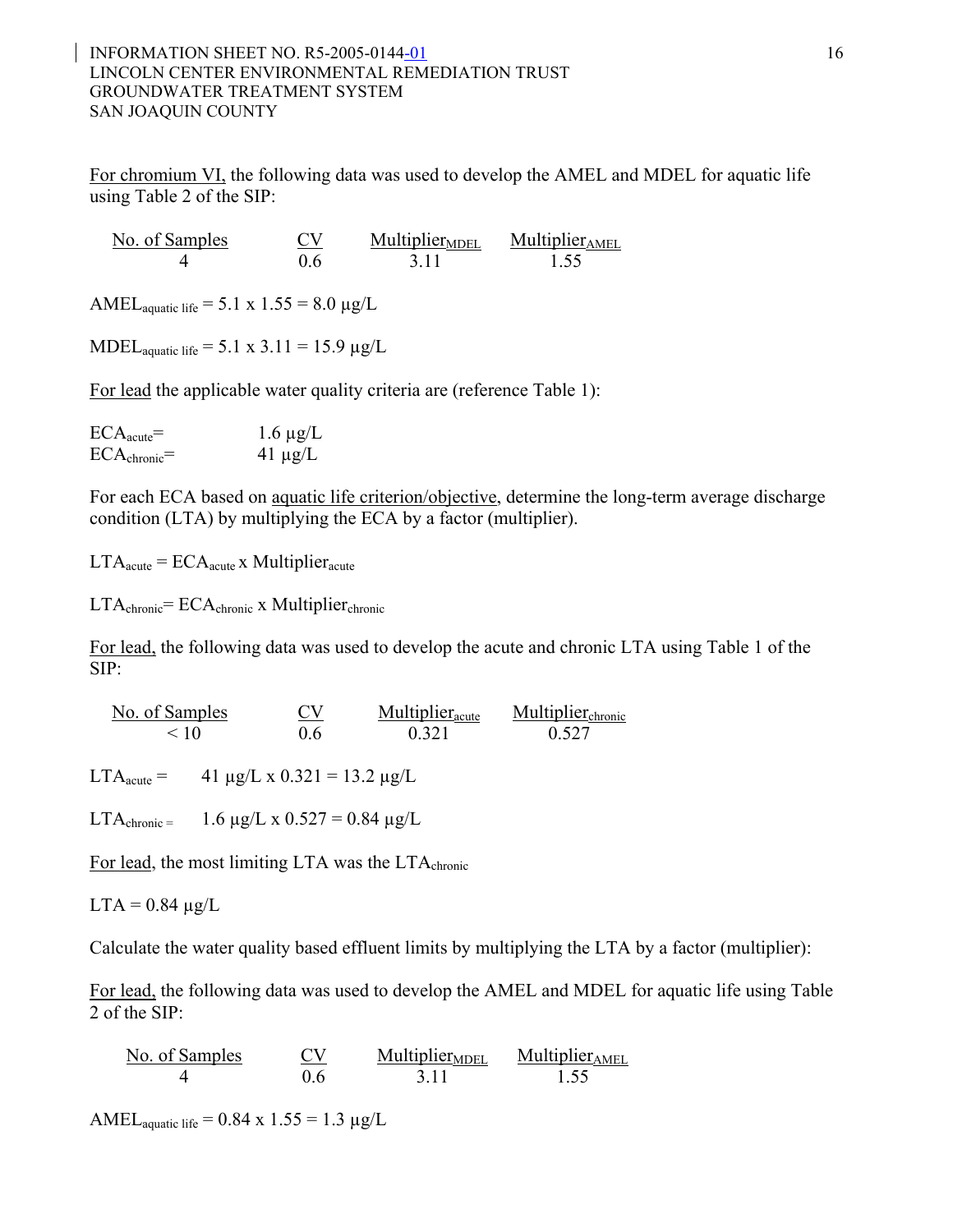#### INFORMATION SHEET NO. R5-2005-0144-01 16 LINCOLN CENTER ENVIRONMENTAL REMEDIATION TRUST GROUNDWATER TREATMENT SYSTEM SAN JOAQUIN COUNTY

For chromium VI, the following data was used to develop the AMEL and MDEL for aquatic life using Table 2 of the SIP:

| No. of Samples | Multiplier <sub>MDEL</sub> | Multiplier <sub>AMEL</sub> |
|----------------|----------------------------|----------------------------|
|                | 3 H                        | 1.55                       |

AMEL<sub>aquatic</sub> life =  $5.1 \times 1.55 = 8.0 \mu g/L$ 

MDEL<sub>aquatic</sub> life =  $5.1 \times 3.11 = 15.9 \mu g/L$ 

For lead the applicable water quality criteria are (reference Table 1):

| $ECA_{acute}$           | $1.6 \mu g/L$ |
|-------------------------|---------------|
| $ECA_{\text{chronic}}=$ | $41 \mu g/L$  |

For each ECA based on aquatic life criterion/objective, determine the long-term average discharge condition (LTA) by multiplying the ECA by a factor (multiplier).

 $LTA<sub>acute</sub> = ECA<sub>acute</sub>$  x Multiplier<sub>acute</sub>

LTAchronic= ECAchronic x Multiplierchronic

For lead, the following data was used to develop the acute and chronic LTA using Table 1 of the SIP:

 $\frac{\text{No. of Samples}}{\text{40}}$  CV  $\frac{\text{Multiplicr}_{\text{acute}}}{\text{0.6}}$  Multiplier<sub>acute</sub> Multiplier<sub>chronic</sub> 10  $< 10$  0.6 0.321 0.527

LTA<sub>acute</sub> = 41  $\mu$ g/L x 0.321 = 13.2  $\mu$ g/L

LTA<sub>chronic</sub> = 1.6  $\mu$ g/L x 0.527 = 0.84  $\mu$ g/L

For lead, the most limiting LTA was the LTA<sub>chronic</sub>

 $LTA = 0.84 \mu g/L$ 

Calculate the water quality based effluent limits by multiplying the LTA by a factor (multiplier):

For lead, the following data was used to develop the AMEL and MDEL for aquatic life using Table 2 of the SIP:

| No. of Samples | <b>CV</b> | <b>Multiplier</b> <sub>MDEL</sub> | Multiplier <sub>AMEL</sub> |
|----------------|-----------|-----------------------------------|----------------------------|
|                | 06        | 311                               | 1.55                       |

AMEL<sub>aquatic</sub> life =  $0.84 \times 1.55 = 1.3 \mu g/L$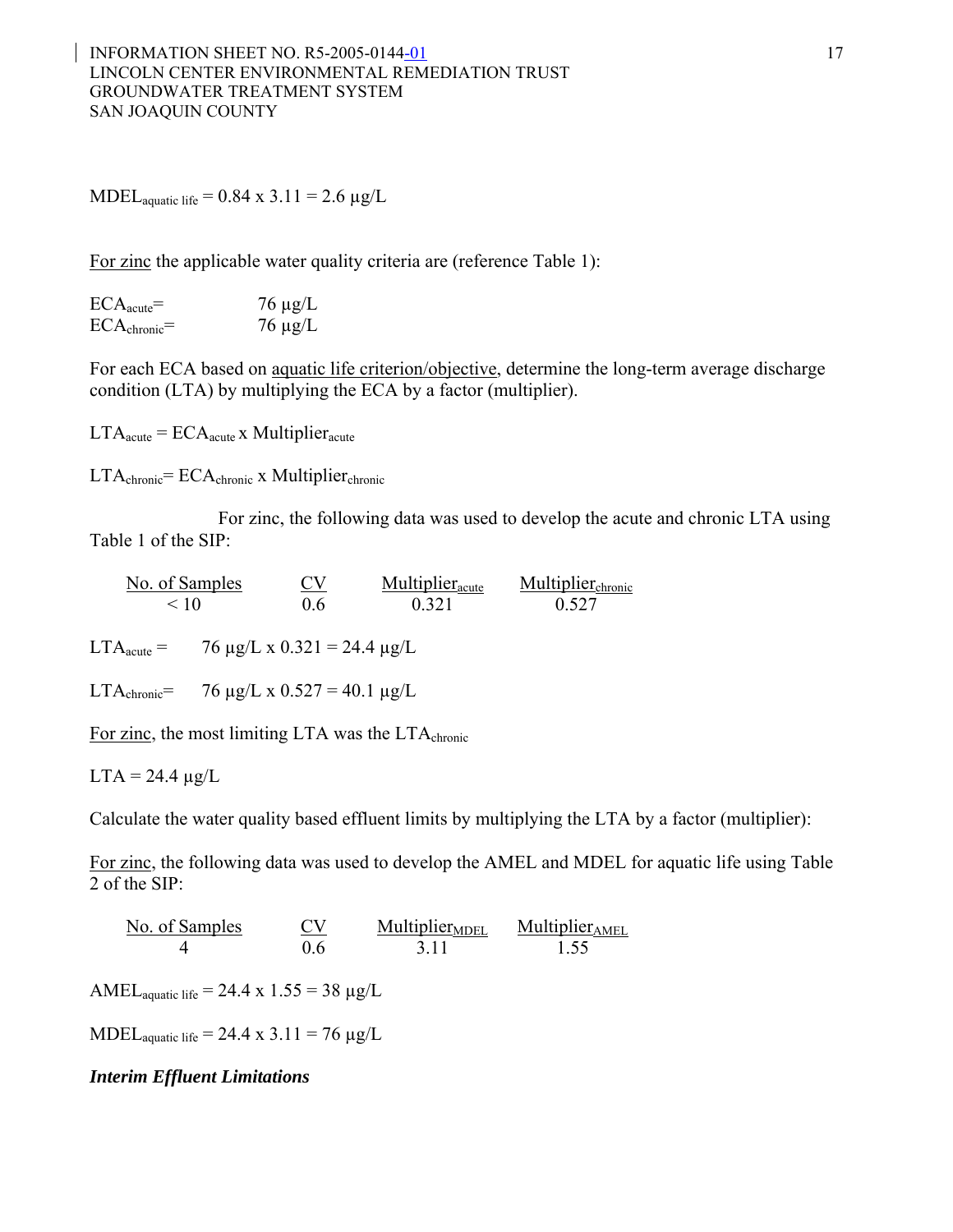MDEL<sub>aquatic</sub> life =  $0.84 \times 3.11 = 2.6 \text{ µg/L}$ 

For zinc the applicable water quality criteria are (reference Table 1):

| $ECA_{acute}$           | $76 \mu g/L$ |
|-------------------------|--------------|
| $ECA_{\text{chronic}}=$ | $76 \mu g/L$ |

For each ECA based on aquatic life criterion/objective, determine the long-term average discharge condition (LTA) by multiplying the ECA by a factor (multiplier).

 $LTA<sub>acute</sub> = ECA<sub>acute</sub>$  x Multiplier<sub>acute</sub>

 $LTA_{\text{chronic}} = ECA_{\text{chronic}}$  x Multiplier<sub>chronic</sub>

For zinc, the following data was used to develop the acute and chronic LTA using Table 1 of the SIP:

No. of Samples CV Multiplier<sub>acute</sub> Multiplier<sub>chronic</sub>  $< 10$  0.6 0.321 0.527

LTA<sub>acute</sub> = 76  $\mu$ g/L x 0.321 = 24.4  $\mu$ g/L

LTA<sub>chronic</sub>= 76  $\mu$ g/L x 0.527 = 40.1  $\mu$ g/L

For zinc, the most limiting LTA was the LTA<sub>chronic</sub>

 $LTA = 24.4 \mu g/L$ 

Calculate the water quality based effluent limits by multiplying the LTA by a factor (multiplier):

For zinc, the following data was used to develop the AMEL and MDEL for aquatic life using Table 2 of the SIP:

No. of Samples CV Multiplier<sub>MDEL</sub> Multiplier<sub>AMEL</sub>  $\begin{array}{lll} \text{Samples} & \text{CV} & \text{Multiplier}_{\text{MDEL}} & \text{Multiplier}_{\text{MDE}} \\ 4 & 0.6 & 3.11 & 1.55 \end{array}$ 

AMEL<sub>aquatic</sub> life = 24.4 x  $1.55 = 38 \mu g/L$ 

MDEL<sub>aquatic</sub> life = 24.4 x 3.11 = 76  $\mu$ g/L

#### *Interim Effluent Limitations*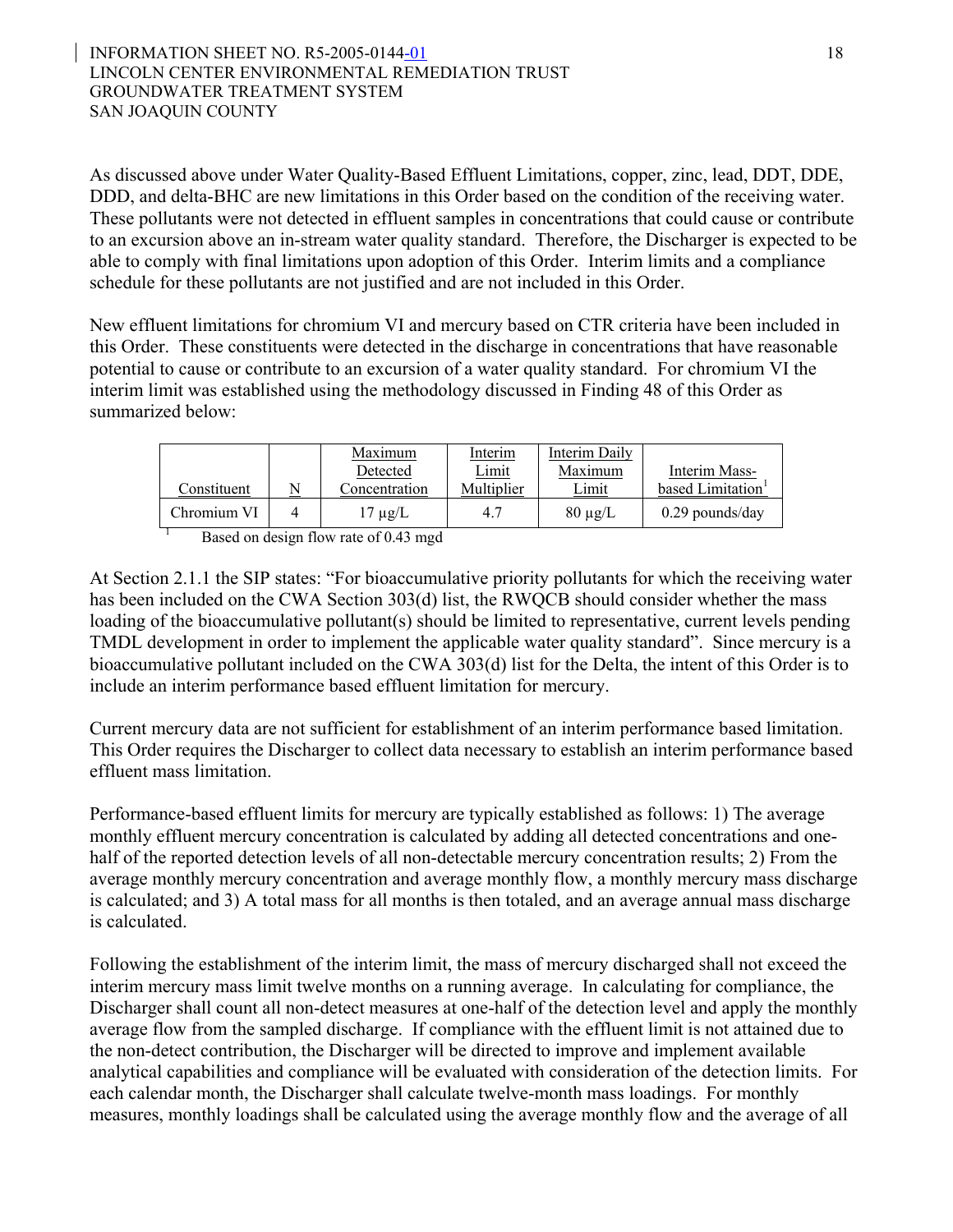#### INFORMATION SHEET NO. R5-2005-0144-01 18 LINCOLN CENTER ENVIRONMENTAL REMEDIATION TRUST GROUNDWATER TREATMENT SYSTEM SAN JOAQUIN COUNTY

As discussed above under Water Quality-Based Effluent Limitations, copper, zinc, lead, DDT, DDE, DDD, and delta-BHC are new limitations in this Order based on the condition of the receiving water. These pollutants were not detected in effluent samples in concentrations that could cause or contribute to an excursion above an in-stream water quality standard. Therefore, the Discharger is expected to be able to comply with final limitations upon adoption of this Order. Interim limits and a compliance schedule for these pollutants are not justified and are not included in this Order.

New effluent limitations for chromium VI and mercury based on CTR criteria have been included in this Order. These constituents were detected in the discharge in concentrations that have reasonable potential to cause or contribute to an excursion of a water quality standard. For chromium VI the interim limit was established using the methodology discussed in Finding 48 of this Order as summarized below:

| Constituent | Maximum<br>Detected<br>Concentration  | <b>Interim</b><br>Limit<br>Multiplier | <b>Interim Daily</b><br>Maximum<br>Limit | Interim Mass-<br>based Limitation <sup>1</sup> |
|-------------|---------------------------------------|---------------------------------------|------------------------------------------|------------------------------------------------|
| Chromium VI | $17 \mu$ g/L                          | 4.7                                   | $80 \mu g/L$                             | $0.29$ pounds/day                              |
|             | Based on design flow rate of 0.43 mgd |                                       |                                          |                                                |

At Section 2.1.1 the SIP states: "For bioaccumulative priority pollutants for which the receiving water has been included on the CWA Section 303(d) list, the RWOCB should consider whether the mass loading of the bioaccumulative pollutant(s) should be limited to representative, current levels pending TMDL development in order to implement the applicable water quality standard". Since mercury is a bioaccumulative pollutant included on the CWA 303(d) list for the Delta, the intent of this Order is to include an interim performance based effluent limitation for mercury.

Current mercury data are not sufficient for establishment of an interim performance based limitation. This Order requires the Discharger to collect data necessary to establish an interim performance based effluent mass limitation.

Performance-based effluent limits for mercury are typically established as follows: 1) The average monthly effluent mercury concentration is calculated by adding all detected concentrations and onehalf of the reported detection levels of all non-detectable mercury concentration results; 2) From the average monthly mercury concentration and average monthly flow, a monthly mercury mass discharge is calculated; and 3) A total mass for all months is then totaled, and an average annual mass discharge is calculated.

Following the establishment of the interim limit, the mass of mercury discharged shall not exceed the interim mercury mass limit twelve months on a running average. In calculating for compliance, the Discharger shall count all non-detect measures at one-half of the detection level and apply the monthly average flow from the sampled discharge. If compliance with the effluent limit is not attained due to the non-detect contribution, the Discharger will be directed to improve and implement available analytical capabilities and compliance will be evaluated with consideration of the detection limits. For each calendar month, the Discharger shall calculate twelve-month mass loadings. For monthly measures, monthly loadings shall be calculated using the average monthly flow and the average of all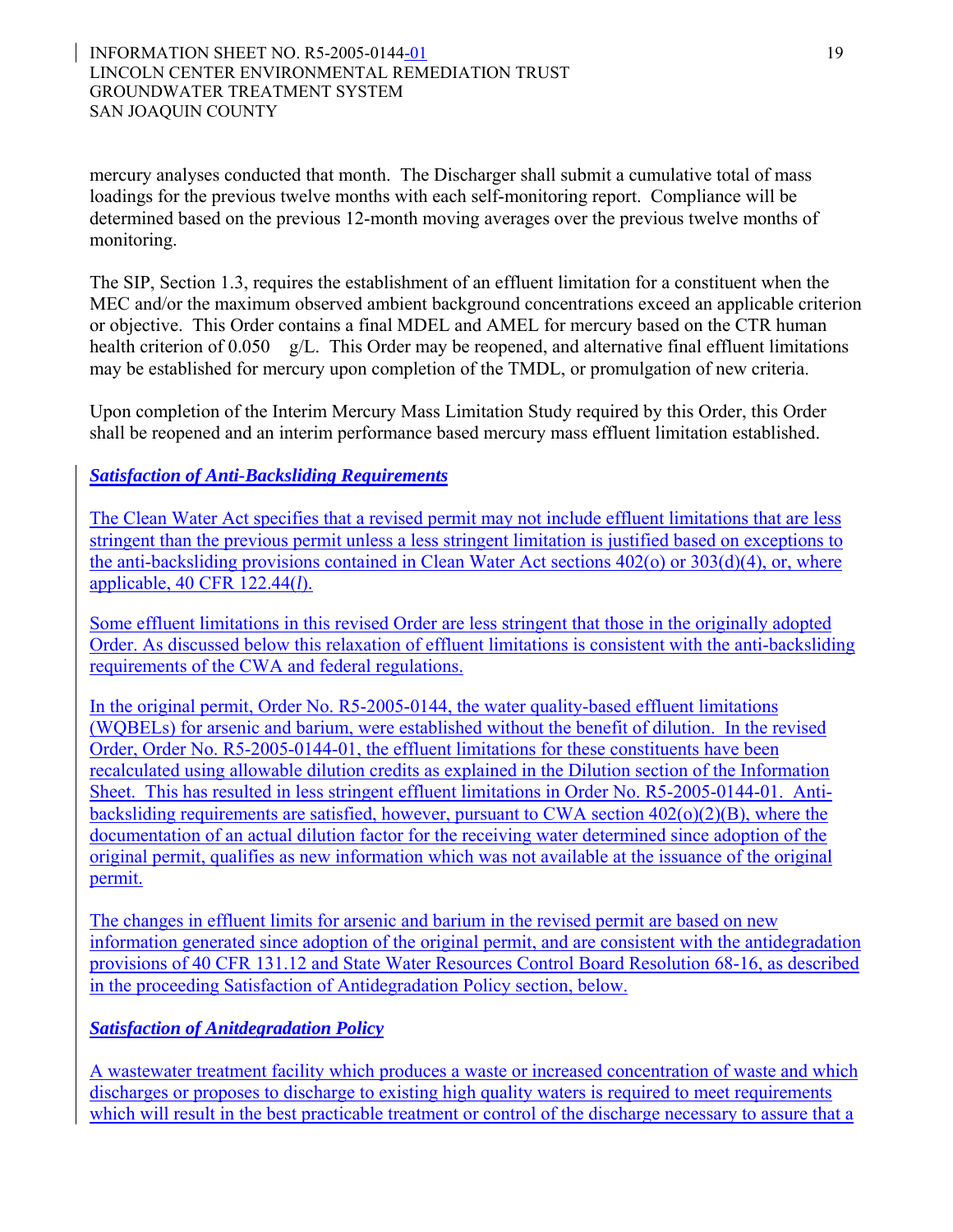mercury analyses conducted that month. The Discharger shall submit a cumulative total of mass loadings for the previous twelve months with each self-monitoring report. Compliance will be determined based on the previous 12-month moving averages over the previous twelve months of monitoring.

The SIP, Section 1.3, requires the establishment of an effluent limitation for a constituent when the MEC and/or the maximum observed ambient background concentrations exceed an applicable criterion or objective. This Order contains a final MDEL and AMEL for mercury based on the CTR human health criterion of 0.050 g/L. This Order may be reopened, and alternative final effluent limitations may be established for mercury upon completion of the TMDL, or promulgation of new criteria.

Upon completion of the Interim Mercury Mass Limitation Study required by this Order, this Order shall be reopened and an interim performance based mercury mass effluent limitation established.

# *Satisfaction of Anti-Backsliding Requirements*

The Clean Water Act specifies that a revised permit may not include effluent limitations that are less stringent than the previous permit unless a less stringent limitation is justified based on exceptions to the anti-backsliding provisions contained in Clean Water Act sections 402(o) or 303(d)(4), or, where applicable, 40 CFR 122.44(*l*).

Some effluent limitations in this revised Order are less stringent that those in the originally adopted Order. As discussed below this relaxation of effluent limitations is consistent with the anti-backsliding requirements of the CWA and federal regulations.

In the original permit, Order No. R5-2005-0144, the water quality-based effluent limitations (WQBELs) for arsenic and barium, were established without the benefit of dilution. In the revised Order, Order No. R5-2005-0144-01, the effluent limitations for these constituents have been recalculated using allowable dilution credits as explained in the Dilution section of the Information Sheet. This has resulted in less stringent effluent limitations in Order No. R5-2005-0144-01. Antibacksliding requirements are satisfied, however, pursuant to CWA section 402(o)(2)(B), where the documentation of an actual dilution factor for the receiving water determined since adoption of the original permit, qualifies as new information which was not available at the issuance of the original permit.

The changes in effluent limits for arsenic and barium in the revised permit are based on new information generated since adoption of the original permit, and are consistent with the antidegradation provisions of 40 CFR 131.12 and State Water Resources Control Board Resolution 68-16, as described in the proceeding Satisfaction of Antidegradation Policy section, below.

# *Satisfaction of Anitdegradation Policy*

A wastewater treatment facility which produces a waste or increased concentration of waste and which discharges or proposes to discharge to existing high quality waters is required to meet requirements which will result in the best practicable treatment or control of the discharge necessary to assure that a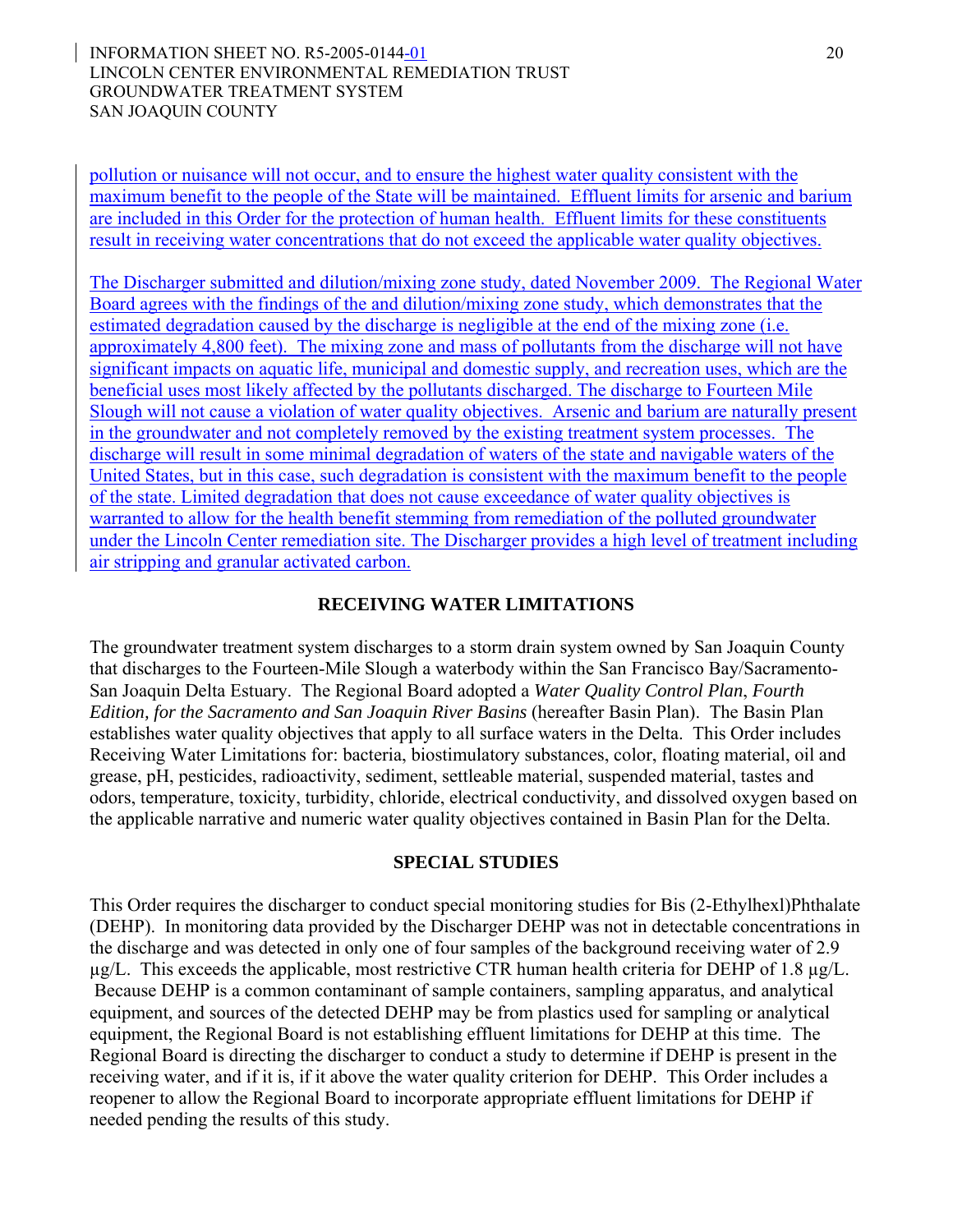#### INFORMATION SHEET NO. R5-2005-0144-01 20 LINCOLN CENTER ENVIRONMENTAL REMEDIATION TRUST GROUNDWATER TREATMENT SYSTEM SAN JOAQUIN COUNTY

pollution or nuisance will not occur, and to ensure the highest water quality consistent with the maximum benefit to the people of the State will be maintained. Effluent limits for arsenic and barium are included in this Order for the protection of human health. Effluent limits for these constituents result in receiving water concentrations that do not exceed the applicable water quality objectives.

The Discharger submitted and dilution/mixing zone study, dated November 2009. The Regional Water Board agrees with the findings of the and dilution/mixing zone study, which demonstrates that the estimated degradation caused by the discharge is negligible at the end of the mixing zone (i.e. approximately 4,800 feet). The mixing zone and mass of pollutants from the discharge will not have significant impacts on aquatic life, municipal and domestic supply, and recreation uses, which are the beneficial uses most likely affected by the pollutants discharged. The discharge to Fourteen Mile Slough will not cause a violation of water quality objectives. Arsenic and barium are naturally present in the groundwater and not completely removed by the existing treatment system processes. The discharge will result in some minimal degradation of waters of the state and navigable waters of the United States, but in this case, such degradation is consistent with the maximum benefit to the people of the state. Limited degradation that does not cause exceedance of water quality objectives is warranted to allow for the health benefit stemming from remediation of the polluted groundwater under the Lincoln Center remediation site. The Discharger provides a high level of treatment including air stripping and granular activated carbon.

#### **RECEIVING WATER LIMITATIONS**

The groundwater treatment system discharges to a storm drain system owned by San Joaquin County that discharges to the Fourteen-Mile Slough a waterbody within the San Francisco Bay/Sacramento-San Joaquin Delta Estuary. The Regional Board adopted a *Water Quality Control Plan*, *Fourth Edition, for the Sacramento and San Joaquin River Basins* (hereafter Basin Plan). The Basin Plan establishes water quality objectives that apply to all surface waters in the Delta. This Order includes Receiving Water Limitations for: bacteria, biostimulatory substances, color, floating material, oil and grease, pH, pesticides, radioactivity, sediment, settleable material, suspended material, tastes and odors, temperature, toxicity, turbidity, chloride, electrical conductivity, and dissolved oxygen based on the applicable narrative and numeric water quality objectives contained in Basin Plan for the Delta.

#### **SPECIAL STUDIES**

This Order requires the discharger to conduct special monitoring studies for Bis (2-Ethylhexl)Phthalate (DEHP). In monitoring data provided by the Discharger DEHP was not in detectable concentrations in the discharge and was detected in only one of four samples of the background receiving water of 2.9  $\mu$ g/L. This exceeds the applicable, most restrictive CTR human health criteria for DEHP of 1.8  $\mu$ g/L. Because DEHP is a common contaminant of sample containers, sampling apparatus, and analytical equipment, and sources of the detected DEHP may be from plastics used for sampling or analytical equipment, the Regional Board is not establishing effluent limitations for DEHP at this time. The Regional Board is directing the discharger to conduct a study to determine if DEHP is present in the receiving water, and if it is, if it above the water quality criterion for DEHP. This Order includes a reopener to allow the Regional Board to incorporate appropriate effluent limitations for DEHP if needed pending the results of this study.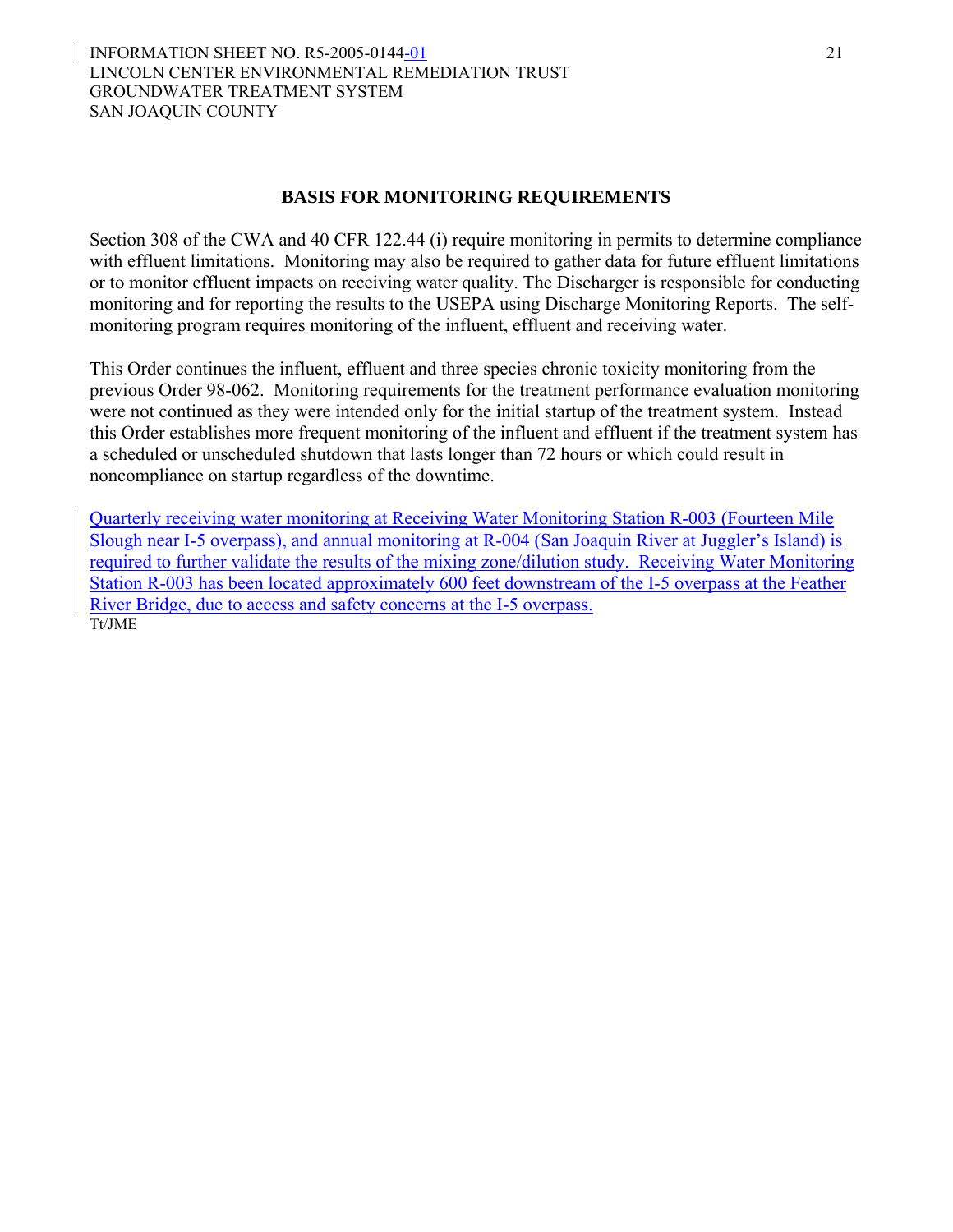#### **BASIS FOR MONITORING REQUIREMENTS**

Section 308 of the CWA and 40 CFR 122.44 (i) require monitoring in permits to determine compliance with effluent limitations. Monitoring may also be required to gather data for future effluent limitations or to monitor effluent impacts on receiving water quality. The Discharger is responsible for conducting monitoring and for reporting the results to the USEPA using Discharge Monitoring Reports. The selfmonitoring program requires monitoring of the influent, effluent and receiving water.

This Order continues the influent, effluent and three species chronic toxicity monitoring from the previous Order 98-062. Monitoring requirements for the treatment performance evaluation monitoring were not continued as they were intended only for the initial startup of the treatment system. Instead this Order establishes more frequent monitoring of the influent and effluent if the treatment system has a scheduled or unscheduled shutdown that lasts longer than 72 hours or which could result in noncompliance on startup regardless of the downtime.

Quarterly receiving water monitoring at Receiving Water Monitoring Station R-003 (Fourteen Mile Slough near I-5 overpass), and annual monitoring at R-004 (San Joaquin River at Juggler's Island) is required to further validate the results of the mixing zone/dilution study. Receiving Water Monitoring Station R-003 has been located approximately 600 feet downstream of the I-5 overpass at the Feather River Bridge, due to access and safety concerns at the I-5 overpass. Tt/JME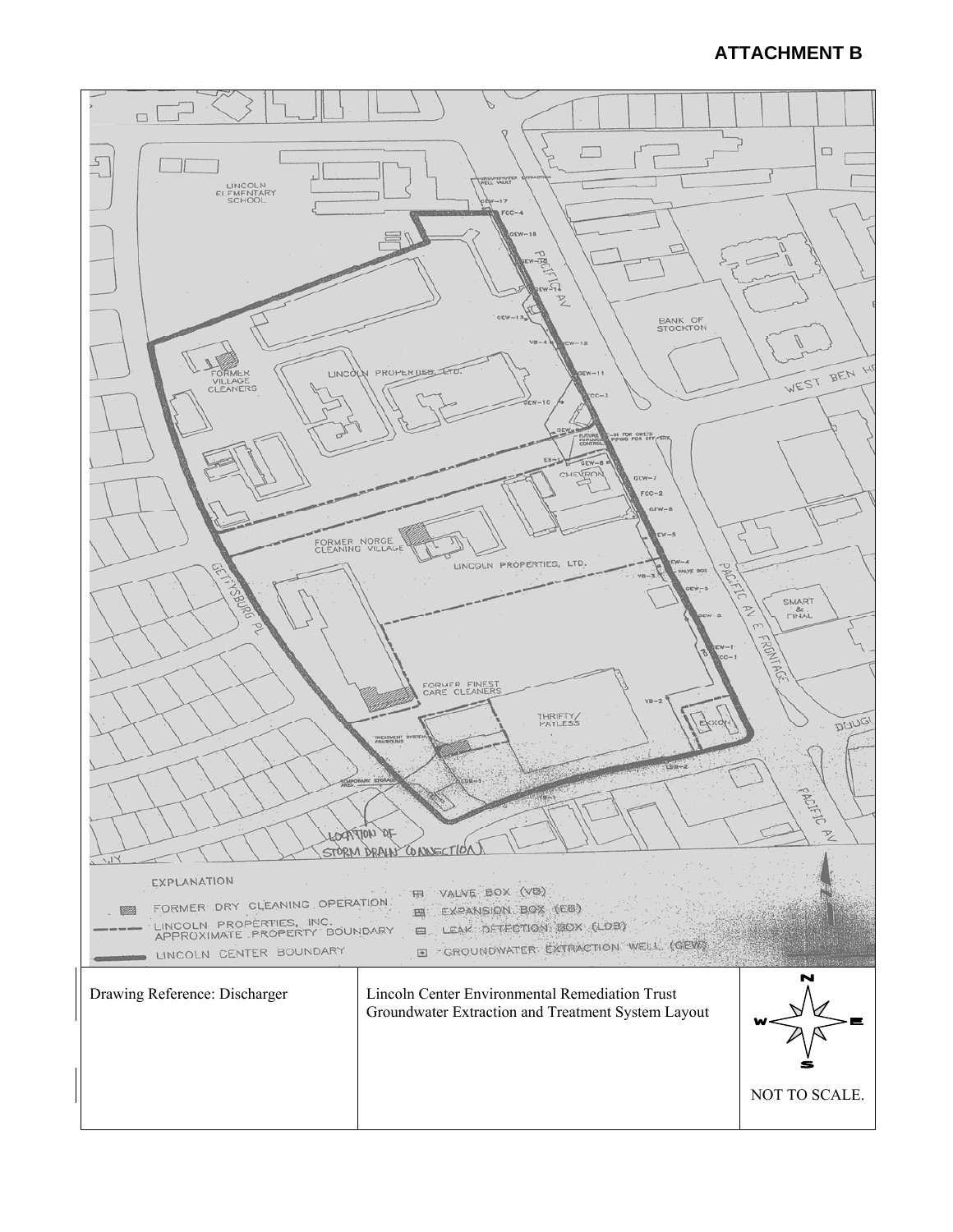## **ATTACHMENT B**

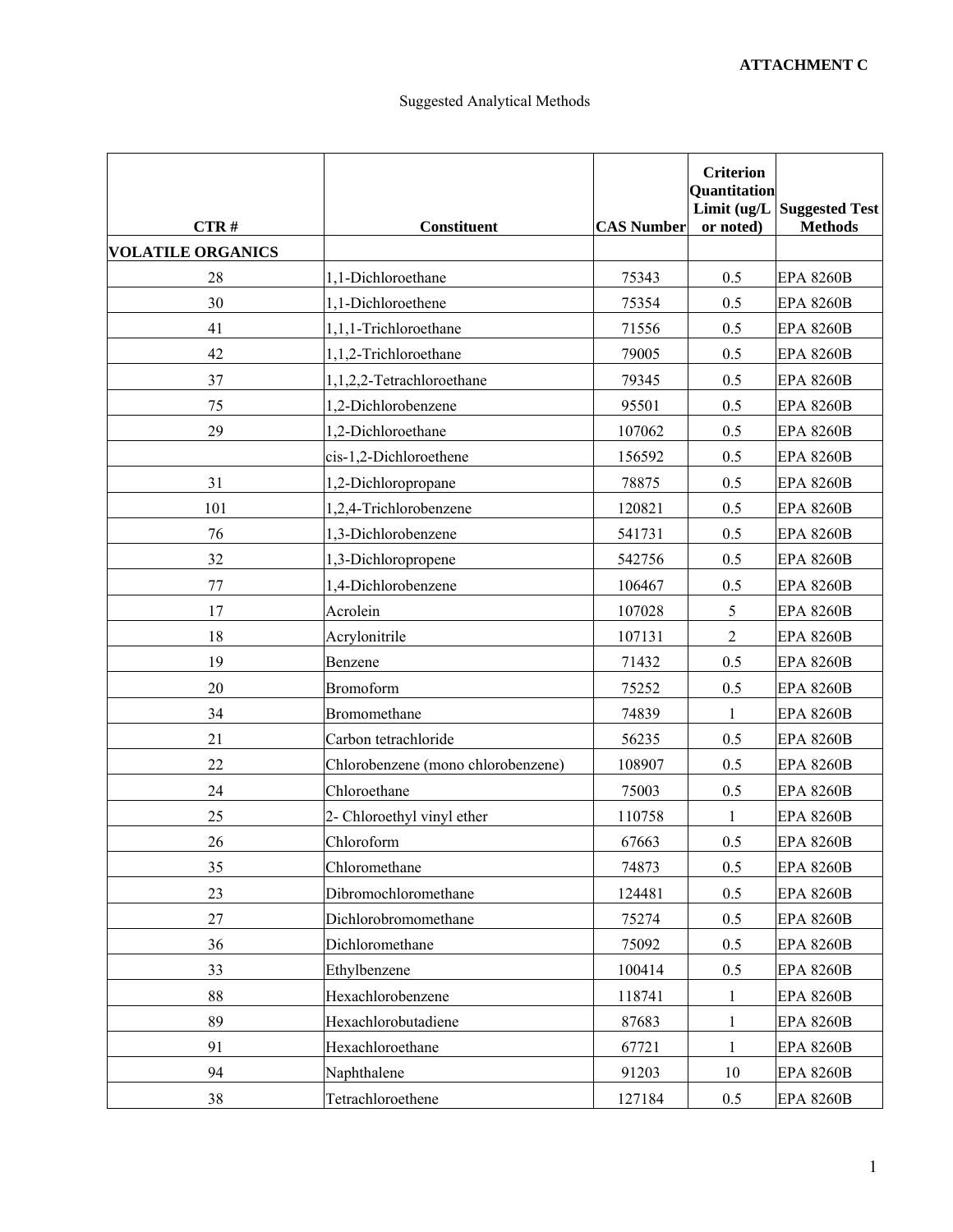| CTR#                     | <b>Constituent</b>                 | <b>CAS Number</b> | <b>Criterion</b><br><b>Quantitation</b><br>or noted) | Limit (ug/L Suggested Test<br><b>Methods</b> |
|--------------------------|------------------------------------|-------------------|------------------------------------------------------|----------------------------------------------|
| <b>VOLATILE ORGANICS</b> |                                    |                   |                                                      |                                              |
| 28                       | 1,1-Dichloroethane                 | 75343             | 0.5                                                  | <b>EPA 8260B</b>                             |
| 30                       | 1,1-Dichloroethene                 | 75354             | 0.5                                                  | <b>EPA 8260B</b>                             |
| 41                       | 1,1,1-Trichloroethane              | 71556             | 0.5                                                  | <b>EPA 8260B</b>                             |
| 42                       | 1,1,2-Trichloroethane              | 79005             | 0.5                                                  | <b>EPA 8260B</b>                             |
| 37                       | 1,1,2,2-Tetrachloroethane          | 79345             | 0.5                                                  | <b>EPA 8260B</b>                             |
| 75                       | 1,2-Dichlorobenzene                | 95501             | 0.5                                                  | <b>EPA 8260B</b>                             |
| 29                       | 1,2-Dichloroethane                 | 107062            | 0.5                                                  | <b>EPA 8260B</b>                             |
|                          | cis-1,2-Dichloroethene             | 156592            | 0.5                                                  | <b>EPA 8260B</b>                             |
| 31                       | 1,2-Dichloropropane                | 78875             | 0.5                                                  | <b>EPA 8260B</b>                             |
| 101                      | 1,2,4-Trichlorobenzene             | 120821            | 0.5                                                  | <b>EPA 8260B</b>                             |
| 76                       | 1,3-Dichlorobenzene                | 541731            | 0.5                                                  | <b>EPA 8260B</b>                             |
| 32                       | 1,3-Dichloropropene                | 542756            | 0.5                                                  | <b>EPA 8260B</b>                             |
| 77                       | 1,4-Dichlorobenzene                | 106467            | 0.5                                                  | <b>EPA 8260B</b>                             |
| 17                       | Acrolein                           | 107028            | 5                                                    | <b>EPA 8260B</b>                             |
| 18                       | Acrylonitrile                      | 107131            | 2                                                    | <b>EPA 8260B</b>                             |
| 19                       | Benzene                            | 71432             | 0.5                                                  | <b>EPA 8260B</b>                             |
| 20                       | <b>Bromoform</b>                   | 75252             | 0.5                                                  | <b>EPA 8260B</b>                             |
| 34                       | Bromomethane                       | 74839             | 1                                                    | <b>EPA 8260B</b>                             |
| 21                       | Carbon tetrachloride               | 56235             | 0.5                                                  | <b>EPA 8260B</b>                             |
| 22                       | Chlorobenzene (mono chlorobenzene) | 108907            | 0.5                                                  | <b>EPA 8260B</b>                             |
| 24                       | Chloroethane                       | 75003             | 0.5                                                  | <b>EPA 8260B</b>                             |
| 25                       | 2- Chloroethyl vinyl ether         | 110758            |                                                      | <b>EPA 8260B</b>                             |
| 26                       | Chloroform                         | 67663             | 0.5                                                  | <b>EPA 8260B</b>                             |
| 35                       | Chloromethane                      | 74873             | 0.5                                                  | <b>EPA 8260B</b>                             |
| 23                       | Dibromochloromethane               | 124481            | 0.5                                                  | <b>EPA 8260B</b>                             |
| 27                       | Dichlorobromomethane               | 75274             | 0.5                                                  | <b>EPA 8260B</b>                             |
| 36                       | Dichloromethane                    | 75092             | 0.5                                                  | <b>EPA 8260B</b>                             |
| 33                       | Ethylbenzene                       | 100414            | 0.5                                                  | <b>EPA 8260B</b>                             |
| $88\,$                   | Hexachlorobenzene                  | 118741            | 1                                                    | <b>EPA 8260B</b>                             |
| 89                       | Hexachlorobutadiene                | 87683             | 1                                                    | <b>EPA 8260B</b>                             |
| 91                       | Hexachloroethane                   | 67721             | 1                                                    | <b>EPA 8260B</b>                             |
| 94                       | Naphthalene                        | 91203             | 10                                                   | <b>EPA 8260B</b>                             |
| 38                       | Tetrachloroethene                  | 127184            | 0.5                                                  | <b>EPA 8260B</b>                             |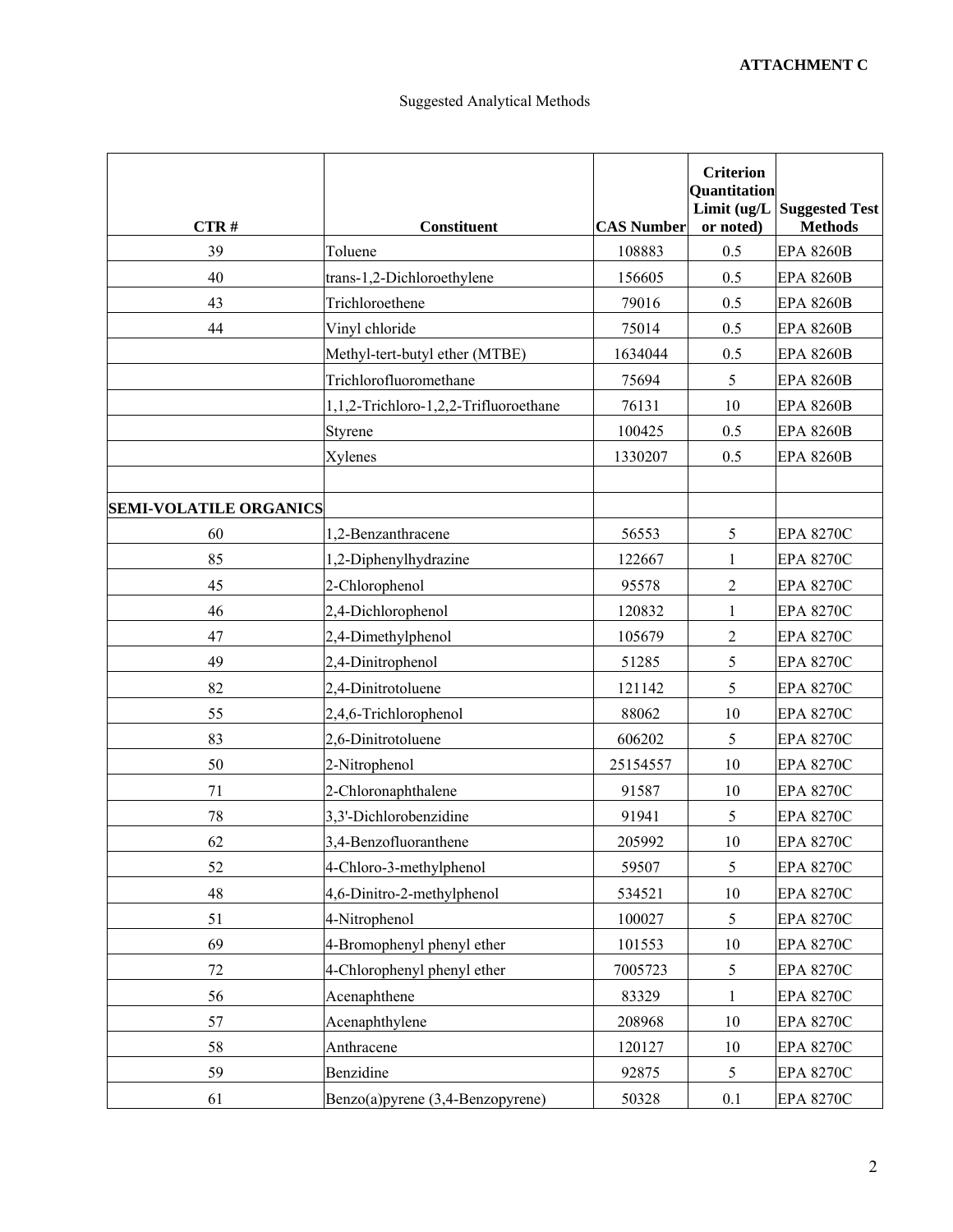| CTR#                          | <b>Constituent</b>                    | <b>CAS Number</b> | <b>Criterion</b><br>Quantitation<br>or noted) | Limit (ug/L Suggested Test<br><b>Methods</b> |
|-------------------------------|---------------------------------------|-------------------|-----------------------------------------------|----------------------------------------------|
| 39                            | Toluene                               | 108883            | 0.5                                           | <b>EPA 8260B</b>                             |
| 40                            | trans-1,2-Dichloroethylene            | 156605            | 0.5                                           | <b>EPA 8260B</b>                             |
| 43                            | Trichloroethene                       | 79016             | 0.5                                           | <b>EPA 8260B</b>                             |
| 44                            | Vinyl chloride                        | 75014             | 0.5                                           | <b>EPA 8260B</b>                             |
|                               | Methyl-tert-butyl ether (MTBE)        | 1634044           | 0.5                                           | <b>EPA 8260B</b>                             |
|                               | Trichlorofluoromethane                | 75694             | 5                                             | <b>EPA 8260B</b>                             |
|                               | 1,1,2-Trichloro-1,2,2-Trifluoroethane | 76131             | 10                                            | <b>EPA 8260B</b>                             |
|                               | Styrene                               | 100425            | 0.5                                           | <b>EPA 8260B</b>                             |
|                               | Xylenes                               | 1330207           | 0.5                                           | <b>EPA 8260B</b>                             |
| <b>SEMI-VOLATILE ORGANICS</b> |                                       |                   |                                               |                                              |
| 60                            | 1,2-Benzanthracene                    | 56553             | 5                                             | <b>EPA 8270C</b>                             |
| 85                            | 1,2-Diphenylhydrazine                 | 122667            | 1                                             | <b>EPA 8270C</b>                             |
| 45                            | 2-Chlorophenol                        | 95578             | $\sqrt{2}$                                    | <b>EPA 8270C</b>                             |
| 46                            | 2,4-Dichlorophenol                    | 120832            | 1                                             | <b>EPA 8270C</b>                             |
| 47                            | 2,4-Dimethylphenol                    | 105679            | $\overline{c}$                                | <b>EPA 8270C</b>                             |
| 49                            | 2,4-Dinitrophenol                     | 51285             | 5                                             | <b>EPA 8270C</b>                             |
| 82                            | 2,4-Dinitrotoluene                    | 121142            | 5                                             | <b>EPA 8270C</b>                             |
| 55                            | 2,4,6-Trichlorophenol                 | 88062             | 10                                            | <b>EPA 8270C</b>                             |
| 83                            | 2,6-Dinitrotoluene                    | 606202            | 5                                             | <b>EPA 8270C</b>                             |
| 50                            | 2-Nitrophenol                         | 25154557          | 10                                            | <b>EPA 8270C</b>                             |
| 71                            | 2-Chloronaphthalene                   | 91587             | 10                                            | <b>EPA 8270C</b>                             |
| 78                            | 3,3'-Dichlorobenzidine                | 91941             | 5                                             | <b>EPA 8270C</b>                             |
| 62                            | 3.4-Benzofluoranthene                 | 205992            | 10                                            | <b>EPA 8270C</b>                             |
| 52                            | 4-Chloro-3-methylphenol               | 59507             | 5                                             | <b>EPA 8270C</b>                             |
| 48                            | 4,6-Dinitro-2-methylphenol            | 534521            | $10\,$                                        | <b>EPA 8270C</b>                             |
| 51                            | 4-Nitrophenol                         | 100027            | 5                                             | <b>EPA 8270C</b>                             |
| 69                            | 4-Bromophenyl phenyl ether            | 101553            | 10                                            | <b>EPA 8270C</b>                             |
| $72\,$                        | 4-Chlorophenyl phenyl ether           | 7005723           | 5                                             | <b>EPA 8270C</b>                             |
| 56                            | Acenaphthene                          | 83329             | $\mathbf{1}$                                  | <b>EPA 8270C</b>                             |
| 57                            | Acenaphthylene                        | 208968            | 10                                            | <b>EPA 8270C</b>                             |
| 58                            | Anthracene                            | 120127            | 10                                            | <b>EPA 8270C</b>                             |
| 59                            | Benzidine                             | 92875             | 5                                             | <b>EPA 8270C</b>                             |
| 61                            | Benzo(a)pyrene (3,4-Benzopyrene)      | 50328             | 0.1                                           | <b>EPA 8270C</b>                             |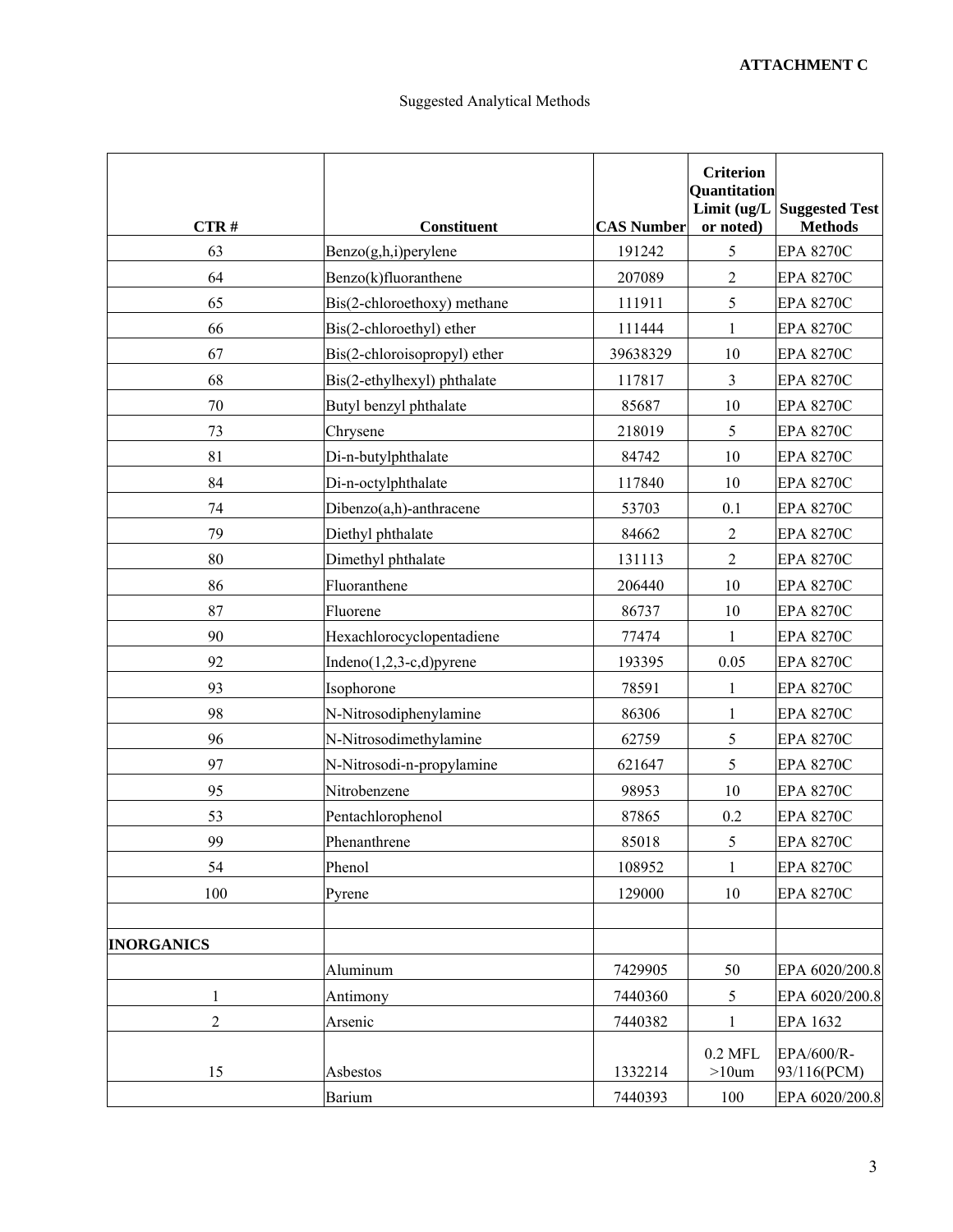| CTR#              | <b>Constituent</b>           | <b>CAS Number</b> | <b>Criterion</b><br>Quantitation<br>or noted) | Limit (ug/L Suggested Test<br><b>Methods</b> |
|-------------------|------------------------------|-------------------|-----------------------------------------------|----------------------------------------------|
| 63                | Benzo(g,h,i)perylene         | 191242            | 5                                             | <b>EPA 8270C</b>                             |
| 64                | Benzo(k)fluoranthene         | 207089            | $\sqrt{2}$                                    | <b>EPA 8270C</b>                             |
| 65                | Bis(2-chloroethoxy) methane  | 111911            | 5                                             | <b>EPA 8270C</b>                             |
| 66                | Bis(2-chloroethyl) ether     | 111444            | 1                                             | <b>EPA 8270C</b>                             |
| 67                | Bis(2-chloroisopropyl) ether | 39638329          | 10                                            | <b>EPA 8270C</b>                             |
| 68                | Bis(2-ethylhexyl) phthalate  | 117817            | $\overline{3}$                                | <b>EPA 8270C</b>                             |
| $70\,$            | Butyl benzyl phthalate       | 85687             | 10                                            | <b>EPA 8270C</b>                             |
| 73                | Chrysene                     | 218019            | 5                                             | <b>EPA 8270C</b>                             |
| 81                | Di-n-butylphthalate          | 84742             | 10                                            | <b>EPA 8270C</b>                             |
| 84                | Di-n-octylphthalate          | 117840            | 10                                            | <b>EPA 8270C</b>                             |
| 74                | Dibenzo(a,h)-anthracene      | 53703             | 0.1                                           | <b>EPA 8270C</b>                             |
| 79                | Diethyl phthalate            | 84662             | 2                                             | <b>EPA 8270C</b>                             |
| 80                | Dimethyl phthalate           | 131113            | $\sqrt{2}$                                    | <b>EPA 8270C</b>                             |
| 86                | Fluoranthene                 | 206440            | 10                                            | <b>EPA 8270C</b>                             |
| 87                | Fluorene                     | 86737             | 10                                            | <b>EPA 8270C</b>                             |
| 90                | Hexachlorocyclopentadiene    | 77474             | 1                                             | <b>EPA 8270C</b>                             |
| 92                | Indeno $(1,2,3-c,d)$ pyrene  | 193395            | 0.05                                          | <b>EPA 8270C</b>                             |
| 93                | Isophorone                   | 78591             | $\mathbf{1}$                                  | <b>EPA 8270C</b>                             |
| 98                | N-Nitrosodiphenylamine       | 86306             | 1                                             | <b>EPA 8270C</b>                             |
| 96                | N-Nitrosodimethylamine       | 62759             | $\mathfrak{S}$                                | <b>EPA 8270C</b>                             |
| 97                | N-Nitrosodi-n-propylamine    | 621647            | 5                                             | <b>EPA 8270C</b>                             |
| 95                | Nitrobenzene                 | 98953             | 10                                            | <b>EPA 8270C</b>                             |
| 53                | Pentachlorophenol            | 87865             | 0.2                                           | <b>EPA 8270C</b>                             |
| 99                | Phenanthrene                 | 85018             | 5                                             | <b>EPA 8270C</b>                             |
| 54                | Phenol                       | 108952            | 1                                             | <b>EPA 8270C</b>                             |
| 100               | Pyrene                       | 129000            | 10                                            | <b>EPA 8270C</b>                             |
| <b>INORGANICS</b> |                              |                   |                                               |                                              |
|                   | Aluminum                     | 7429905           | 50                                            | EPA 6020/200.8                               |
| $\mathbf{1}$      | Antimony                     | 7440360           | 5                                             | EPA 6020/200.8                               |
| $\boldsymbol{2}$  | Arsenic                      | 7440382           | $\mathbf{1}$                                  | EPA 1632                                     |
| 15                | Asbestos                     | 1332214           | $0.2$ MFL<br>$>10$ um                         | EPA/600/R-<br>93/116(PCM)                    |
|                   | <b>Barium</b>                | 7440393           | 100                                           | EPA 6020/200.8                               |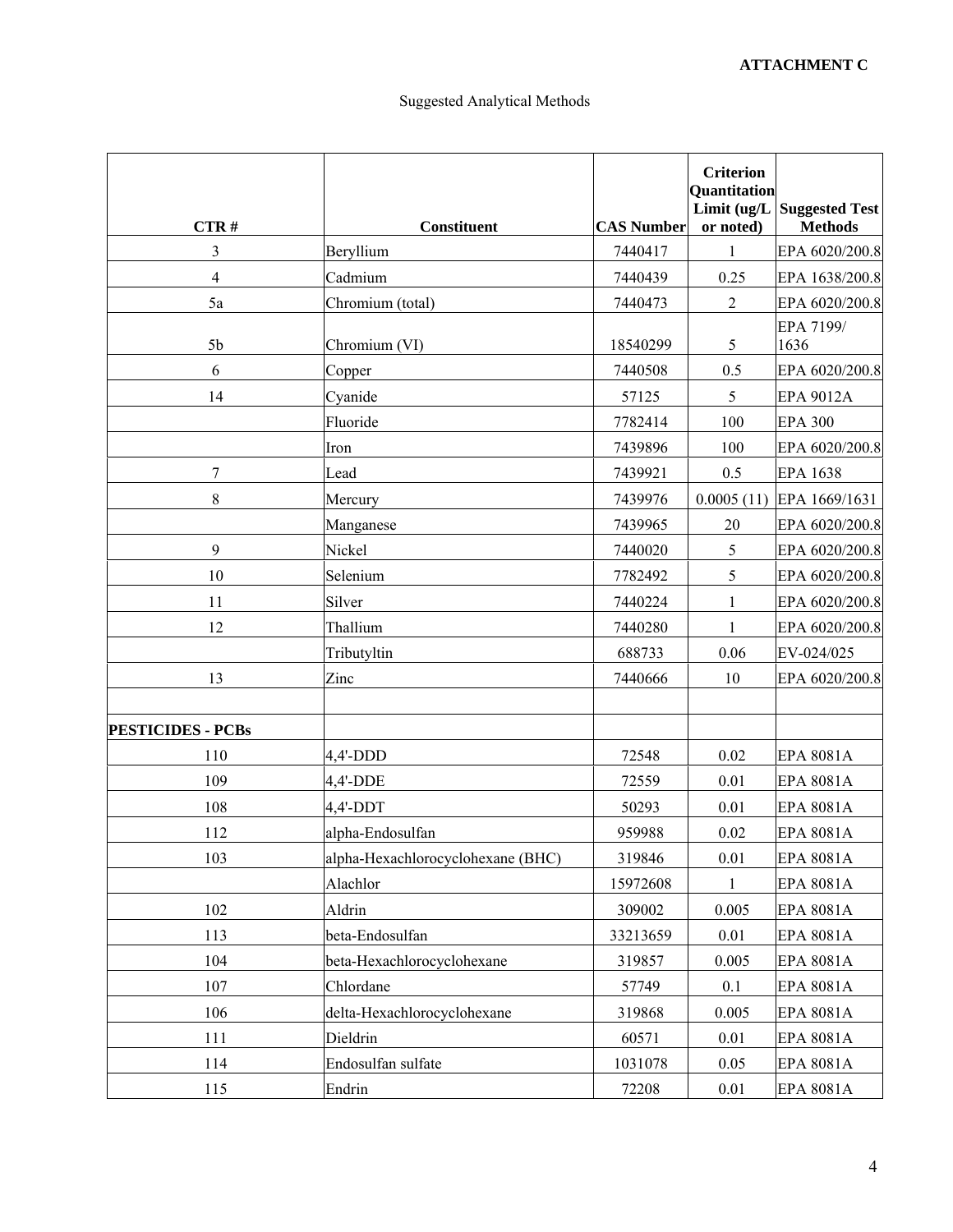| CTR#                     | <b>Constituent</b>                | <b>CAS Number</b> | <b>Criterion</b><br><b>Quantitation</b><br>Limit (ug/L<br>or noted) | <b>Suggested Test</b><br><b>Methods</b> |
|--------------------------|-----------------------------------|-------------------|---------------------------------------------------------------------|-----------------------------------------|
| 3                        | Beryllium                         | 7440417           | 1                                                                   | EPA 6020/200.8                          |
| 4                        | Cadmium                           | 7440439           | 0.25                                                                | EPA 1638/200.8                          |
| 5a                       | Chromium (total)                  | 7440473           | $\overline{2}$                                                      | EPA 6020/200.8                          |
| 5 <sub>b</sub>           | Chromium (VI)                     | 18540299          | 5                                                                   | EPA 7199/<br>1636                       |
| 6                        | Copper                            | 7440508           | 0.5                                                                 | EPA 6020/200.8                          |
| 14                       | Cyanide                           | 57125             | 5                                                                   | <b>EPA 9012A</b>                        |
|                          | Fluoride                          | 7782414           | 100                                                                 | <b>EPA 300</b>                          |
|                          | Iron                              | 7439896           | 100                                                                 | EPA 6020/200.8                          |
| $\boldsymbol{7}$         | Lead                              | 7439921           | 0.5                                                                 | <b>EPA 1638</b>                         |
| $8\,$                    | Mercury                           | 7439976           |                                                                     | $0.0005(11)$ EPA 1669/1631              |
|                          | Manganese                         | 7439965           | 20                                                                  | EPA 6020/200.8                          |
| 9                        | Nickel                            | 7440020           | 5                                                                   | EPA 6020/200.8                          |
| 10                       | Selenium                          | 7782492           | 5                                                                   | EPA 6020/200.8                          |
| 11                       | Silver                            | 7440224           | $\mathbf{1}$                                                        | EPA 6020/200.8                          |
| 12                       | Thallium                          | 7440280           | 1                                                                   | EPA 6020/200.8                          |
|                          | Tributyltin                       | 688733            | 0.06                                                                | EV-024/025                              |
| 13                       | Zinc                              | 7440666           | 10                                                                  | EPA 6020/200.8                          |
|                          |                                   |                   |                                                                     |                                         |
| <b>PESTICIDES - PCBs</b> |                                   |                   |                                                                     |                                         |
| 110                      | $4,4'-DDD$                        | 72548             | 0.02                                                                | <b>EPA 8081A</b>                        |
| 109                      | $4,4'$ -DDE                       | 72559             | 0.01                                                                | <b>EPA 8081A</b>                        |
| 108                      | $4.4'$ -DDT                       | 50293             | 0.01                                                                | <b>EPA 8081A</b>                        |
| 112                      | alpha-Endosulfan                  | 959988            | 0.02                                                                | EPA 8081A                               |
| 103                      | alpha-Hexachlorocyclohexane (BHC) | 319846            | 0.01                                                                | <b>EPA 8081A</b>                        |
|                          | Alachlor                          | 15972608          | $\mathbf{1}$                                                        | EPA 8081A                               |
| 102                      | Aldrin                            | 309002            | 0.005                                                               | EPA 8081A                               |
| 113                      | beta-Endosulfan                   | 33213659          | 0.01                                                                | EPA 8081A                               |
| 104                      | beta-Hexachlorocyclohexane        | 319857            | 0.005                                                               | <b>EPA 8081A</b>                        |
| 107                      | Chlordane                         | 57749             | 0.1                                                                 | EPA 8081A                               |
| 106                      | delta-Hexachlorocyclohexane       | 319868            | 0.005                                                               | EPA 8081A                               |
| 111                      | Dieldrin                          | 60571             | 0.01                                                                | EPA 8081A                               |
| 114                      | Endosulfan sulfate                | 1031078           | 0.05                                                                | EPA 8081A                               |
| 115                      | Endrin                            | 72208             | $0.01\,$                                                            | EPA 8081A                               |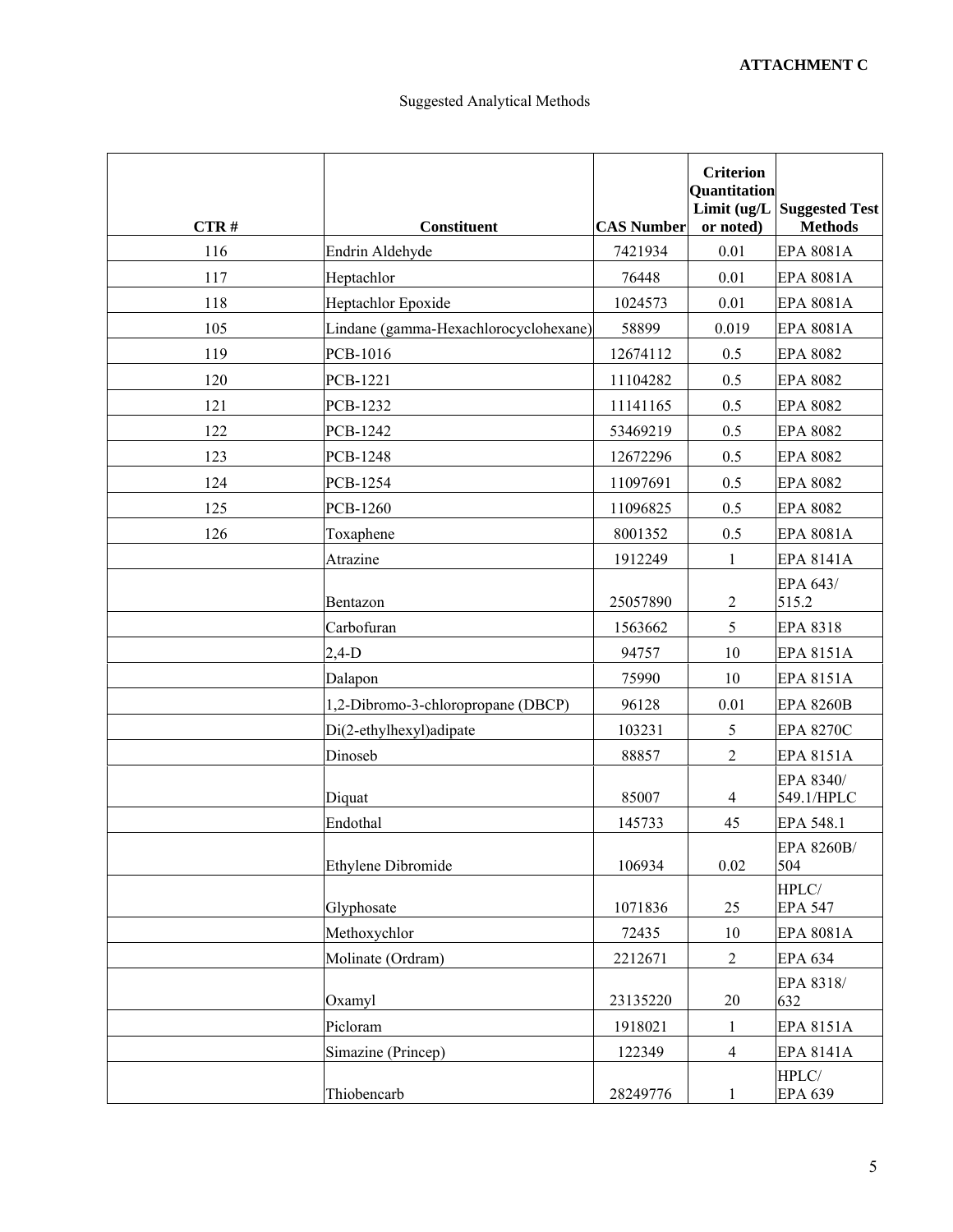| CTR# | <b>Constituent</b>                    | <b>CAS Number</b> | <b>Criterion</b><br>Quantitation<br>or noted) | Limit $\left(\frac{ug}{L}\right)$ Suggested Test<br><b>Methods</b> |
|------|---------------------------------------|-------------------|-----------------------------------------------|--------------------------------------------------------------------|
| 116  | Endrin Aldehyde                       | 7421934           | 0.01                                          | <b>EPA 8081A</b>                                                   |
| 117  | Heptachlor                            | 76448             | 0.01                                          | <b>EPA 8081A</b>                                                   |
| 118  | Heptachlor Epoxide                    | 1024573           | 0.01                                          | <b>EPA 8081A</b>                                                   |
| 105  | Lindane (gamma-Hexachlorocyclohexane) | 58899             | 0.019                                         | EPA 8081A                                                          |
| 119  | PCB-1016                              | 12674112          | 0.5                                           | <b>EPA 8082</b>                                                    |
| 120  | PCB-1221                              | 11104282          | 0.5                                           | <b>EPA 8082</b>                                                    |
| 121  | <b>PCB-1232</b>                       | 11141165          | 0.5                                           | <b>EPA 8082</b>                                                    |
| 122  | <b>PCB-1242</b>                       | 53469219          | 0.5                                           | <b>EPA 8082</b>                                                    |
| 123  | <b>PCB-1248</b>                       | 12672296          | 0.5                                           | <b>EPA 8082</b>                                                    |
| 124  | PCB-1254                              | 11097691          | 0.5                                           | <b>EPA 8082</b>                                                    |
| 125  | PCB-1260                              | 11096825          | 0.5                                           | <b>EPA 8082</b>                                                    |
| 126  | Toxaphene                             | 8001352           | 0.5                                           | EPA 8081A                                                          |
|      | Atrazine                              | 1912249           | $\mathbf{1}$                                  | <b>EPA 8141A</b>                                                   |
|      | Bentazon                              | 25057890          | $\overline{c}$                                | EPA 643/<br>515.2                                                  |
|      | Carbofuran                            | 1563662           | 5                                             | <b>EPA 8318</b>                                                    |
|      | $2,4-D$                               | 94757             | 10                                            | <b>EPA 8151A</b>                                                   |
|      | Dalapon                               | 75990             | 10                                            | <b>EPA 8151A</b>                                                   |
|      | 1,2-Dibromo-3-chloropropane (DBCP)    | 96128             | 0.01                                          | <b>EPA 8260B</b>                                                   |
|      | Di(2-ethylhexyl)adipate               | 103231            | 5                                             | <b>EPA 8270C</b>                                                   |
|      | Dinoseb                               | 88857             | $\sqrt{2}$                                    | <b>EPA 8151A</b>                                                   |
|      | Diquat                                | 85007             | $\overline{4}$                                | EPA 8340/<br>549.1/HPLC                                            |
|      | Endothal                              | 145733            | 45                                            | EPA 548.1                                                          |
|      | <b>Ethylene Dibromide</b>             | 106934            | 0.02                                          | EPA 8260B/<br>504                                                  |
|      | Glyphosate                            | 1071836           | 25                                            | HPLC/<br><b>EPA 547</b>                                            |
|      | Methoxychlor                          | 72435             | $10\,$                                        | EPA 8081A                                                          |
|      | Molinate (Ordram)                     | 2212671           | $\overline{2}$                                | <b>EPA 634</b>                                                     |
|      | Oxamyl                                | 23135220          | 20                                            | EPA 8318/<br>632                                                   |
|      | Picloram                              | 1918021           | 1                                             | <b>EPA 8151A</b>                                                   |
|      | Simazine (Princep)                    | 122349            | $\overline{4}$                                | <b>EPA 8141A</b>                                                   |
|      | Thiobencarb                           | 28249776          | $\mathbf{1}$                                  | HPLC/<br><b>EPA 639</b>                                            |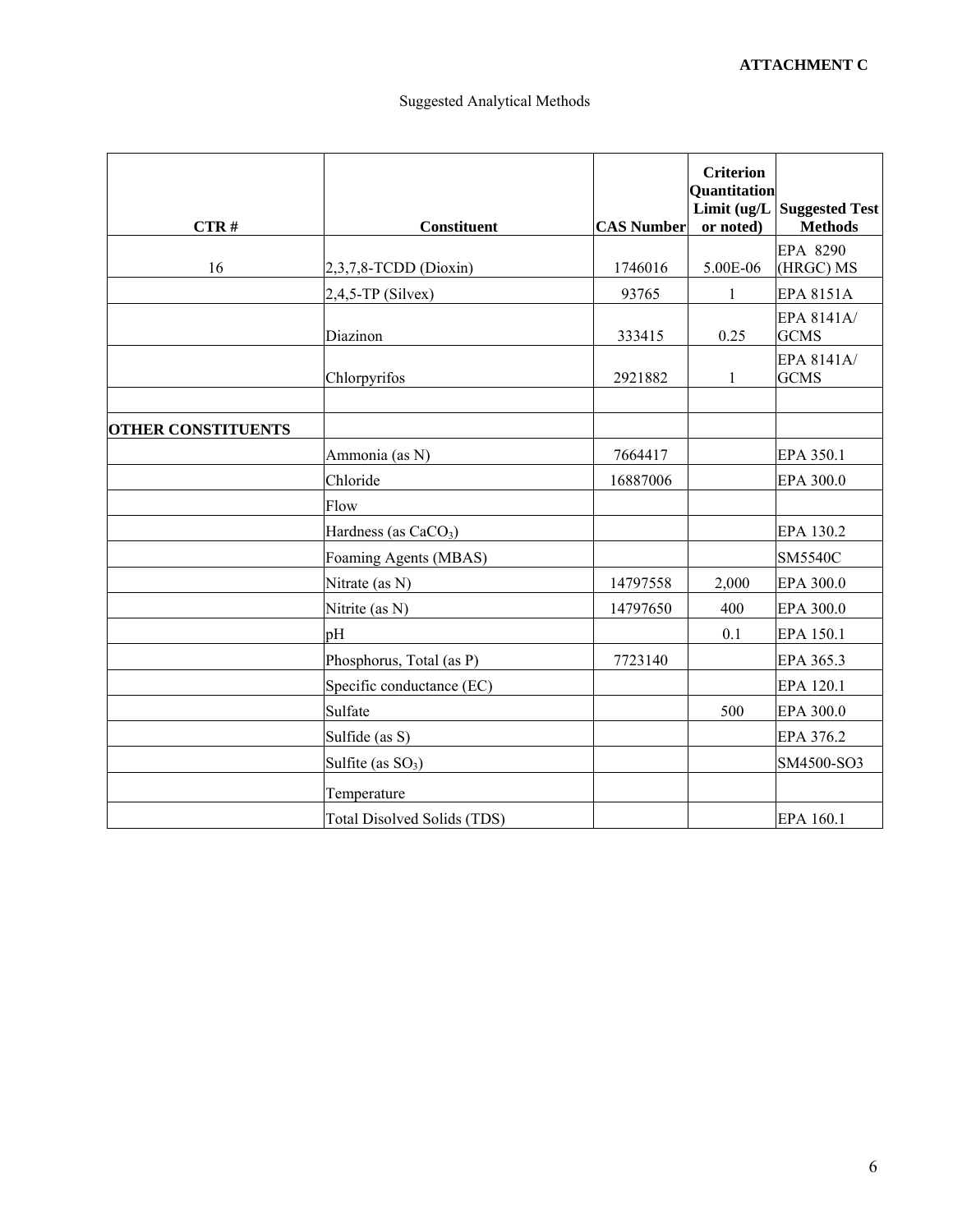| CTR#                      | <b>Constituent</b>                 | <b>CAS Number</b> | <b>Criterion</b><br><b>Quantitation</b><br>or noted) | Limit $\left(\frac{uq}{L}\right)$ Suggested Test<br><b>Methods</b> |
|---------------------------|------------------------------------|-------------------|------------------------------------------------------|--------------------------------------------------------------------|
|                           |                                    |                   |                                                      | EPA 8290                                                           |
| 16                        | 2,3,7,8-TCDD (Dioxin)              | 1746016           | 5.00E-06                                             | (HRGC) MS                                                          |
|                           | $2,4,5$ -TP (Silvex)               | 93765             | $\mathbf{1}$                                         | <b>EPA 8151A</b>                                                   |
|                           | Diazinon                           | 333415            | 0.25                                                 | EPA 8141A/<br><b>GCMS</b>                                          |
|                           | Chlorpyrifos                       | 2921882           | 1                                                    | EPA 8141A/<br><b>GCMS</b>                                          |
| <b>OTHER CONSTITUENTS</b> |                                    |                   |                                                      |                                                                    |
|                           | Ammonia (as N)                     | 7664417           |                                                      | EPA 350.1                                                          |
|                           | Chloride                           | 16887006          |                                                      | EPA 300.0                                                          |
|                           | Flow                               |                   |                                                      |                                                                    |
|                           | Hardness (as CaCO <sub>3</sub> )   |                   |                                                      | EPA 130.2                                                          |
|                           | Foaming Agents (MBAS)              |                   |                                                      | <b>SM5540C</b>                                                     |
|                           | Nitrate (as N)                     | 14797558          | 2,000                                                | EPA 300.0                                                          |
|                           | Nitrite (as N)                     | 14797650          | 400                                                  | EPA 300.0                                                          |
|                           | pH                                 |                   | 0.1                                                  | EPA 150.1                                                          |
|                           | Phosphorus, Total (as P)           | 7723140           |                                                      | EPA 365.3                                                          |
|                           | Specific conductance (EC)          |                   |                                                      | EPA 120.1                                                          |
|                           | Sulfate                            |                   | 500                                                  | EPA 300.0                                                          |
|                           | Sulfide (as S)                     |                   |                                                      | EPA 376.2                                                          |
|                           | Sulfite (as $SO_3$ )               |                   |                                                      | SM4500-SO3                                                         |
|                           | Temperature                        |                   |                                                      |                                                                    |
|                           | <b>Total Disolved Solids (TDS)</b> |                   |                                                      | EPA 160.1                                                          |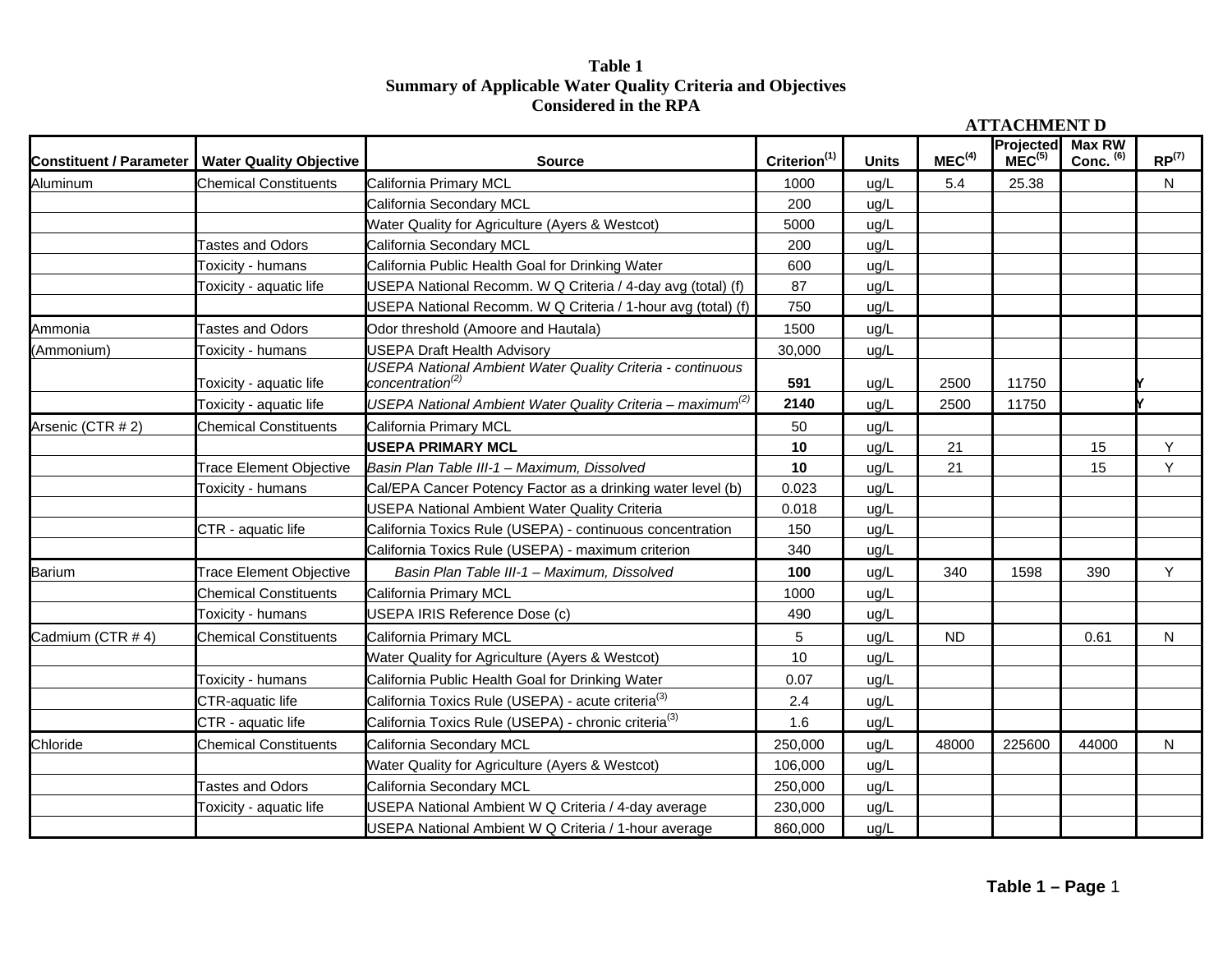# **Table 1 Summary of Applicable Water Quality Criteria and Objectives Considered in the RPA**

|                                |                                |                                                                                                   |                          |              | <b>ATTACHMENT D</b> |                                 |                     |                   |
|--------------------------------|--------------------------------|---------------------------------------------------------------------------------------------------|--------------------------|--------------|---------------------|---------------------------------|---------------------|-------------------|
| <b>Constituent / Parameter</b> | <b>Water Quality Objective</b> | <b>Source</b>                                                                                     | Criterion <sup>(1)</sup> | <b>Units</b> | MEC <sup>(4)</sup>  | Projected<br>MEC <sup>(5)</sup> | Max RW<br>Conc. (6) | RP <sup>(7)</sup> |
| Aluminum                       | <b>Chemical Constituents</b>   | California Primary MCL                                                                            | 1000                     | ug/L         | 5.4                 | 25.38                           |                     | N.                |
|                                |                                | California Secondary MCL                                                                          | 200                      | ug/L         |                     |                                 |                     |                   |
|                                |                                | Water Quality for Agriculture (Ayers & Westcot)                                                   | 5000                     | ug/L         |                     |                                 |                     |                   |
|                                | <b>Tastes and Odors</b>        | California Secondary MCL                                                                          | 200                      | ug/L         |                     |                                 |                     |                   |
|                                | <b>Toxicity - humans</b>       | California Public Health Goal for Drinking Water                                                  | 600                      | ug/L         |                     |                                 |                     |                   |
|                                | <b>Toxicity - aquatic life</b> | USEPA National Recomm. W Q Criteria / 4-day avg (total) (f)                                       | 87                       | ug/L         |                     |                                 |                     |                   |
|                                |                                | USEPA National Recomm. W Q Criteria / 1-hour avg (total) (f)                                      | 750                      | ug/L         |                     |                                 |                     |                   |
| Ammonia                        | <b>Tastes and Odors</b>        | Odor threshold (Amoore and Hautala)                                                               | 1500                     | ug/L         |                     |                                 |                     |                   |
| (Ammonium)                     | Toxicity - humans              | <b>USEPA Draft Health Advisory</b>                                                                | 30,000                   | ug/L         |                     |                                 |                     |                   |
|                                | Toxicity - aquatic life        | <b>USEPA National Ambient Water Quality Criteria - continuous</b><br>concentration <sup>(2)</sup> | 591                      | ug/L         | 2500                | 11750                           |                     |                   |
|                                | Toxicity - aquatic life        | USEPA National Ambient Water Quality Criteria - maximum <sup>(2)</sup>                            | 2140                     | ug/L         | 2500                | 11750                           |                     |                   |
| Arsenic (CTR # 2)              | <b>Chemical Constituents</b>   | California Primary MCL                                                                            | 50                       | ug/L         |                     |                                 |                     |                   |
|                                |                                | <b>USEPA PRIMARY MCL</b>                                                                          | 10                       | ug/L         | 21                  |                                 | 15                  | Y                 |
|                                | <b>Trace Element Objective</b> | Basin Plan Table III-1 - Maximum, Dissolved                                                       | 10                       | ug/L         | 21                  |                                 | 15                  | Y                 |
|                                | Toxicity - humans              | Cal/EPA Cancer Potency Factor as a drinking water level (b)                                       | 0.023                    | ug/L         |                     |                                 |                     |                   |
|                                |                                | <b>USEPA National Ambient Water Quality Criteria</b>                                              | 0.018                    | ug/L         |                     |                                 |                     |                   |
|                                | CTR - aquatic life             | California Toxics Rule (USEPA) - continuous concentration                                         | 150                      | ug/L         |                     |                                 |                     |                   |
|                                |                                | California Toxics Rule (USEPA) - maximum criterion                                                | 340                      | ug/L         |                     |                                 |                     |                   |
| Barium                         | <b>Trace Element Objective</b> | Basin Plan Table III-1 - Maximum, Dissolved                                                       | 100                      | ug/L         | 340                 | 1598                            | 390                 | Y.                |
|                                | <b>Chemical Constituents</b>   | California Primary MCL                                                                            | 1000                     | ug/L         |                     |                                 |                     |                   |
|                                | Toxicity - humans              | USEPA IRIS Reference Dose (c)                                                                     | 490                      | ug/L         |                     |                                 |                     |                   |
| Cadmium (CTR # 4)              | <b>Chemical Constituents</b>   | California Primary MCL                                                                            | 5                        | ug/L         | <b>ND</b>           |                                 | 0.61                | $\mathsf{N}$      |
|                                |                                | Water Quality for Agriculture (Ayers & Westcot)                                                   | 10                       | ug/L         |                     |                                 |                     |                   |
|                                | Toxicity - humans              | California Public Health Goal for Drinking Water                                                  | 0.07                     | ug/L         |                     |                                 |                     |                   |
|                                | CTR-aquatic life               | California Toxics Rule (USEPA) - acute criteria <sup>(3)</sup>                                    | 2.4                      | ug/L         |                     |                                 |                     |                   |
|                                | CTR - aquatic life             | California Toxics Rule (USEPA) - chronic criteria <sup>(3)</sup>                                  | 1.6                      | ug/L         |                     |                                 |                     |                   |
| Chloride                       | <b>Chemical Constituents</b>   | California Secondary MCL                                                                          | 250,000                  | ug/L         | 48000               | 225600                          | 44000               | N                 |
|                                |                                | Water Quality for Agriculture (Ayers & Westcot)                                                   | 106,000                  | ug/L         |                     |                                 |                     |                   |
|                                | <b>Tastes and Odors</b>        | California Secondary MCL                                                                          | 250,000                  | ug/L         |                     |                                 |                     |                   |
|                                | <b>Toxicity - aquatic life</b> | USEPA National Ambient W Q Criteria / 4-day average                                               | 230,000                  | ug/L         |                     |                                 |                     |                   |
|                                |                                | USEPA National Ambient W Q Criteria / 1-hour average                                              | 860,000                  | ug/L         |                     |                                 |                     |                   |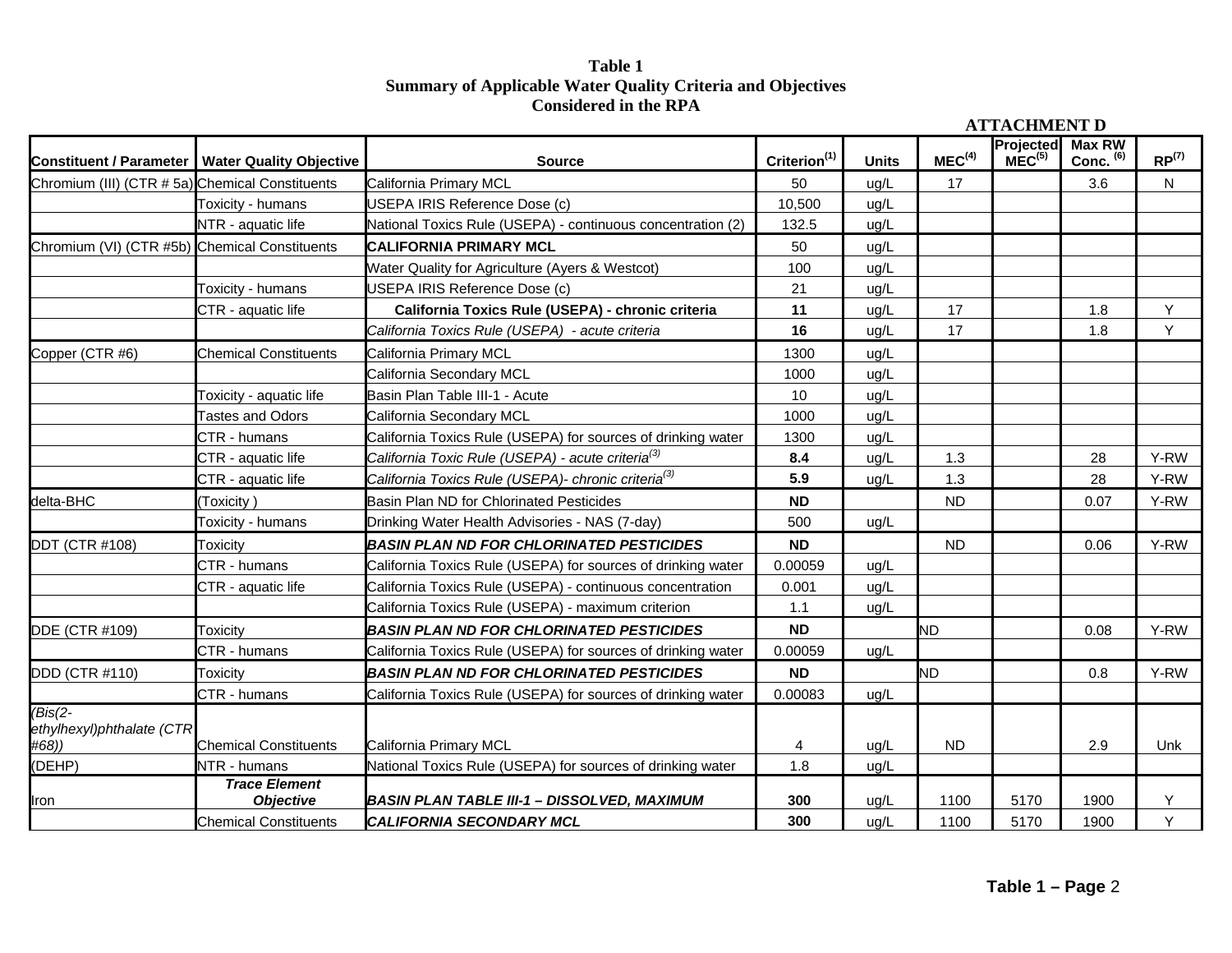# **Table 1 Summary of Applicable Water Quality Criteria and Objectives Considered in the RPA**

|                                                 |                                                   |                                                                 |                          |              |                    | <b>ATTACHMENT D</b>             |                       |            |
|-------------------------------------------------|---------------------------------------------------|-----------------------------------------------------------------|--------------------------|--------------|--------------------|---------------------------------|-----------------------|------------|
|                                                 | Constituent / Parameter   Water Quality Objective | <b>Source</b>                                                   | Criterion <sup>(1)</sup> | <b>Units</b> | MEC <sup>(4)</sup> | Projected<br>MEC <sup>(5)</sup> | Max RW<br>Conc. $(6)$ | $RP^{(7)}$ |
| Chromium (III) (CTR # 5a) Chemical Constituents |                                                   | California Primary MCL                                          | 50                       | ug/L         | 17                 |                                 | 3.6                   | N.         |
|                                                 | Toxicity - humans                                 | USEPA IRIS Reference Dose (c)                                   | 10,500                   | ug/L         |                    |                                 |                       |            |
|                                                 | NTR - aquatic life                                | National Toxics Rule (USEPA) - continuous concentration (2)     | 132.5                    | ug/L         |                    |                                 |                       |            |
| Chromium (VI) (CTR #5b) Chemical Constituents   |                                                   | CALIFORNIA PRIMARY MCL                                          | 50                       | ug/L         |                    |                                 |                       |            |
|                                                 |                                                   | Water Quality for Agriculture (Ayers & Westcot)                 | 100                      | ug/L         |                    |                                 |                       |            |
|                                                 | Toxicity - humans                                 | USEPA IRIS Reference Dose (c)                                   | 21                       | ug/L         |                    |                                 |                       |            |
|                                                 | CTR - aquatic life                                | California Toxics Rule (USEPA) - chronic criteria               | 11                       | ug/L         | 17                 |                                 | 1.8                   | Y          |
|                                                 |                                                   | California Toxics Rule (USEPA) - acute criteria                 | 16                       | ug/L         | 17                 |                                 | 1.8                   | Y          |
| Copper (CTR #6)                                 | <b>Chemical Constituents</b>                      | California Primary MCL                                          | 1300                     | ug/L         |                    |                                 |                       |            |
|                                                 |                                                   | California Secondary MCL                                        | 1000                     | ug/L         |                    |                                 |                       |            |
|                                                 | Toxicity - aquatic life                           | Basin Plan Table III-1 - Acute                                  | 10                       | uq/L         |                    |                                 |                       |            |
|                                                 | <b>Tastes and Odors</b>                           | California Secondary MCL                                        | 1000                     | ug/L         |                    |                                 |                       |            |
|                                                 | CTR - humans                                      | California Toxics Rule (USEPA) for sources of drinking water    | 1300                     | ug/L         |                    |                                 |                       |            |
|                                                 | CTR - aquatic life                                | California Toxic Rule (USEPA) - acute criteria <sup>(3)</sup>   | 8.4                      | ug/L         | 1.3                |                                 | 28                    | Y-RW       |
|                                                 | CTR - aquatic life                                | California Toxics Rule (USEPA)- chronic criteria <sup>(3)</sup> | 5.9                      | ug/L         | 1.3                |                                 | 28                    | Y-RW       |
| delta-BHC                                       | (Toxicity)                                        | Basin Plan ND for Chlorinated Pesticides                        | <b>ND</b>                |              | <b>ND</b>          |                                 | 0.07                  | Y-RW       |
|                                                 | Toxicity - humans                                 | Drinking Water Health Advisories - NAS (7-day)                  | 500                      | ug/L         |                    |                                 |                       |            |
| <b>DDT (CTR #108)</b>                           | Toxicity                                          | <b>BASIN PLAN ND FOR CHLORINATED PESTICIDES</b>                 | <b>ND</b>                |              | <b>ND</b>          |                                 | 0.06                  | Y-RW       |
|                                                 | CTR - humans                                      | California Toxics Rule (USEPA) for sources of drinking water    | 0.00059                  | ug/L         |                    |                                 |                       |            |
|                                                 | CTR - aquatic life                                | California Toxics Rule (USEPA) - continuous concentration       | 0.001                    | ug/L         |                    |                                 |                       |            |
|                                                 |                                                   | California Toxics Rule (USEPA) - maximum criterion              | 1.1                      | ug/L         |                    |                                 |                       |            |
| DDE (CTR #109)                                  | Toxicity                                          | <b>BASIN PLAN ND FOR CHLORINATED PESTICIDES</b>                 | <b>ND</b>                |              | <b>ND</b>          |                                 | 0.08                  | Y-RW       |
|                                                 | CTR - humans                                      | California Toxics Rule (USEPA) for sources of drinking water    | 0.00059                  | ug/L         |                    |                                 |                       |            |
| <b>DDD (CTR #110)</b>                           | Toxicity                                          | <b>BASIN PLAN ND FOR CHLORINATED PESTICIDES</b>                 | <b>ND</b>                |              | <b>ND</b>          |                                 | 0.8                   | Y-RW       |
|                                                 | CTR - humans                                      | California Toxics Rule (USEPA) for sources of drinking water    | 0.00083                  | ug/L         |                    |                                 |                       |            |
| $(Bis(2 -$<br>ethylhexyl)phthalate (CTR         |                                                   |                                                                 |                          |              |                    |                                 |                       |            |
| #68))                                           | <b>Chemical Constituents</b>                      | California Primary MCL                                          | $\overline{4}$           | ug/L         | <b>ND</b>          |                                 | 2.9                   | Unk        |
| (DEHP)                                          | NTR - humans                                      | National Toxics Rule (USEPA) for sources of drinking water      | 1.8                      | ug/L         |                    |                                 |                       |            |
| Iron                                            | <b>Trace Element</b><br><b>Objective</b>          | <b>BASIN PLAN TABLE III-1 - DISSOLVED, MAXIMUM</b>              | 300                      | ug/L         | 1100               | 5170                            | 1900                  | Y          |
|                                                 | <b>Chemical Constituents</b>                      | <b>CALIFORNIA SECONDARY MCL</b>                                 | 300                      | ug/L         | 1100               | 5170                            | 1900                  | Y          |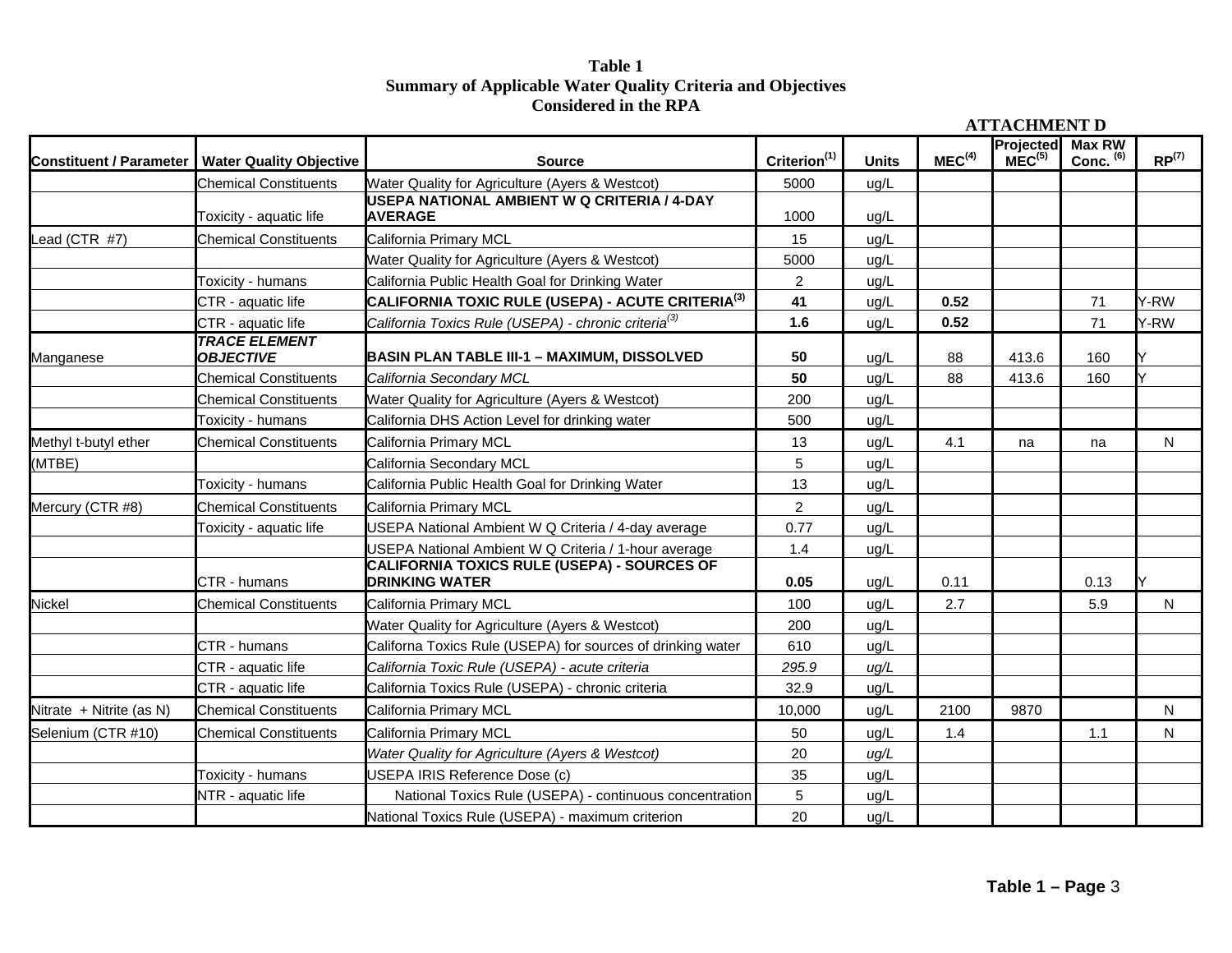## **Table 1 Summary of Applicable Water Quality Criteria and Objectives Considered in the RPA**

|                                |                                          |                                                                      |                          |              |                    | <b>ATTACHMENT D</b>                    |                              |              |
|--------------------------------|------------------------------------------|----------------------------------------------------------------------|--------------------------|--------------|--------------------|----------------------------------------|------------------------------|--------------|
| <b>Constituent / Parameter</b> | <b>Water Quality Objective</b>           | <b>Source</b>                                                        | Criterion <sup>(1)</sup> | <b>Units</b> | MEC <sup>(4)</sup> | <b>Projected</b><br>MEC <sup>(5)</sup> | <b>Max RW</b><br>Conc. $(6)$ | $RP^{(7)}$   |
|                                | <b>Chemical Constituents</b>             | Water Quality for Agriculture (Ayers & Westcot)                      | 5000                     | ug/L         |                    |                                        |                              |              |
|                                | Toxicity - aquatic life                  | <b>USEPA NATIONAL AMBIENT W Q CRITERIA / 4-DAY</b><br><b>AVERAGE</b> | 1000                     | ug/L         |                    |                                        |                              |              |
| Lead (CTR #7)                  | <b>Chemical Constituents</b>             | California Primary MCL                                               | 15                       | ug/L         |                    |                                        |                              |              |
|                                |                                          | Water Quality for Agriculture (Ayers & Westcot)                      | 5000                     | ug/L         |                    |                                        |                              |              |
|                                | <b>Toxicity - humans</b>                 | California Public Health Goal for Drinking Water                     | $\overline{2}$           | ug/L         |                    |                                        |                              |              |
|                                | CTR - aquatic life                       | CALIFORNIA TOXIC RULE (USEPA) - ACUTE CRITERIA <sup>(3)</sup>        | 41                       | ug/L         | 0.52               |                                        | 71                           | Y-RW         |
|                                | CTR - aquatic life                       | California Toxics Rule (USEPA) - chronic criteria <sup>(3)</sup>     | 1.6                      | ug/L         | 0.52               |                                        | 71                           | Y-RW         |
| Manganese                      | <b>TRACE ELEMENT</b><br><b>OBJECTIVE</b> | BASIN PLAN TABLE III-1 - MAXIMUM, DISSOLVED                          | 50                       | ug/L         | 88                 | 413.6                                  | 160                          |              |
|                                | <b>Chemical Constituents</b>             | California Secondary MCL                                             | 50                       | ug/L         | 88                 | 413.6                                  | 160                          |              |
|                                | <b>Chemical Constituents</b>             | Water Quality for Agriculture (Ayers & Westcot)                      | 200                      | ug/L         |                    |                                        |                              |              |
|                                | Toxicity - humans                        | California DHS Action Level for drinking water                       |                          | ug/L         |                    |                                        |                              |              |
| Methyl t-butyl ether           | <b>Chemical Constituents</b>             | California Primary MCL                                               | 13                       | ug/L         | 4.1                | na                                     | na                           | N.           |
| (MTBE)                         |                                          | California Secondary MCL                                             | 5                        | ug/L         |                    |                                        |                              |              |
|                                | Toxicity - humans                        | California Public Health Goal for Drinking Water                     | 13                       | ug/L         |                    |                                        |                              |              |
| Mercury (CTR #8)               | <b>Chemical Constituents</b>             | California Primary MCL                                               | $\overline{2}$           | ug/L         |                    |                                        |                              |              |
|                                | <b>Toxicity - aquatic life</b>           | USEPA National Ambient W Q Criteria / 4-day average                  | 0.77                     | ug/L         |                    |                                        |                              |              |
|                                |                                          | USEPA National Ambient W Q Criteria / 1-hour average                 | 1.4                      | ug/L         |                    |                                        |                              |              |
|                                | CTR - humans                             | CALIFORNIA TOXICS RULE (USEPA) - SOURCES OF<br><b>DRINKING WATER</b> | 0.05                     | ug/L         | 0.11               |                                        | 0.13                         |              |
| Nickel                         | <b>Chemical Constituents</b>             | California Primary MCL                                               | 100                      | ug/L         | 2.7                |                                        | 5.9                          | $\mathsf{N}$ |
|                                |                                          | Water Quality for Agriculture (Ayers & Westcot)                      | 200                      | ug/L         |                    |                                        |                              |              |
|                                | CTR - humans                             | Californa Toxics Rule (USEPA) for sources of drinking water          | 610                      | ug/L         |                    |                                        |                              |              |
|                                | CTR - aquatic life                       | California Toxic Rule (USEPA) - acute criteria                       | 295.9                    | uq/L         |                    |                                        |                              |              |
|                                | CTR - aquatic life                       | California Toxics Rule (USEPA) - chronic criteria                    | 32.9                     | ug/L         |                    |                                        |                              |              |
| Nitrate + Nitrite (as N)       | <b>Chemical Constituents</b>             | California Primary MCL                                               | 10,000                   | ug/L         | 2100               | 9870                                   |                              | N            |
| Selenium (CTR #10)             | <b>Chemical Constituents</b>             | California Primary MCL                                               | 50                       | ug/L         | 1.4                |                                        | 1.1                          | N            |
|                                |                                          | Water Quality for Agriculture (Ayers & Westcot)                      | 20                       | ug/L         |                    |                                        |                              |              |
|                                | Toxicity - humans                        | USEPA IRIS Reference Dose (c)                                        | 35                       | ug/L         |                    |                                        |                              |              |
|                                | NTR - aquatic life                       | National Toxics Rule (USEPA) - continuous concentration              | 5                        | ug/L         |                    |                                        |                              |              |
|                                |                                          | National Toxics Rule (USEPA) - maximum criterion                     | 20                       | ug/L         |                    |                                        |                              |              |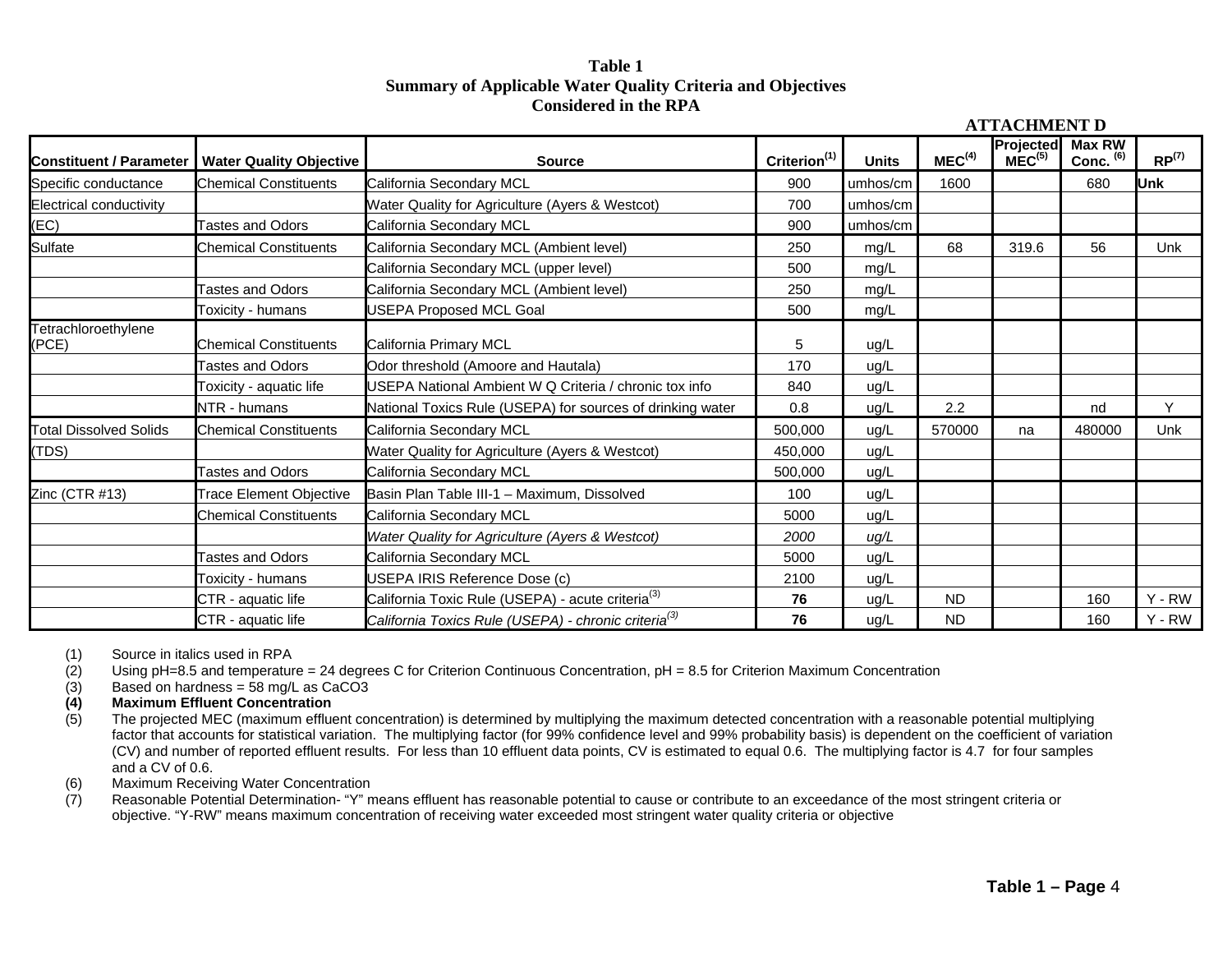#### **Table 1 Summary of Applicable Water Quality Criteria and Objectives Considered in the RPA**

| <b>Constituent / Parameter</b> | <b>Water Quality Objective</b> | <b>Source</b>                                                    | Criterion <sup>(1)</sup> | <b>Units</b> | MEC <sup>(4)</sup> | Projected<br>MEC <sup>(5)</sup> | <b>Max RW</b><br>Conc. (6) | RP <sup>(7)</sup> |  |
|--------------------------------|--------------------------------|------------------------------------------------------------------|--------------------------|--------------|--------------------|---------------------------------|----------------------------|-------------------|--|
| Specific conductance           | <b>Chemical Constituents</b>   | California Secondary MCL                                         | 900                      | umhos/cm     | 1600               |                                 | 680                        | lUnk              |  |
| Electrical conductivity        |                                | Water Quality for Agriculture (Ayers & Westcot)                  | 700                      | umhos/cm     |                    |                                 |                            |                   |  |
| (EC)                           | <b>Tastes and Odors</b>        | California Secondary MCL                                         | 900                      | umhos/cm     |                    |                                 |                            |                   |  |
| Sulfate                        | <b>Chemical Constituents</b>   | California Secondary MCL (Ambient level)                         | 250                      | mg/L         | 68                 | 319.6                           | 56                         | <b>Unk</b>        |  |
|                                |                                | California Secondary MCL (upper level)                           | 500                      | mg/L         |                    |                                 |                            |                   |  |
|                                | <b>Tastes and Odors</b>        | California Secondary MCL (Ambient level)                         | 250                      | mg/L         |                    |                                 |                            |                   |  |
|                                | Toxicity - humans              | <b>USEPA Proposed MCL Goal</b>                                   | 500                      | mg/L         |                    |                                 |                            |                   |  |
| Tetrachloroethylene<br>(PCE)   | <b>Chemical Constituents</b>   | California Primary MCL                                           | 5                        | ug/L         |                    |                                 |                            |                   |  |
|                                | <b>Tastes and Odors</b>        | Odor threshold (Amoore and Hautala)                              | 170                      | ug/L         |                    |                                 |                            |                   |  |
|                                | Toxicity - aquatic life        | USEPA National Ambient W Q Criteria / chronic tox info           | 840                      | ug/L         |                    |                                 |                            |                   |  |
|                                | NTR - humans                   | National Toxics Rule (USEPA) for sources of drinking water       | 0.8                      | ug/L         | 2.2                |                                 | nd                         | Y                 |  |
| <b>Total Dissolved Solids</b>  | <b>Chemical Constituents</b>   | California Secondary MCL                                         | 500,000                  | ug/L         | 570000             | na                              | 480000                     | Unk               |  |
| (TDS)                          |                                | Water Quality for Agriculture (Ayers & Westcot)                  | 450,000                  | ug/L         |                    |                                 |                            |                   |  |
|                                | <b>Tastes and Odors</b>        | California Secondary MCL                                         | 500,000                  | ug/L         |                    |                                 |                            |                   |  |
| Zinc (CTR #13)                 | <b>Trace Element Objective</b> | Basin Plan Table III-1 - Maximum, Dissolved                      | 100                      | ug/L         |                    |                                 |                            |                   |  |
|                                | <b>Chemical Constituents</b>   | California Secondary MCL                                         | 5000                     | ug/L         |                    |                                 |                            |                   |  |
|                                |                                | Water Quality for Agriculture (Ayers & Westcot)                  | 2000                     | uq/L         |                    |                                 |                            |                   |  |
|                                | <b>Tastes and Odors</b>        | California Secondary MCL                                         | 5000                     | ug/L         |                    |                                 |                            |                   |  |
|                                | Toxicity - humans              | USEPA IRIS Reference Dose (c)                                    |                          | ug/L         |                    |                                 |                            |                   |  |
|                                | CTR - aquatic life             | California Toxic Rule (USEPA) - acute criteria <sup>(3)</sup>    | 76                       | ug/L         | <b>ND</b>          |                                 | 160                        | $Y - RW$          |  |
|                                | CTR - aquatic life             | California Toxics Rule (USEPA) - chronic criteria <sup>(3)</sup> | 76                       | ug/L         | <b>ND</b>          |                                 | 160                        | $Y - RW$          |  |

(1) Source in italics used in RPA

(2) Using  $pH=8.5$  and temperature = 24 degrees C for Criterion Continuous Concentration,  $pH = 8.5$  for Criterion Maximum Concentration

(3) Based on hardness = 58 mg/L as CaCO3

# **(4) Maximum Effluent Concentration**

The projected MEC (maximum effluent concentration) is determined by multiplying the maximum detected concentration with a reasonable potential multiplying factor that accounts for statistical variation. The multiplying factor (for 99% confidence level and 99% probability basis) is dependent on the coefficient of variation (CV) and number of reported effluent results. For less than 10 effluent data points, CV is estimated to equal 0.6. The multiplying factor is 4.7 for four samples and a CV of 0.6.

(6) Maximum Receiving Water Concentration<br>(7) Reasonable Potential Determination- "Y" m

Reasonable Potential Determination- "Y" means effluent has reasonable potential to cause or contribute to an exceedance of the most stringent criteria or objective. "Y-RW" means maximum concentration of receiving water exceeded most stringent water quality criteria or objective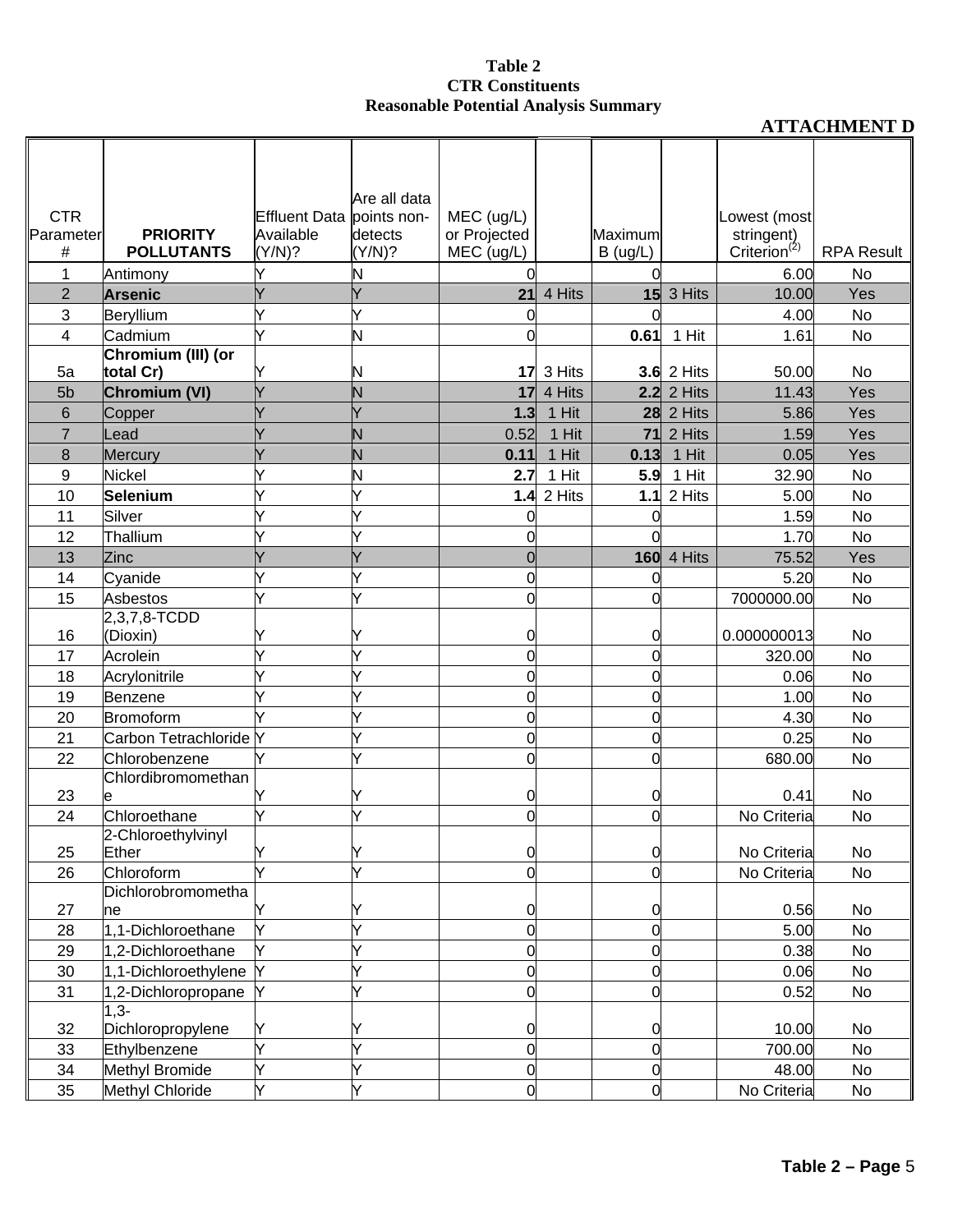|                      |                             |                           | Are all data |                |                           |                |                              |                          |                   |
|----------------------|-----------------------------|---------------------------|--------------|----------------|---------------------------|----------------|------------------------------|--------------------------|-------------------|
| <b>CTR</b>           |                             | Effluent Data points non- |              | MEC (ug/L)     |                           |                |                              | Lowest (most             |                   |
| Parameter            | <b>PRIORITY</b>             | Available                 | detects      | or Projected   |                           | Maximum        |                              | stringent)               |                   |
| #                    | <b>POLLUTANTS</b>           | (Y/N)?                    | (Y/N)?       | MEC (ug/L)     |                           | B (ug/L)       |                              | Criterion <sup>(2)</sup> | <b>RPA Result</b> |
| 1                    | Antimony                    |                           | Ν            |                |                           |                |                              | 6.00                     | No                |
| $\overline{2}$       | <b>Arsenic</b>              |                           |              | 21             | 4 Hits                    |                | $15$ 3 Hits                  | 10.00                    | Yes               |
| 3                    | Beryllium                   |                           | Ý            |                |                           |                |                              | 4.00                     | <b>No</b>         |
| 4                    | Cadmium                     |                           | Ν            | 0              |                           | 0.61           | 1 Hit                        | 1.61                     | No                |
|                      | Chromium (III) (or          |                           |              |                |                           |                |                              |                          |                   |
| 5a<br>5 <sub>b</sub> | total Cr)                   |                           | N            | 17             | 3 Hits                    |                | $3.6$ 2 Hits<br>$2.2$ 2 Hits | 50.00<br>11.43           | No<br>Yes         |
| 6                    | Chromium (VI)               |                           | Ν            | 1.3            | <b>17</b> 4 Hits<br>1 Hit |                | <b>28</b> 2 Hits             | 5.86                     | Yes               |
| $\overline{7}$       | Copper<br>Lead              |                           | Ń            | 0.52           | 1 Hit                     | 71             | 2 Hits                       | 1.59                     | Yes               |
| 8                    | Mercury                     |                           | N            | 0.11           | 1 Hit                     | 0.13           | 1 Hit                        | 0.05                     | Yes               |
| 9                    | Nickel                      |                           | N            | 2.7            | 1 Hit                     | 5.9            | 1 Hit                        | 32.90                    | No                |
| 10                   | Selenium                    |                           | Ý            |                | <b>1.4 2 Hits</b>         | 1.1            | 2 Hits                       | 5.00                     | No                |
| 11                   | Silver                      |                           |              |                |                           | 0              |                              | 1.59                     | No                |
| 12                   | Thallium                    |                           |              | 0              |                           |                |                              | 1.70                     | <b>No</b>         |
| 13                   | Zinc                        |                           | Ý            | $\overline{0}$ |                           |                | <b>160</b> 4 Hits            | 75.52                    | Yes               |
| 14                   | Cyanide                     |                           | Y            | 0              |                           | 0              |                              | 5.20                     | No                |
| 15                   | <b>Asbestos</b>             |                           | Ý            | $\overline{0}$ |                           | 0              |                              | 7000000.00               | No                |
|                      | 2,3,7,8-TCDD                |                           |              |                |                           |                |                              |                          |                   |
| 16                   | (Dioxin)                    |                           |              | 0              |                           | 0              |                              | 0.000000013              | No                |
| 17                   | Acrolein                    |                           |              | $\overline{0}$ |                           | 0              |                              | 320.00                   | <b>No</b>         |
| 18                   | Acrylonitrile               |                           |              | 0              |                           | 0              |                              | 0.06                     | No                |
| 19                   | Benzene                     |                           |              | 0              |                           | 0              |                              | 1.00                     | No                |
| 20                   | Bromoform                   |                           |              | $\mathbf 0$    |                           | 0              |                              | 4.30                     | No                |
| 21                   | Carbon Tetrachloride Y      |                           | Y            | $\overline{0}$ |                           | $\mathbf 0$    |                              | 0.25                     | No                |
| 22                   | Chlorobenzene               |                           | Ý            | 0              |                           | 0              |                              | 680.00                   | <b>No</b>         |
|                      | Chlordibromomethan          |                           |              |                |                           |                |                              |                          |                   |
| 23                   |                             |                           | Y            | 0              |                           | 0              |                              | 0.41                     | No                |
| 24                   | Chloroethane                |                           | Ý            | 0              |                           | 0              |                              | No Criteria              | No                |
| 25                   | 2-Chloroethylvinyl<br>Ether | Y                         | Y            | 0              |                           | 0              |                              | No Criteria              | No                |
| 26                   | Chloroform                  | Ý                         | Ý            | $\overline{0}$ |                           | 0              |                              | No Criteria              | No                |
|                      | Dichlorobromometha          |                           |              |                |                           |                |                              |                          |                   |
| 27                   | he                          |                           | Y            | 0              |                           | 0              |                              | 0.56                     | No                |
| 28                   | 1,1-Dichloroethane          |                           | Ý            | 0              |                           | $\mathbf 0$    |                              | 5.00                     | No                |
| 29                   | 1,2-Dichloroethane          |                           |              | $\overline{0}$ |                           | $\mathbf 0$    |                              | 0.38                     | No                |
| 30                   | 1,1-Dichloroethylene        |                           | Ý            | $\mathbf 0$    |                           | $\mathbf 0$    |                              | 0.06                     | No                |
| 31                   | 1,2-Dichloropropane         |                           | Ý            | $\overline{0}$ |                           | $\overline{0}$ |                              | 0.52                     | No                |
|                      | $1,3-$                      |                           |              |                |                           |                |                              |                          |                   |
| 32                   | Dichloropropylene           | Y                         | Y            | 0              |                           | 0              |                              | 10.00                    | No                |
| 33                   | Ethylbenzene                | Y                         | Ý            | $\mathbf 0$    |                           | $\overline{0}$ |                              | 700.00                   | No                |
| 34                   | Methyl Bromide              |                           | Ý            | $\overline{0}$ |                           | $\mathbf 0$    |                              | 48.00                    | No                |
| 35                   | Methyl Chloride             | Y                         | Y            | $\overline{0}$ |                           | $\overline{0}$ |                              | No Criteria              | No                |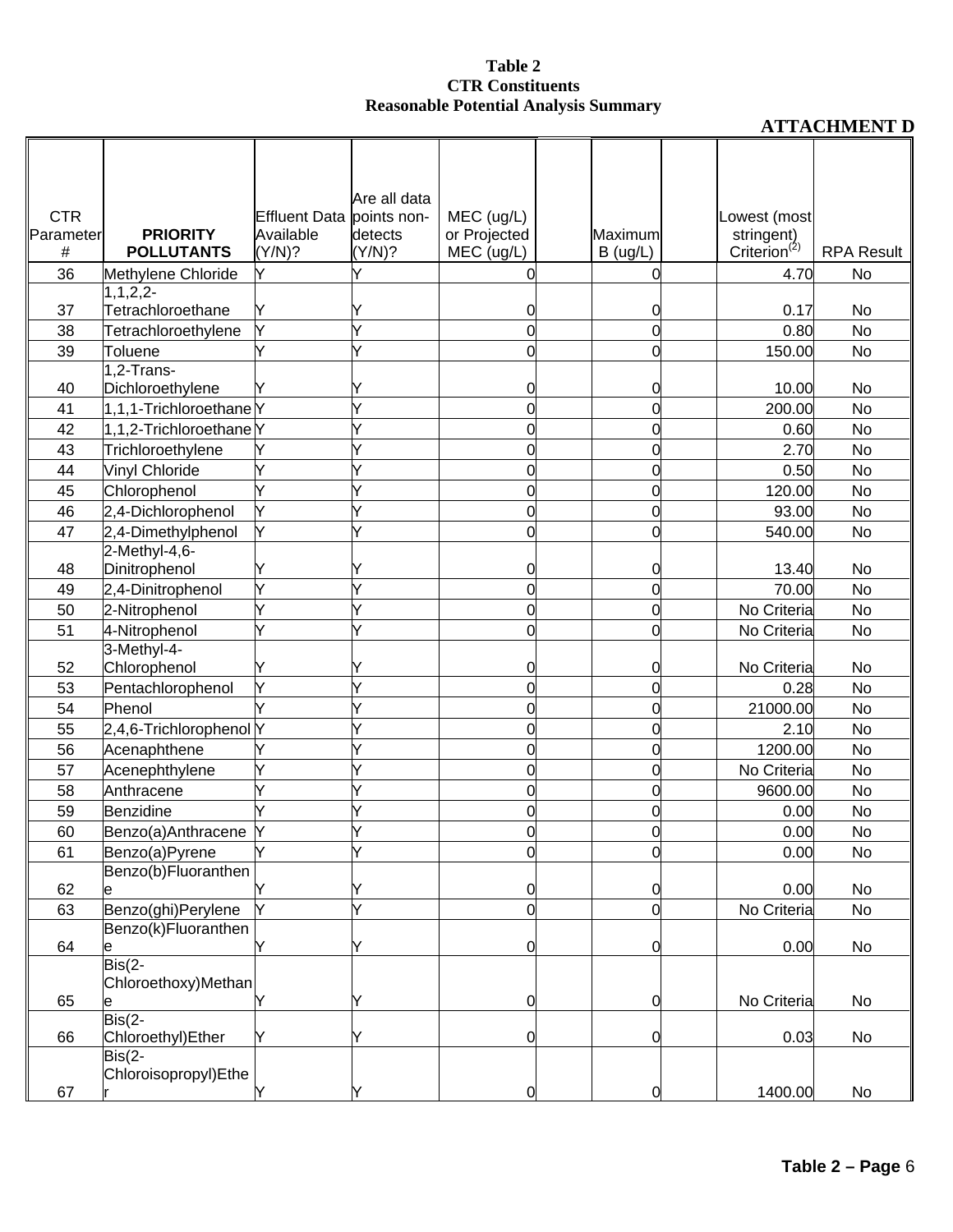|            |                                    |                      | Are all data |                     |                |                          |                   |
|------------|------------------------------------|----------------------|--------------|---------------------|----------------|--------------------------|-------------------|
| <b>CTR</b> |                                    | <b>Effluent Data</b> | points non-  | MEC (ug/L)          |                | Lowest (most             |                   |
| Parameter  | <b>PRIORITY</b>                    | Available            | detects      | or Projected        | Maximum        | stringent)               |                   |
| #          | <b>POLLUTANTS</b>                  | (Y/N)?               | (Y/N)?       | MEC (ug/L)          | B(ug/L)        | Criterion <sup>(2)</sup> | <b>RPA Result</b> |
| 36         | Methylene Chloride                 | Y                    | V            | 0                   | $\Omega$       | 4.70                     | No                |
|            | $1, 1, 2, 2$ -                     |                      |              |                     |                |                          |                   |
| 37<br>38   | Tetrachloroethane                  | Y<br>Ý               | Y<br>Ý       | 0<br>$\overline{0}$ | 0<br>0         | 0.17<br>0.80             | No<br>No          |
| 39         | Tetrachloroethylene<br>Toluene     | Ý                    |              | $\Omega$            | 0              | 150.00                   | No                |
|            | 1,2-Trans-                         |                      |              |                     |                |                          |                   |
| 40         | Dichloroethylene                   |                      |              | 0                   | 0              | 10.00                    | No                |
| 41         | 1,1,1-TrichloroethaneY             |                      |              | 0                   | 0              | 200.00                   | No                |
| 42         | 1,1,2-Trichloroethane <sub>Y</sub> |                      |              | 0                   | 0              | 0.60                     | No                |
| 43         | Trichloroethylene                  | Y                    |              | $\overline{0}$      | 0              | 2.70                     | No                |
| 44         | Vinyl Chloride                     |                      |              | 0                   | 0              | 0.50                     | No                |
| 45         | Chlorophenol                       |                      |              | 0                   | 0              | 120.00                   | No                |
| 46         | 2,4-Dichlorophenol                 |                      |              | 0                   | 0              | 93.00                    | <b>No</b>         |
| 47         | 2,4-Dimethylphenol                 | Y                    |              | 0                   | 0              | 540.00                   | No                |
|            | 2-Methyl-4,6-                      |                      |              |                     |                |                          |                   |
| 48         | Dinitrophenol                      |                      |              | 0                   | 0              | 13.40                    | No                |
| 49         | 2,4-Dinitrophenol                  |                      |              | $\overline{0}$      | 0              | 70.00                    | No                |
| 50         | 2-Nitrophenol                      |                      |              | 0                   | 0              | No Criteria              | <b>No</b>         |
| 51         | 4-Nitrophenol                      |                      | Ý            | $\overline{O}$      | 0              | No Criteria              | No                |
|            | 3-Methyl-4-                        |                      |              |                     |                |                          |                   |
| 52         | Chlorophenol                       |                      |              | 0                   | 0              | No Criteria              | No                |
| 53         | Pentachlorophenol                  | Ý                    |              | $\overline{0}$      | 0              | 0.28                     | No                |
| 54         | Phenol                             |                      |              | 0                   | 0              | 21000.00                 | No                |
| 55         | 2,4,6-Trichlorophenol Y            |                      |              | 0                   | 0              | 2.10                     | No                |
| 56         | Acenaphthene                       |                      |              | $\overline{0}$      | 0              | 1200.00                  | <b>No</b>         |
| 57         | Acenephthylene                     | Ý                    |              | $\Omega$            | 0              | No Criteria              | No                |
| 58         | Anthracene                         |                      |              | 0                   | 0              | 9600.00                  | No                |
| 59         | Benzidine                          |                      |              | Ω                   | 0              | 0.00                     | No                |
| 60         | Benzo(a)Anthracene                 | $\mathsf{v}$         |              |                     | ∩              | 0.00                     | No                |
| 61         | Benzo(a)Pyrene                     | Ý                    | Ý            | $\overline{0}$      | 0              | 0.00                     | No                |
|            | Benzo(b)Fluoranthen                |                      |              |                     |                |                          |                   |
| 62         |                                    | Y                    | Y            | 0                   | 0              | 0.00                     | No                |
| 63         | Benzo(ghi)Perylene                 | Ý                    | Ý            | $\mathbf 0$         | O              | No Criteria              | No                |
| 64         | Benzo(k)Fluoranthen                | Y                    | Y            | 0                   | 0              | 0.00                     | No                |
|            | е<br>$\overline{ Bis(2-1)}$        |                      |              |                     |                |                          |                   |
|            | Chloroethoxy)Methan                |                      |              |                     |                |                          |                   |
| 65         | е                                  | Y                    | Y            | $\overline{O}$      | $\overline{0}$ | No Criteria              | No                |
|            | $\overline{ Bis(2-1)}$             |                      |              |                     |                |                          |                   |
| 66         | Chloroethyl) Ether                 | Y                    | Y            | $\overline{0}$      | $\overline{0}$ | 0.03                     | No                |
|            | $ Bis(2 - )$                       |                      |              |                     |                |                          |                   |
| 67         | Chloroisopropyl)Ethe               | Y                    | Y            | $\mathbf 0$         | $\overline{0}$ | 1400.00                  | No                |
|            |                                    |                      |              |                     |                |                          |                   |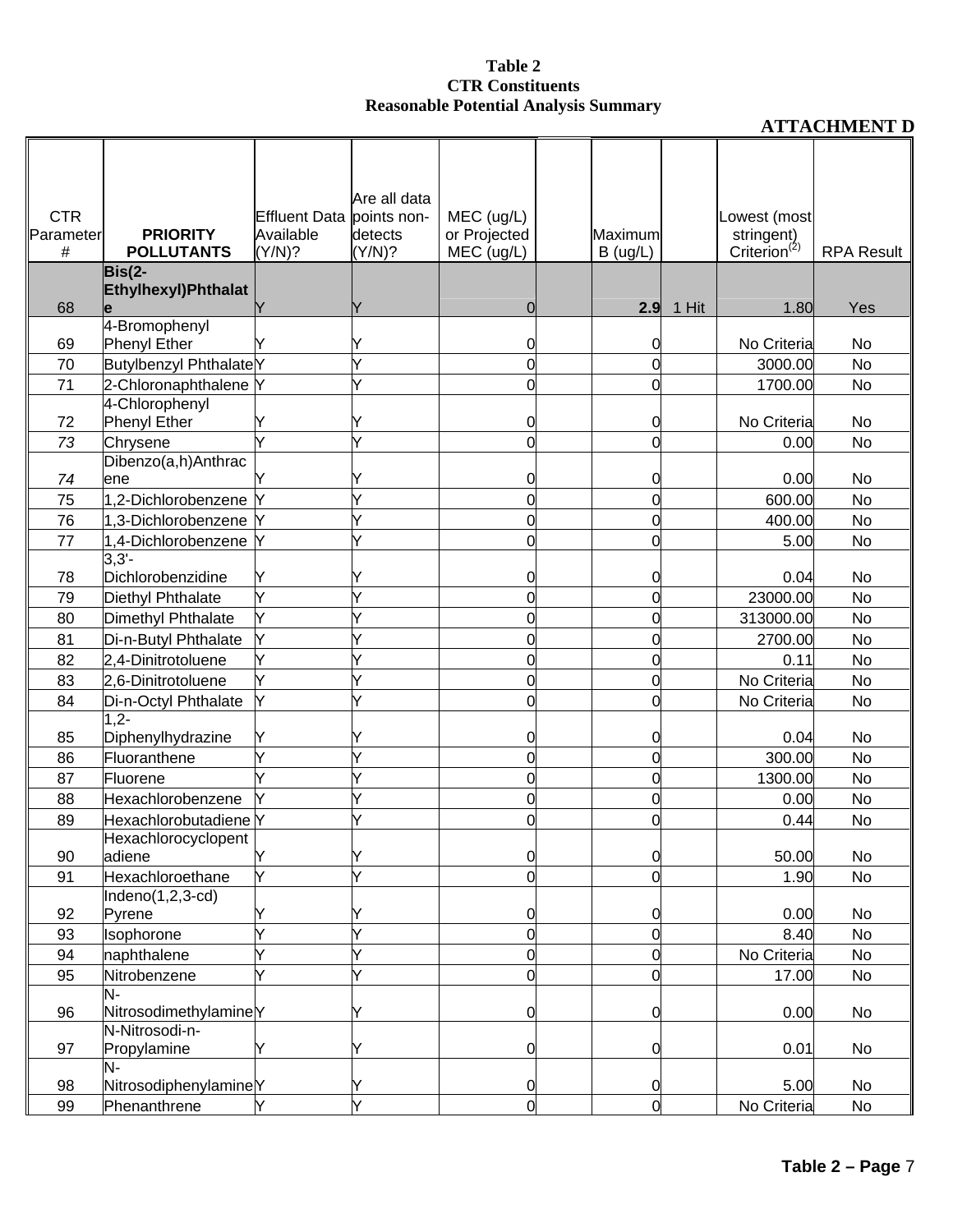|                |                                      |                           | Are all data      |                            |                     |       |                                        |                   |
|----------------|--------------------------------------|---------------------------|-------------------|----------------------------|---------------------|-------|----------------------------------------|-------------------|
| <b>CTR</b>     |                                      | Effluent Data points non- |                   | MEC (ug/L)                 |                     |       | Lowest (most                           |                   |
| Parameter<br># | <b>PRIORITY</b><br><b>POLLUTANTS</b> | Available<br>(Y/N)?       | detects<br>(Y/N)? | or Projected<br>MEC (ug/L) | Maximum             |       | stringent)<br>Criterion <sup>(2)</sup> | <b>RPA Result</b> |
|                | $Bis(2-$                             |                           |                   |                            | B(ug/L)             |       |                                        |                   |
|                | Ethylhexyl) Phthalat                 |                           |                   |                            |                     |       |                                        |                   |
| 68             |                                      |                           |                   | O                          | 2.9                 | 1 Hit | 1.80                                   | Yes               |
|                | 4-Bromophenyl                        |                           |                   |                            |                     |       |                                        |                   |
| 69             | <b>Phenyl Ether</b>                  |                           | Y                 | O                          | C                   |       | No Criteria                            | No                |
| 70             | Butylbenzyl PhthalateY               |                           | Ý                 | 0                          | 0                   |       | 3000.00                                | No                |
| 71             | 2-Chloronaphthalene Y                |                           | Y                 | 0                          | 0                   |       | 1700.00                                | No                |
|                | 4-Chlorophenyl                       |                           |                   |                            |                     |       |                                        |                   |
| 72             | <b>Phenyl Ether</b>                  |                           | Y                 | 0                          | 0                   |       | No Criteria                            | No                |
| 73             | Chrysene                             | Ý                         | Ý                 | $\Omega$                   | 0                   |       | 0.00                                   | No                |
| 74             | Dibenzo(a,h)Anthrac<br>ene           | Y                         | Y                 | 0                          | 0                   |       | 0.00                                   | No                |
| 75             | 1,2-Dichlorobenzene                  |                           | Ý                 | 0                          | 0                   |       | 600.00                                 | No                |
| 76             | 1,3-Dichlorobenzene Y                |                           | Ý                 | 0                          | 0                   |       | 400.00                                 | No                |
| 77             | 1,4-Dichlorobenzene                  | Y                         | Ý                 | 0                          | 0                   |       | 5.00                                   | No                |
|                | $3,3'-$                              |                           |                   |                            |                     |       |                                        |                   |
| 78             | Dichlorobenzidine                    | Y                         |                   | 0                          | 0                   |       | 0.04                                   | No                |
| 79             | Diethyl Phthalate                    | Y                         | Ý                 | 0                          | 0                   |       | 23000.00                               | No                |
| 80             | Dimethyl Phthalate                   | Υ                         | Y                 | 0                          | 0                   |       | 313000.00                              | No                |
| 81             | Di-n-Butyl Phthalate                 | Ý                         | Ý                 | 0                          | 0                   |       | 2700.00                                | No                |
| 82             | 2,4-Dinitrotoluene                   | Ý                         |                   | 0                          | 0                   |       | 0.11                                   | No                |
| 83             | 2,6-Dinitrotoluene                   | Ý                         | Ý                 | 0                          | 0                   |       | No Criteria                            | No                |
| 84             | Di-n-Octyl Phthalate                 | Y                         | Ý                 | 0                          | 0                   |       | No Criteria                            | No                |
|                | $1,2-$                               |                           |                   |                            |                     |       |                                        |                   |
| 85             | Diphenylhydrazine                    | Y                         |                   | 0                          | 0                   |       | 0.04                                   | No                |
| 86             | Fluoranthene                         | Ý                         | Y                 | 0                          | 0                   |       | 300.00                                 | No                |
| 87             | Fluorene                             | Ý                         | Ý                 | 0                          | 0                   |       | 1300.00                                | No                |
| 88             | Hexachlorobenzene                    | Y                         | Ý                 | 0                          | 0                   |       | 0.00                                   | No                |
| 89             | Hexachlorobutadiene Y                |                           | Y                 | Ω                          | 0                   |       | 0.44                                   | No                |
|                | Hexachlorocyclopent                  |                           |                   |                            |                     |       |                                        |                   |
| 90             | adiene                               | Y                         | Y                 | 0                          | 0                   |       | 50.00                                  | No                |
| 91             | Hexachloroethane                     | Y                         | Y                 | $\overline{0}$             | 0                   |       | 1.90                                   | No                |
|                | $Indeno(1,2,3-cd)$                   |                           |                   |                            |                     |       |                                        |                   |
| 92             | Pyrene                               | Υ                         | Y                 | 0                          | 0                   |       | 0.00                                   | No                |
| 93             | Isophorone                           | Ý<br>Ý                    | Y<br>Y            | $\overline{0}$             | 0<br>$\overline{0}$ |       | 8.40                                   | No                |
| 94             | naphthalene                          |                           |                   | 0                          |                     |       | No Criteria                            | No                |
| 95             | Nitrobenzene<br>N-                   |                           | Ý                 | 0                          | 0                   |       | 17.00                                  | No                |
| 96             | NitrosodimethylamineY                |                           | Y                 | 0                          | 0                   |       | 0.00                                   | No                |
|                | N-Nitrosodi-n-                       |                           |                   |                            |                     |       |                                        |                   |
| 97             | Propylamine                          | Y                         | Y                 | 0                          | 0                   |       | 0.01                                   | No                |
|                | N-                                   |                           |                   |                            |                     |       |                                        |                   |
| 98             | NitrosodiphenylamineY                |                           | Y                 | 0                          | 0                   |       | 5.00                                   | No                |
| 99             | Phenanthrene                         | Y                         | Y                 | $\overline{0}$             | $\overline{0}$      |       | No Criteria                            | No                |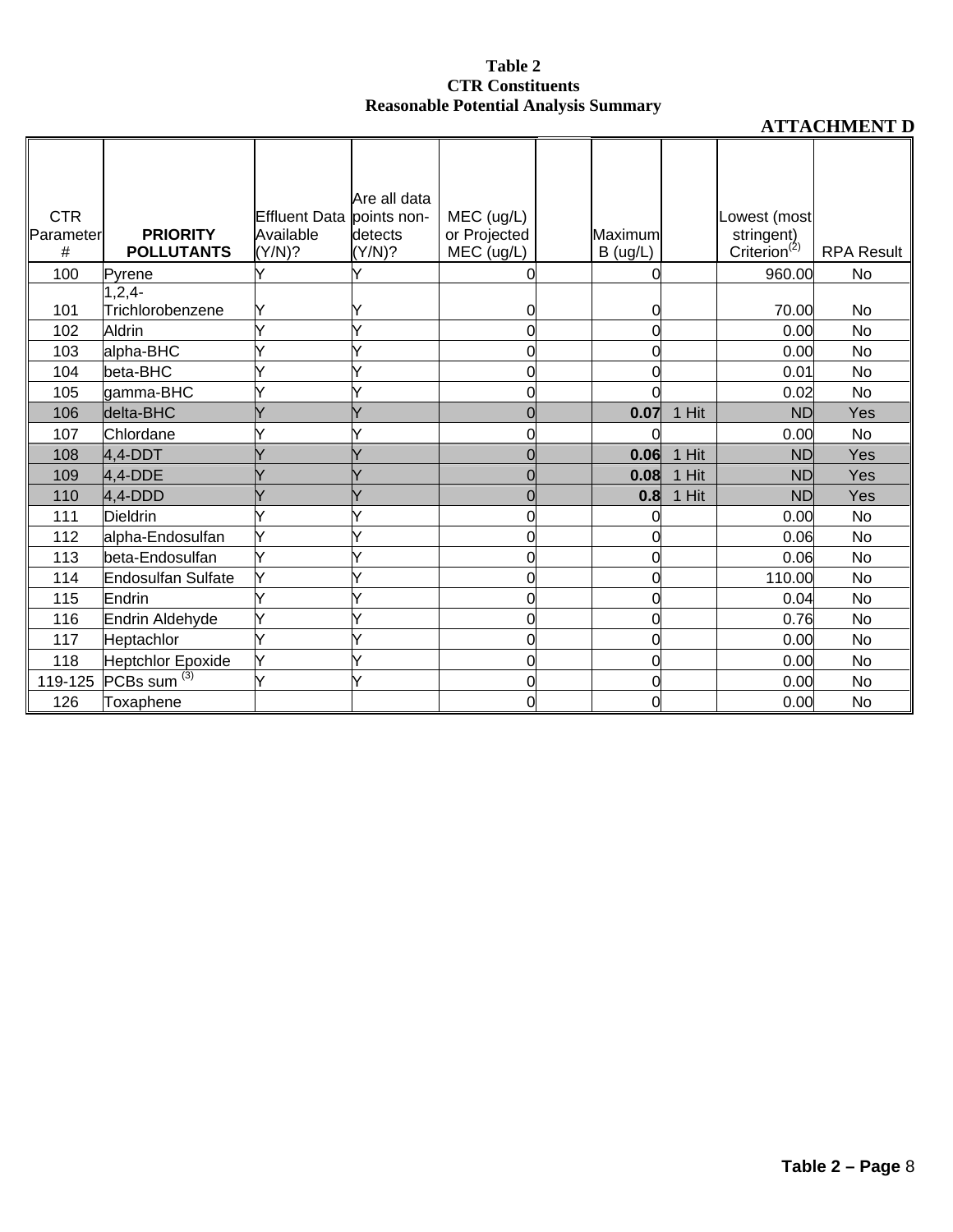|            |                    |                           | Are all data |              |          |       |                          |                   |
|------------|--------------------|---------------------------|--------------|--------------|----------|-------|--------------------------|-------------------|
| <b>CTR</b> |                    | Effluent Data points non- |              | MEC (ug/L)   |          |       | Lowest (most             |                   |
| Parameter  | <b>PRIORITY</b>    | Available                 | detects      | or Projected | Maximum  |       | stringent)               |                   |
| #          | <b>POLLUTANTS</b>  | (Y/N)?                    | (Y/N)?       | MEC (ug/L)   | B (ug/L) |       | Criterion <sup>(2)</sup> | <b>RPA Result</b> |
| 100        | <b>Pyrene</b>      |                           |              |              |          |       | 960.00                   | No                |
|            | $1, 2, 4-$         |                           |              |              |          |       |                          |                   |
| 101        | Trichlorobenzene   |                           |              | 0            | 0        |       | 70.00                    | No                |
| 102        | Aldrin             |                           |              |              | 0        |       | 0.00                     | <b>No</b>         |
| 103        | alpha-BHC          |                           |              |              | 0        |       | 0.00                     | No                |
| 104        | beta-BHC           |                           |              |              | 0        |       | 0.01                     | <b>No</b>         |
| 105        | gamma-BHC          |                           |              |              |          |       | 0.02                     | <b>No</b>         |
| 106        | delta-BHC          |                           |              |              | 0.07     | 1 Hit | <b>ND</b>                | Yes               |
| 107        | Chlordane          |                           |              |              |          |       | 0.00                     | <b>No</b>         |
| 108        | $4.4-DDT$          |                           |              |              | 0.06     | 1 Hit | <b>ND</b>                | Yes               |
| 109        | $4.4$ -DDE         |                           |              |              | 0.08     | 1 Hit | <b>ND</b>                | Yes               |
| 110        | $4,4$ -DDD         |                           |              |              | 0.8      | 1 Hit | <b>ND</b>                | Yes               |
| 111        | <b>Dieldrin</b>    |                           |              |              | O        |       | 0.00                     | No                |
| 112        | alpha-Endosulfan   |                           |              |              | 0        |       | 0.06                     | <b>No</b>         |
| 113        | beta-Endosulfan    |                           |              | 0            | 0        |       | 0.06                     | <b>No</b>         |
| 114        | Endosulfan Sulfate |                           |              | 0            | U        |       | 110.00                   | No                |
| 115        | Endrin             |                           |              | 0            | 0        |       | 0.04                     | <b>No</b>         |
| 116        | Endrin Aldehyde    |                           |              | 0            | 0        |       | 0.76                     | No                |
| 117        | Heptachlor         |                           |              | 0            | 0        |       | 0.00                     | No                |
| 118        | Heptchlor Epoxide  |                           |              | 0            | 0        |       | 0.00                     | <b>No</b>         |
| 119-125    | PCBs sum $(3)$     |                           | ✓            | 0            | ሰ        |       | 0.00                     | No                |
| 126        | Toxaphene          |                           |              | 0            | 0        |       | 0.00                     | No                |